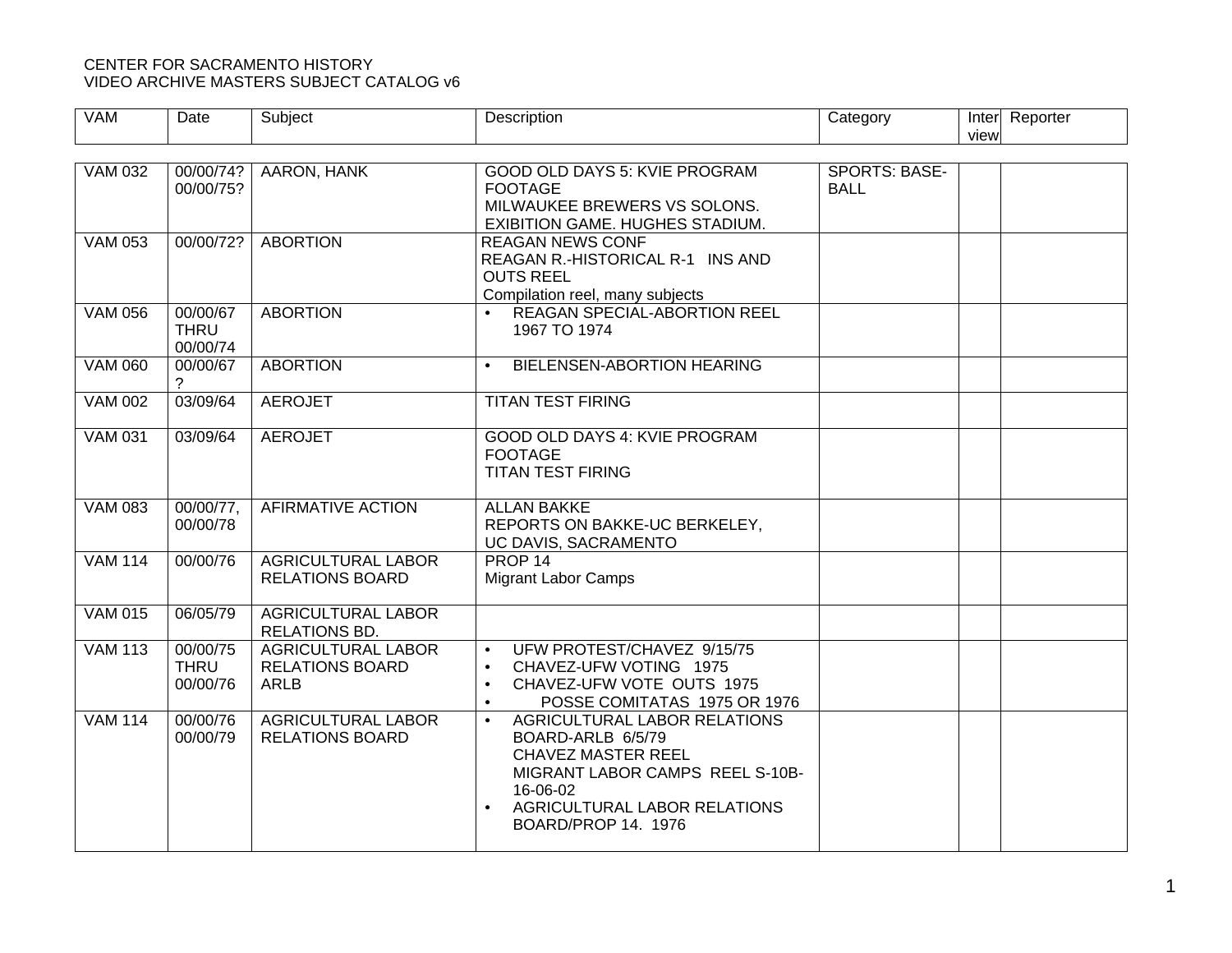## CENTER FOR SACRAMENTO HISTORY VIDEO ARCHIVE MASTERS SUBJECT CATALOG v6

| <b>VAM</b>     | Date                                | Subject                                                            | Description                                                                                                                                                                                       | Category                            | view | Inter Reporter |
|----------------|-------------------------------------|--------------------------------------------------------------------|---------------------------------------------------------------------------------------------------------------------------------------------------------------------------------------------------|-------------------------------------|------|----------------|
|                |                                     |                                                                    |                                                                                                                                                                                                   |                                     |      |                |
| <b>VAM 032</b> | 00/00/74?<br>00/00/75?              | <b>AARON, HANK</b>                                                 | <b>GOOD OLD DAYS 5: KVIE PROGRAM</b><br><b>FOOTAGE</b><br>MILWAUKEE BREWERS VS SOLONS.<br>EXIBITION GAME. HUGHES STADIUM.                                                                         | <b>SPORTS: BASE-</b><br><b>BALL</b> |      |                |
| <b>VAM 053</b> | 00/00/72?                           | <b>ABORTION</b>                                                    | <b>REAGAN NEWS CONF</b><br>REAGAN R.-HISTORICAL R-1 INS AND<br><b>OUTS REEL</b><br>Compilation reel, many subjects                                                                                |                                     |      |                |
| <b>VAM 056</b> | 00/00/67<br><b>THRU</b><br>00/00/74 | <b>ABORTION</b>                                                    | REAGAN SPECIAL-ABORTION REEL<br>$\bullet$<br>1967 TO 1974                                                                                                                                         |                                     |      |                |
| <b>VAM 060</b> | 00/00/67<br>2                       | <b>ABORTION</b>                                                    | BIELENSEN-ABORTION HEARING                                                                                                                                                                        |                                     |      |                |
| <b>VAM 002</b> | 03/09/64                            | <b>AEROJET</b>                                                     | <b>TITAN TEST FIRING</b>                                                                                                                                                                          |                                     |      |                |
| <b>VAM 031</b> | 03/09/64                            | <b>AEROJET</b>                                                     | GOOD OLD DAYS 4: KVIE PROGRAM<br><b>FOOTAGE</b><br><b>TITAN TEST FIRING</b>                                                                                                                       |                                     |      |                |
| <b>VAM 083</b> | 00/00/77,<br>00/00/78               | AFIRMATIVE ACTION                                                  | <b>ALLAN BAKKE</b><br>REPORTS ON BAKKE-UC BERKELEY,<br>UC DAVIS, SACRAMENTO                                                                                                                       |                                     |      |                |
| <b>VAM 114</b> | 00/00/76                            | <b>AGRICULTURAL LABOR</b><br><b>RELATIONS BOARD</b>                | PROP <sub>14</sub><br><b>Migrant Labor Camps</b>                                                                                                                                                  |                                     |      |                |
| <b>VAM 015</b> | 06/05/79                            | <b>AGRICULTURAL LABOR</b><br>RELATIONS BD.                         |                                                                                                                                                                                                   |                                     |      |                |
| <b>VAM 113</b> | 00/00/75<br><b>THRU</b><br>00/00/76 | <b>AGRICULTURAL LABOR</b><br><b>RELATIONS BOARD</b><br><b>ARLB</b> | UFW PROTEST/CHAVEZ 9/15/75<br>$\bullet$<br>CHAVEZ-UFW VOTING 1975<br>$\bullet$<br>CHAVEZ-UFW VOTE OUTS 1975<br>$\bullet$<br>POSSE COMITATAS 1975 OR 1976                                          |                                     |      |                |
| <b>VAM 114</b> | 00/00/76<br>00/00/79                | <b>AGRICULTURAL LABOR</b><br><b>RELATIONS BOARD</b>                | AGRICULTURAL LABOR RELATIONS<br>BOARD-ARLB 6/5/79<br><b>CHAVEZ MASTER REEL</b><br>MIGRANT LABOR CAMPS REEL S-10B-<br>16-06-02<br>AGRICULTURAL LABOR RELATIONS<br>$\bullet$<br>BOARD/PROP 14, 1976 |                                     |      |                |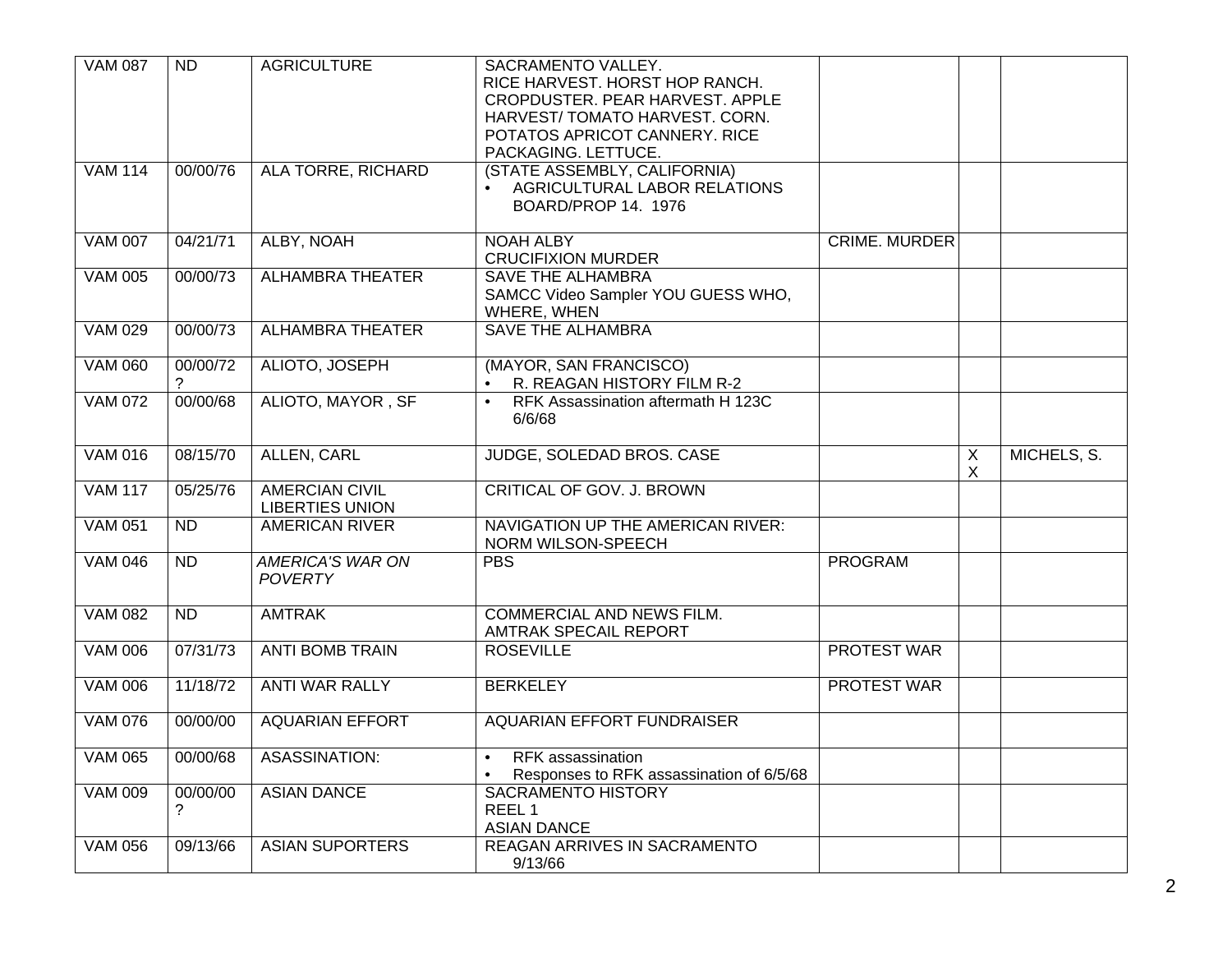| <b>VAM 087</b> | <b>ND</b>     | <b>AGRICULTURE</b>                              | SACRAMENTO VALLEY.<br>RICE HARVEST. HORST HOP RANCH.<br>CROPDUSTER. PEAR HARVEST. APPLE<br>HARVEST/TOMATO HARVEST. CORN.<br>POTATOS APRICOT CANNERY. RICE<br>PACKAGING. LETTUCE. |                      |                              |             |
|----------------|---------------|-------------------------------------------------|----------------------------------------------------------------------------------------------------------------------------------------------------------------------------------|----------------------|------------------------------|-------------|
| <b>VAM 114</b> | 00/00/76      | ALA TORRE, RICHARD                              | (STATE ASSEMBLY, CALIFORNIA)<br>AGRICULTURAL LABOR RELATIONS<br>$\bullet$<br>BOARD/PROP 14. 1976                                                                                 |                      |                              |             |
| <b>VAM 007</b> | 04/21/71      | ALBY, NOAH                                      | <b>NOAH ALBY</b><br><b>CRUCIFIXION MURDER</b>                                                                                                                                    | <b>CRIME. MURDER</b> |                              |             |
| <b>VAM 005</b> | 00/00/73      | <b>ALHAMBRA THEATER</b>                         | <b>SAVE THE ALHAMBRA</b><br>SAMCC Video Sampler YOU GUESS WHO,<br>WHERE, WHEN                                                                                                    |                      |                              |             |
| <b>VAM 029</b> | 00/00/73      | <b>ALHAMBRA THEATER</b>                         | <b>SAVE THE ALHAMBRA</b>                                                                                                                                                         |                      |                              |             |
| <b>VAM 060</b> | 00/00/72<br>? | ALIOTO, JOSEPH                                  | (MAYOR, SAN FRANCISCO)<br>R. REAGAN HISTORY FILM R-2                                                                                                                             |                      |                              |             |
| <b>VAM 072</b> | 00/00/68      | ALIOTO, MAYOR, SF                               | RFK Assassination aftermath H 123C<br>$\bullet$<br>6/6/68                                                                                                                        |                      |                              |             |
| <b>VAM 016</b> | 08/15/70      | <b>ALLEN, CARL</b>                              | JUDGE, SOLEDAD BROS. CASE                                                                                                                                                        |                      | $\overline{\mathsf{X}}$<br>X | MICHELS, S. |
| <b>VAM 117</b> | 05/25/76      | <b>AMERCIAN CIVIL</b><br><b>LIBERTIES UNION</b> | CRITICAL OF GOV. J. BROWN                                                                                                                                                        |                      |                              |             |
| <b>VAM 051</b> | <b>ND</b>     | <b>AMERICAN RIVER</b>                           | <b>NAVIGATION UP THE AMERICAN RIVER:</b><br>NORM WILSON-SPEECH                                                                                                                   |                      |                              |             |
| <b>VAM 046</b> | <b>ND</b>     | <b>AMERICA'S WAR ON</b><br><b>POVERTY</b>       | <b>PBS</b>                                                                                                                                                                       | <b>PROGRAM</b>       |                              |             |
| <b>VAM 082</b> | <b>ND</b>     | <b>AMTRAK</b>                                   | COMMERCIAL AND NEWS FILM.<br><b>AMTRAK SPECAIL REPORT</b>                                                                                                                        |                      |                              |             |
| <b>VAM 006</b> | 07/31/73      | <b>ANTI BOMB TRAIN</b>                          | <b>ROSEVILLE</b>                                                                                                                                                                 | PROTEST WAR          |                              |             |
| <b>VAM 006</b> | 11/18/72      | ANTI WAR RALLY                                  | <b>BERKELEY</b>                                                                                                                                                                  | <b>PROTEST WAR</b>   |                              |             |
| <b>VAM 076</b> | 00/00/00      | <b>AQUARIAN EFFORT</b>                          | <b>AQUARIAN EFFORT FUNDRAISER</b>                                                                                                                                                |                      |                              |             |
| <b>VAM 065</b> | 00/00/68      | <b>ASASSINATION:</b>                            | <b>RFK</b> assassination<br>$\bullet$<br>Responses to RFK assassination of 6/5/68<br>$\bullet$                                                                                   |                      |                              |             |
| <b>VAM 009</b> | 00/00/00<br>? | <b>ASIAN DANCE</b>                              | <b>SACRAMENTO HISTORY</b><br>REEL <sub>1</sub><br><b>ASIAN DANCE</b>                                                                                                             |                      |                              |             |
| <b>VAM 056</b> | 09/13/66      | <b>ASIAN SUPORTERS</b>                          | REAGAN ARRIVES IN SACRAMENTO<br>9/13/66                                                                                                                                          |                      |                              |             |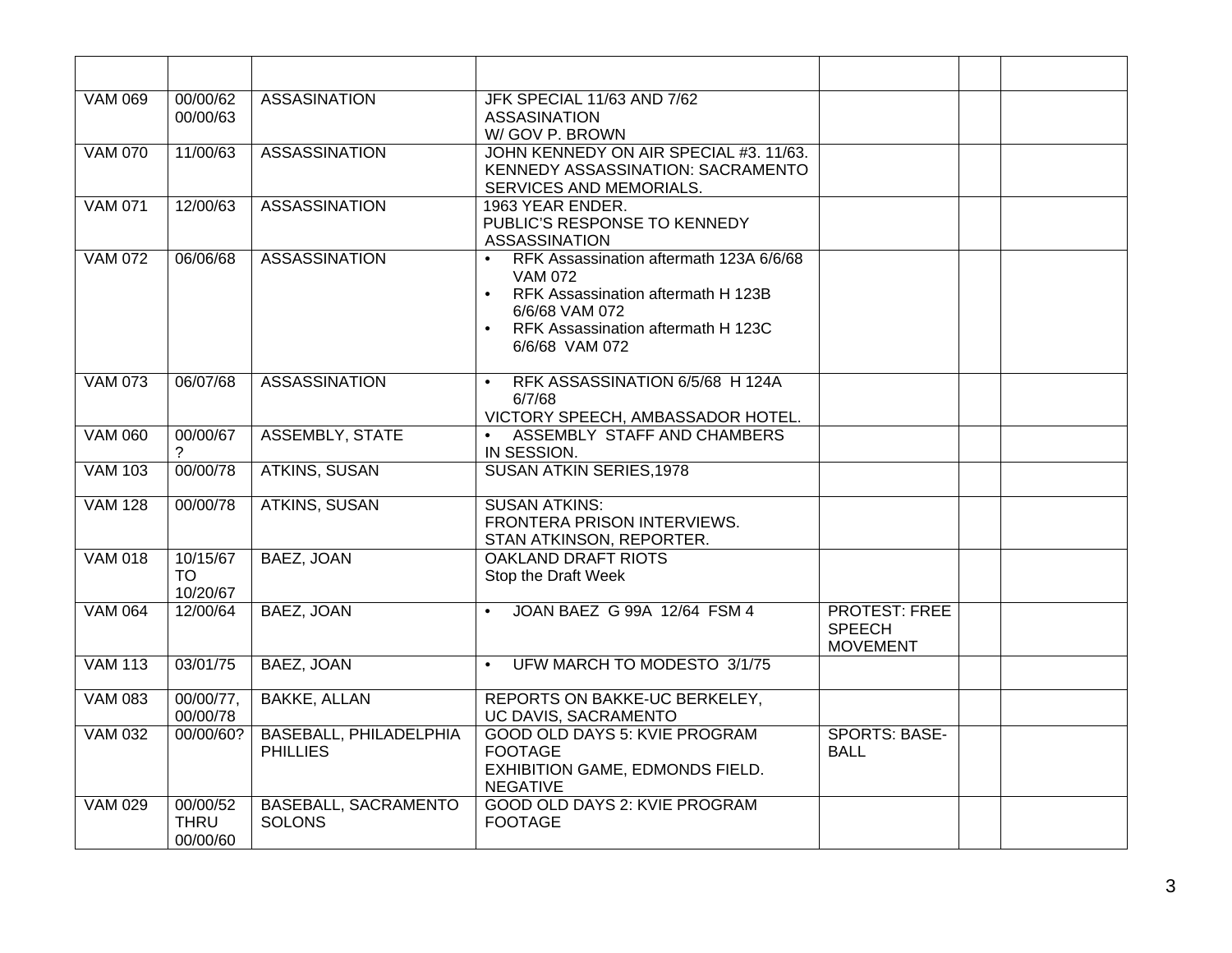| <b>VAM 069</b> | 00/00/62<br>00/00/63                | <b>ASSASINATION</b>                              | JFK SPECIAL 11/63 AND 7/62<br><b>ASSASINATION</b><br>W/GOV P. BROWN                                                                                                                                 |                                                          |  |
|----------------|-------------------------------------|--------------------------------------------------|-----------------------------------------------------------------------------------------------------------------------------------------------------------------------------------------------------|----------------------------------------------------------|--|
| <b>VAM 070</b> | 11/00/63                            | <b>ASSASSINATION</b>                             | JOHN KENNEDY ON AIR SPECIAL #3. 11/63.<br>KENNEDY ASSASSINATION: SACRAMENTO<br>SERVICES AND MEMORIALS.                                                                                              |                                                          |  |
| <b>VAM 071</b> | 12/00/63                            | <b>ASSASSINATION</b>                             | 1963 YEAR ENDER.<br>PUBLIC'S RESPONSE TO KENNEDY<br><b>ASSASSINATION</b>                                                                                                                            |                                                          |  |
| <b>VAM 072</b> | 06/06/68                            | <b>ASSASSINATION</b>                             | RFK Assassination aftermath 123A 6/6/68<br><b>VAM 072</b><br>RFK Assassination aftermath H 123B<br>$\bullet$<br>6/6/68 VAM 072<br>RFK Assassination aftermath H 123C<br>$\bullet$<br>6/6/68 VAM 072 |                                                          |  |
| <b>VAM 073</b> | 06/07/68                            | <b>ASSASSINATION</b>                             | RFK ASSASSINATION 6/5/68 H 124A<br>$\bullet$<br>6/7/68<br>VICTORY SPEECH, AMBASSADOR HOTEL.                                                                                                         |                                                          |  |
| <b>VAM 060</b> | 00/00/67                            | <b>ASSEMBLY, STATE</b>                           | ASSEMBLY STAFF AND CHAMBERS<br>$\bullet$<br>IN SESSION.                                                                                                                                             |                                                          |  |
| <b>VAM 103</b> | 00/00/78                            | <b>ATKINS, SUSAN</b>                             | <b>SUSAN ATKIN SERIES, 1978</b>                                                                                                                                                                     |                                                          |  |
| <b>VAM 128</b> | 00/00/78                            | <b>ATKINS, SUSAN</b>                             | <b>SUSAN ATKINS:</b><br><b>FRONTERA PRISON INTERVIEWS.</b><br>STAN ATKINSON, REPORTER.                                                                                                              |                                                          |  |
| <b>VAM 018</b> | 10/15/67<br><b>TO</b><br>10/20/67   | BAEZ, JOAN                                       | <b>OAKLAND DRAFT RIOTS</b><br>Stop the Draft Week                                                                                                                                                   |                                                          |  |
| <b>VAM 064</b> | 12/00/64                            | BAEZ, JOAN                                       | JOAN BAEZ G 99A 12/64 FSM 4<br>$\bullet$                                                                                                                                                            | <b>PROTEST: FREE</b><br><b>SPEECH</b><br><b>MOVEMENT</b> |  |
| <b>VAM 113</b> | 03/01/75                            | <b>BAEZ, JOAN</b>                                | UFW MARCH TO MODESTO 3/1/75                                                                                                                                                                         |                                                          |  |
| <b>VAM 083</b> | 00/00/77,<br>00/00/78               | <b>BAKKE, ALLAN</b>                              | REPORTS ON BAKKE-UC BERKELEY,<br>UC DAVIS, SACRAMENTO                                                                                                                                               |                                                          |  |
| <b>VAM 032</b> | 00/00/60?                           | <b>BASEBALL, PHILADELPHIA</b><br><b>PHILLIES</b> | GOOD OLD DAYS 5: KVIE PROGRAM<br><b>FOOTAGE</b><br>EXHIBITION GAME, EDMONDS FIELD.<br><b>NEGATIVE</b>                                                                                               | <b>SPORTS: BASE-</b><br><b>BALL</b>                      |  |
| <b>VAM 029</b> | 00/00/52<br><b>THRU</b><br>00/00/60 | BASEBALL, SACRAMENTO<br><b>SOLONS</b>            | GOOD OLD DAYS 2: KVIE PROGRAM<br><b>FOOTAGE</b>                                                                                                                                                     |                                                          |  |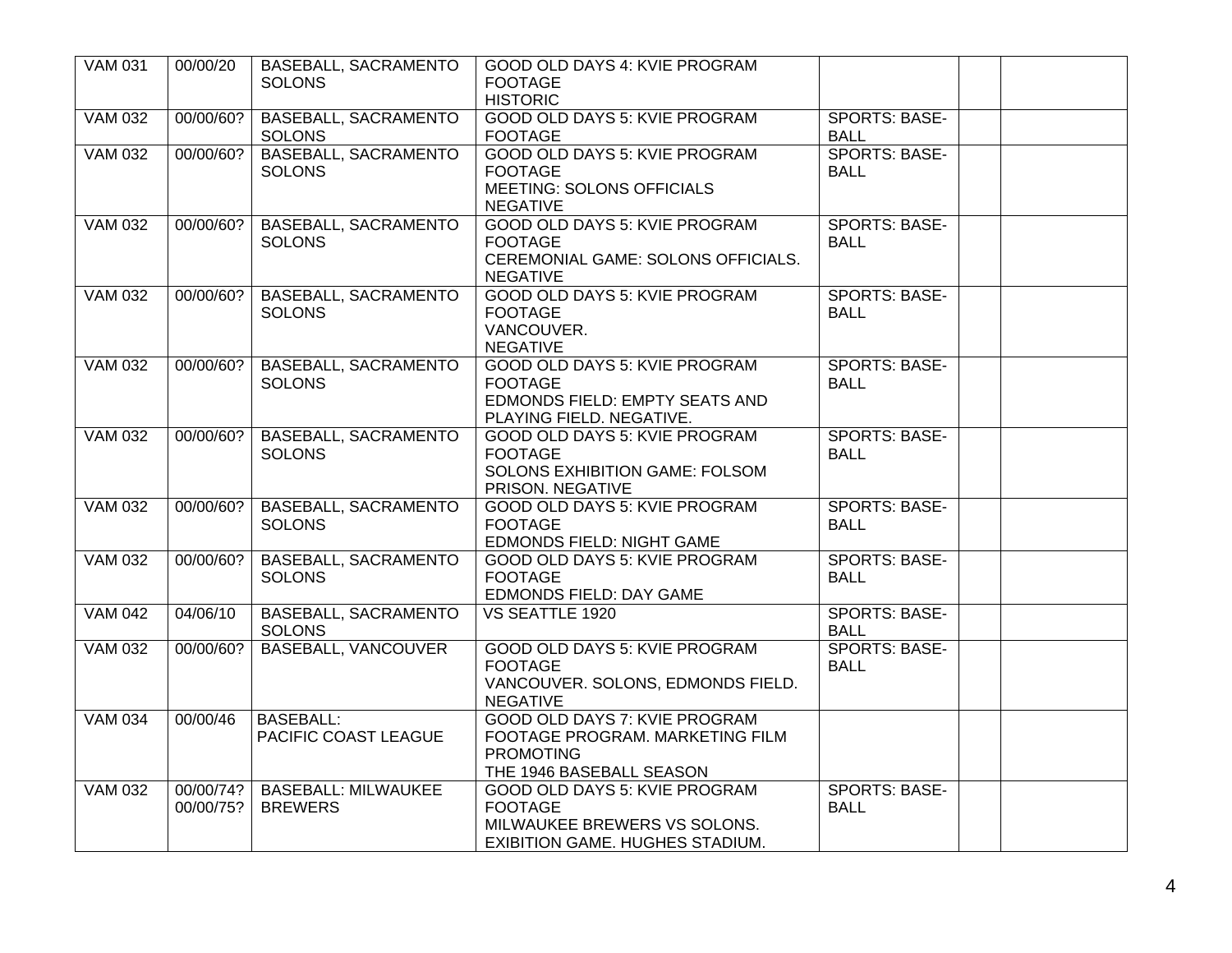| <b>VAM 031</b> | 00/00/20  | <b>BASEBALL, SACRAMENTO</b><br><b>SOLONS</b>      | GOOD OLD DAYS 4: KVIE PROGRAM<br><b>FOOTAGE</b><br><b>HISTORIC</b>                                                        |                                     |  |
|----------------|-----------|---------------------------------------------------|---------------------------------------------------------------------------------------------------------------------------|-------------------------------------|--|
| <b>VAM 032</b> | 00/00/60? | <b>BASEBALL, SACRAMENTO</b><br><b>SOLONS</b>      | GOOD OLD DAYS 5: KVIE PROGRAM<br><b>FOOTAGE</b>                                                                           | <b>SPORTS: BASE-</b><br><b>BALL</b> |  |
| <b>VAM 032</b> | 00/00/60? | <b>BASEBALL, SACRAMENTO</b><br><b>SOLONS</b>      | GOOD OLD DAYS 5: KVIE PROGRAM<br><b>FOOTAGE</b><br><b>MEETING: SOLONS OFFICIALS</b><br><b>NEGATIVE</b>                    | <b>SPORTS: BASE-</b><br>BALL        |  |
| <b>VAM 032</b> | 00/00/60? | <b>BASEBALL, SACRAMENTO</b><br><b>SOLONS</b>      | GOOD OLD DAYS 5: KVIE PROGRAM<br><b>FOOTAGE</b><br>CEREMONIAL GAME: SOLONS OFFICIALS.<br><b>NEGATIVE</b>                  | <b>SPORTS: BASE-</b><br><b>BALL</b> |  |
| <b>VAM 032</b> | 00/00/60? | <b>BASEBALL, SACRAMENTO</b><br><b>SOLONS</b>      | GOOD OLD DAYS 5: KVIE PROGRAM<br><b>FOOTAGE</b><br>VANCOUVER.<br><b>NEGATIVE</b>                                          | <b>SPORTS: BASE-</b><br><b>BALL</b> |  |
| <b>VAM 032</b> | 00/00/60? | <b>BASEBALL, SACRAMENTO</b><br><b>SOLONS</b>      | <b>GOOD OLD DAYS 5: KVIE PROGRAM</b><br><b>FOOTAGE</b><br>EDMONDS FIELD: EMPTY SEATS AND<br>PLAYING FIELD. NEGATIVE.      | <b>SPORTS: BASE-</b><br><b>BALL</b> |  |
| <b>VAM 032</b> | 00/00/60? | <b>BASEBALL, SACRAMENTO</b><br><b>SOLONS</b>      | GOOD OLD DAYS 5: KVIE PROGRAM<br><b>FOOTAGE</b><br>SOLONS EXHIBITION GAME: FOLSOM<br>PRISON. NEGATIVE                     | <b>SPORTS: BASE-</b><br><b>BALL</b> |  |
| <b>VAM 032</b> | 00/00/60? | <b>BASEBALL, SACRAMENTO</b><br><b>SOLONS</b>      | GOOD OLD DAYS 5: KVIE PROGRAM<br><b>FOOTAGE</b><br>EDMONDS FIELD: NIGHT GAME                                              | <b>SPORTS: BASE-</b><br><b>BALL</b> |  |
| <b>VAM 032</b> | 00/00/60? | <b>BASEBALL, SACRAMENTO</b><br><b>SOLONS</b>      | <b>GOOD OLD DAYS 5: KVIE PROGRAM</b><br><b>FOOTAGE</b><br>EDMONDS FIELD: DAY GAME                                         | <b>SPORTS: BASE-</b><br><b>BALL</b> |  |
| <b>VAM 042</b> | 04/06/10  | <b>BASEBALL, SACRAMENTO</b><br><b>SOLONS</b>      | <b>VS SEATTLE 1920</b>                                                                                                    | <b>SPORTS: BASE-</b><br>BALL        |  |
| <b>VAM 032</b> | 00/00/60? | <b>BASEBALL, VANCOUVER</b>                        | GOOD OLD DAYS 5: KVIE PROGRAM<br><b>FOOTAGE</b><br>VANCOUVER. SOLONS, EDMONDS FIELD.<br><b>NEGATIVE</b>                   | <b>SPORTS: BASE-</b><br>BALL        |  |
| <b>VAM 034</b> | 00/00/46  | <b>BASEBALL:</b><br>PACIFIC COAST LEAGUE          | GOOD OLD DAYS 7: KVIE PROGRAM<br>FOOTAGE PROGRAM. MARKETING FILM<br><b>PROMOTING</b><br>THE 1946 BASEBALL SEASON          |                                     |  |
| <b>VAM 032</b> | 00/00/75? | 00/00/74?   BASEBALL: MILWAUKEE<br><b>BREWERS</b> | <b>GOOD OLD DAYS 5: KVIE PROGRAM</b><br><b>FOOTAGE</b><br>MILWAUKEE BREWERS VS SOLONS.<br>EXIBITION GAME. HUGHES STADIUM. | <b>SPORTS: BASE-</b><br><b>BALL</b> |  |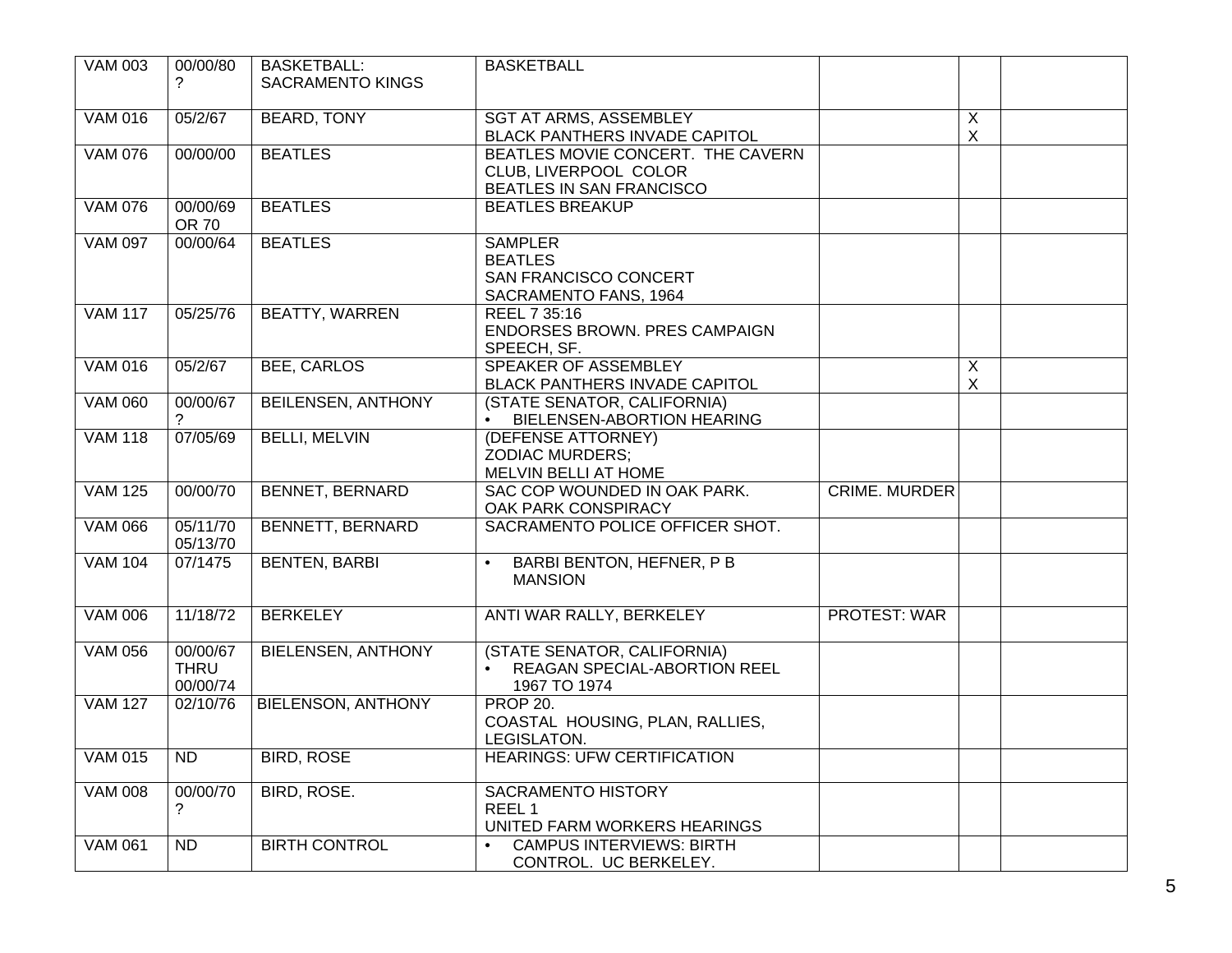| <b>VAM 003</b> | 00/00/80<br>?                       | <b>BASKETBALL:</b><br><b>SACRAMENTO KINGS</b> | <b>BASKETBALL</b>                                                                      |                      |                                |  |
|----------------|-------------------------------------|-----------------------------------------------|----------------------------------------------------------------------------------------|----------------------|--------------------------------|--|
| <b>VAM 016</b> | 05/2/67                             | <b>BEARD, TONY</b>                            | <b>SGT AT ARMS, ASSEMBLEY</b><br><b>BLACK PANTHERS INVADE CAPITOL</b>                  |                      | X<br>$\boldsymbol{\mathsf{X}}$ |  |
| <b>VAM 076</b> | 00/00/00                            | <b>BEATLES</b>                                | BEATLES MOVIE CONCERT. THE CAVERN<br>CLUB, LIVERPOOL COLOR<br>BEATLES IN SAN FRANCISCO |                      |                                |  |
| <b>VAM 076</b> | 00/00/69<br><b>OR 70</b>            | <b>BEATLES</b>                                | <b>BEATLES BREAKUP</b>                                                                 |                      |                                |  |
| <b>VAM 097</b> | 00/00/64                            | <b>BEATLES</b>                                | <b>SAMPLER</b><br><b>BEATLES</b><br>SAN FRANCISCO CONCERT<br>SACRAMENTO FANS, 1964     |                      |                                |  |
| <b>VAM 117</b> | 05/25/76                            | <b>BEATTY, WARREN</b>                         | REEL 7 35:16<br>ENDORSES BROWN. PRES CAMPAIGN<br>SPEECH, SF.                           |                      |                                |  |
| <b>VAM 016</b> | 05/2/67                             | <b>BEE, CARLOS</b>                            | SPEAKER OF ASSEMBLEY<br><b>BLACK PANTHERS INVADE CAPITOL</b>                           |                      | X<br>$\boldsymbol{\mathsf{X}}$ |  |
| <b>VAM 060</b> | 00/00/67                            | <b>BEILENSEN, ANTHONY</b>                     | (STATE SENATOR, CALIFORNIA)<br>BIELENSEN-ABORTION HEARING                              |                      |                                |  |
| <b>VAM 118</b> | 07/05/69                            | <b>BELLI, MELVIN</b>                          | (DEFENSE ATTORNEY)<br><b>ZODIAC MURDERS;</b><br>MELVIN BELLI AT HOME                   |                      |                                |  |
| <b>VAM 125</b> | 00/00/70                            | <b>BENNET, BERNARD</b>                        | SAC COP WOUNDED IN OAK PARK.<br>OAK PARK CONSPIRACY                                    | <b>CRIME. MURDER</b> |                                |  |
| <b>VAM 066</b> | 05/11/70<br>05/13/70                | <b>BENNETT, BERNARD</b>                       | SACRAMENTO POLICE OFFICER SHOT.                                                        |                      |                                |  |
| <b>VAM 104</b> | 07/1475                             | <b>BENTEN, BARBI</b>                          | BARBI BENTON, HEFNER, P B<br>$\bullet$<br><b>MANSION</b>                               |                      |                                |  |
| <b>VAM 006</b> | 11/18/72                            | <b>BERKELEY</b>                               | ANTI WAR RALLY, BERKELEY                                                               | <b>PROTEST: WAR</b>  |                                |  |
| <b>VAM 056</b> | 00/00/67<br><b>THRU</b><br>00/00/74 | <b>BIELENSEN, ANTHONY</b>                     | (STATE SENATOR, CALIFORNIA)<br>REAGAN SPECIAL-ABORTION REEL<br>1967 TO 1974            |                      |                                |  |
| <b>VAM 127</b> | 02/10/76                            | <b>BIELENSON, ANTHONY</b>                     | <b>PROP 20.</b><br>COASTAL HOUSING, PLAN, RALLIES,<br>LEGISLATON.                      |                      |                                |  |
| VAM 015        | ND.                                 | <b>BIRD, ROSE</b>                             | <b>HEARINGS: UFW CERTIFICATION</b>                                                     |                      |                                |  |
| <b>VAM 008</b> | 00/00/70<br>?                       | <b>BIRD, ROSE.</b>                            | <b>SACRAMENTO HISTORY</b><br>REEL 1<br>UNITED FARM WORKERS HEARINGS                    |                      |                                |  |
| <b>VAM 061</b> | <b>ND</b>                           | <b>BIRTH CONTROL</b>                          | <b>CAMPUS INTERVIEWS: BIRTH</b><br>$\bullet$<br>CONTROL. UC BERKELEY.                  |                      |                                |  |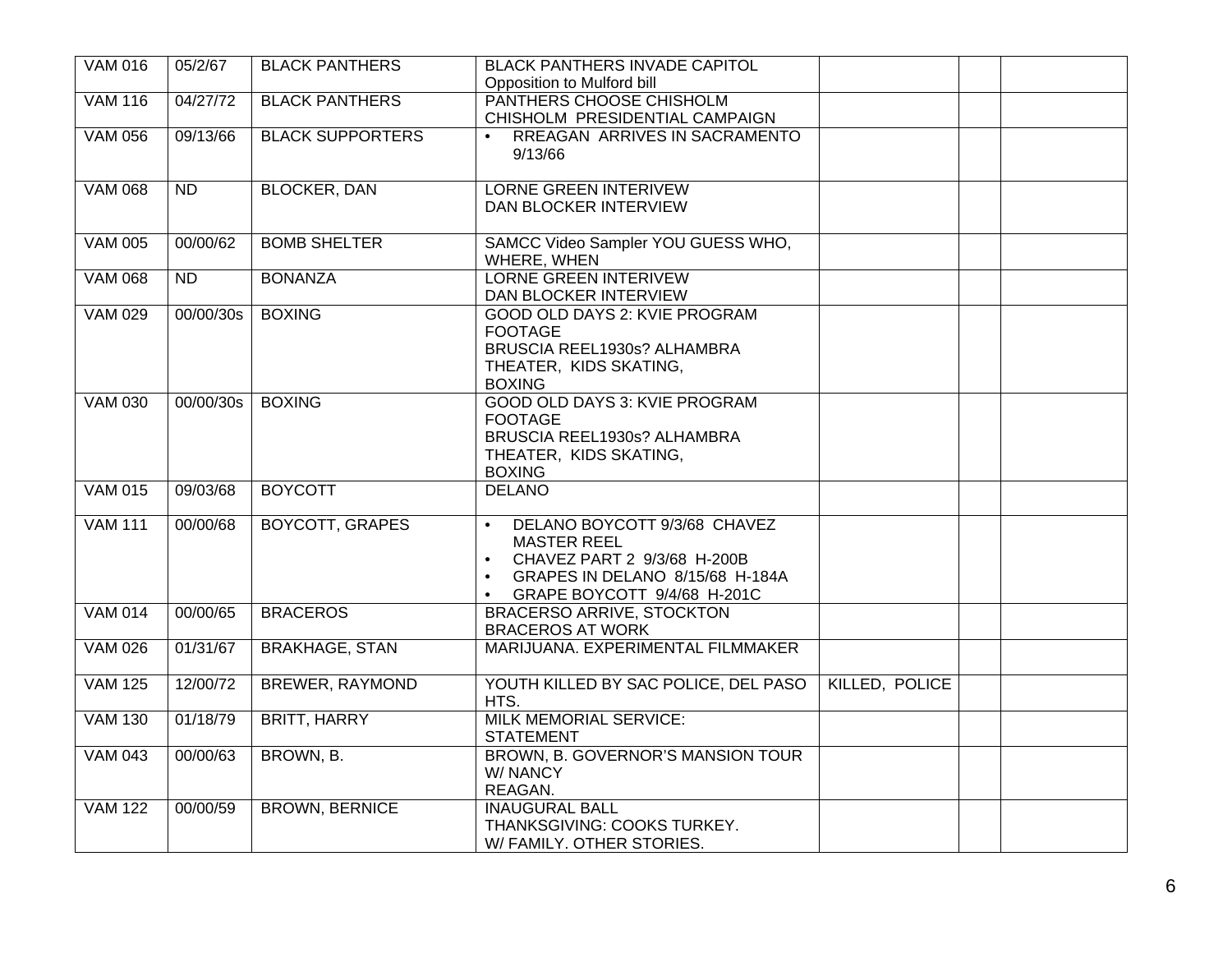| <b>VAM 016</b> | 05/2/67         | <b>BLACK PANTHERS</b>   | <b>BLACK PANTHERS INVADE CAPITOL</b>       |                |  |
|----------------|-----------------|-------------------------|--------------------------------------------|----------------|--|
|                |                 |                         | Opposition to Mulford bill                 |                |  |
| <b>VAM 116</b> | 04/27/72        | <b>BLACK PANTHERS</b>   | PANTHERS CHOOSE CHISHOLM                   |                |  |
|                |                 |                         | CHISHOLM PRESIDENTIAL CAMPAIGN             |                |  |
| <b>VAM 056</b> | 09/13/66        | <b>BLACK SUPPORTERS</b> | RREAGAN ARRIVES IN SACRAMENTO<br>$\bullet$ |                |  |
|                |                 |                         | 9/13/66                                    |                |  |
|                |                 |                         |                                            |                |  |
|                |                 |                         |                                            |                |  |
| <b>VAM 068</b> | $\overline{ND}$ | <b>BLOCKER, DAN</b>     | <b>LORNE GREEN INTERIVEW</b>               |                |  |
|                |                 |                         | DAN BLOCKER INTERVIEW                      |                |  |
|                |                 |                         |                                            |                |  |
| <b>VAM 005</b> | 00/00/62        | <b>BOMB SHELTER</b>     | SAMCC Video Sampler YOU GUESS WHO,         |                |  |
|                |                 |                         | WHERE, WHEN                                |                |  |
| <b>VAM 068</b> | <b>ND</b>       | <b>BONANZA</b>          | <b>LORNE GREEN INTERIVEW</b>               |                |  |
|                |                 |                         | DAN BLOCKER INTERVIEW                      |                |  |
| <b>VAM 029</b> | 00/00/30s       | <b>BOXING</b>           | GOOD OLD DAYS 2: KVIE PROGRAM              |                |  |
|                |                 |                         |                                            |                |  |
|                |                 |                         | <b>FOOTAGE</b>                             |                |  |
|                |                 |                         | BRUSCIA REEL1930s? ALHAMBRA                |                |  |
|                |                 |                         | THEATER, KIDS SKATING,                     |                |  |
|                |                 |                         | <b>BOXING</b>                              |                |  |
| <b>VAM 030</b> | 00/00/30s       | <b>BOXING</b>           | <b>GOOD OLD DAYS 3: KVIE PROGRAM</b>       |                |  |
|                |                 |                         | <b>FOOTAGE</b>                             |                |  |
|                |                 |                         | BRUSCIA REEL1930s? ALHAMBRA                |                |  |
|                |                 |                         | THEATER, KIDS SKATING,                     |                |  |
|                |                 |                         |                                            |                |  |
|                |                 |                         | <b>BOXING</b>                              |                |  |
| <b>VAM 015</b> | 09/03/68        | <b>BOYCOTT</b>          | <b>DELANO</b>                              |                |  |
|                |                 |                         |                                            |                |  |
| <b>VAM 111</b> | 00/00/68        | <b>BOYCOTT, GRAPES</b>  | DELANO BOYCOTT 9/3/68 CHAVEZ<br>$\bullet$  |                |  |
|                |                 |                         | <b>MASTER REEL</b>                         |                |  |
|                |                 |                         | CHAVEZ PART 2 9/3/68 H-200B<br>$\bullet$   |                |  |
|                |                 |                         | GRAPES IN DELANO 8/15/68 H-184A            |                |  |
|                |                 |                         | GRAPE BOYCOTT 9/4/68 H-201C<br>$\bullet$   |                |  |
| <b>VAM 014</b> | 00/00/65        | <b>BRACEROS</b>         | <b>BRACERSO ARRIVE, STOCKTON</b>           |                |  |
|                |                 |                         |                                            |                |  |
|                |                 |                         | <b>BRACEROS AT WORK</b>                    |                |  |
| <b>VAM 026</b> | 01/31/67        | <b>BRAKHAGE, STAN</b>   | MARIJUANA. EXPERIMENTAL FILMMAKER          |                |  |
|                |                 |                         |                                            |                |  |
| <b>VAM 125</b> | 12/00/72        | <b>BREWER, RAYMOND</b>  | YOUTH KILLED BY SAC POLICE, DEL PASO       | KILLED, POLICE |  |
|                |                 |                         | HTS.                                       |                |  |
| <b>VAM 130</b> | 01/18/79        | <b>BRITT, HARRY</b>     | <b>MILK MEMORIAL SERVICE:</b>              |                |  |
|                |                 |                         | <b>STATEMENT</b>                           |                |  |
| <b>VAM 043</b> | 00/00/63        | BROWN, B.               | BROWN, B. GOVERNOR'S MANSION TOUR          |                |  |
|                |                 |                         |                                            |                |  |
|                |                 |                         | W/ NANCY                                   |                |  |
|                |                 |                         | REAGAN.                                    |                |  |
| <b>VAM 122</b> | 00/00/59        | <b>BROWN, BERNICE</b>   | <b>INAUGURAL BALL</b>                      |                |  |
|                |                 |                         | THANKSGIVING: COOKS TURKEY.                |                |  |
|                |                 |                         | W/ FAMILY. OTHER STORIES.                  |                |  |
|                |                 |                         |                                            |                |  |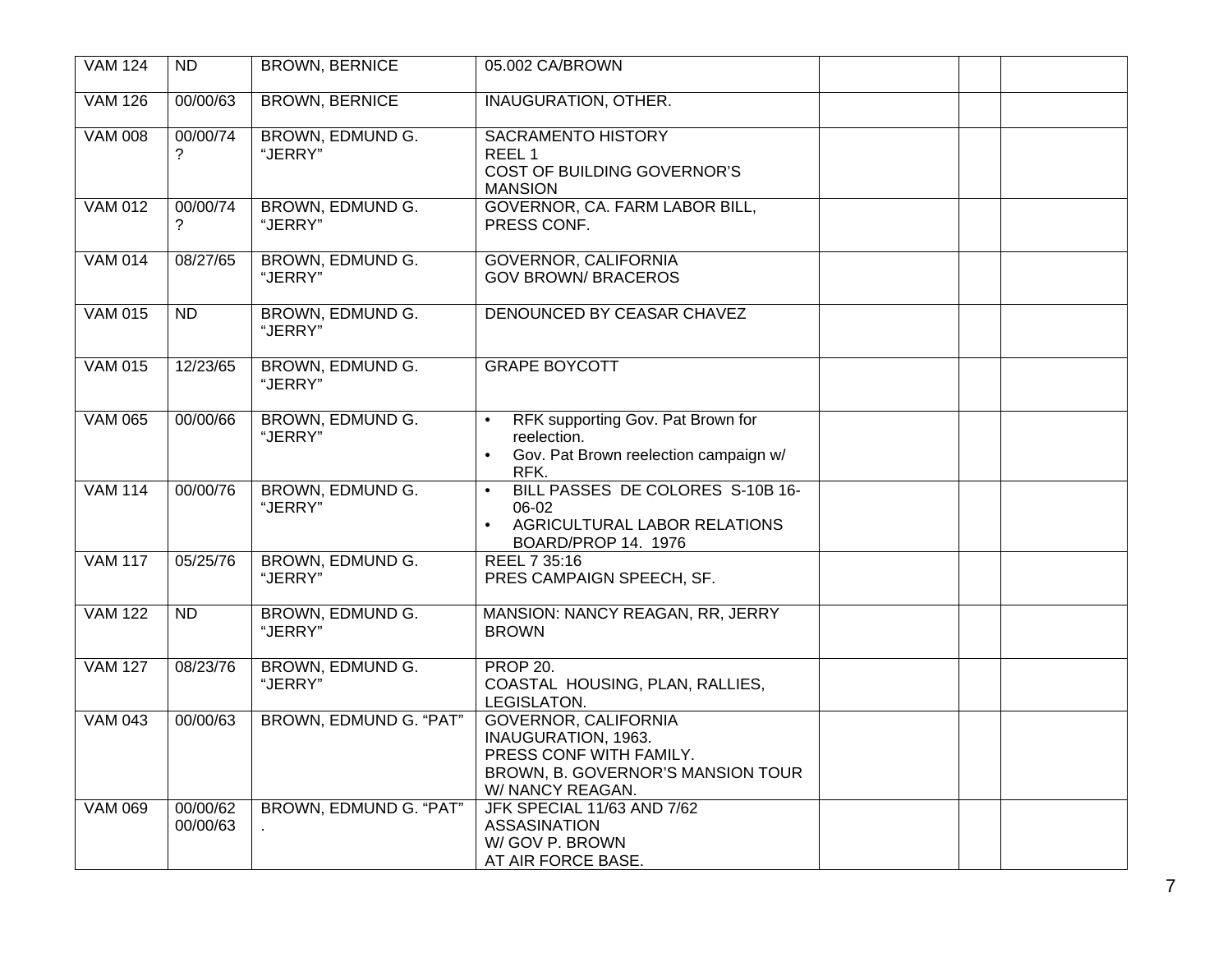| <b>VAM 124</b> | <b>ND</b>            | <b>BROWN, BERNICE</b>       | 05.002 CA/BROWN                                                                                                                        |  |
|----------------|----------------------|-----------------------------|----------------------------------------------------------------------------------------------------------------------------------------|--|
| <b>VAM 126</b> | 00/00/63             | <b>BROWN, BERNICE</b>       | <b>INAUGURATION, OTHER.</b>                                                                                                            |  |
| <b>VAM 008</b> | 00/00/74<br>2        | BROWN, EDMUND G.<br>"JERRY" | <b>SACRAMENTO HISTORY</b><br>REEL 1<br><b>COST OF BUILDING GOVERNOR'S</b><br><b>MANSION</b>                                            |  |
| <b>VAM 012</b> | 00/00/74<br>?        | BROWN, EDMUND G.<br>"JERRY" | GOVERNOR, CA. FARM LABOR BILL,<br>PRESS CONF.                                                                                          |  |
| <b>VAM 014</b> | 08/27/65             | BROWN, EDMUND G.<br>"JERRY" | GOVERNOR, CALIFORNIA<br><b>GOV BROWN/ BRACEROS</b>                                                                                     |  |
| <b>VAM 015</b> | <b>ND</b>            | BROWN, EDMUND G.<br>"JERRY" | DENOUNCED BY CEASAR CHAVEZ                                                                                                             |  |
| <b>VAM 015</b> | 12/23/65             | BROWN, EDMUND G.<br>"JERRY" | <b>GRAPE BOYCOTT</b>                                                                                                                   |  |
| <b>VAM 065</b> | 00/00/66             | BROWN, EDMUND G.<br>"JERRY" | RFK supporting Gov. Pat Brown for<br>$\bullet$<br>reelection.<br>Gov. Pat Brown reelection campaign w/<br>$\bullet$<br>RFK.            |  |
| <b>VAM 114</b> | 00/00/76             | BROWN, EDMUND G.<br>"JERRY" | BILL PASSES DE COLORES S-10B 16-<br>$\bullet$<br>06-02<br>AGRICULTURAL LABOR RELATIONS<br>$\bullet$<br>BOARD/PROP 14. 1976             |  |
| <b>VAM 117</b> | 05/25/76             | BROWN, EDMUND G.<br>"JERRY" | REEL 7 35:16<br>PRES CAMPAIGN SPEECH, SF.                                                                                              |  |
| <b>VAM 122</b> | <b>ND</b>            | BROWN, EDMUND G.<br>"JERRY" | MANSION: NANCY REAGAN, RR, JERRY<br><b>BROWN</b>                                                                                       |  |
| <b>VAM 127</b> | 08/23/76             | BROWN, EDMUND G.<br>"JERRY" | <b>PROP 20.</b><br>COASTAL HOUSING, PLAN, RALLIES,<br>LEGISLATON.                                                                      |  |
| <b>VAM 043</b> | 00/00/63             | BROWN, EDMUND G. "PAT"      | <b>GOVERNOR, CALIFORNIA</b><br>INAUGURATION, 1963.<br>PRESS CONF WITH FAMILY.<br>BROWN, B. GOVERNOR'S MANSION TOUR<br>W/ NANCY REAGAN. |  |
| <b>VAM 069</b> | 00/00/62<br>00/00/63 | BROWN, EDMUND G. "PAT"      | JFK SPECIAL 11/63 AND 7/62<br>ASSASINATION<br>W/GOV P. BROWN<br>AT AIR FORCE BASE.                                                     |  |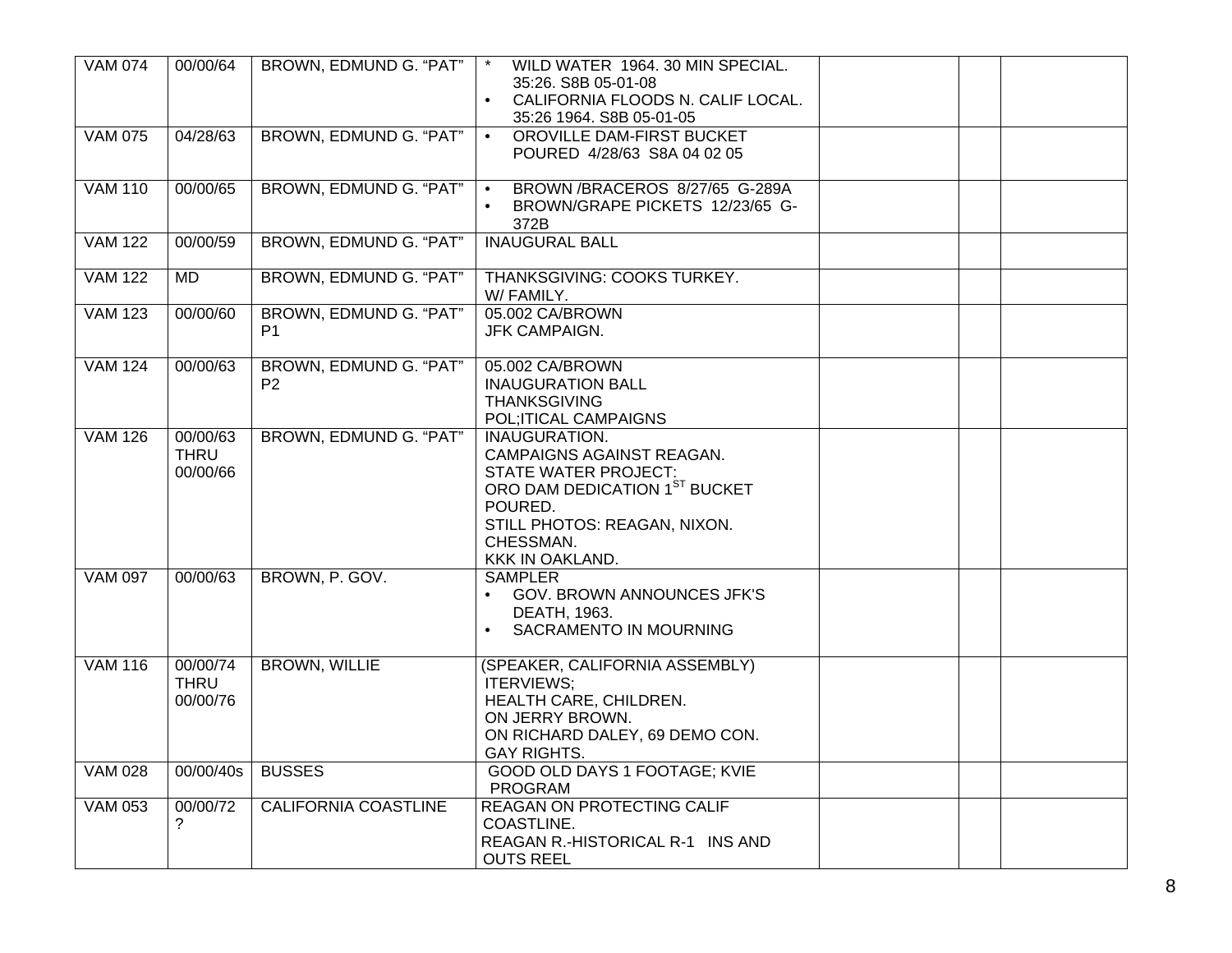| <b>VAM 074</b> | 00/00/64                            | BROWN, EDMUND G. "PAT"                   | WILD WATER 1964. 30 MIN SPECIAL.<br>35:26. S8B 05-01-08<br>CALIFORNIA FLOODS N. CALIF LOCAL.<br>$\bullet$<br>35:26 1964. S8B 05-01-05                                                 |  |
|----------------|-------------------------------------|------------------------------------------|---------------------------------------------------------------------------------------------------------------------------------------------------------------------------------------|--|
| <b>VAM 075</b> | 04/28/63                            | BROWN, EDMUND G. "PAT"                   | OROVILLE DAM-FIRST BUCKET<br>$\bullet$<br>POURED 4/28/63 S8A 04 02 05                                                                                                                 |  |
| <b>VAM 110</b> | 00/00/65                            | BROWN, EDMUND G. "PAT"                   | BROWN /BRACEROS 8/27/65 G-289A<br>$\bullet$<br>BROWN/GRAPE PICKETS 12/23/65 G-<br>$\bullet$<br>372B                                                                                   |  |
| <b>VAM 122</b> | 00/00/59                            | BROWN, EDMUND G. "PAT"                   | <b>INAUGURAL BALL</b>                                                                                                                                                                 |  |
| <b>VAM 122</b> | <b>MD</b>                           | BROWN, EDMUND G. "PAT"                   | THANKSGIVING: COOKS TURKEY.<br>W/FAMILY.                                                                                                                                              |  |
| <b>VAM 123</b> | 00/00/60                            | BROWN, EDMUND G. "PAT"<br>P <sub>1</sub> | 05.002 CA/BROWN<br>JFK CAMPAIGN.                                                                                                                                                      |  |
| <b>VAM 124</b> | 00/00/63                            | BROWN, EDMUND G. "PAT"<br>P <sub>2</sub> | 05.002 CA/BROWN<br><b>INAUGURATION BALL</b><br><b>THANKSGIVING</b><br>POL; ITICAL CAMPAIGNS                                                                                           |  |
| <b>VAM 126</b> | 00/00/63<br><b>THRU</b><br>00/00/66 | BROWN, EDMUND G. "PAT"                   | INAUGURATION.<br>CAMPAIGNS AGAINST REAGAN.<br><b>STATE WATER PROJECT:</b><br>ORO DAM DEDICATION 1ST BUCKET<br>POURED.<br>STILL PHOTOS: REAGAN, NIXON.<br>CHESSMAN.<br>KKK IN OAKLAND. |  |
| <b>VAM 097</b> | 00/00/63                            | BROWN, P. GOV.                           | <b>SAMPLER</b><br>GOV. BROWN ANNOUNCES JFK'S<br>DEATH, 1963.<br>SACRAMENTO IN MOURNING<br>$\bullet$                                                                                   |  |
| <b>VAM 116</b> | 00/00/74<br><b>THRU</b><br>00/00/76 | <b>BROWN, WILLIE</b>                     | (SPEAKER, CALIFORNIA ASSEMBLY)<br><b>ITERVIEWS;</b><br>HEALTH CARE, CHILDREN.<br>ON JERRY BROWN.<br>ON RICHARD DALEY, 69 DEMO CON.<br><b>GAY RIGHTS.</b>                              |  |
| <b>VAM 028</b> | 00/00/40s                           | <b>BUSSES</b>                            | GOOD OLD DAYS 1 FOOTAGE; KVIE<br><b>PROGRAM</b>                                                                                                                                       |  |
| <b>VAM 053</b> | 00/00/72<br>?                       | CALIFORNIA COASTLINE                     | REAGAN ON PROTECTING CALIF<br>COASTLINE.<br>REAGAN R.-HISTORICAL R-1 INS AND<br><b>OUTS REEL</b>                                                                                      |  |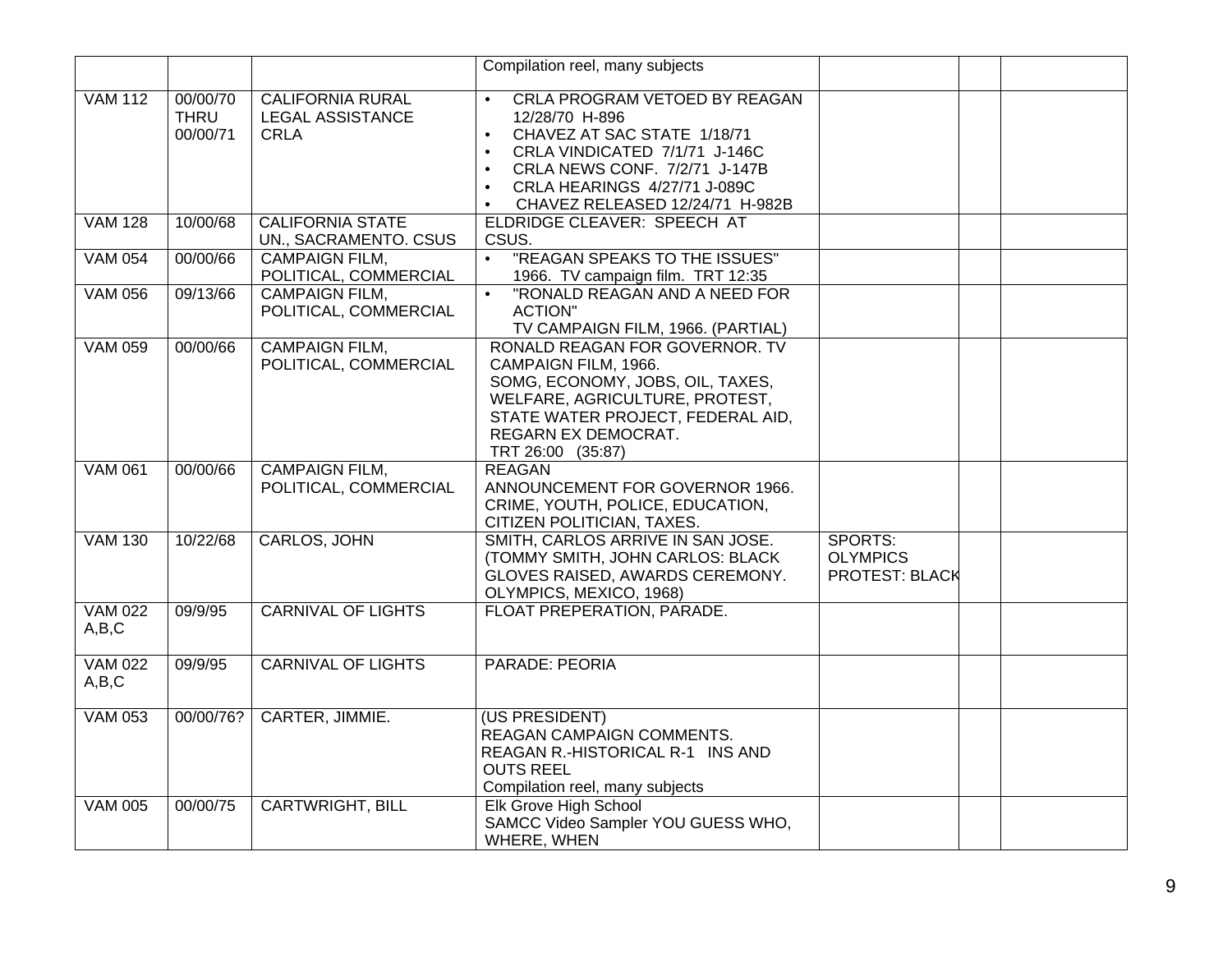|                         |                                     |                                                                   | Compilation reel, many subjects                                                                                                                                                                                                                                                             |                                              |  |
|-------------------------|-------------------------------------|-------------------------------------------------------------------|---------------------------------------------------------------------------------------------------------------------------------------------------------------------------------------------------------------------------------------------------------------------------------------------|----------------------------------------------|--|
| <b>VAM 112</b>          | 00/00/70<br><b>THRU</b><br>00/00/71 | <b>CALIFORNIA RURAL</b><br><b>LEGAL ASSISTANCE</b><br><b>CRLA</b> | <b>CRLA PROGRAM VETOED BY REAGAN</b><br>12/28/70 H-896<br>CHAVEZ AT SAC STATE 1/18/71<br>$\bullet$<br>CRLA VINDICATED 7/1/71 J-146C<br>$\bullet$<br>CRLA NEWS CONF. 7/2/71 J-147B<br>$\bullet$<br>CRLA HEARINGS 4/27/71 J-089C<br>$\bullet$<br>CHAVEZ RELEASED 12/24/71 H-982B<br>$\bullet$ |                                              |  |
| <b>VAM 128</b>          | 10/00/68                            | <b>CALIFORNIA STATE</b><br>UN., SACRAMENTO. CSUS                  | <b>ELDRIDGE CLEAVER: SPEECH AT</b><br>CSUS.                                                                                                                                                                                                                                                 |                                              |  |
| <b>VAM 054</b>          | 00/00/66                            | <b>CAMPAIGN FILM,</b><br>POLITICAL, COMMERCIAL                    | "REAGAN SPEAKS TO THE ISSUES"<br>1966. TV campaign film. TRT 12:35                                                                                                                                                                                                                          |                                              |  |
| <b>VAM 056</b>          | 09/13/66                            | <b>CAMPAIGN FILM,</b><br>POLITICAL, COMMERCIAL                    | "RONALD REAGAN AND A NEED FOR<br><b>ACTION"</b><br>TV CAMPAIGN FILM, 1966. (PARTIAL)                                                                                                                                                                                                        |                                              |  |
| <b>VAM 059</b>          | 00/00/66                            | <b>CAMPAIGN FILM,</b><br>POLITICAL, COMMERCIAL                    | RONALD REAGAN FOR GOVERNOR. TV<br>CAMPAIGN FILM, 1966.<br>SOMG, ECONOMY, JOBS, OIL, TAXES,<br>WELFARE, AGRICULTURE, PROTEST,<br>STATE WATER PROJECT, FEDERAL AID,<br>REGARN EX DEMOCRAT.<br>TRT 26:00 (35:87)                                                                               |                                              |  |
| <b>VAM 061</b>          | 00/00/66                            | <b>CAMPAIGN FILM,</b><br>POLITICAL, COMMERCIAL                    | <b>REAGAN</b><br>ANNOUNCEMENT FOR GOVERNOR 1966.<br>CRIME, YOUTH, POLICE, EDUCATION,<br>CITIZEN POLITICIAN, TAXES.                                                                                                                                                                          |                                              |  |
| <b>VAM 130</b>          | 10/22/68                            | CARLOS, JOHN                                                      | SMITH, CARLOS ARRIVE IN SAN JOSE.<br>(TOMMY SMITH, JOHN CARLOS: BLACK<br>GLOVES RAISED, AWARDS CEREMONY.<br>OLYMPICS, MEXICO, 1968)                                                                                                                                                         | SPORTS:<br><b>OLYMPICS</b><br>PROTEST: BLACK |  |
| <b>VAM 022</b><br>A,B,C | 09/9/95                             | <b>CARNIVAL OF LIGHTS</b>                                         | FLOAT PREPERATION, PARADE.                                                                                                                                                                                                                                                                  |                                              |  |
| <b>VAM 022</b><br>A,B,C | 09/9/95                             | <b>CARNIVAL OF LIGHTS</b>                                         | <b>PARADE: PEORIA</b>                                                                                                                                                                                                                                                                       |                                              |  |
| <b>VAM 053</b>          | 00/00/76?                           | CARTER, JIMMIE.                                                   | (US PRESIDENT)<br>REAGAN CAMPAIGN COMMENTS.<br>REAGAN R.-HISTORICAL R-1 INS AND<br><b>OUTS REEL</b><br>Compilation reel, many subjects                                                                                                                                                      |                                              |  |
| <b>VAM 005</b>          | 00/00/75                            | <b>CARTWRIGHT, BILL</b>                                           | Elk Grove High School<br>SAMCC Video Sampler YOU GUESS WHO,<br>WHERE, WHEN                                                                                                                                                                                                                  |                                              |  |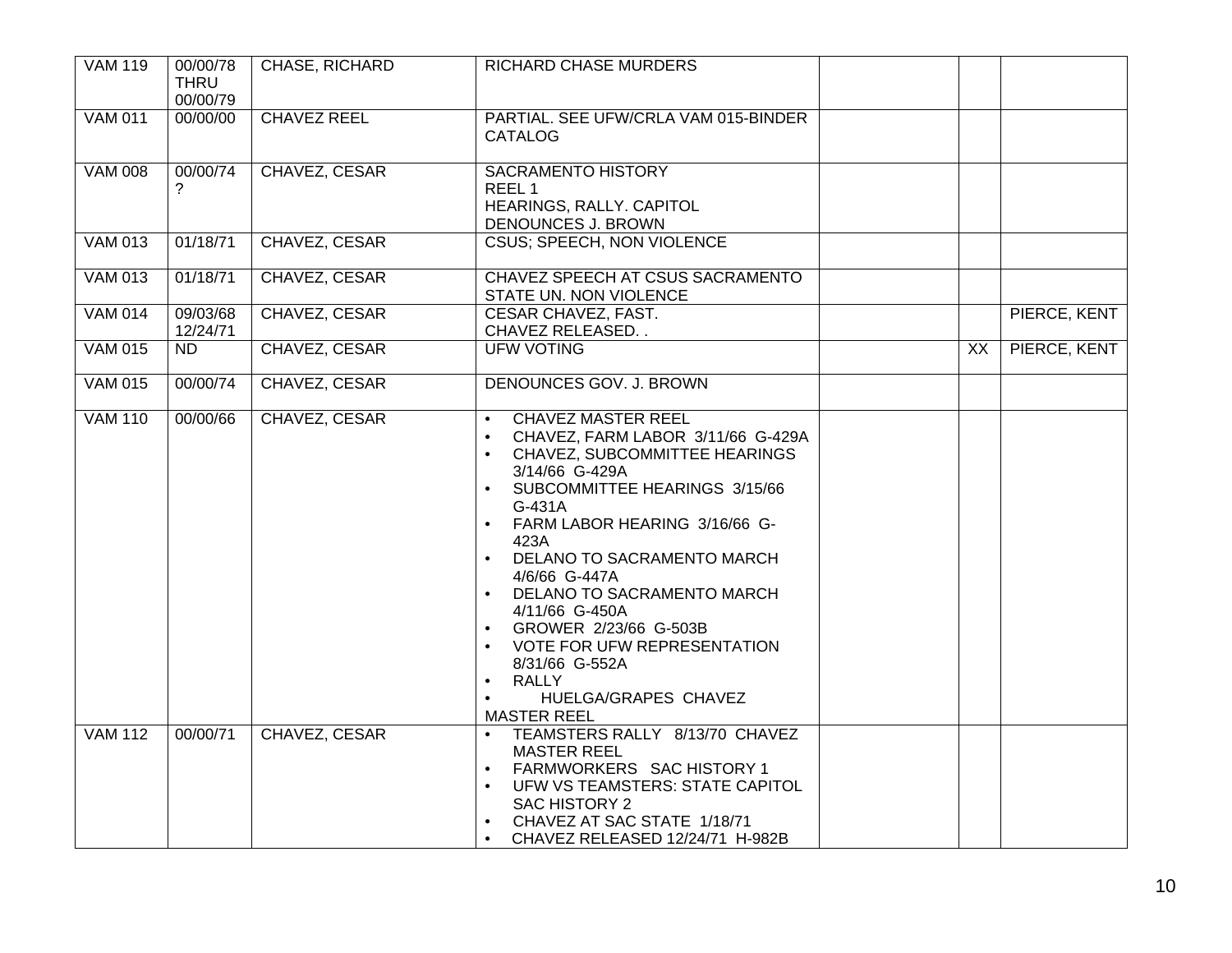| <b>VAM 119</b> | 00/00/78<br><b>THRU</b><br>00/00/79 | CHASE, RICHARD     | <b>RICHARD CHASE MURDERS</b>                                                                                                                                                                                                                                                                                                                                                                                                                                                                                    |    |              |
|----------------|-------------------------------------|--------------------|-----------------------------------------------------------------------------------------------------------------------------------------------------------------------------------------------------------------------------------------------------------------------------------------------------------------------------------------------------------------------------------------------------------------------------------------------------------------------------------------------------------------|----|--------------|
| <b>VAM 011</b> | 00/00/00                            | <b>CHAVEZ REEL</b> | PARTIAL. SEE UFW/CRLA VAM 015-BINDER<br><b>CATALOG</b>                                                                                                                                                                                                                                                                                                                                                                                                                                                          |    |              |
| <b>VAM 008</b> | 00/00/74<br>?                       | CHAVEZ, CESAR      | <b>SACRAMENTO HISTORY</b><br>REEL <sub>1</sub><br>HEARINGS, RALLY. CAPITOL<br>DENOUNCES J. BROWN                                                                                                                                                                                                                                                                                                                                                                                                                |    |              |
| <b>VAM 013</b> | 01/18/71                            | CHAVEZ, CESAR      | <b>CSUS: SPEECH, NON VIOLENCE</b>                                                                                                                                                                                                                                                                                                                                                                                                                                                                               |    |              |
| <b>VAM 013</b> | 01/18/71                            | CHAVEZ, CESAR      | CHAVEZ SPEECH AT CSUS SACRAMENTO<br>STATE UN. NON VIOLENCE                                                                                                                                                                                                                                                                                                                                                                                                                                                      |    |              |
| <b>VAM 014</b> | 09/03/68<br>12/24/71                | CHAVEZ, CESAR      | <b>CESAR CHAVEZ, FAST.</b><br>CHAVEZ RELEASED                                                                                                                                                                                                                                                                                                                                                                                                                                                                   |    | PIERCE, KENT |
| <b>VAM 015</b> | $\overline{ND}$                     | CHAVEZ, CESAR      | <b>UFW VOTING</b>                                                                                                                                                                                                                                                                                                                                                                                                                                                                                               | XX | PIERCE, KENT |
| <b>VAM 015</b> | 00/00/74                            | CHAVEZ, CESAR      | DENOUNCES GOV. J. BROWN                                                                                                                                                                                                                                                                                                                                                                                                                                                                                         |    |              |
| <b>VAM 110</b> | 00/00/66                            | CHAVEZ, CESAR      | <b>CHAVEZ MASTER REEL</b><br>$\bullet$<br>CHAVEZ, FARM LABOR 3/11/66 G-429A<br>$\bullet$<br>CHAVEZ, SUBCOMMITTEE HEARINGS<br>3/14/66 G-429A<br>SUBCOMMITTEE HEARINGS 3/15/66<br>$G-431A$<br>FARM LABOR HEARING 3/16/66 G-<br>$\bullet$<br>423A<br>DELANO TO SACRAMENTO MARCH<br>4/6/66 G-447A<br>DELANO TO SACRAMENTO MARCH<br>4/11/66 G-450A<br>GROWER 2/23/66 G-503B<br>$\bullet$<br>VOTE FOR UFW REPRESENTATION<br>8/31/66 G-552A<br><b>RALLY</b><br>$\bullet$<br>HUELGA/GRAPES CHAVEZ<br><b>MASTER REEL</b> |    |              |
| <b>VAM 112</b> | 00/00/71                            | CHAVEZ, CESAR      | TEAMSTERS RALLY 8/13/70 CHAVEZ<br><b>MASTER REEL</b><br>FARMWORKERS SAC HISTORY 1<br>$\bullet$<br>UFW VS TEAMSTERS: STATE CAPITOL<br>SAC HISTORY 2<br>CHAVEZ AT SAC STATE 1/18/71<br>$\bullet$<br>CHAVEZ RELEASED 12/24/71 H-982B<br>$\bullet$                                                                                                                                                                                                                                                                  |    |              |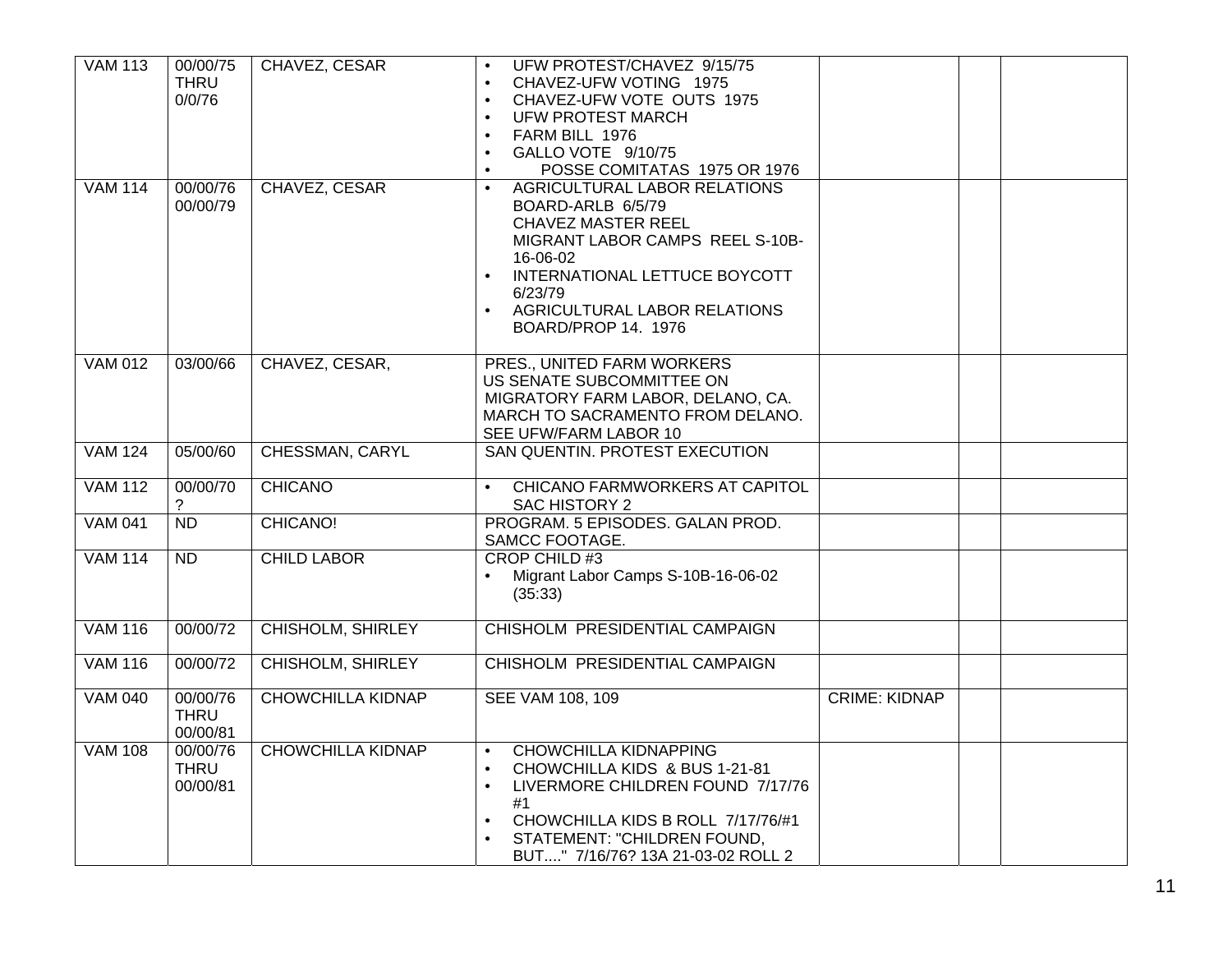| <b>VAM 113</b> | 00/00/75<br><b>THRU</b><br>0/0/76   | CHAVEZ, CESAR            | UFW PROTEST/CHAVEZ 9/15/75<br>CHAVEZ-UFW VOTING 1975<br>$\bullet$<br>CHAVEZ-UFW VOTE OUTS 1975<br>$\bullet$<br><b>UFW PROTEST MARCH</b><br>FARM BILL 1976<br>$\bullet$<br>GALLO VOTE 9/10/75<br>$\bullet$<br>POSSE COMITATAS 1975 OR 1976                            |                      |  |
|----------------|-------------------------------------|--------------------------|----------------------------------------------------------------------------------------------------------------------------------------------------------------------------------------------------------------------------------------------------------------------|----------------------|--|
| <b>VAM 114</b> | 00/00/76<br>00/00/79                | CHAVEZ, CESAR            | AGRICULTURAL LABOR RELATIONS<br>$\bullet$<br>BOARD-ARLB 6/5/79<br><b>CHAVEZ MASTER REEL</b><br>MIGRANT LABOR CAMPS REEL S-10B-<br>16-06-02<br>INTERNATIONAL LETTUCE BOYCOTT<br>6/23/79<br>AGRICULTURAL LABOR RELATIONS<br>$\bullet$<br>BOARD/PROP 14. 1976           |                      |  |
| <b>VAM 012</b> | 03/00/66                            | CHAVEZ, CESAR,           | PRES., UNITED FARM WORKERS<br>US SENATE SUBCOMMITTEE ON<br>MIGRATORY FARM LABOR, DELANO, CA.<br>MARCH TO SACRAMENTO FROM DELANO.<br>SEE UFW/FARM LABOR 10                                                                                                            |                      |  |
| <b>VAM 124</b> | 05/00/60                            | <b>CHESSMAN, CARYL</b>   | SAN QUENTIN. PROTEST EXECUTION                                                                                                                                                                                                                                       |                      |  |
| <b>VAM 112</b> | 00/00/70<br>?                       | <b>CHICANO</b>           | <b>CHICANO FARMWORKERS AT CAPITOL</b><br>$\bullet$<br>SAC HISTORY 2                                                                                                                                                                                                  |                      |  |
| <b>VAM 041</b> | $\overline{ND}$                     | CHICANO!                 | PROGRAM. 5 EPISODES. GALAN PROD.<br>SAMCC FOOTAGE.                                                                                                                                                                                                                   |                      |  |
| <b>VAM 114</b> | ND                                  | <b>CHILD LABOR</b>       | <b>CROP CHILD#3</b><br>Migrant Labor Camps S-10B-16-06-02<br>(35:33)                                                                                                                                                                                                 |                      |  |
| <b>VAM 116</b> | 00/00/72                            | <b>CHISHOLM, SHIRLEY</b> | CHISHOLM PRESIDENTIAL CAMPAIGN                                                                                                                                                                                                                                       |                      |  |
| <b>VAM 116</b> | 00/00/72                            | <b>CHISHOLM, SHIRLEY</b> | CHISHOLM PRESIDENTIAL CAMPAIGN                                                                                                                                                                                                                                       |                      |  |
| <b>VAM 040</b> | 00/00/76<br><b>THRU</b><br>00/00/81 | <b>CHOWCHILLA KIDNAP</b> | <b>SEE VAM 108, 109</b>                                                                                                                                                                                                                                              | <b>CRIME: KIDNAP</b> |  |
| <b>VAM 108</b> | 00/00/76<br><b>THRU</b><br>00/00/81 | <b>CHOWCHILLA KIDNAP</b> | <b>CHOWCHILLA KIDNAPPING</b><br>$\bullet$<br>CHOWCHILLA KIDS & BUS 1-21-81<br>LIVERMORE CHILDREN FOUND 7/17/76<br>$\bullet$<br>#1<br>CHOWCHILLA KIDS B ROLL 7/17/76/#1<br>$\bullet$<br>STATEMENT: "CHILDREN FOUND,<br>$\bullet$<br>BUT" 7/16/76? 13A 21-03-02 ROLL 2 |                      |  |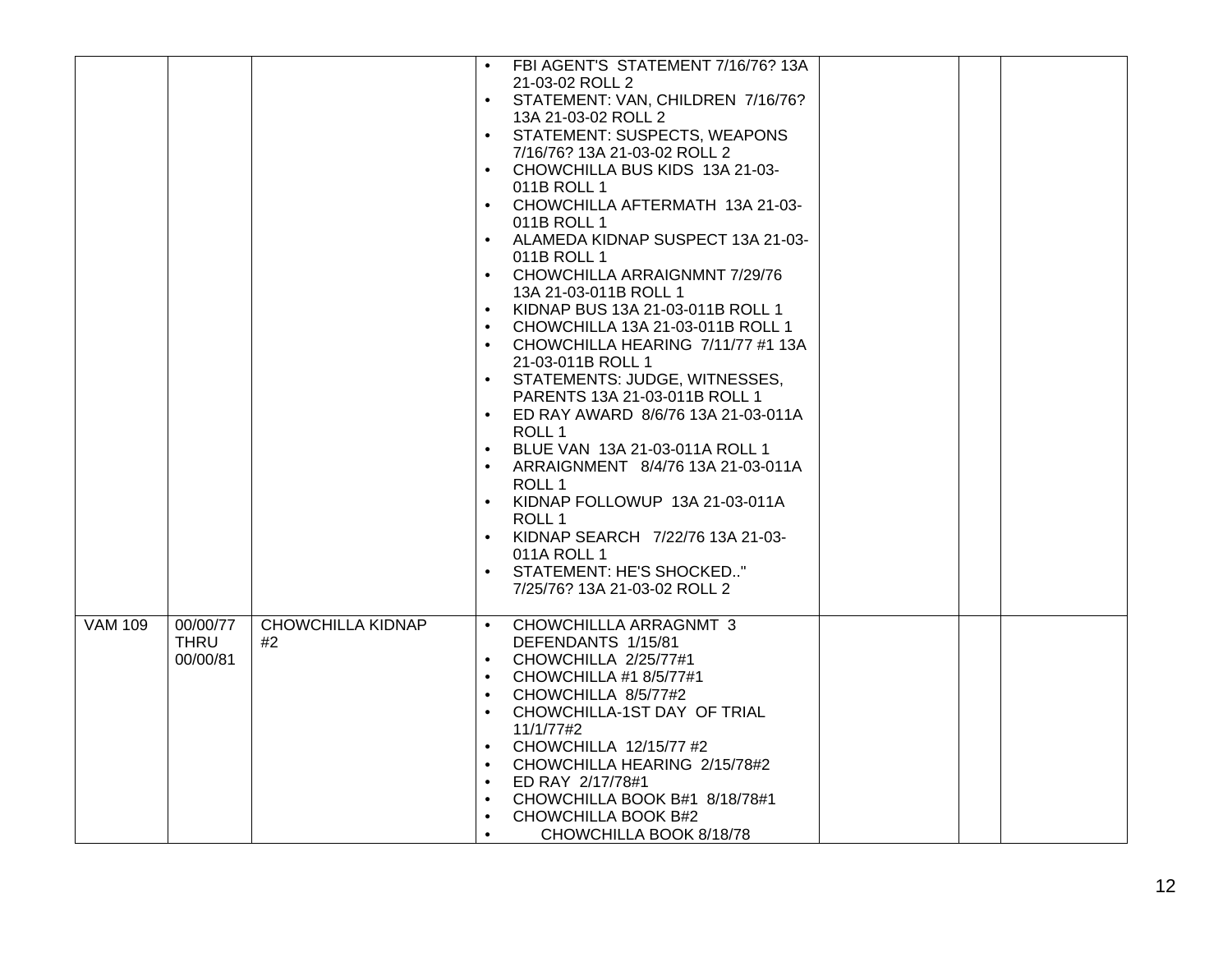|                |             |                          |           | FBI AGENT'S STATEMENT 7/16/76? 13A |  |  |
|----------------|-------------|--------------------------|-----------|------------------------------------|--|--|
|                |             |                          |           | 21-03-02 ROLL 2                    |  |  |
|                |             |                          | $\bullet$ | STATEMENT: VAN, CHILDREN 7/16/76?  |  |  |
|                |             |                          |           | 13A 21-03-02 ROLL 2                |  |  |
|                |             |                          | $\bullet$ | STATEMENT: SUSPECTS, WEAPONS       |  |  |
|                |             |                          |           | 7/16/76? 13A 21-03-02 ROLL 2       |  |  |
|                |             |                          | $\bullet$ | CHOWCHILLA BUS KIDS 13A 21-03-     |  |  |
|                |             |                          |           | 011B ROLL 1                        |  |  |
|                |             |                          |           | CHOWCHILLA AFTERMATH 13A 21-03-    |  |  |
|                |             |                          |           | 011B ROLL 1                        |  |  |
|                |             |                          | $\bullet$ | ALAMEDA KIDNAP SUSPECT 13A 21-03-  |  |  |
|                |             |                          |           | 011B ROLL 1                        |  |  |
|                |             |                          | $\bullet$ | CHOWCHILLA ARRAIGNMNT 7/29/76      |  |  |
|                |             |                          |           | 13A 21-03-011B ROLL 1              |  |  |
|                |             |                          | $\bullet$ | KIDNAP BUS 13A 21-03-011B ROLL 1   |  |  |
|                |             |                          | $\bullet$ | CHOWCHILLA 13A 21-03-011B ROLL 1   |  |  |
|                |             |                          | $\bullet$ | CHOWCHILLA HEARING 7/11/77 #1 13A  |  |  |
|                |             |                          |           | 21-03-011B ROLL 1                  |  |  |
|                |             |                          |           | STATEMENTS: JUDGE, WITNESSES,      |  |  |
|                |             |                          |           | PARENTS 13A 21-03-011B ROLL 1      |  |  |
|                |             |                          | $\bullet$ | ED RAY AWARD 8/6/76 13A 21-03-011A |  |  |
|                |             |                          |           | ROLL 1                             |  |  |
|                |             |                          | $\bullet$ | BLUE VAN 13A 21-03-011A ROLL 1     |  |  |
|                |             |                          |           | ARRAIGNMENT 8/4/76 13A 21-03-011A  |  |  |
|                |             |                          |           | ROLL 1                             |  |  |
|                |             |                          | $\bullet$ | KIDNAP FOLLOWUP 13A 21-03-011A     |  |  |
|                |             |                          |           | ROLL 1                             |  |  |
|                |             |                          | $\bullet$ | KIDNAP SEARCH 7/22/76 13A 21-03-   |  |  |
|                |             |                          |           | 011A ROLL 1                        |  |  |
|                |             |                          |           | STATEMENT: HE'S SHOCKED"           |  |  |
|                |             |                          |           | 7/25/76? 13A 21-03-02 ROLL 2       |  |  |
|                |             |                          |           |                                    |  |  |
| <b>VAM 109</b> | 00/00/77    | <b>CHOWCHILLA KIDNAP</b> | $\bullet$ | CHOWCHILLLA ARRAGNMT 3             |  |  |
|                | <b>THRU</b> | #2                       |           | DEFENDANTS 1/15/81                 |  |  |
|                | 00/00/81    |                          | $\bullet$ | CHOWCHILLA 2/25/77#1               |  |  |
|                |             |                          | $\bullet$ | CHOWCHILLA #1 8/5/77#1             |  |  |
|                |             |                          | $\bullet$ | CHOWCHILLA 8/5/77#2                |  |  |
|                |             |                          | $\bullet$ | CHOWCHILLA-1ST DAY OF TRIAL        |  |  |
|                |             |                          |           | 11/1/77#2                          |  |  |
|                |             |                          | $\bullet$ | CHOWCHILLA 12/15/77 #2             |  |  |
|                |             |                          | $\bullet$ | CHOWCHILLA HEARING 2/15/78#2       |  |  |
|                |             |                          |           | ED RAY 2/17/78#1                   |  |  |
|                |             |                          | $\bullet$ | CHOWCHILLA BOOK B#1 8/18/78#1      |  |  |
|                |             |                          | $\bullet$ | CHOWCHILLA BOOK B#2                |  |  |
|                |             |                          |           | CHOWCHILLA BOOK 8/18/78            |  |  |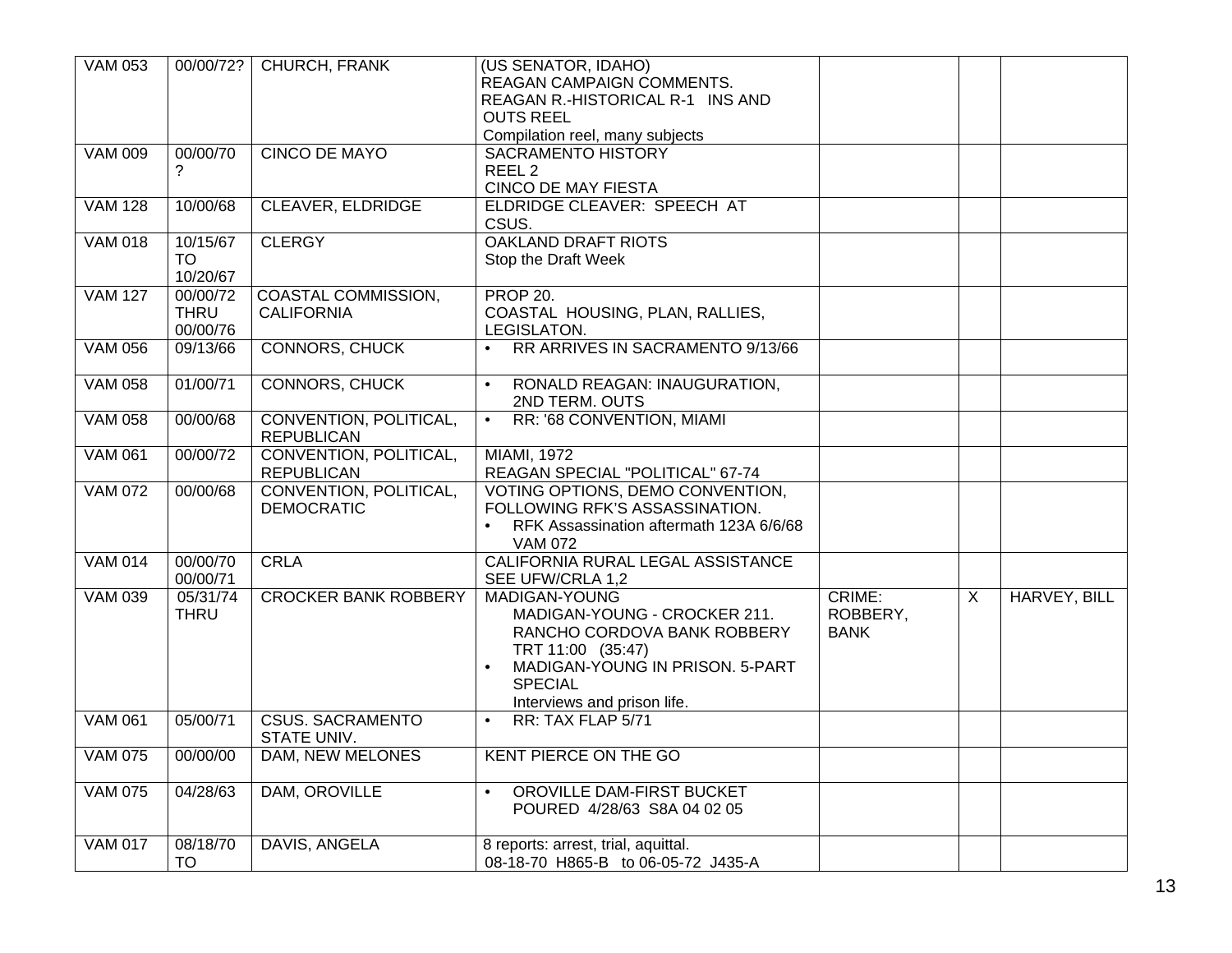| <b>VAM 053</b> | 00/00/72?                           | <b>CHURCH, FRANK</b>                            | (US SENATOR, IDAHO)<br>REAGAN CAMPAIGN COMMENTS.<br>REAGAN R.-HISTORICAL R-1 INS AND<br><b>OUTS REEL</b><br>Compilation reel, many subjects                                                        |                                   |   |              |
|----------------|-------------------------------------|-------------------------------------------------|----------------------------------------------------------------------------------------------------------------------------------------------------------------------------------------------------|-----------------------------------|---|--------------|
| <b>VAM 009</b> | 00/00/70<br>7                       | <b>CINCO DE MAYO</b>                            | <b>SACRAMENTO HISTORY</b><br>REEL <sub>2</sub><br><b>CINCO DE MAY FIESTA</b>                                                                                                                       |                                   |   |              |
| <b>VAM 128</b> | 10/00/68                            | <b>CLEAVER, ELDRIDGE</b>                        | <b>ELDRIDGE CLEAVER: SPEECH AT</b><br>CSUS.                                                                                                                                                        |                                   |   |              |
| <b>VAM 018</b> | 10/15/67<br><b>TO</b><br>10/20/67   | <b>CLERGY</b>                                   | <b>OAKLAND DRAFT RIOTS</b><br>Stop the Draft Week                                                                                                                                                  |                                   |   |              |
| <b>VAM 127</b> | 00/00/72<br><b>THRU</b><br>00/00/76 | <b>COASTAL COMMISSION,</b><br><b>CALIFORNIA</b> | <b>PROP 20.</b><br>COASTAL HOUSING, PLAN, RALLIES,<br>LEGISLATON.                                                                                                                                  |                                   |   |              |
| <b>VAM 056</b> | 09/13/66                            | <b>CONNORS, CHUCK</b>                           | RR ARRIVES IN SACRAMENTO 9/13/66<br>$\bullet$                                                                                                                                                      |                                   |   |              |
| <b>VAM 058</b> | 01/00/71                            | <b>CONNORS, CHUCK</b>                           | RONALD REAGAN: INAUGURATION,<br>$\bullet$<br>2ND TERM. OUTS                                                                                                                                        |                                   |   |              |
| <b>VAM 058</b> | 00/00/68                            | CONVENTION, POLITICAL,<br><b>REPUBLICAN</b>     | RR: '68 CONVENTION, MIAMI<br>$\bullet$                                                                                                                                                             |                                   |   |              |
| <b>VAM 061</b> | 00/00/72                            | CONVENTION, POLITICAL,<br><b>REPUBLICAN</b>     | <b>MIAMI, 1972</b><br>REAGAN SPECIAL "POLITICAL" 67-74                                                                                                                                             |                                   |   |              |
| <b>VAM 072</b> | 00/00/68                            | CONVENTION, POLITICAL,<br><b>DEMOCRATIC</b>     | VOTING OPTIONS, DEMO CONVENTION,<br>FOLLOWING RFK'S ASSASSINATION.<br>RFK Assassination aftermath 123A 6/6/68<br>$\bullet$<br><b>VAM 072</b>                                                       |                                   |   |              |
| <b>VAM 014</b> | 00/00/70<br>00/00/71                | <b>CRLA</b>                                     | CALIFORNIA RURAL LEGAL ASSISTANCE<br>SEE UFW/CRLA 1,2                                                                                                                                              |                                   |   |              |
| <b>VAM 039</b> | 05/31/74<br><b>THRU</b>             | <b>CROCKER BANK ROBBERY</b>                     | MADIGAN-YOUNG<br>MADIGAN-YOUNG - CROCKER 211.<br>RANCHO CORDOVA BANK ROBBERY<br>TRT 11:00 (35:47)<br>MADIGAN-YOUNG IN PRISON. 5-PART<br>$\bullet$<br><b>SPECIAL</b><br>Interviews and prison life. | CRIME:<br>ROBBERY,<br><b>BANK</b> | X | HARVEY, BILL |
| <b>VAM 061</b> | 05/00/71                            | <b>CSUS. SACRAMENTO</b><br>STATE UNIV.          | RR: TAX FLAP 5/71<br>$\bullet$                                                                                                                                                                     |                                   |   |              |
| VAM 075        | 00/00/00                            | DAM, NEW MELONES                                | KENT PIERCE ON THE GO                                                                                                                                                                              |                                   |   |              |
| <b>VAM 075</b> | 04/28/63                            | DAM, OROVILLE                                   | OROVILLE DAM-FIRST BUCKET<br>$\bullet$<br>POURED 4/28/63 S8A 04 02 05                                                                                                                              |                                   |   |              |
| <b>VAM 017</b> | 08/18/70<br><b>TO</b>               | DAVIS, ANGELA                                   | 8 reports: arrest, trial, aquittal.<br>08-18-70 H865-B to 06-05-72 J435-A                                                                                                                          |                                   |   |              |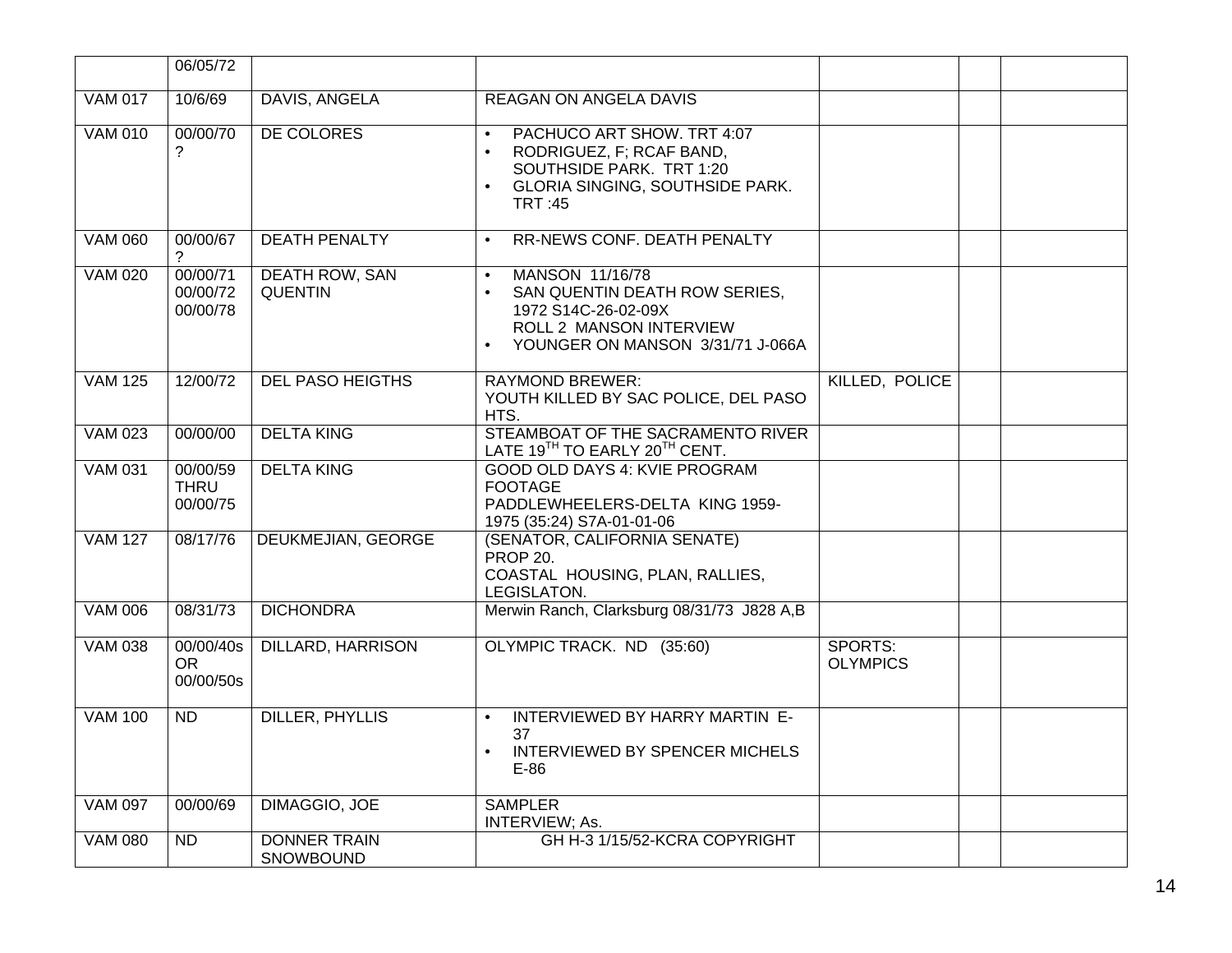|                      | 06/05/72                            |                                  |                                                                                                                                                                                      |                            |  |
|----------------------|-------------------------------------|----------------------------------|--------------------------------------------------------------------------------------------------------------------------------------------------------------------------------------|----------------------------|--|
| <b>VAM 017</b>       | 10/6/69                             | DAVIS, ANGELA                    | <b>REAGAN ON ANGELA DAVIS</b>                                                                                                                                                        |                            |  |
| <b>VAM 010</b>       | 00/00/70<br>?                       | DE COLORES                       | PACHUCO ART SHOW. TRT 4:07<br>$\bullet$<br>RODRIGUEZ, F; RCAF BAND,<br>$\bullet$<br>SOUTHSIDE PARK. TRT 1:20<br><b>GLORIA SINGING, SOUTHSIDE PARK.</b><br>$\bullet$<br><b>TRT:45</b> |                            |  |
| <b>VAM 060</b>       | 00/00/67<br>?                       | <b>DEATH PENALTY</b>             | RR-NEWS CONF. DEATH PENALTY<br>$\bullet$                                                                                                                                             |                            |  |
| <b>VAM 020</b>       | 00/00/71<br>00/00/72<br>00/00/78    | DEATH ROW, SAN<br><b>QUENTIN</b> | MANSON 11/16/78<br>$\bullet$<br>SAN QUENTIN DEATH ROW SERIES,<br>$\bullet$<br>1972 S14C-26-02-09X<br>ROLL 2 MANSON INTERVIEW<br>YOUNGER ON MANSON 3/31/71 J-066A<br>$\bullet$        |                            |  |
| <b>VAM 125</b>       | 12/00/72                            | <b>DEL PASO HEIGTHS</b>          | <b>RAYMOND BREWER:</b><br>YOUTH KILLED BY SAC POLICE, DEL PASO<br>HTS.                                                                                                               | KILLED, POLICE             |  |
| <b>VAM 023</b>       | 00/00/00                            | <b>DELTA KING</b>                | STEAMBOAT OF THE SACRAMENTO RIVER<br>LATE 19TH TO EARLY 20TH CENT.                                                                                                                   |                            |  |
| <b>VAM 031</b>       | 00/00/59<br><b>THRU</b><br>00/00/75 | <b>DELTA KING</b>                | <b>GOOD OLD DAYS 4: KVIE PROGRAM</b><br><b>FOOTAGE</b><br>PADDLEWHEELERS-DELTA KING 1959-<br>1975 (35:24) S7A-01-01-06                                                               |                            |  |
| <b>VAM 127</b>       | 08/17/76                            | DEUKMEJIAN, GEORGE               | (SENATOR, CALIFORNIA SENATE)<br><b>PROP 20.</b><br>COASTAL HOUSING, PLAN, RALLIES,<br>LEGISLATON.                                                                                    |                            |  |
| <b>VAM 006</b>       | 08/31/73                            | <b>DICHONDRA</b>                 | Merwin Ranch, Clarksburg 08/31/73 J828 A,B                                                                                                                                           |                            |  |
| $\overline{VAM}$ 038 | 00/00/40s<br><b>OR</b><br>00/00/50s | DILLARD, HARRISON                | OLYMPIC TRACK. ND (35:60)                                                                                                                                                            | SPORTS:<br><b>OLYMPICS</b> |  |
| <b>VAM 100</b>       | <b>ND</b>                           | DILLER, PHYLLIS                  | INTERVIEWED BY HARRY MARTIN E-<br>$\bullet$<br>37<br>INTERVIEWED BY SPENCER MICHELS<br>$E-86$                                                                                        |                            |  |
| <b>VAM 097</b>       | 00/00/69                            | <b>DIMAGGIO, JOE</b>             | <b>SAMPLER</b><br>INTERVIEW; As.                                                                                                                                                     |                            |  |
| <b>VAM 080</b>       | <b>ND</b>                           | <b>DONNER TRAIN</b><br>SNOWBOUND | GH H-3 1/15/52-KCRA COPYRIGHT                                                                                                                                                        |                            |  |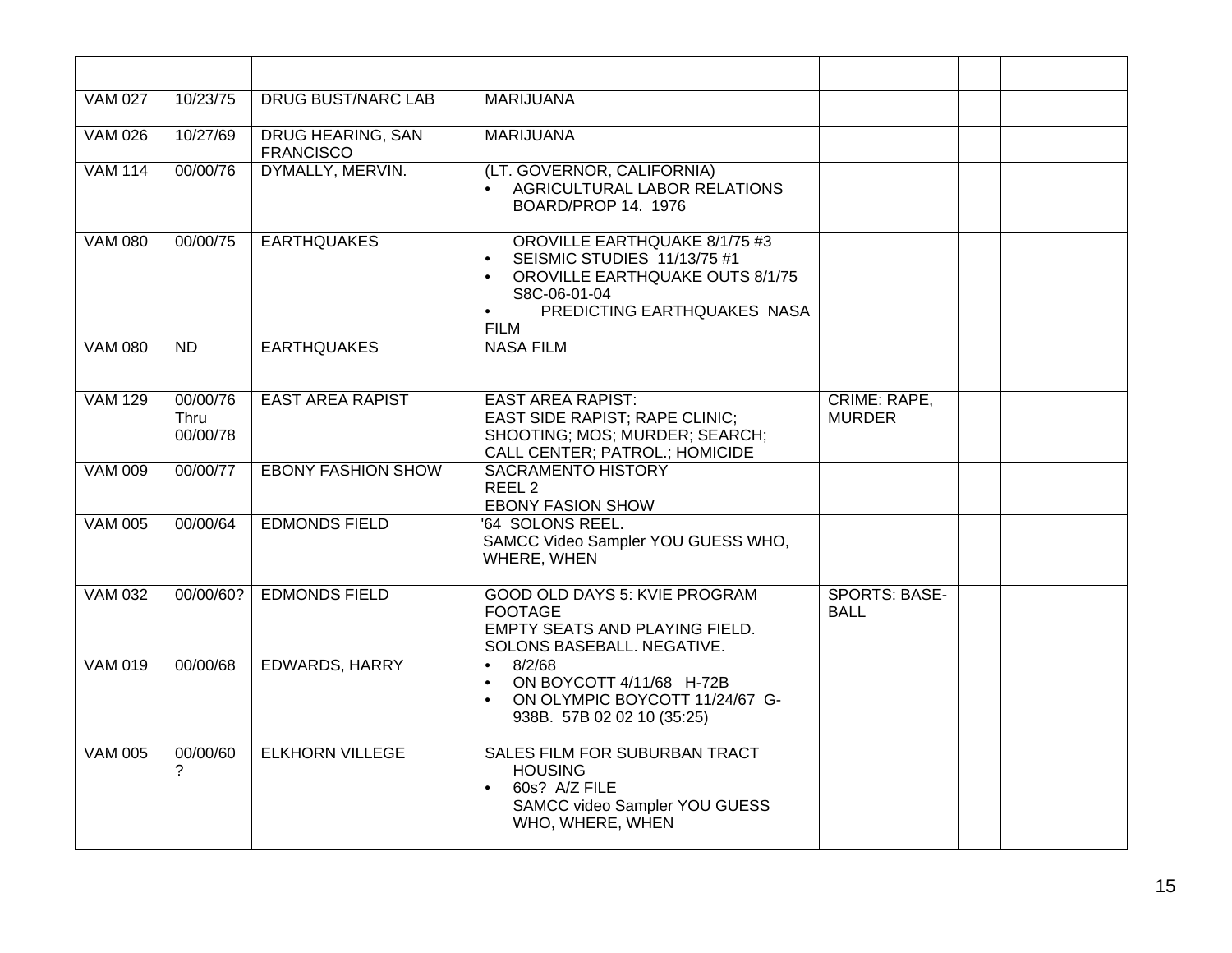| <b>VAM 027</b> | 10/23/75                     | <b>DRUG BUST/NARC LAB</b>                    | <b>MARIJUANA</b>                                                                                                                                                                               |                                     |  |
|----------------|------------------------------|----------------------------------------------|------------------------------------------------------------------------------------------------------------------------------------------------------------------------------------------------|-------------------------------------|--|
| <b>VAM 026</b> | 10/27/69                     | <b>DRUG HEARING, SAN</b><br><b>FRANCISCO</b> | <b>MARIJUANA</b>                                                                                                                                                                               |                                     |  |
| <b>VAM 114</b> | 00/00/76                     | DYMALLY, MERVIN.                             | (LT. GOVERNOR, CALIFORNIA)<br>AGRICULTURAL LABOR RELATIONS<br>$\bullet$<br>BOARD/PROP 14. 1976                                                                                                 |                                     |  |
| <b>VAM 080</b> | 00/00/75                     | <b>EARTHQUAKES</b>                           | <b>OROVILLE EARTHQUAKE 8/1/75 #3</b><br>SEISMIC STUDIES 11/13/75 #1<br>$\bullet$<br>OROVILLE EARTHQUAKE OUTS 8/1/75<br>S8C-06-01-04<br>PREDICTING EARTHQUAKES NASA<br>$\bullet$<br><b>FILM</b> |                                     |  |
| <b>VAM 080</b> | ND                           | <b>EARTHQUAKES</b>                           | <b>NASA FILM</b>                                                                                                                                                                               |                                     |  |
| <b>VAM 129</b> | 00/00/76<br>Thru<br>00/00/78 | <b>EAST AREA RAPIST</b>                      | <b>EAST AREA RAPIST:</b><br><b>EAST SIDE RAPIST; RAPE CLINIC;</b><br>SHOOTING; MOS; MURDER; SEARCH;<br><b>CALL CENTER; PATROL.; HOMICIDE</b>                                                   | CRIME: RAPE,<br><b>MURDER</b>       |  |
| <b>VAM 009</b> | 00/00/77                     | <b>EBONY FASHION SHOW</b>                    | <b>SACRAMENTO HISTORY</b><br>REEL <sub>2</sub><br><b>EBONY FASION SHOW</b>                                                                                                                     |                                     |  |
| <b>VAM 005</b> | 00/00/64                     | <b>EDMONDS FIELD</b>                         | '64 SOLONS REEL.<br>SAMCC Video Sampler YOU GUESS WHO,<br>WHERE, WHEN                                                                                                                          |                                     |  |
| <b>VAM 032</b> | 00/00/60?                    | <b>EDMONDS FIELD</b>                         | <b>GOOD OLD DAYS 5: KVIE PROGRAM</b><br><b>FOOTAGE</b><br>EMPTY SEATS AND PLAYING FIELD.<br>SOLONS BASEBALL. NEGATIVE.                                                                         | <b>SPORTS: BASE-</b><br><b>BALL</b> |  |
| <b>VAM 019</b> | 00/00/68                     | <b>EDWARDS, HARRY</b>                        | 8/2/68<br>$\bullet$<br>ON BOYCOTT 4/11/68 H-72B<br>$\bullet$<br>ON OLYMPIC BOYCOTT 11/24/67 G-<br>$\bullet$<br>938B. 57B 02 02 10 (35:25)                                                      |                                     |  |
| <b>VAM 005</b> | 00/00/60<br>?                | <b>ELKHORN VILLEGE</b>                       | SALES FILM FOR SUBURBAN TRACT<br><b>HOUSING</b><br>60s? A/Z FILE<br>$\bullet$<br>SAMCC video Sampler YOU GUESS<br>WHO, WHERE, WHEN                                                             |                                     |  |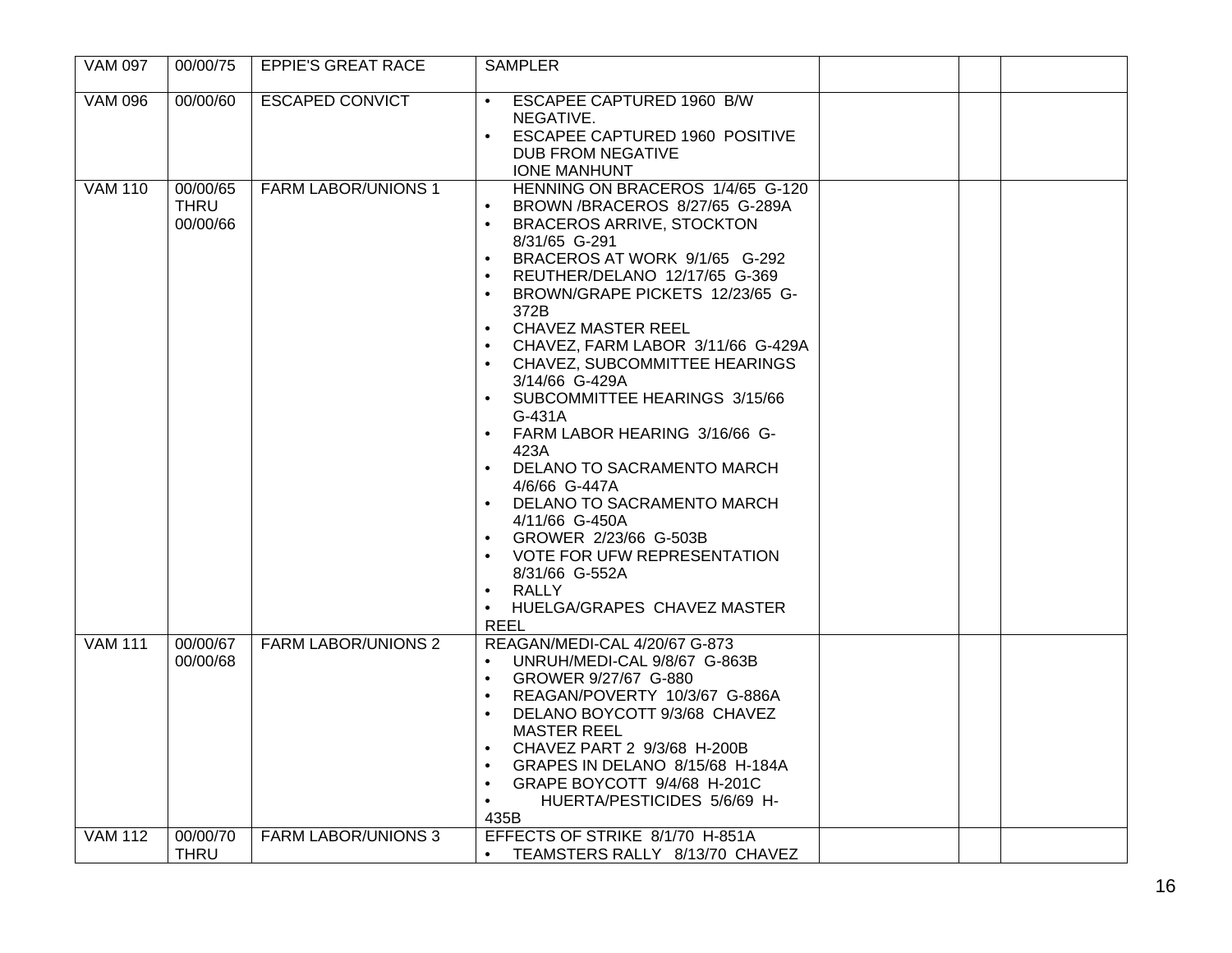| <b>VAM 097</b> | 00/00/75                            | <b>EPPIE'S GREAT RACE</b>  | <b>SAMPLER</b>                                                                                                                                                                                                                                                                                                                                                                                                                                                                                                                                                                                                                                                                                                                                                |  |
|----------------|-------------------------------------|----------------------------|---------------------------------------------------------------------------------------------------------------------------------------------------------------------------------------------------------------------------------------------------------------------------------------------------------------------------------------------------------------------------------------------------------------------------------------------------------------------------------------------------------------------------------------------------------------------------------------------------------------------------------------------------------------------------------------------------------------------------------------------------------------|--|
| <b>VAM 096</b> | 00/00/60                            | <b>ESCAPED CONVICT</b>     | <b>ESCAPEE CAPTURED 1960 B/W</b><br>NEGATIVE.<br><b>ESCAPEE CAPTURED 1960 POSITIVE</b><br>DUB FROM NEGATIVE<br><b>IONE MANHUNT</b>                                                                                                                                                                                                                                                                                                                                                                                                                                                                                                                                                                                                                            |  |
| <b>VAM 110</b> | 00/00/65<br><b>THRU</b><br>00/00/66 | <b>FARM LABOR/UNIONS 1</b> | HENNING ON BRACEROS 1/4/65 G-120<br>BROWN /BRACEROS 8/27/65 G-289A<br><b>BRACEROS ARRIVE, STOCKTON</b><br>8/31/65 G-291<br>BRACEROS AT WORK 9/1/65 G-292<br>REUTHER/DELANO 12/17/65 G-369<br>$\bullet$<br>BROWN/GRAPE PICKETS 12/23/65 G-<br>$\bullet$<br>372B<br><b>CHAVEZ MASTER REEL</b><br>$\bullet$<br>CHAVEZ, FARM LABOR 3/11/66 G-429A<br>CHAVEZ, SUBCOMMITTEE HEARINGS<br>3/14/66 G-429A<br>SUBCOMMITTEE HEARINGS 3/15/66<br>$G-431A$<br>FARM LABOR HEARING 3/16/66 G-<br>$\bullet$<br>423A<br>DELANO TO SACRAMENTO MARCH<br>$\bullet$<br>4/6/66 G-447A<br>DELANO TO SACRAMENTO MARCH<br>4/11/66 G-450A<br>GROWER 2/23/66 G-503B<br>VOTE FOR UFW REPRESENTATION<br>8/31/66 G-552A<br>RALLY<br>HUELGA/GRAPES CHAVEZ MASTER<br>$\bullet$<br><b>REEL</b> |  |
| <b>VAM 111</b> | 00/00/67<br>00/00/68                | <b>FARM LABOR/UNIONS 2</b> | REAGAN/MEDI-CAL 4/20/67 G-873<br>UNRUH/MEDI-CAL 9/8/67 G-863B<br>GROWER 9/27/67 G-880<br>$\bullet$<br>REAGAN/POVERTY 10/3/67 G-886A<br>$\bullet$<br>DELANO BOYCOTT 9/3/68 CHAVEZ<br><b>MASTER REEL</b><br>CHAVEZ PART 2 9/3/68 H-200B<br>$\bullet$<br>GRAPES IN DELANO 8/15/68 H-184A<br>GRAPE BOYCOTT 9/4/68 H-201C<br>$\bullet$<br>HUERTA/PESTICIDES 5/6/69 H-<br>435B                                                                                                                                                                                                                                                                                                                                                                                      |  |
| <b>VAM 112</b> | 00/00/70<br><b>THRU</b>             | <b>FARM LABOR/UNIONS 3</b> | EFFECTS OF STRIKE 8/1/70 H-851A<br>TEAMSTERS RALLY 8/13/70 CHAVEZ<br>$\bullet$                                                                                                                                                                                                                                                                                                                                                                                                                                                                                                                                                                                                                                                                                |  |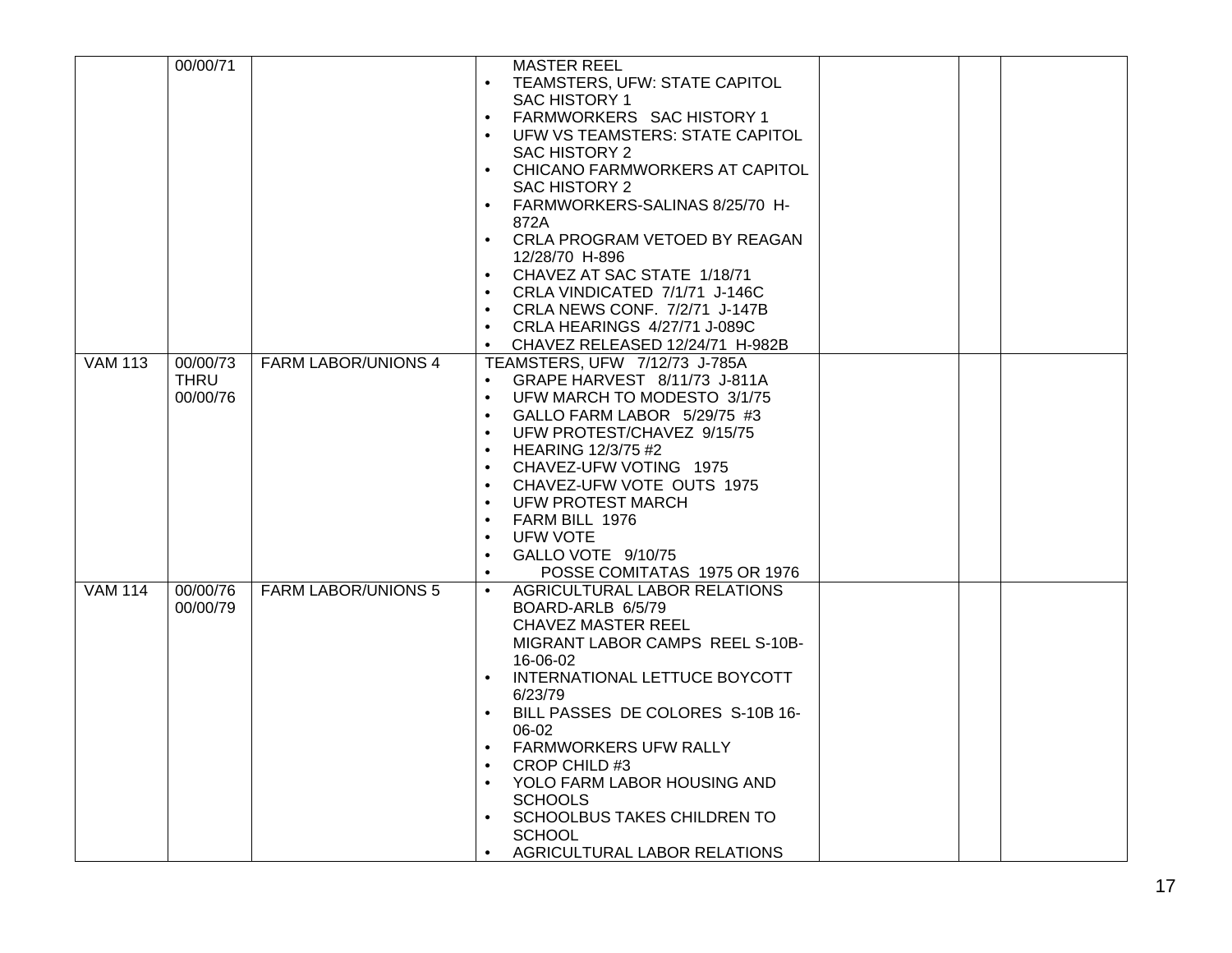|                | 00/00/71 |                            | <b>MASTER REEL</b>                            |  |
|----------------|----------|----------------------------|-----------------------------------------------|--|
|                |          |                            |                                               |  |
|                |          |                            | TEAMSTERS, UFW: STATE CAPITOL<br>$\bullet$    |  |
|                |          |                            | <b>SAC HISTORY 1</b>                          |  |
|                |          |                            | FARMWORKERS SAC HISTORY 1                     |  |
|                |          |                            | UFW VS TEAMSTERS: STATE CAPITOL<br>$\bullet$  |  |
|                |          |                            | SAC HISTORY 2                                 |  |
|                |          |                            | CHICANO FARMWORKERS AT CAPITOL                |  |
|                |          |                            | <b>SAC HISTORY 2</b>                          |  |
|                |          |                            | FARMWORKERS-SALINAS 8/25/70 H-                |  |
|                |          |                            | 872A                                          |  |
|                |          |                            | CRLA PROGRAM VETOED BY REAGAN<br>$\bullet$    |  |
|                |          |                            | 12/28/70 H-896                                |  |
|                |          |                            | CHAVEZ AT SAC STATE 1/18/71<br>$\bullet$      |  |
|                |          |                            | CRLA VINDICATED 7/1/71 J-146C<br>$\bullet$    |  |
|                |          |                            | CRLA NEWS CONF. 7/2/71 J-147B                 |  |
|                |          |                            | CRLA HEARINGS 4/27/71 J-089C<br>$\bullet$     |  |
|                |          |                            | CHAVEZ RELEASED 12/24/71 H-982B               |  |
| <b>VAM 113</b> | 00/00/73 | <b>FARM LABOR/UNIONS 4</b> | TEAMSTERS, UFW 7/12/73 J-785A                 |  |
|                | THRU     |                            | GRAPE HARVEST 8/11/73 J-811A<br>$\bullet$     |  |
|                | 00/00/76 |                            | UFW MARCH TO MODESTO 3/1/75                   |  |
|                |          |                            | GALLO FARM LABOR 5/29/75 #3<br>$\bullet$      |  |
|                |          |                            | UFW PROTEST/CHAVEZ 9/15/75<br>$\bullet$       |  |
|                |          |                            |                                               |  |
|                |          |                            | <b>HEARING 12/3/75 #2</b>                     |  |
|                |          |                            | CHAVEZ-UFW VOTING 1975<br>$\bullet$           |  |
|                |          |                            | CHAVEZ-UFW VOTE OUTS 1975                     |  |
|                |          |                            | <b>UFW PROTEST MARCH</b>                      |  |
|                |          |                            | FARM BILL 1976<br>$\bullet$                   |  |
|                |          |                            | <b>UFW VOTE</b>                               |  |
|                |          |                            | GALLO VOTE 9/10/75<br>$\bullet$               |  |
|                |          |                            | POSSE COMITATAS 1975 OR 1976                  |  |
| <b>VAM 114</b> | 00/00/76 | <b>FARM LABOR/UNIONS 5</b> | <b>AGRICULTURAL LABOR RELATIONS</b>           |  |
|                | 00/00/79 |                            | BOARD-ARLB 6/5/79                             |  |
|                |          |                            | <b>CHAVEZ MASTER REEL</b>                     |  |
|                |          |                            | MIGRANT LABOR CAMPS REEL S-10B-               |  |
|                |          |                            | 16-06-02                                      |  |
|                |          |                            | INTERNATIONAL LETTUCE BOYCOTT                 |  |
|                |          |                            | 6/23/79                                       |  |
|                |          |                            | BILL PASSES DE COLORES S-10B 16-<br>$\bullet$ |  |
|                |          |                            | 06-02                                         |  |
|                |          |                            | <b>FARMWORKERS UFW RALLY</b><br>$\bullet$     |  |
|                |          |                            | CROP CHILD #3                                 |  |
|                |          |                            | YOLO FARM LABOR HOUSING AND<br>$\bullet$      |  |
|                |          |                            | <b>SCHOOLS</b>                                |  |
|                |          |                            | SCHOOLBUS TAKES CHILDREN TO                   |  |
|                |          |                            | <b>SCHOOL</b>                                 |  |
|                |          |                            | AGRICULTURAL LABOR RELATIONS<br>$\bullet$     |  |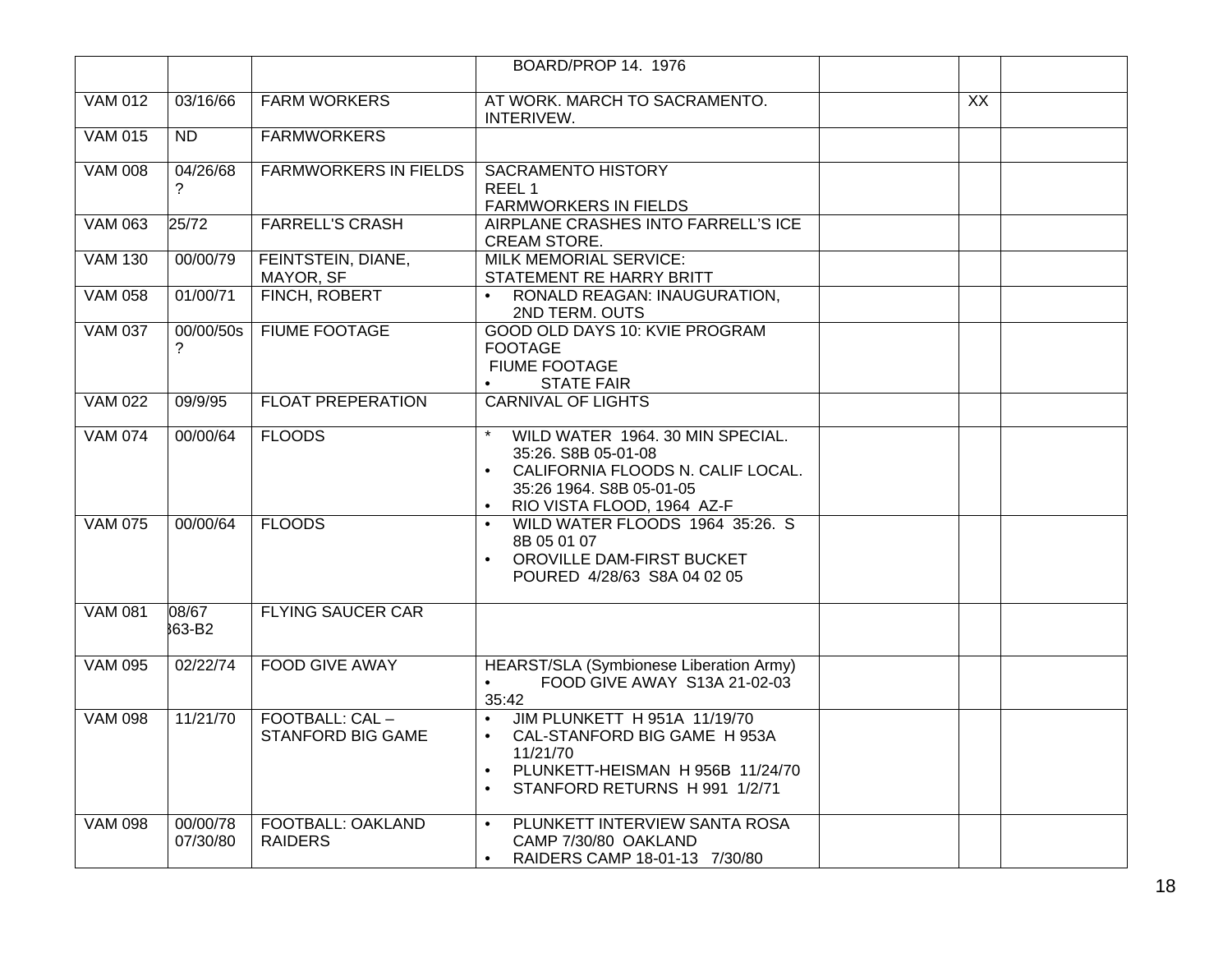|                |                      |                                            | BOARD/PROP 14. 1976                                                                                                                                                                               |                 |  |
|----------------|----------------------|--------------------------------------------|---------------------------------------------------------------------------------------------------------------------------------------------------------------------------------------------------|-----------------|--|
|                |                      |                                            |                                                                                                                                                                                                   |                 |  |
| <b>VAM 012</b> | 03/16/66             | <b>FARM WORKERS</b>                        | AT WORK. MARCH TO SACRAMENTO.<br>INTERIVEW.                                                                                                                                                       | $\overline{XX}$ |  |
| <b>VAM 015</b> | ND.                  | <b>FARMWORKERS</b>                         |                                                                                                                                                                                                   |                 |  |
| <b>VAM 008</b> | 04/26/68<br>?        | <b>FARMWORKERS IN FIELDS</b>               | <b>SACRAMENTO HISTORY</b><br>REEL <sub>1</sub><br><b>FARMWORKERS IN FIELDS</b>                                                                                                                    |                 |  |
| <b>VAM 063</b> | 25/72                | <b>FARRELL'S CRASH</b>                     | AIRPLANE CRASHES INTO FARRELL'S ICE<br>CREAM STORE.                                                                                                                                               |                 |  |
| <b>VAM 130</b> | 00/00/79             | FEINTSTEIN, DIANE,<br>MAYOR, SF            | <b>MILK MEMORIAL SERVICE:</b><br>STATEMENT RE HARRY BRITT                                                                                                                                         |                 |  |
| <b>VAM 058</b> | 01/00/71             | FINCH, ROBERT                              | RONALD REAGAN: INAUGURATION,<br>2ND TERM. OUTS                                                                                                                                                    |                 |  |
| <b>VAM 037</b> | 00/00/50s<br>2       | <b>FIUME FOOTAGE</b>                       | GOOD OLD DAYS 10: KVIE PROGRAM<br><b>FOOTAGE</b><br><b>FIUME FOOTAGE</b><br><b>STATE FAIR</b><br>$\bullet$                                                                                        |                 |  |
| <b>VAM 022</b> | 09/9/95              | <b>FLOAT PREPERATION</b>                   | <b>CARNIVAL OF LIGHTS</b>                                                                                                                                                                         |                 |  |
| <b>VAM 074</b> | 00/00/64             | <b>FLOODS</b>                              | WILD WATER 1964. 30 MIN SPECIAL.<br>35:26. S8B 05-01-08<br>CALIFORNIA FLOODS N. CALIF LOCAL.<br>$\bullet$<br>35:26 1964. S8B 05-01-05<br>RIO VISTA FLOOD, 1964 AZ-F                               |                 |  |
| <b>VAM 075</b> | 00/00/64             | <b>FLOODS</b>                              | WILD WATER FLOODS 1964 35:26. S<br>$\bullet$<br>8B 05 01 07<br>OROVILLE DAM-FIRST BUCKET<br>$\bullet$<br>POURED 4/28/63 S8A 04 02 05                                                              |                 |  |
| <b>VAM 081</b> | 08/67<br>863-B2      | <b>FLYING SAUCER CAR</b>                   |                                                                                                                                                                                                   |                 |  |
| <b>VAM 095</b> | 02/22/74             | <b>FOOD GIVE AWAY</b>                      | HEARST/SLA (Symbionese Liberation Army)<br>FOOD GIVE AWAY S13A 21-02-03<br>$\bullet$<br>35:42                                                                                                     |                 |  |
| <b>VAM 098</b> | 11/21/70             | FOOTBALL: CAL-<br><b>STANFORD BIG GAME</b> | JIM PLUNKETT H 951A 11/19/70<br>$\bullet$<br>CAL-STANFORD BIG GAME H 953A<br>$\bullet$<br>11/21/70<br>PLUNKETT-HEISMAN H 956B 11/24/70<br>$\bullet$<br>STANFORD RETURNS H 991 1/2/71<br>$\bullet$ |                 |  |
| <b>VAM 098</b> | 00/00/78<br>07/30/80 | <b>FOOTBALL: OAKLAND</b><br><b>RAIDERS</b> | PLUNKETT INTERVIEW SANTA ROSA<br>$\bullet$<br>CAMP 7/30/80 OAKLAND<br>RAIDERS CAMP 18-01-13 7/30/80<br>$\bullet$                                                                                  |                 |  |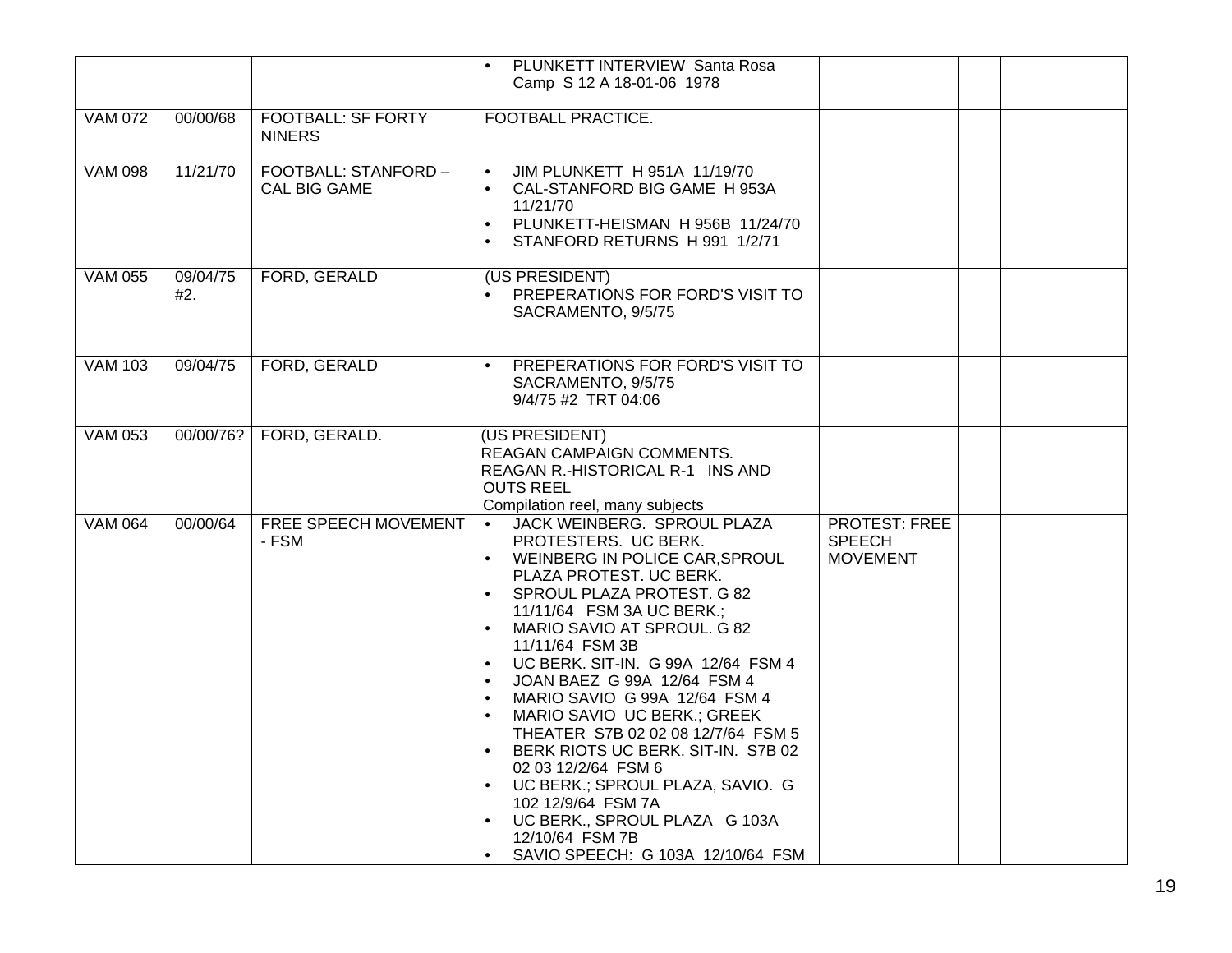|                |                 |                                             | PLUNKETT INTERVIEW Santa Rosa                                                                                                                                                                                                                                                                                                                                                                                                                                                                                                                                                                                                                                     |                                                          |  |
|----------------|-----------------|---------------------------------------------|-------------------------------------------------------------------------------------------------------------------------------------------------------------------------------------------------------------------------------------------------------------------------------------------------------------------------------------------------------------------------------------------------------------------------------------------------------------------------------------------------------------------------------------------------------------------------------------------------------------------------------------------------------------------|----------------------------------------------------------|--|
|                |                 |                                             | Camp S 12 A 18-01-06 1978                                                                                                                                                                                                                                                                                                                                                                                                                                                                                                                                                                                                                                         |                                                          |  |
| <b>VAM 072</b> | 00/00/68        | <b>FOOTBALL: SF FORTY</b><br><b>NINERS</b>  | <b>FOOTBALL PRACTICE.</b>                                                                                                                                                                                                                                                                                                                                                                                                                                                                                                                                                                                                                                         |                                                          |  |
| <b>VAM 098</b> | 11/21/70        | FOOTBALL: STANFORD -<br><b>CAL BIG GAME</b> | JIM PLUNKETT H 951A 11/19/70<br>CAL-STANFORD BIG GAME H 953A<br>11/21/70<br>PLUNKETT-HEISMAN H956B 11/24/70<br>$\bullet$<br>STANFORD RETURNS H 991 1/2/71<br>$\bullet$                                                                                                                                                                                                                                                                                                                                                                                                                                                                                            |                                                          |  |
| <b>VAM 055</b> | 09/04/75<br>#2. | FORD, GERALD                                | (US PRESIDENT)<br>PREPERATIONS FOR FORD'S VISIT TO<br>SACRAMENTO, 9/5/75                                                                                                                                                                                                                                                                                                                                                                                                                                                                                                                                                                                          |                                                          |  |
| <b>VAM 103</b> | 09/04/75        | FORD, GERALD                                | PREPERATIONS FOR FORD'S VISIT TO<br>SACRAMENTO, 9/5/75<br>9/4/75 #2 TRT 04:06                                                                                                                                                                                                                                                                                                                                                                                                                                                                                                                                                                                     |                                                          |  |
| <b>VAM 053</b> | 00/00/76?       | FORD, GERALD.                               | (US PRESIDENT)<br>REAGAN CAMPAIGN COMMENTS.<br>REAGAN R.-HISTORICAL R-1 INS AND<br><b>OUTS REEL</b><br>Compilation reel, many subjects                                                                                                                                                                                                                                                                                                                                                                                                                                                                                                                            |                                                          |  |
| <b>VAM 064</b> | 00/00/64        | FREE SPEECH MOVEMENT<br>- FSM               | JACK WEINBERG. SPROUL PLAZA<br>$\bullet$<br>PROTESTERS. UC BERK.<br>• WEINBERG IN POLICE CAR, SPROUL<br>PLAZA PROTEST. UC BERK.<br>SPROUL PLAZA PROTEST. G 82<br>11/11/64 FSM 3A UC BERK.;<br>MARIO SAVIO AT SPROUL. G 82<br>11/11/64 FSM 3B<br>UC BERK. SIT-IN. G 99A 12/64 FSM 4<br>$\bullet$<br>JOAN BAEZ G 99A 12/64 FSM 4<br>MARIO SAVIO G 99A 12/64 FSM 4<br>$\bullet$<br>MARIO SAVIO UC BERK.; GREEK<br>THEATER S7B 02 02 08 12/7/64 FSM 5<br>BERK RIOTS UC BERK. SIT-IN. S7B 02<br>02 03 12/2/64 FSM 6<br>UC BERK.; SPROUL PLAZA, SAVIO. G<br>102 12/9/64 FSM 7A<br>UC BERK., SPROUL PLAZA G 103A<br>12/10/64 FSM 7B<br>SAVIO SPEECH: G 103A 12/10/64 FSM | <b>PROTEST: FREE</b><br><b>SPEECH</b><br><b>MOVEMENT</b> |  |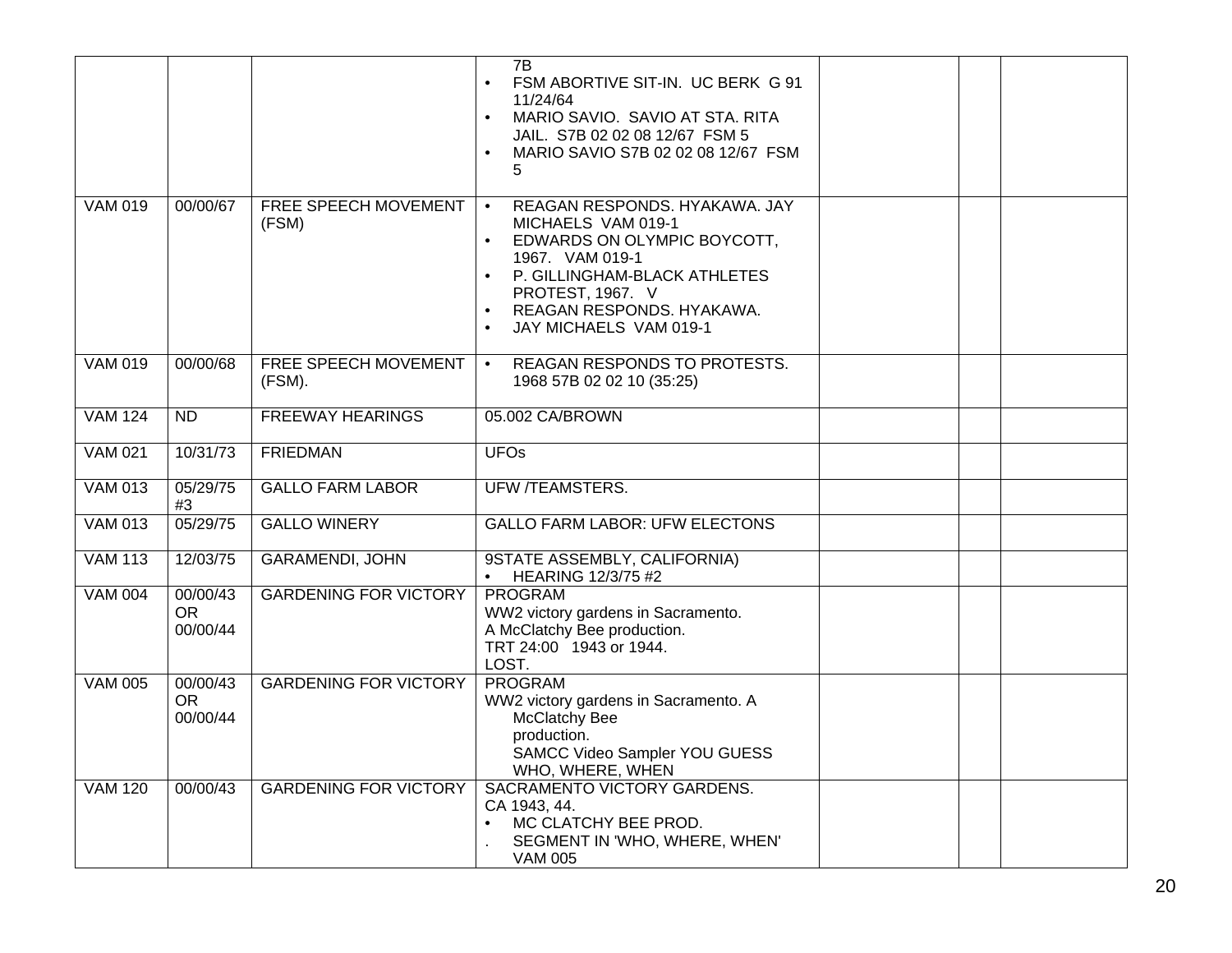|                |                                   |                                | 7B<br>FSM ABORTIVE SIT-IN. UC BERK G 91<br>11/24/64<br>MARIO SAVIO. SAVIO AT STA. RITA<br>$\bullet$<br>JAIL. S7B 02 02 08 12/67 FSM 5<br>MARIO SAVIO S7B 02 02 08 12/67 FSM<br>5                                                                        |  |  |
|----------------|-----------------------------------|--------------------------------|---------------------------------------------------------------------------------------------------------------------------------------------------------------------------------------------------------------------------------------------------------|--|--|
| <b>VAM 019</b> | 00/00/67                          | FREE SPEECH MOVEMENT<br>(FSM)  | REAGAN RESPONDS. HYAKAWA. JAY<br>$\bullet$<br>MICHAELS VAM 019-1<br>EDWARDS ON OLYMPIC BOYCOTT,<br>1967. VAM 019-1<br>P. GILLINGHAM-BLACK ATHLETES<br>PROTEST, 1967. V<br>REAGAN RESPONDS. HYAKAWA.<br>$\bullet$<br>JAY MICHAELS VAM 019-1<br>$\bullet$ |  |  |
| <b>VAM 019</b> | 00/00/68                          | FREE SPEECH MOVEMENT<br>(FSM). | REAGAN RESPONDS TO PROTESTS.<br>$\bullet$<br>1968 57B 02 02 10 (35:25)                                                                                                                                                                                  |  |  |
| <b>VAM 124</b> | <b>ND</b>                         | <b>FREEWAY HEARINGS</b>        | 05.002 CA/BROWN                                                                                                                                                                                                                                         |  |  |
| <b>VAM 021</b> | 10/31/73                          | <b>FRIEDMAN</b>                | <b>UFOs</b>                                                                                                                                                                                                                                             |  |  |
| <b>VAM 013</b> | 05/29/75<br>#3                    | <b>GALLO FARM LABOR</b>        | <b>UFW /TEAMSTERS.</b>                                                                                                                                                                                                                                  |  |  |
| <b>VAM 013</b> | 05/29/75                          | <b>GALLO WINERY</b>            | <b>GALLO FARM LABOR: UFW ELECTONS</b>                                                                                                                                                                                                                   |  |  |
| <b>VAM 113</b> | 12/03/75                          | <b>GARAMENDI, JOHN</b>         | 9STATE ASSEMBLY, CALIFORNIA)<br><b>HEARING 12/3/75 #2</b>                                                                                                                                                                                               |  |  |
| <b>VAM 004</b> | 00/00/43<br><b>OR</b><br>00/00/44 | <b>GARDENING FOR VICTORY</b>   | PROGRAM<br>WW2 victory gardens in Sacramento.<br>A McClatchy Bee production.<br>TRT 24:00 1943 or 1944.<br>LOST.                                                                                                                                        |  |  |
| <b>VAM 005</b> | 00/00/43<br><b>OR</b><br>00/00/44 | <b>GARDENING FOR VICTORY</b>   | PROGRAM<br>WW2 victory gardens in Sacramento. A<br>McClatchy Bee<br>production.<br>SAMCC Video Sampler YOU GUESS<br>WHO, WHERE, WHEN                                                                                                                    |  |  |
| <b>VAM 120</b> | 00/00/43                          | <b>GARDENING FOR VICTORY</b>   | SACRAMENTO VICTORY GARDENS.<br>CA 1943, 44.<br>MC CLATCHY BEE PROD.<br>$\bullet$<br>SEGMENT IN 'WHO, WHERE, WHEN'<br><b>VAM 005</b>                                                                                                                     |  |  |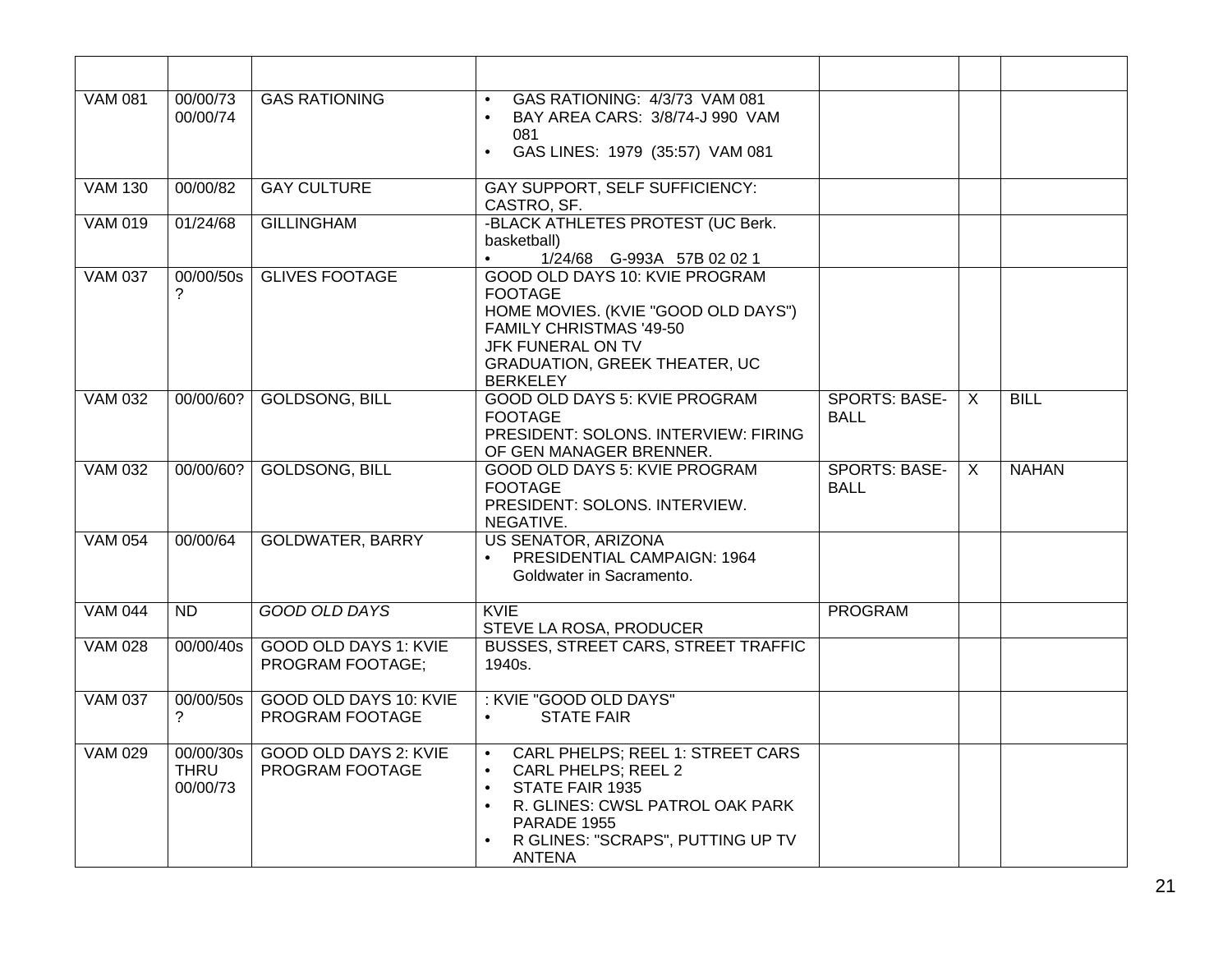| <b>VAM 081</b> | 00/00/73<br>00/00/74                 | <b>GAS RATIONING</b>                             | GAS RATIONING: 4/3/73 VAM 081<br>$\bullet$<br>BAY AREA CARS: 3/8/74-J 990 VAM<br>$\bullet$<br>081<br>GAS LINES: 1979 (35:57) VAM 081<br>$\bullet$                                                                                      |                                     |              |              |
|----------------|--------------------------------------|--------------------------------------------------|----------------------------------------------------------------------------------------------------------------------------------------------------------------------------------------------------------------------------------------|-------------------------------------|--------------|--------------|
| <b>VAM 130</b> | 00/00/82                             | <b>GAY CULTURE</b>                               | <b>GAY SUPPORT, SELF SUFFICIENCY:</b><br>CASTRO, SF.                                                                                                                                                                                   |                                     |              |              |
| <b>VAM 019</b> | 01/24/68                             | <b>GILLINGHAM</b>                                | -BLACK ATHLETES PROTEST (UC Berk.<br>basketball)<br>1/24/68 G-993A 57B 02 02 1<br>$\bullet$                                                                                                                                            |                                     |              |              |
| <b>VAM 037</b> | 00/00/50s<br>?                       | <b>GLIVES FOOTAGE</b>                            | GOOD OLD DAYS 10: KVIE PROGRAM<br><b>FOOTAGE</b><br>HOME MOVIES. (KVIE "GOOD OLD DAYS")<br>FAMILY CHRISTMAS '49-50<br>JFK FUNERAL ON TV<br><b>GRADUATION, GREEK THEATER, UC</b><br><b>BERKELEY</b>                                     |                                     |              |              |
| <b>VAM 032</b> | 00/00/60?                            | <b>GOLDSONG, BILL</b>                            | GOOD OLD DAYS 5: KVIE PROGRAM<br><b>FOOTAGE</b><br>PRESIDENT: SOLONS. INTERVIEW: FIRING<br>OF GEN MANAGER BRENNER.                                                                                                                     | <b>SPORTS: BASE-</b><br><b>BALL</b> | $\mathsf{X}$ | <b>BILL</b>  |
| <b>VAM 032</b> | 00/00/60?                            | <b>GOLDSONG, BILL</b>                            | GOOD OLD DAYS 5: KVIE PROGRAM<br><b>FOOTAGE</b><br>PRESIDENT: SOLONS. INTERVIEW.<br>NEGATIVE.                                                                                                                                          | <b>SPORTS: BASE-</b><br><b>BALL</b> | X            | <b>NAHAN</b> |
| <b>VAM 054</b> | 00/00/64                             | <b>GOLDWATER, BARRY</b>                          | <b>US SENATOR, ARIZONA</b><br>PRESIDENTIAL CAMPAIGN: 1964<br>$\bullet$<br>Goldwater in Sacramento.                                                                                                                                     |                                     |              |              |
| <b>VAM 044</b> | <b>ND</b>                            | <b>GOOD OLD DAYS</b>                             | <b>KVIE</b><br>STEVE LA ROSA, PRODUCER                                                                                                                                                                                                 | <b>PROGRAM</b>                      |              |              |
| <b>VAM 028</b> | 00/00/40s                            | <b>GOOD OLD DAYS 1: KVIE</b><br>PROGRAM FOOTAGE; | <b>BUSSES, STREET CARS, STREET TRAFFIC</b><br>1940s.                                                                                                                                                                                   |                                     |              |              |
| <b>VAM 037</b> | 00/00/50s<br>?                       | <b>GOOD OLD DAYS 10: KVIE</b><br>PROGRAM FOOTAGE | : KVIE "GOOD OLD DAYS"<br><b>STATE FAIR</b>                                                                                                                                                                                            |                                     |              |              |
| <b>VAM 029</b> | 00/00/30s<br><b>THRU</b><br>00/00/73 | <b>GOOD OLD DAYS 2: KVIE</b><br>PROGRAM FOOTAGE  | CARL PHELPS; REEL 1: STREET CARS<br>$\bullet$<br>CARL PHELPS; REEL 2<br>$\bullet$<br>STATE FAIR 1935<br>$\bullet$<br>R. GLINES: CWSL PATROL OAK PARK<br>$\bullet$<br>PARADE 1955<br>R GLINES: "SCRAPS", PUTTING UP TV<br><b>ANTENA</b> |                                     |              |              |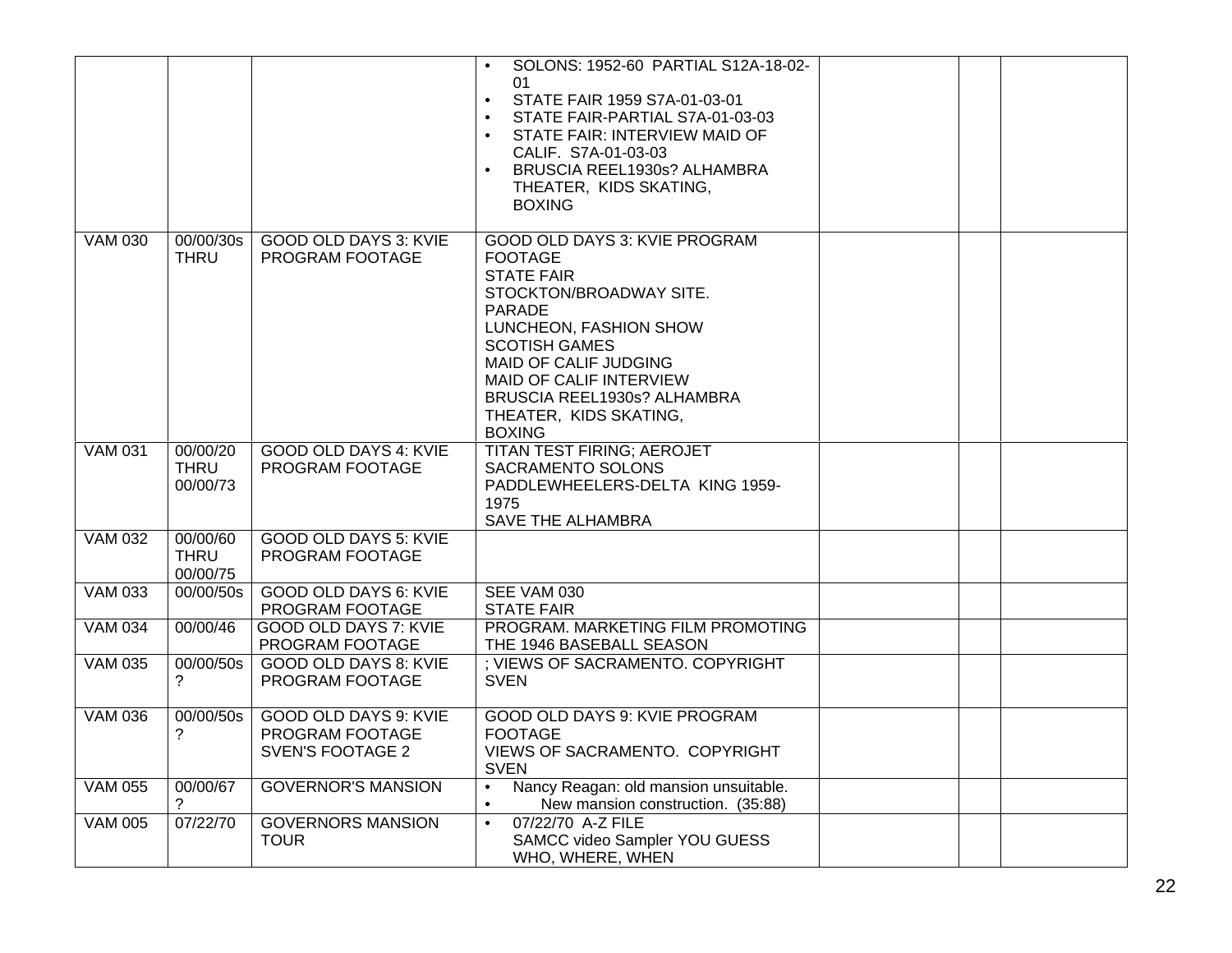|                |                                     |                                                                            | SOLONS: 1952-60 PARTIAL S12A-18-02-<br>$\bullet$<br>01<br>STATE FAIR 1959 S7A-01-03-01<br>$\bullet$<br>STATE FAIR-PARTIAL S7A-01-03-03<br>STATE FAIR: INTERVIEW MAID OF<br>$\bullet$<br>CALIF. S7A-01-03-03<br>BRUSCIA REEL1930s? ALHAMBRA<br>$\bullet$<br>THEATER, KIDS SKATING,<br><b>BOXING</b> |  |  |
|----------------|-------------------------------------|----------------------------------------------------------------------------|----------------------------------------------------------------------------------------------------------------------------------------------------------------------------------------------------------------------------------------------------------------------------------------------------|--|--|
| <b>VAM 030</b> | 00/00/30s<br><b>THRU</b>            | <b>GOOD OLD DAYS 3: KVIE</b><br>PROGRAM FOOTAGE                            | GOOD OLD DAYS 3: KVIE PROGRAM<br><b>FOOTAGE</b><br><b>STATE FAIR</b><br>STOCKTON/BROADWAY SITE.<br><b>PARADE</b><br>LUNCHEON, FASHION SHOW<br><b>SCOTISH GAMES</b><br>MAID OF CALIF JUDGING<br>MAID OF CALIF INTERVIEW<br>BRUSCIA REEL1930s? ALHAMBRA<br>THEATER, KIDS SKATING,<br><b>BOXING</b>   |  |  |
| <b>VAM 031</b> | 00/00/20<br><b>THRU</b><br>00/00/73 | <b>GOOD OLD DAYS 4: KVIE</b><br>PROGRAM FOOTAGE                            | <b>TITAN TEST FIRING; AEROJET</b><br>SACRAMENTO SOLONS<br>PADDLEWHEELERS-DELTA KING 1959-<br>1975<br>SAVE THE ALHAMBRA                                                                                                                                                                             |  |  |
| <b>VAM 032</b> | 00/00/60<br><b>THRU</b><br>00/00/75 | <b>GOOD OLD DAYS 5: KVIE</b><br>PROGRAM FOOTAGE                            |                                                                                                                                                                                                                                                                                                    |  |  |
| <b>VAM 033</b> | 00/00/50s                           | <b>GOOD OLD DAYS 6: KVIE</b><br>PROGRAM FOOTAGE                            | SEE VAM 030<br><b>STATE FAIR</b>                                                                                                                                                                                                                                                                   |  |  |
| <b>VAM 034</b> | 00/00/46                            | GOOD OLD DAYS 7: KVIE<br>PROGRAM FOOTAGE                                   | PROGRAM. MARKETING FILM PROMOTING<br>THE 1946 BASEBALL SEASON                                                                                                                                                                                                                                      |  |  |
| <b>VAM 035</b> | 00/00/50s<br>?                      | <b>GOOD OLD DAYS 8: KVIE</b><br>PROGRAM FOOTAGE                            | ; VIEWS OF SACRAMENTO. COPYRIGHT<br><b>SVEN</b>                                                                                                                                                                                                                                                    |  |  |
| <b>VAM 036</b> | 00/00/50s<br>?                      | <b>GOOD OLD DAYS 9: KVIE</b><br>PROGRAM FOOTAGE<br><b>SVEN'S FOOTAGE 2</b> | GOOD OLD DAYS 9: KVIE PROGRAM<br><b>FOOTAGE</b><br>VIEWS OF SACRAMENTO. COPYRIGHT<br><b>SVEN</b>                                                                                                                                                                                                   |  |  |
| <b>VAM 055</b> | 00/00/67                            | <b>GOVERNOR'S MANSION</b>                                                  | Nancy Reagan: old mansion unsuitable.<br>$\bullet$<br>New mansion construction. (35:88)                                                                                                                                                                                                            |  |  |
| <b>VAM 005</b> | 07/22/70                            | <b>GOVERNORS MANSION</b><br><b>TOUR</b>                                    | 07/22/70 A-Z FILE<br>$\bullet$<br>SAMCC video Sampler YOU GUESS<br>WHO, WHERE, WHEN                                                                                                                                                                                                                |  |  |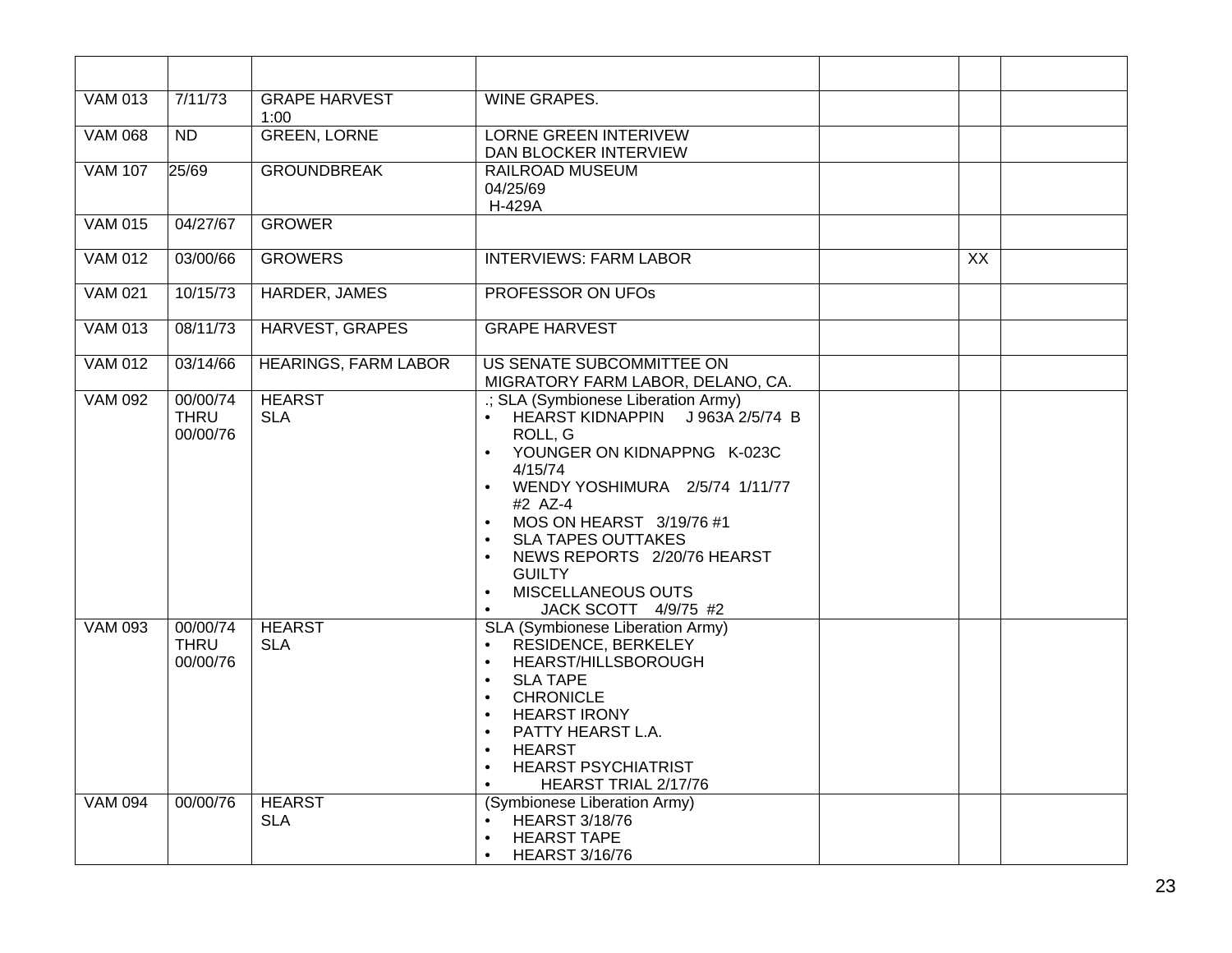| <b>VAM 013</b> | 7/11/73                             | <b>GRAPE HARVEST</b><br>1:00 | <b>WINE GRAPES.</b>                                                                                                                                                                                                                                                                                                                                                                                |                 |  |
|----------------|-------------------------------------|------------------------------|----------------------------------------------------------------------------------------------------------------------------------------------------------------------------------------------------------------------------------------------------------------------------------------------------------------------------------------------------------------------------------------------------|-----------------|--|
| <b>VAM 068</b> | ND                                  | <b>GREEN, LORNE</b>          | <b>LORNE GREEN INTERIVEW</b><br>DAN BLOCKER INTERVIEW                                                                                                                                                                                                                                                                                                                                              |                 |  |
| <b>VAM 107</b> | 25/69                               | <b>GROUNDBREAK</b>           | <b>RAILROAD MUSEUM</b><br>04/25/69<br>H-429A                                                                                                                                                                                                                                                                                                                                                       |                 |  |
| <b>VAM 015</b> | 04/27/67                            | <b>GROWER</b>                |                                                                                                                                                                                                                                                                                                                                                                                                    |                 |  |
| <b>VAM 012</b> | 03/00/66                            | <b>GROWERS</b>               | <b>INTERVIEWS: FARM LABOR</b>                                                                                                                                                                                                                                                                                                                                                                      | $\overline{XX}$ |  |
| <b>VAM 021</b> | 10/15/73                            | HARDER, JAMES                | <b>PROFESSOR ON UFOS</b>                                                                                                                                                                                                                                                                                                                                                                           |                 |  |
| <b>VAM 013</b> | 08/11/73                            | <b>HARVEST, GRAPES</b>       | <b>GRAPE HARVEST</b>                                                                                                                                                                                                                                                                                                                                                                               |                 |  |
| <b>VAM 012</b> | 03/14/66                            | <b>HEARINGS, FARM LABOR</b>  | US SENATE SUBCOMMITTEE ON<br>MIGRATORY FARM LABOR, DELANO, CA.                                                                                                                                                                                                                                                                                                                                     |                 |  |
| <b>VAM 092</b> | 00/00/74<br><b>THRU</b><br>00/00/76 | <b>HEARST</b><br><b>SLA</b>  | .; SLA (Symbionese Liberation Army)<br>• HEARST KIDNAPPIN J963A 2/5/74 B<br>ROLL, G<br>YOUNGER ON KIDNAPPNG K-023C<br>$\bullet$<br>4/15/74<br>WENDY YOSHIMURA 2/5/74 1/11/77<br>#2 AZ-4<br>MOS ON HEARST 3/19/76 #1<br>$\bullet$<br><b>SLA TAPES OUTTAKES</b><br>NEWS REPORTS 2/20/76 HEARST<br>$\bullet$<br><b>GUILTY</b><br>MISCELLANEOUS OUTS<br>$\bullet$<br>JACK SCOTT 4/9/75 #2<br>$\bullet$ |                 |  |
| <b>VAM 093</b> | 00/00/74<br><b>THRU</b><br>00/00/76 | <b>HEARST</b><br><b>SLA</b>  | SLA (Symbionese Liberation Army)<br><b>RESIDENCE, BERKELEY</b><br>$\bullet$<br>HEARST/HILLSBOROUGH<br>$\bullet$<br><b>SLA TAPE</b><br>$\bullet$<br><b>CHRONICLE</b><br>$\bullet$<br><b>HEARST IRONY</b><br>PATTY HEARST L.A.<br>$\bullet$<br><b>HEARST</b><br>$\bullet$<br><b>HEARST PSYCHIATRIST</b><br>$\bullet$<br>HEARST TRIAL 2/17/76<br>$\bullet$                                            |                 |  |
| <b>VAM 094</b> | 00/00/76                            | <b>HEARST</b><br><b>SLA</b>  | (Symbionese Liberation Army)<br><b>HEARST 3/18/76</b><br><b>HEARST TAPE</b><br>$\bullet$<br><b>HEARST 3/16/76</b><br>$\bullet$                                                                                                                                                                                                                                                                     |                 |  |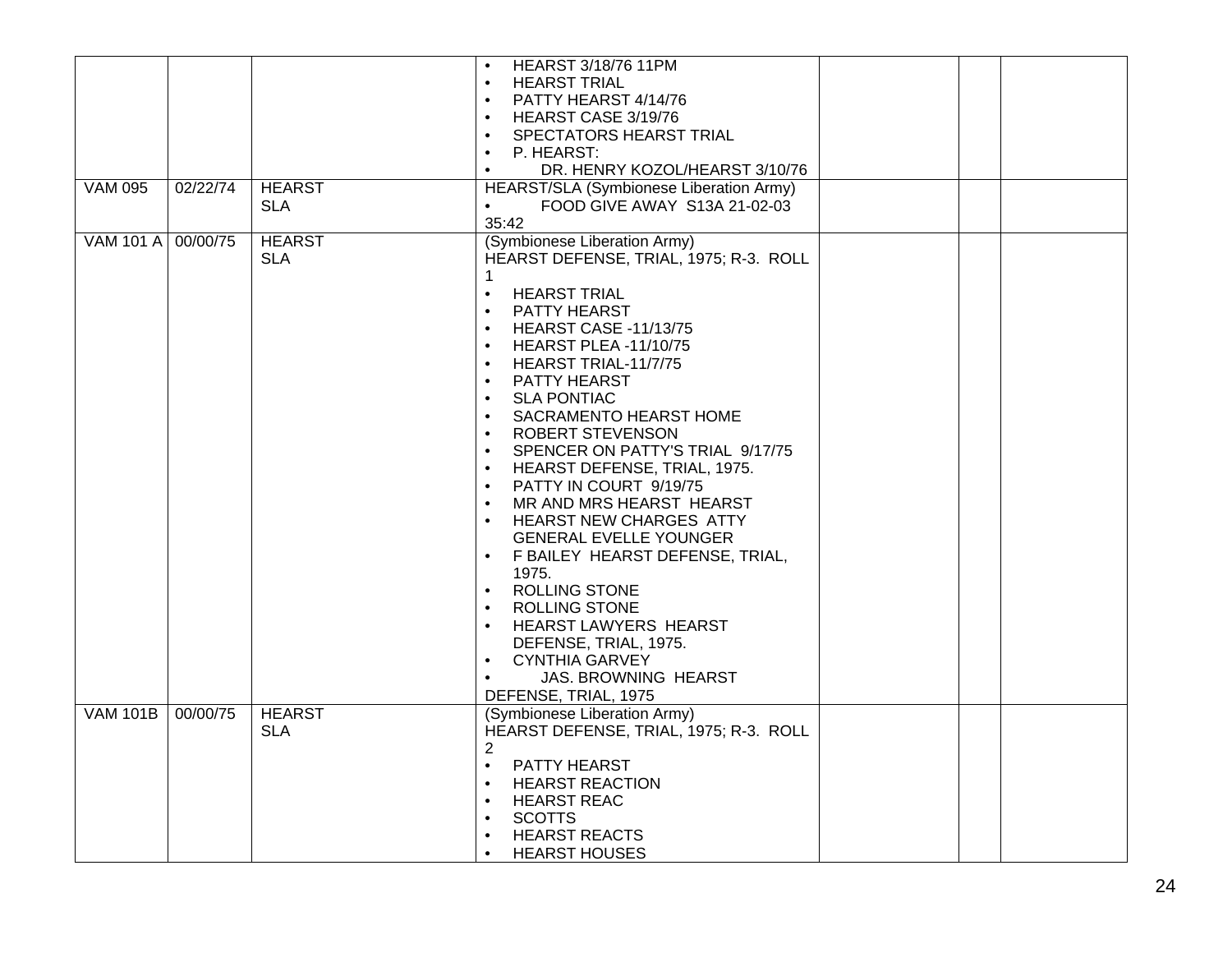|                    |          |               | <b>HEARST 3/18/76 11PM</b>                    |  |  |
|--------------------|----------|---------------|-----------------------------------------------|--|--|
|                    |          |               | $\bullet$<br><b>HEARST TRIAL</b><br>$\bullet$ |  |  |
|                    |          |               | PATTY HEARST 4/14/76                          |  |  |
|                    |          |               | $\bullet$                                     |  |  |
|                    |          |               | HEARST CASE 3/19/76                           |  |  |
|                    |          |               | SPECTATORS HEARST TRIAL<br>$\bullet$          |  |  |
|                    |          |               | P. HEARST:<br>$\bullet$                       |  |  |
|                    |          |               | DR. HENRY KOZOL/HEARST 3/10/76<br>$\bullet$   |  |  |
| <b>VAM 095</b>     | 02/22/74 | <b>HEARST</b> | HEARST/SLA (Symbionese Liberation Army)       |  |  |
|                    |          | <b>SLA</b>    | FOOD GIVE AWAY S13A 21-02-03<br>$\bullet$     |  |  |
|                    |          |               | 35:42                                         |  |  |
| VAM 101 A 00/00/75 |          | <b>HEARST</b> | (Symbionese Liberation Army)                  |  |  |
|                    |          | <b>SLA</b>    | HEARST DEFENSE, TRIAL, 1975; R-3. ROLL        |  |  |
|                    |          |               | 1                                             |  |  |
|                    |          |               | <b>HEARST TRIAL</b><br>$\bullet$              |  |  |
|                    |          |               | PATTY HEARST<br>$\bullet$                     |  |  |
|                    |          |               | <b>HEARST CASE -11/13/75</b><br>$\bullet$     |  |  |
|                    |          |               | <b>HEARST PLEA -11/10/75</b><br>$\bullet$     |  |  |
|                    |          |               | HEARST TRIAL-11/7/75<br>$\bullet$             |  |  |
|                    |          |               | PATTY HEARST<br>$\bullet$                     |  |  |
|                    |          |               | <b>SLA PONTIAC</b>                            |  |  |
|                    |          |               | SACRAMENTO HEARST HOME<br>$\bullet$           |  |  |
|                    |          |               |                                               |  |  |
|                    |          |               | ROBERT STEVENSON<br>$\bullet$                 |  |  |
|                    |          |               | SPENCER ON PATTY'S TRIAL 9/17/75<br>$\bullet$ |  |  |
|                    |          |               | HEARST DEFENSE, TRIAL, 1975.<br>$\bullet$     |  |  |
|                    |          |               | PATTY IN COURT 9/19/75<br>$\bullet$           |  |  |
|                    |          |               | MR AND MRS HEARST HEARST<br>$\bullet$         |  |  |
|                    |          |               | <b>HEARST NEW CHARGES ATTY</b><br>$\bullet$   |  |  |
|                    |          |               | <b>GENERAL EVELLE YOUNGER</b>                 |  |  |
|                    |          |               | F BAILEY HEARST DEFENSE, TRIAL,<br>$\bullet$  |  |  |
|                    |          |               | 1975.                                         |  |  |
|                    |          |               | ROLLING STONE<br>$\bullet$                    |  |  |
|                    |          |               | <b>ROLLING STONE</b><br>$\bullet$             |  |  |
|                    |          |               | HEARST LAWYERS HEARST<br>$\bullet$            |  |  |
|                    |          |               | DEFENSE, TRIAL, 1975.                         |  |  |
|                    |          |               | <b>CYNTHIA GARVEY</b><br>$\bullet$            |  |  |
|                    |          |               | <b>JAS. BROWNING HEARST</b><br>$\bullet$      |  |  |
|                    |          |               |                                               |  |  |
|                    |          |               | DEFENSE, TRIAL, 1975                          |  |  |
| <b>VAM 101B</b>    | 00/00/75 | <b>HEARST</b> | (Symbionese Liberation Army)                  |  |  |
|                    |          | <b>SLA</b>    | HEARST DEFENSE, TRIAL, 1975; R-3. ROLL        |  |  |
|                    |          |               | $\overline{2}$                                |  |  |
|                    |          |               | PATTY HEARST<br>$\bullet$                     |  |  |
|                    |          |               | <b>HEARST REACTION</b><br>$\bullet$           |  |  |
|                    |          |               | <b>HEARST REAC</b><br>$\bullet$               |  |  |
|                    |          |               | <b>SCOTTS</b><br>$\bullet$                    |  |  |
|                    |          |               | <b>HEARST REACTS</b><br>$\bullet$             |  |  |
|                    |          |               | <b>HEARST HOUSES</b><br>$\bullet$             |  |  |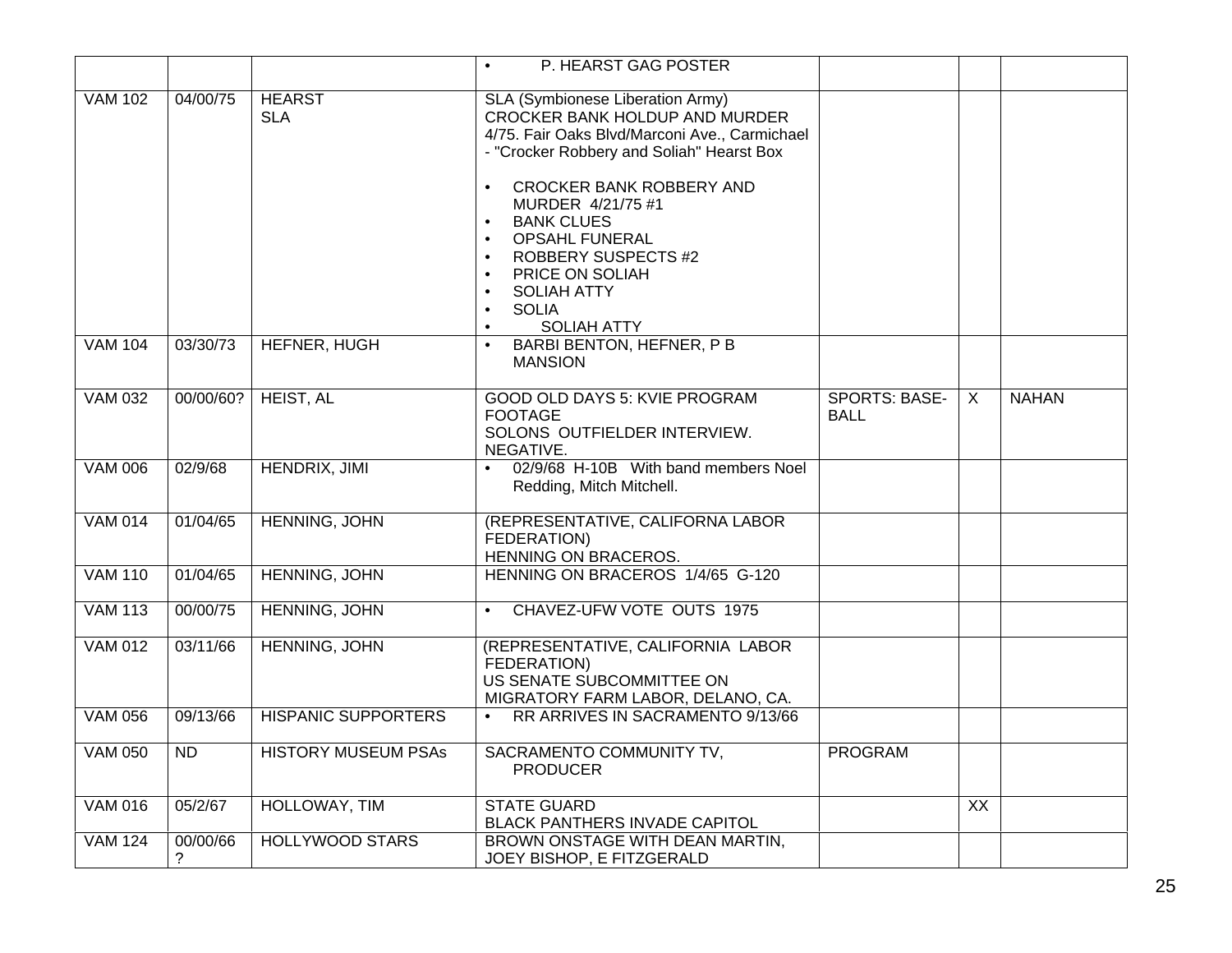|                |               |                             | P. HEARST GAG POSTER<br>$\bullet$                                                                                                                                                                                                                                                                                                                                       |                                     |                 |              |
|----------------|---------------|-----------------------------|-------------------------------------------------------------------------------------------------------------------------------------------------------------------------------------------------------------------------------------------------------------------------------------------------------------------------------------------------------------------------|-------------------------------------|-----------------|--------------|
|                |               |                             |                                                                                                                                                                                                                                                                                                                                                                         |                                     |                 |              |
| <b>VAM 102</b> | 04/00/75      | <b>HEARST</b><br><b>SLA</b> | SLA (Symbionese Liberation Army)<br><b>CROCKER BANK HOLDUP AND MURDER</b><br>4/75. Fair Oaks Blvd/Marconi Ave., Carmichael<br>- "Crocker Robbery and Soliah" Hearst Box<br>CROCKER BANK ROBBERY AND<br>MURDER 4/21/75 #1<br><b>BANK CLUES</b><br><b>OPSAHL FUNERAL</b><br><b>ROBBERY SUSPECTS #2</b><br>$\bullet$<br>PRICE ON SOLIAH<br>$\bullet$<br><b>SOLIAH ATTY</b> |                                     |                 |              |
|                |               |                             | <b>SOLIA</b><br>$\bullet$                                                                                                                                                                                                                                                                                                                                               |                                     |                 |              |
|                |               |                             | <b>SOLIAH ATTY</b>                                                                                                                                                                                                                                                                                                                                                      |                                     |                 |              |
| <b>VAM 104</b> | 03/30/73      | <b>HEFNER, HUGH</b>         | <b>BARBI BENTON, HEFNER, P B</b><br><b>MANSION</b>                                                                                                                                                                                                                                                                                                                      |                                     |                 |              |
| <b>VAM 032</b> | 00/00/60?     | HEIST, AL                   | <b>GOOD OLD DAYS 5: KVIE PROGRAM</b><br><b>FOOTAGE</b><br>SOLONS OUTFIELDER INTERVIEW.<br>NEGATIVE.                                                                                                                                                                                                                                                                     | <b>SPORTS: BASE-</b><br><b>BALL</b> | $\overline{X}$  | <b>NAHAN</b> |
| <b>VAM 006</b> | 02/9/68       | <b>HENDRIX, JIMI</b>        | 02/9/68 H-10B With band members Noel<br>Redding, Mitch Mitchell.                                                                                                                                                                                                                                                                                                        |                                     |                 |              |
| <b>VAM 014</b> | 01/04/65      | <b>HENNING, JOHN</b>        | (REPRESENTATIVE, CALIFORNA LABOR<br>FEDERATION)<br>HENNING ON BRACEROS.                                                                                                                                                                                                                                                                                                 |                                     |                 |              |
| <b>VAM 110</b> | 01/04/65      | <b>HENNING, JOHN</b>        | HENNING ON BRACEROS 1/4/65 G-120                                                                                                                                                                                                                                                                                                                                        |                                     |                 |              |
| <b>VAM 113</b> | 00/00/75      | HENNING, JOHN               | CHAVEZ-UFW VOTE OUTS 1975                                                                                                                                                                                                                                                                                                                                               |                                     |                 |              |
| <b>VAM 012</b> | 03/11/66      | <b>HENNING, JOHN</b>        | (REPRESENTATIVE, CALIFORNIA LABOR<br>FEDERATION)<br>US SENATE SUBCOMMITTEE ON<br>MIGRATORY FARM LABOR, DELANO, CA.                                                                                                                                                                                                                                                      |                                     |                 |              |
| <b>VAM 056</b> | 09/13/66      | <b>HISPANIC SUPPORTERS</b>  | RR ARRIVES IN SACRAMENTO 9/13/66                                                                                                                                                                                                                                                                                                                                        |                                     |                 |              |
| <b>VAM 050</b> | ND            | <b>HISTORY MUSEUM PSAs</b>  | SACRAMENTO COMMUNITY TV,<br><b>PRODUCER</b>                                                                                                                                                                                                                                                                                                                             | <b>PROGRAM</b>                      |                 |              |
| <b>VAM 016</b> | 05/2/67       | HOLLOWAY, TIM               | <b>STATE GUARD</b><br>BLACK PANTHERS INVADE CAPITOL                                                                                                                                                                                                                                                                                                                     |                                     | $\overline{XX}$ |              |
| <b>VAM 124</b> | 00/00/66<br>? | <b>HOLLYWOOD STARS</b>      | BROWN ONSTAGE WITH DEAN MARTIN,<br>JOEY BISHOP, E FITZGERALD                                                                                                                                                                                                                                                                                                            |                                     |                 |              |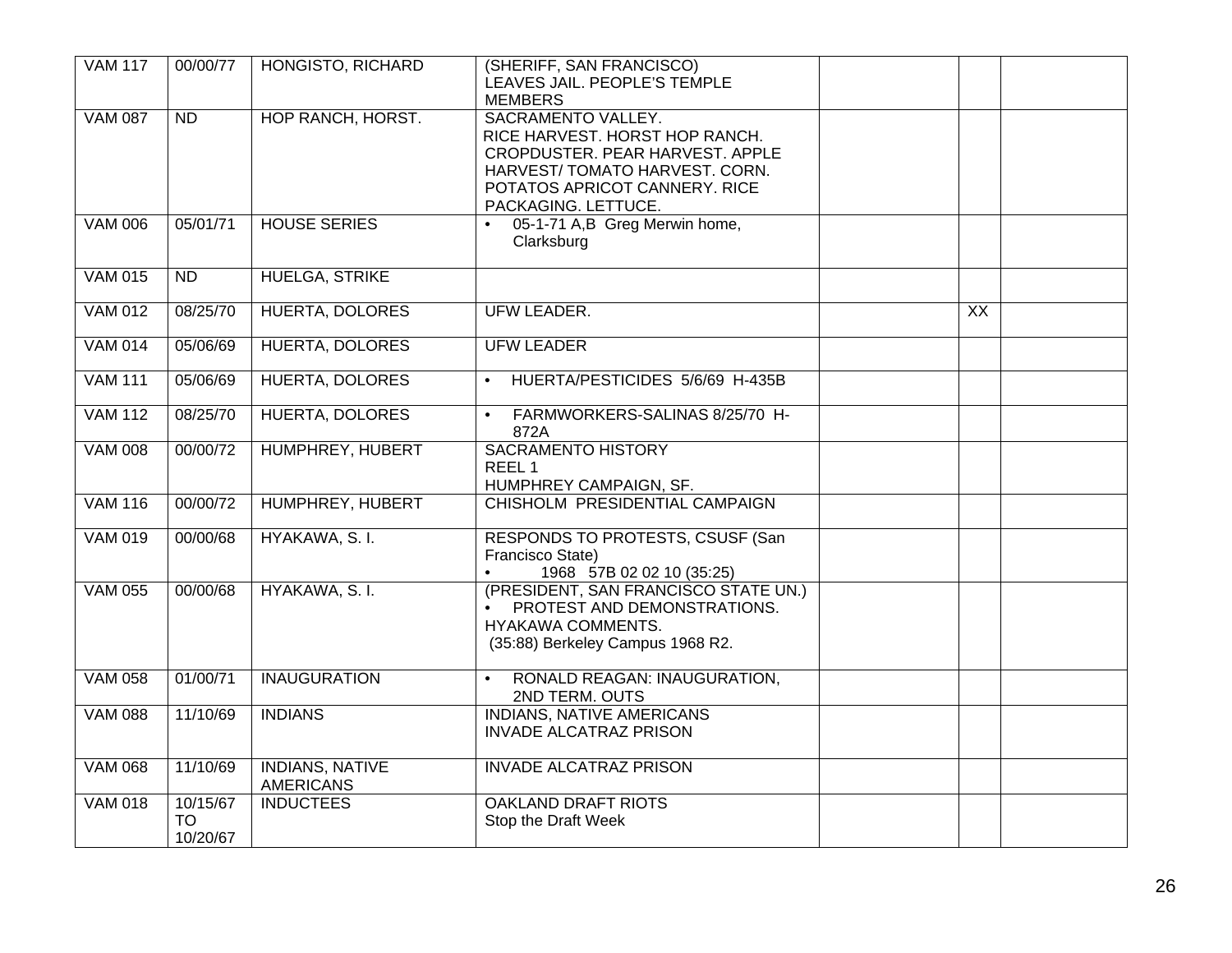| <b>VAM 117</b> | 00/00/77              | HONGISTO, RICHARD                          | (SHERIFF, SAN FRANCISCO)<br>LEAVES JAIL. PEOPLE'S TEMPLE          |    |
|----------------|-----------------------|--------------------------------------------|-------------------------------------------------------------------|----|
| <b>VAM 087</b> | ND                    | HOP RANCH, HORST.                          | <b>MEMBERS</b><br>SACRAMENTO VALLEY.                              |    |
|                |                       |                                            | RICE HARVEST. HORST HOP RANCH.<br>CROPDUSTER. PEAR HARVEST. APPLE |    |
|                |                       |                                            | HARVEST/TOMATO HARVEST. CORN.                                     |    |
|                |                       |                                            | POTATOS APRICOT CANNERY. RICE<br>PACKAGING. LETTUCE.              |    |
| <b>VAM 006</b> | 05/01/71              | <b>HOUSE SERIES</b>                        | 05-1-71 A,B Greg Merwin home,<br>$\bullet$                        |    |
|                |                       |                                            | Clarksburg                                                        |    |
| <b>VAM 015</b> | ND                    | <b>HUELGA, STRIKE</b>                      |                                                                   |    |
| <b>VAM 012</b> | 08/25/70              | <b>HUERTA, DOLORES</b>                     | UFW LEADER.                                                       | XX |
| <b>VAM 014</b> | 05/06/69              | <b>HUERTA, DOLORES</b>                     | <b>UFW LEADER</b>                                                 |    |
| <b>VAM 111</b> | 05/06/69              | <b>HUERTA, DOLORES</b>                     | HUERTA/PESTICIDES 5/6/69 H-435B<br>$\bullet$                      |    |
| <b>VAM 112</b> | 08/25/70              | <b>HUERTA, DOLORES</b>                     | FARMWORKERS-SALINAS 8/25/70 H-<br>$\bullet$<br>872A               |    |
| <b>VAM 008</b> | 00/00/72              | HUMPHREY, HUBERT                           | <b>SACRAMENTO HISTORY</b>                                         |    |
|                |                       |                                            | REEL <sub>1</sub><br>HUMPHREY CAMPAIGN, SF.                       |    |
| <b>VAM 116</b> | 00/00/72              | HUMPHREY, HUBERT                           | CHISHOLM PRESIDENTIAL CAMPAIGN                                    |    |
| <b>VAM 019</b> | 00/00/68              | HYAKAWA, S. I.                             | RESPONDS TO PROTESTS, CSUSF (San                                  |    |
|                |                       |                                            | Francisco State)<br>1968 57B 02 02 10 (35:25)<br>$\bullet$        |    |
| <b>VAM 055</b> | 00/00/68              | HYAKAWA, S. I.                             | (PRESIDENT, SAN FRANCISCO STATE UN.)                              |    |
|                |                       |                                            | PROTEST AND DEMONSTRATIONS.<br>HYAKAWA COMMENTS.                  |    |
|                |                       |                                            | (35:88) Berkeley Campus 1968 R2.                                  |    |
| <b>VAM 058</b> | 01/00/71              | <b>INAUGURATION</b>                        | RONALD REAGAN: INAUGURATION,<br>$\bullet$<br>2ND TERM. OUTS       |    |
| <b>VAM 088</b> | 11/10/69              | <b>INDIANS</b>                             | <b>INDIANS, NATIVE AMERICANS</b>                                  |    |
|                |                       |                                            | <b>INVADE ALCATRAZ PRISON</b>                                     |    |
| <b>VAM 068</b> | 11/10/69              | <b>INDIANS, NATIVE</b><br><b>AMERICANS</b> | <b>INVADE ALCATRAZ PRISON</b>                                     |    |
| <b>VAM 018</b> | 10/15/67              | <b>INDUCTEES</b>                           | <b>OAKLAND DRAFT RIOTS</b>                                        |    |
|                | <b>TO</b><br>10/20/67 |                                            | Stop the Draft Week                                               |    |
|                |                       |                                            |                                                                   |    |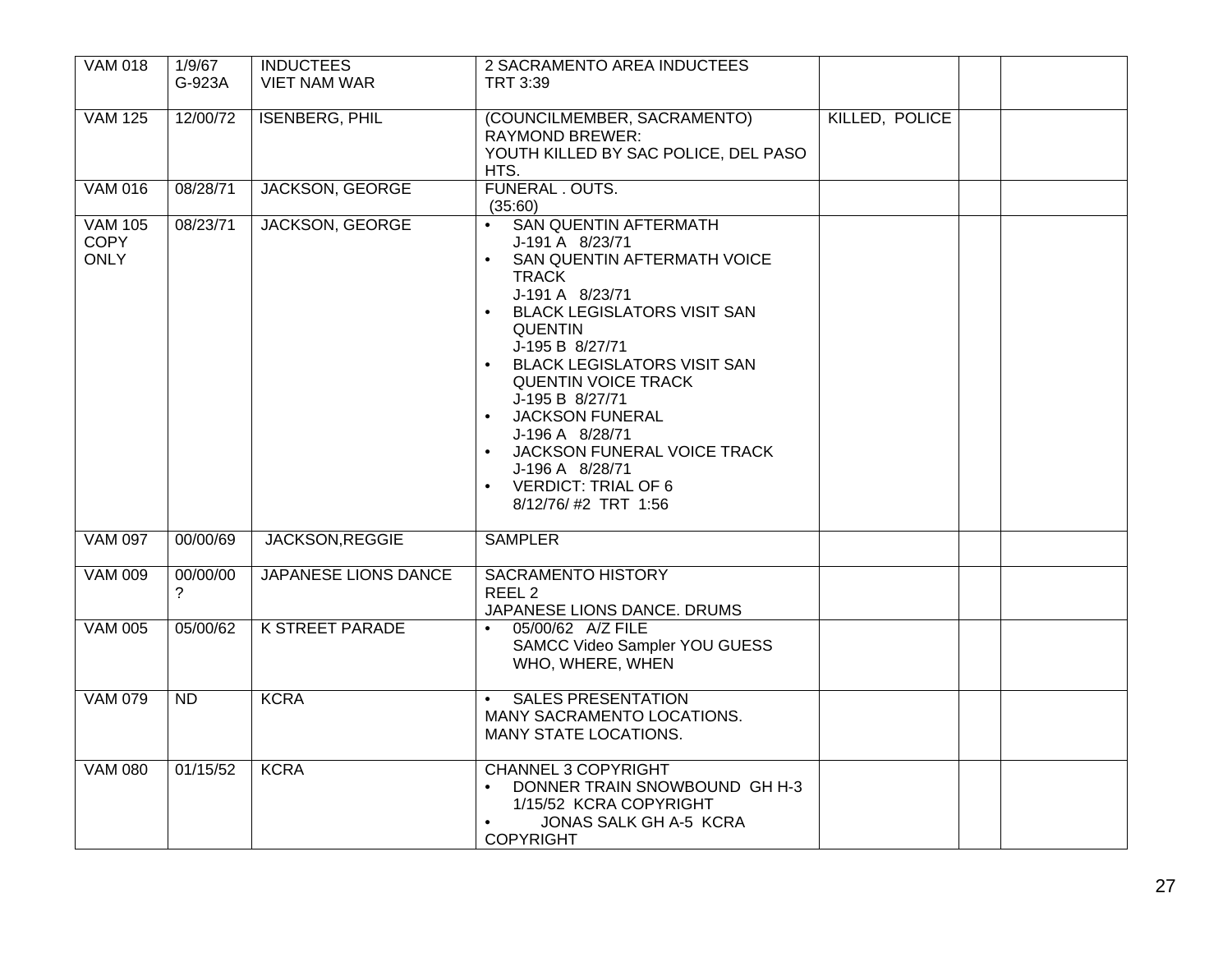| <b>VAM 018</b>                               | 1/9/67        | <b>INDUCTEES</b>            | 2 SACRAMENTO AREA INDUCTEES                                                                                                                                                                                                                                                                                                                                                                                                                          |                |  |
|----------------------------------------------|---------------|-----------------------------|------------------------------------------------------------------------------------------------------------------------------------------------------------------------------------------------------------------------------------------------------------------------------------------------------------------------------------------------------------------------------------------------------------------------------------------------------|----------------|--|
|                                              | G-923A        | <b>VIET NAM WAR</b>         | TRT 3:39                                                                                                                                                                                                                                                                                                                                                                                                                                             |                |  |
|                                              |               |                             |                                                                                                                                                                                                                                                                                                                                                                                                                                                      |                |  |
| <b>VAM 125</b>                               | 12/00/72      | <b>ISENBERG, PHIL</b>       | (COUNCILMEMBER, SACRAMENTO)<br><b>RAYMOND BREWER:</b><br>YOUTH KILLED BY SAC POLICE, DEL PASO<br>HTS.                                                                                                                                                                                                                                                                                                                                                | KILLED, POLICE |  |
| <b>VAM 016</b>                               | 08/28/71      | <b>JACKSON, GEORGE</b>      | FUNERAL . OUTS.                                                                                                                                                                                                                                                                                                                                                                                                                                      |                |  |
|                                              |               |                             | (35:60)                                                                                                                                                                                                                                                                                                                                                                                                                                              |                |  |
| <b>VAM 105</b><br><b>COPY</b><br><b>ONLY</b> | 08/23/71      | <b>JACKSON, GEORGE</b>      | <b>SAN QUENTIN AFTERMATH</b><br>J-191 A 8/23/71<br>SAN QUENTIN AFTERMATH VOICE<br><b>TRACK</b><br>J-191 A 8/23/71<br><b>BLACK LEGISLATORS VISIT SAN</b><br>$\bullet$<br><b>QUENTIN</b><br>J-195 B 8/27/71<br><b>BLACK LEGISLATORS VISIT SAN</b><br><b>QUENTIN VOICE TRACK</b><br>J-195 B 8/27/71<br><b>JACKSON FUNERAL</b><br>J-196 A 8/28/71<br>JACKSON FUNERAL VOICE TRACK<br>J-196 A 8/28/71<br><b>VERDICT: TRIAL OF 6</b><br>8/12/76/#2 TRT 1:56 |                |  |
| <b>VAM 097</b>                               | 00/00/69      | JACKSON, REGGIE             | <b>SAMPLER</b>                                                                                                                                                                                                                                                                                                                                                                                                                                       |                |  |
| <b>VAM 009</b>                               | 00/00/00<br>2 | <b>JAPANESE LIONS DANCE</b> | <b>SACRAMENTO HISTORY</b><br>REEL <sub>2</sub><br>JAPANESE LIONS DANCE. DRUMS                                                                                                                                                                                                                                                                                                                                                                        |                |  |
| <b>VAM 005</b>                               | 05/00/62      | <b>K STREET PARADE</b>      | 05/00/62 A/Z FILE<br>SAMCC Video Sampler YOU GUESS<br>WHO, WHERE, WHEN                                                                                                                                                                                                                                                                                                                                                                               |                |  |
| <b>VAM 079</b>                               | ND            | <b>KCRA</b>                 | <b>SALES PRESENTATION</b><br>MANY SACRAMENTO LOCATIONS.<br>MANY STATE LOCATIONS.                                                                                                                                                                                                                                                                                                                                                                     |                |  |
| <b>VAM 080</b>                               | 01/15/52      | <b>KCRA</b>                 | <b>CHANNEL 3 COPYRIGHT</b><br>DONNER TRAIN SNOWBOUND GH H-3<br>1/15/52 KCRA COPYRIGHT<br><b>JONAS SALK GH A-5 KCRA</b><br>$\bullet$<br><b>COPYRIGHT</b>                                                                                                                                                                                                                                                                                              |                |  |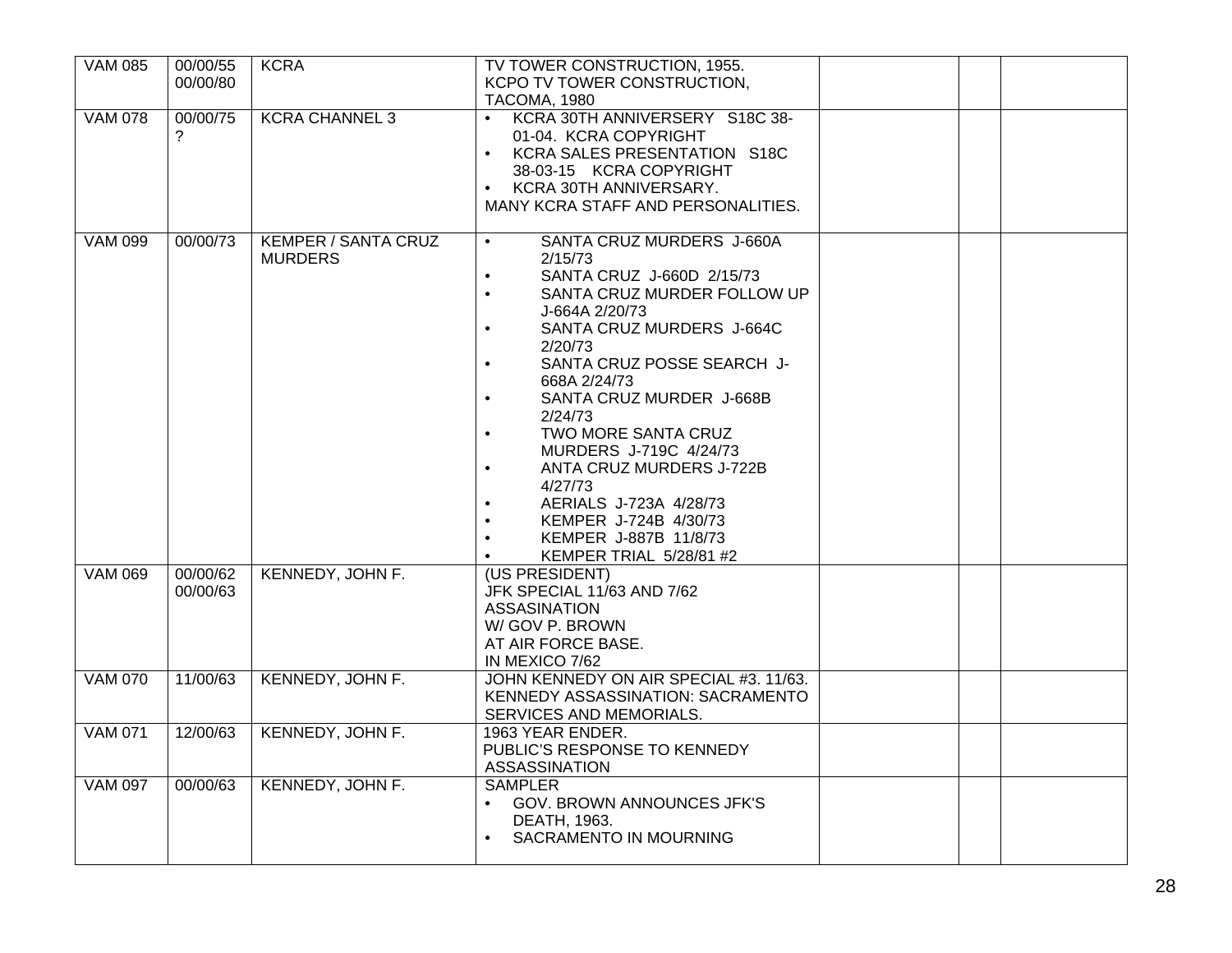| <b>VAM 085</b> | 00/00/55<br>00/00/80 | <b>KCRA</b>                           | TV TOWER CONSTRUCTION, 1955.<br>KCPO TV TOWER CONSTRUCTION.<br>TACOMA, 1980                                                                                                                                                                                                                                                                                                                                                                                                                                                                                                                   |  |
|----------------|----------------------|---------------------------------------|-----------------------------------------------------------------------------------------------------------------------------------------------------------------------------------------------------------------------------------------------------------------------------------------------------------------------------------------------------------------------------------------------------------------------------------------------------------------------------------------------------------------------------------------------------------------------------------------------|--|
| <b>VAM 078</b> | 00/00/75<br>?        | <b>KCRA CHANNEL 3</b>                 | KCRA 30TH ANNIVERSERY S18C 38-<br>01-04. KCRA COPYRIGHT<br>KCRA SALES PRESENTATION S18C<br>38-03-15 KCRA COPYRIGHT<br>KCRA 30TH ANNIVERSARY.<br>$\bullet$<br>MANY KCRA STAFF AND PERSONALITIES.                                                                                                                                                                                                                                                                                                                                                                                               |  |
| <b>VAM 099</b> | 00/00/73             | KEMPER / SANTA CRUZ<br><b>MURDERS</b> | SANTA CRUZ MURDERS J-660A<br>$\bullet$<br>2/15/73<br>SANTA CRUZ J-660D 2/15/73<br>$\bullet$<br>SANTA CRUZ MURDER FOLLOW UP<br>$\bullet$<br>J-664A 2/20/73<br>SANTA CRUZ MURDERS J-664C<br>$\bullet$<br>2/20/73<br>SANTA CRUZ POSSE SEARCH J-<br>$\bullet$<br>668A 2/24/73<br>SANTA CRUZ MURDER J-668B<br>$\bullet$<br>2/24/73<br>TWO MORE SANTA CRUZ<br>$\bullet$<br>MURDERS J-719C 4/24/73<br>ANTA CRUZ MURDERS J-722B<br>$\bullet$<br>4/27/73<br>AERIALS J-723A 4/28/73<br>$\bullet$<br>KEMPER J-724B 4/30/73<br>KEMPER J-887B 11/8/73<br>$\bullet$<br>KEMPER TRIAL 5/28/81 #2<br>$\bullet$ |  |
| <b>VAM 069</b> | 00/00/62<br>00/00/63 | KENNEDY, JOHN F.                      | (US PRESIDENT)<br>JFK SPECIAL 11/63 AND 7/62<br><b>ASSASINATION</b><br>W/GOV P. BROWN<br>AT AIR FORCE BASE.<br>IN MEXICO 7/62                                                                                                                                                                                                                                                                                                                                                                                                                                                                 |  |
| <b>VAM 070</b> | 11/00/63             | KENNEDY, JOHN F.                      | JOHN KENNEDY ON AIR SPECIAL #3. 11/63.<br>KENNEDY ASSASSINATION: SACRAMENTO<br>SERVICES AND MEMORIALS.                                                                                                                                                                                                                                                                                                                                                                                                                                                                                        |  |
| <b>VAM 071</b> | 12/00/63             | KENNEDY, JOHN F.                      | 1963 YEAR ENDER.<br>PUBLIC'S RESPONSE TO KENNEDY<br><b>ASSASSINATION</b>                                                                                                                                                                                                                                                                                                                                                                                                                                                                                                                      |  |
| <b>VAM 097</b> | 00/00/63             | KENNEDY, JOHN F.                      | <b>SAMPLER</b><br>GOV. BROWN ANNOUNCES JFK'S<br>DEATH, 1963.<br>SACRAMENTO IN MOURNING                                                                                                                                                                                                                                                                                                                                                                                                                                                                                                        |  |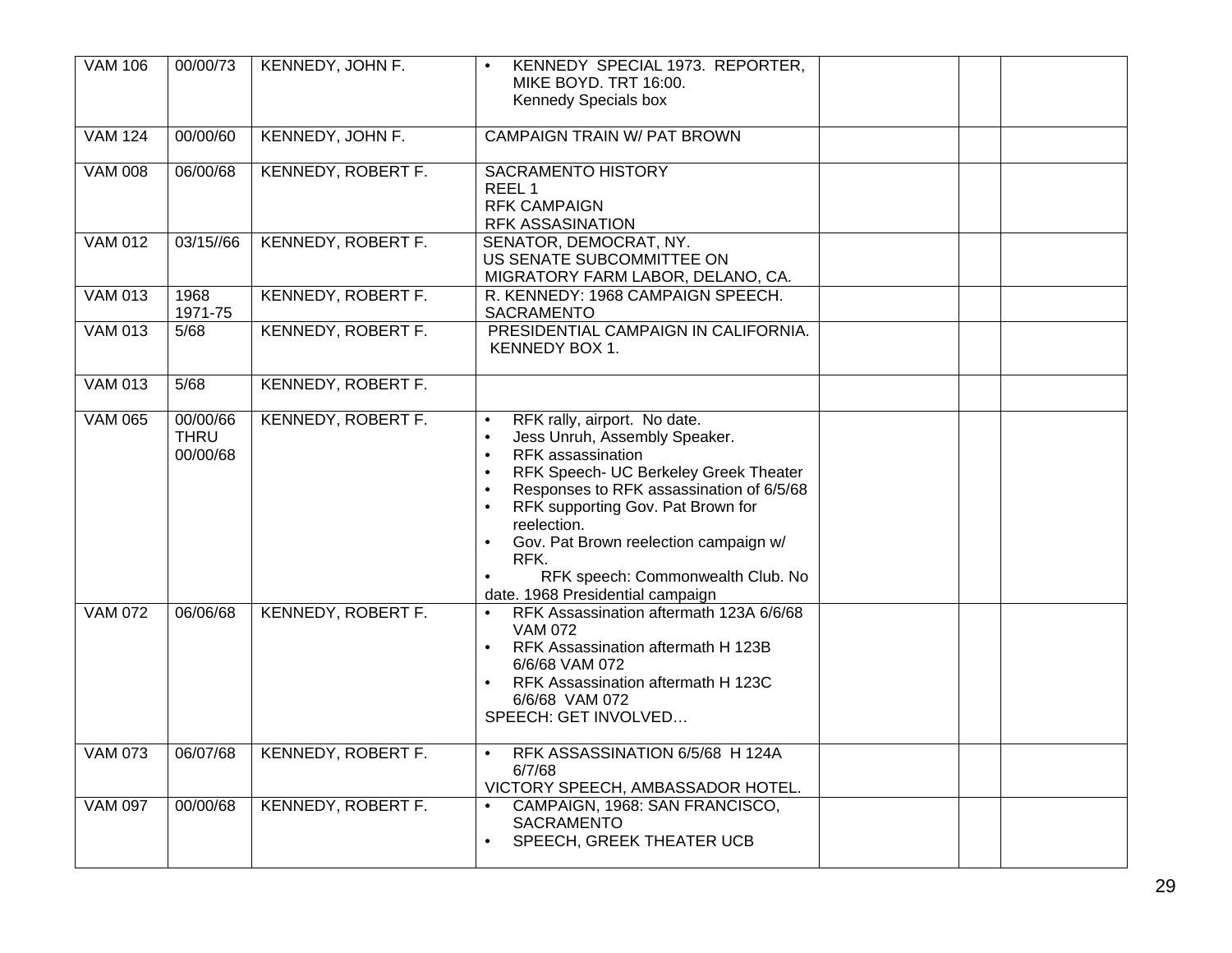| <b>VAM 106</b> | 00/00/73                            | KENNEDY, JOHN F.          | KENNEDY SPECIAL 1973. REPORTER,<br>MIKE BOYD. TRT 16:00.<br>Kennedy Specials box                                                                                                                                                                                                                                                                                                                                                                              |  |
|----------------|-------------------------------------|---------------------------|---------------------------------------------------------------------------------------------------------------------------------------------------------------------------------------------------------------------------------------------------------------------------------------------------------------------------------------------------------------------------------------------------------------------------------------------------------------|--|
| <b>VAM 124</b> | 00/00/60                            | KENNEDY, JOHN F.          | <b>CAMPAIGN TRAIN W/ PAT BROWN</b>                                                                                                                                                                                                                                                                                                                                                                                                                            |  |
| <b>VAM 008</b> | 06/00/68                            | <b>KENNEDY, ROBERT F.</b> | <b>SACRAMENTO HISTORY</b><br>REEL 1<br><b>RFK CAMPAIGN</b><br><b>RFK ASSASINATION</b>                                                                                                                                                                                                                                                                                                                                                                         |  |
| <b>VAM 012</b> | 03/15//66                           | <b>KENNEDY, ROBERT F.</b> | SENATOR, DEMOCRAT, NY.<br>US SENATE SUBCOMMITTEE ON<br>MIGRATORY FARM LABOR, DELANO, CA.                                                                                                                                                                                                                                                                                                                                                                      |  |
| <b>VAM 013</b> | 1968<br>1971-75                     | <b>KENNEDY, ROBERT F.</b> | R. KENNEDY: 1968 CAMPAIGN SPEECH.<br>SACRAMENTO                                                                                                                                                                                                                                                                                                                                                                                                               |  |
| <b>VAM 013</b> | 5/68                                | <b>KENNEDY, ROBERT F.</b> | PRESIDENTIAL CAMPAIGN IN CALIFORNIA.<br>KENNEDY BOX 1.                                                                                                                                                                                                                                                                                                                                                                                                        |  |
| <b>VAM 013</b> | 5/68                                | <b>KENNEDY, ROBERT F.</b> |                                                                                                                                                                                                                                                                                                                                                                                                                                                               |  |
| <b>VAM 065</b> | 00/00/66<br><b>THRU</b><br>00/00/68 | <b>KENNEDY, ROBERT F.</b> | RFK rally, airport. No date.<br>$\bullet$<br>Jess Unruh, Assembly Speaker.<br>$\bullet$<br>RFK assassination<br>$\bullet$<br>RFK Speech- UC Berkeley Greek Theater<br>$\bullet$<br>Responses to RFK assassination of 6/5/68<br>$\bullet$<br>RFK supporting Gov. Pat Brown for<br>$\bullet$<br>reelection.<br>Gov. Pat Brown reelection campaign w/<br>$\bullet$<br>RFK.<br>RFK speech: Commonwealth Club. No<br>$\bullet$<br>date. 1968 Presidential campaign |  |
| <b>VAM 072</b> | 06/06/68                            | <b>KENNEDY, ROBERT F.</b> | RFK Assassination aftermath 123A 6/6/68<br>$\bullet$<br><b>VAM 072</b><br>RFK Assassination aftermath H 123B<br>$\bullet$<br>6/6/68 VAM 072<br>RFK Assassination aftermath H 123C<br>$\bullet$<br>6/6/68 VAM 072<br>SPEECH: GET INVOLVED                                                                                                                                                                                                                      |  |
| <b>VAM 073</b> | 06/07/68                            | KENNEDY, ROBERT F.        | RFK ASSASSINATION 6/5/68 H 124A<br>$\bullet$<br>6/7/68<br>VICTORY SPEECH, AMBASSADOR HOTEL.                                                                                                                                                                                                                                                                                                                                                                   |  |
| <b>VAM 097</b> | 00/00/68                            | KENNEDY, ROBERT F.        | CAMPAIGN, 1968: SAN FRANCISCO,<br>$\bullet$<br><b>SACRAMENTO</b><br>SPEECH, GREEK THEATER UCB<br>$\bullet$                                                                                                                                                                                                                                                                                                                                                    |  |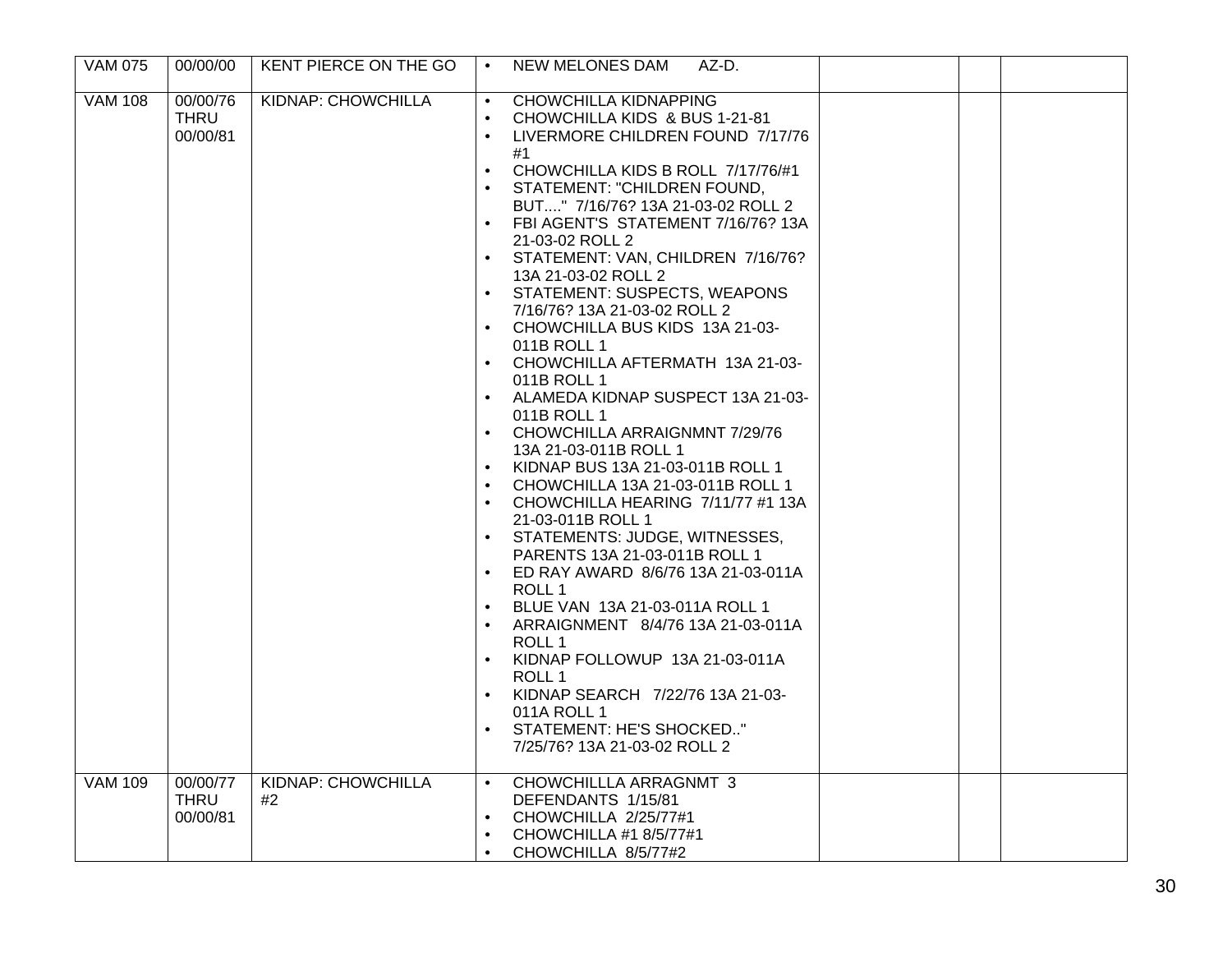| <b>VAM 075</b> | 00/00/00                            | KENT PIERCE ON THE GO           | $\bullet$                                                                                                                                                                          | <b>NEW MELONES DAM</b><br>AZ-D.                                                                                                                                                                                                                                                                                                                                                                                                                                                                                                                                                                                                                                                                                                                                                                                                                                            |  |  |
|----------------|-------------------------------------|---------------------------------|------------------------------------------------------------------------------------------------------------------------------------------------------------------------------------|----------------------------------------------------------------------------------------------------------------------------------------------------------------------------------------------------------------------------------------------------------------------------------------------------------------------------------------------------------------------------------------------------------------------------------------------------------------------------------------------------------------------------------------------------------------------------------------------------------------------------------------------------------------------------------------------------------------------------------------------------------------------------------------------------------------------------------------------------------------------------|--|--|
| <b>VAM 108</b> | 00/00/76<br>THRU<br>00/00/81        | <b>KIDNAP: CHOWCHILLA</b>       | $\bullet$<br>$\bullet$<br>$\bullet$<br>$\bullet$<br>$\bullet$<br>$\bullet$<br>$\bullet$<br>$\bullet$<br>$\bullet$<br>$\bullet$<br>$\bullet$<br>$\bullet$<br>$\bullet$<br>$\bullet$ | <b>CHOWCHILLA KIDNAPPING</b><br>CHOWCHILLA KIDS & BUS 1-21-81<br>LIVERMORE CHILDREN FOUND 7/17/76<br>#1<br>CHOWCHILLA KIDS B ROLL 7/17/76/#1<br>STATEMENT: "CHILDREN FOUND,<br>BUT" 7/16/76? 13A 21-03-02 ROLL 2<br>FBI AGENT'S STATEMENT 7/16/76? 13A<br>21-03-02 ROLL 2<br>STATEMENT: VAN, CHILDREN 7/16/76?<br>13A 21-03-02 ROLL 2<br>STATEMENT: SUSPECTS, WEAPONS<br>7/16/76? 13A 21-03-02 ROLL 2<br>CHOWCHILLA BUS KIDS 13A 21-03-<br>011B ROLL 1<br>CHOWCHILLA AFTERMATH 13A 21-03-<br>011B ROLL 1<br>ALAMEDA KIDNAP SUSPECT 13A 21-03-<br>011B ROLL 1<br>CHOWCHILLA ARRAIGNMNT 7/29/76<br>13A 21-03-011B ROLL 1<br>KIDNAP BUS 13A 21-03-011B ROLL 1<br>CHOWCHILLA 13A 21-03-011B ROLL 1<br>CHOWCHILLA HEARING 7/11/77 #1 13A<br>21-03-011B ROLL 1<br>STATEMENTS: JUDGE, WITNESSES,<br>PARENTS 13A 21-03-011B ROLL 1<br>ED RAY AWARD 8/6/76 13A 21-03-011A<br>ROLL 1 |  |  |
|                |                                     |                                 | $\bullet$<br>$\bullet$<br>$\bullet$                                                                                                                                                | BLUE VAN 13A 21-03-011A ROLL 1<br>ARRAIGNMENT 8/4/76 13A 21-03-011A<br>ROLL 1<br>KIDNAP FOLLOWUP 13A 21-03-011A<br>ROLL 1<br>KIDNAP SEARCH 7/22/76 13A 21-03-<br>011A ROLL 1                                                                                                                                                                                                                                                                                                                                                                                                                                                                                                                                                                                                                                                                                               |  |  |
|                |                                     |                                 | $\bullet$                                                                                                                                                                          | STATEMENT: HE'S SHOCKED"<br>7/25/76? 13A 21-03-02 ROLL 2                                                                                                                                                                                                                                                                                                                                                                                                                                                                                                                                                                                                                                                                                                                                                                                                                   |  |  |
| <b>VAM 109</b> | 00/00/77<br><b>THRU</b><br>00/00/81 | <b>KIDNAP: CHOWCHILLA</b><br>#2 | $\bullet$<br>$\bullet$<br>$\bullet$<br>$\bullet$                                                                                                                                   | CHOWCHILLLA ARRAGNMT 3<br>DEFENDANTS 1/15/81<br>CHOWCHILLA 2/25/77#1<br>CHOWCHILLA #1 8/5/77#1<br>CHOWCHILLA 8/5/77#2                                                                                                                                                                                                                                                                                                                                                                                                                                                                                                                                                                                                                                                                                                                                                      |  |  |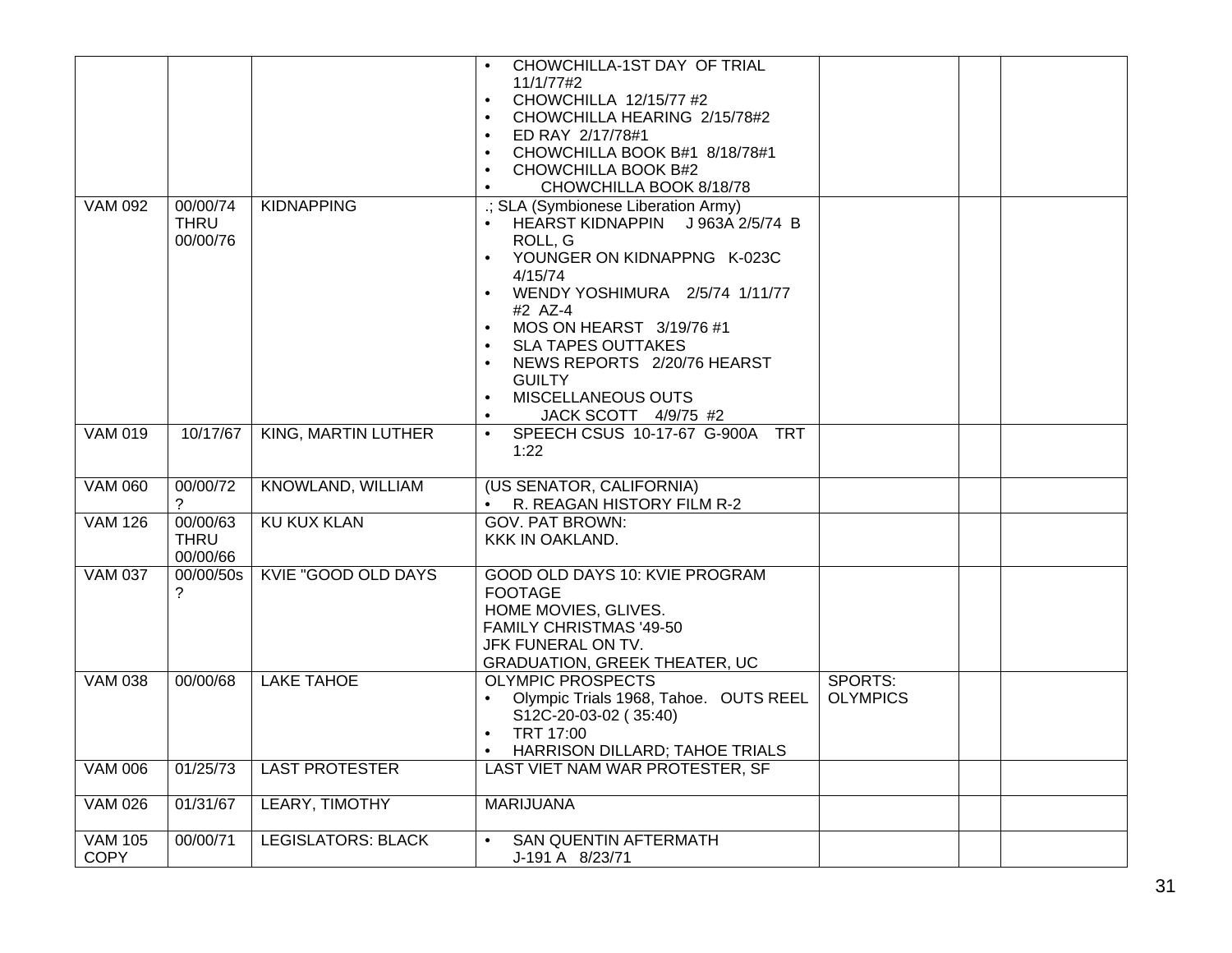|                               |                                     |                            | CHOWCHILLA-1ST DAY OF TRIAL<br>11/1/77#2<br>CHOWCHILLA 12/15/77 #2<br>$\bullet$<br>CHOWCHILLA HEARING 2/15/78#2<br>ED RAY 2/17/78#1<br>$\bullet$<br>CHOWCHILLA BOOK B#1 8/18/78#1<br>$\bullet$<br>CHOWCHILLA BOOK B#2<br>$\bullet$<br>CHOWCHILLA BOOK 8/18/78<br>$\bullet$                                                                                 |                            |  |
|-------------------------------|-------------------------------------|----------------------------|------------------------------------------------------------------------------------------------------------------------------------------------------------------------------------------------------------------------------------------------------------------------------------------------------------------------------------------------------------|----------------------------|--|
| <b>VAM 092</b>                | 00/00/74<br><b>THRU</b><br>00/00/76 | <b>KIDNAPPING</b>          | .; SLA (Symbionese Liberation Army)<br>HEARST KIDNAPPIN J 963A 2/5/74 B<br>ROLL, G<br>YOUNGER ON KIDNAPPNG K-023C<br>4/15/74<br>WENDY YOSHIMURA 2/5/74 1/11/77<br>#2 AZ-4<br>MOS ON HEARST 3/19/76 #1<br>$\bullet$<br><b>SLA TAPES OUTTAKES</b><br>NEWS REPORTS 2/20/76 HEARST<br><b>GUILTY</b><br>MISCELLANEOUS OUTS<br>$\bullet$<br>JACK SCOTT 4/9/75 #2 |                            |  |
| <b>VAM 019</b>                | 10/17/67                            | <b>KING, MARTIN LUTHER</b> | SPEECH CSUS 10-17-67 G-900A TRT<br>1:22                                                                                                                                                                                                                                                                                                                    |                            |  |
| <b>VAM 060</b>                | 00/00/72<br>?                       | <b>KNOWLAND, WILLIAM</b>   | (US SENATOR, CALIFORNIA)<br>• R. REAGAN HISTORY FILM R-2                                                                                                                                                                                                                                                                                                   |                            |  |
| <b>VAM 126</b>                | 00/00/63<br><b>THRU</b><br>00/00/66 | <b>KU KUX KLAN</b>         | <b>GOV. PAT BROWN:</b><br>KKK IN OAKLAND.                                                                                                                                                                                                                                                                                                                  |                            |  |
| <b>VAM 037</b>                | 00/00/50s                           | <b>KVIE "GOOD OLD DAYS</b> | GOOD OLD DAYS 10: KVIE PROGRAM<br><b>FOOTAGE</b><br>HOME MOVIES, GLIVES.<br>FAMILY CHRISTMAS '49-50<br>JFK FUNERAL ON TV.<br><b>GRADUATION, GREEK THEATER, UC</b>                                                                                                                                                                                          |                            |  |
| <b>VAM 038</b>                | 00/00/68                            | <b>LAKE TAHOE</b>          | <b>OLYMPIC PROSPECTS</b><br>Olympic Trials 1968, Tahoe. OUTS REEL<br>S12C-20-03-02 (35:40)<br>TRT 17:00<br>$\bullet$<br>HARRISON DILLARD; TAHOE TRIALS                                                                                                                                                                                                     | SPORTS:<br><b>OLYMPICS</b> |  |
| <b>VAM 006</b>                | 01/25/73                            | <b>LAST PROTESTER</b>      | LAST VIET NAM WAR PROTESTER, SF                                                                                                                                                                                                                                                                                                                            |                            |  |
| <b>VAM 026</b>                | 01/31/67                            | LEARY, TIMOTHY             | <b>MARIJUANA</b>                                                                                                                                                                                                                                                                                                                                           |                            |  |
| <b>VAM 105</b><br><b>COPY</b> | 00/00/71                            | <b>LEGISLATORS: BLACK</b>  | <b>SAN QUENTIN AFTERMATH</b><br>J-191 A 8/23/71                                                                                                                                                                                                                                                                                                            |                            |  |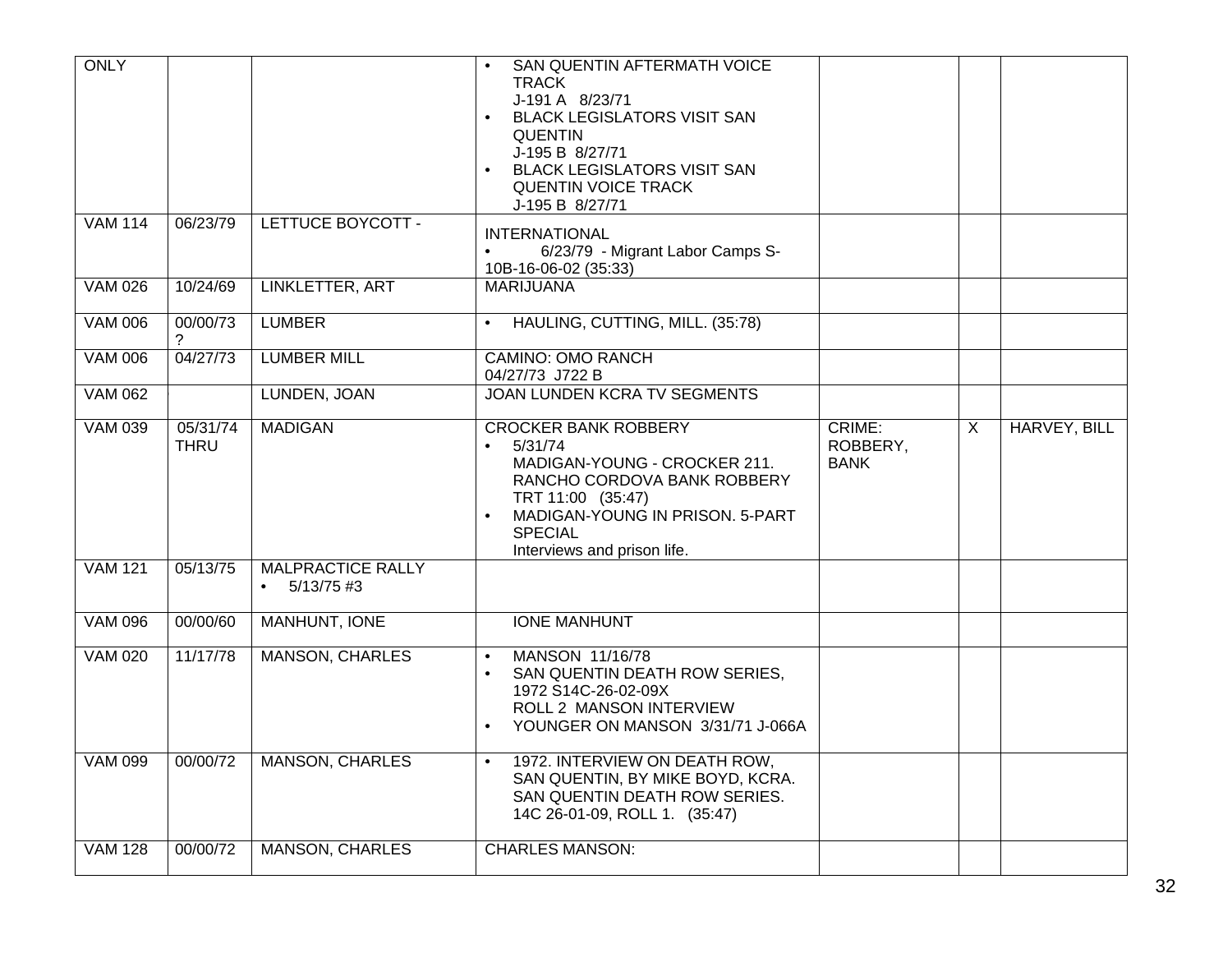| <b>ONLY</b>    |                         |                                   | SAN QUENTIN AFTERMATH VOICE<br><b>TRACK</b><br>J-191 A 8/23/71<br><b>BLACK LEGISLATORS VISIT SAN</b><br><b>QUENTIN</b><br>J-195 B 8/27/71<br><b>BLACK LEGISLATORS VISIT SAN</b><br><b>QUENTIN VOICE TRACK</b><br>J-195 B 8/27/71 |                                   |                |              |
|----------------|-------------------------|-----------------------------------|----------------------------------------------------------------------------------------------------------------------------------------------------------------------------------------------------------------------------------|-----------------------------------|----------------|--------------|
| <b>VAM 114</b> | 06/23/79                | LETTUCE BOYCOTT -                 | <b>INTERNATIONAL</b><br>6/23/79 - Migrant Labor Camps S-<br>$\bullet$<br>10B-16-06-02 (35:33)                                                                                                                                    |                                   |                |              |
| <b>VAM 026</b> | 10/24/69                | LINKLETTER, ART                   | <b>MARIJUANA</b>                                                                                                                                                                                                                 |                                   |                |              |
| <b>VAM 006</b> | 00/00/73<br>2           | <b>LUMBER</b>                     | HAULING, CUTTING, MILL. (35:78)                                                                                                                                                                                                  |                                   |                |              |
| <b>VAM 006</b> | 04/27/73                | <b>LUMBER MILL</b>                | <b>CAMINO: OMO RANCH</b><br>04/27/73 J722 B                                                                                                                                                                                      |                                   |                |              |
| <b>VAM 062</b> |                         | LUNDEN, JOAN                      | <b>JOAN LUNDEN KCRA TV SEGMENTS</b>                                                                                                                                                                                              |                                   |                |              |
| <b>VAM 039</b> | 05/31/74<br><b>THRU</b> | <b>MADIGAN</b>                    | <b>CROCKER BANK ROBBERY</b><br>5/31/74<br>$\bullet$<br>MADIGAN-YOUNG - CROCKER 211.<br>RANCHO CORDOVA BANK ROBBERY<br>TRT 11:00 (35:47)<br>MADIGAN-YOUNG IN PRISON. 5-PART<br><b>SPECIAL</b><br>Interviews and prison life.      | CRIME:<br>ROBBERY,<br><b>BANK</b> | $\overline{X}$ | HARVEY, BILL |
| <b>VAM 121</b> | 05/13/75                | MALPRACTICE RALLY<br>$5/13/75$ #3 |                                                                                                                                                                                                                                  |                                   |                |              |
| <b>VAM 096</b> | 00/00/60                | <b>MANHUNT, IONE</b>              | <b>IONE MANHUNT</b>                                                                                                                                                                                                              |                                   |                |              |
| <b>VAM 020</b> | 11/17/78                | <b>MANSON, CHARLES</b>            | MANSON 11/16/78<br>$\bullet$<br>SAN QUENTIN DEATH ROW SERIES,<br>$\bullet$<br>1972 S14C-26-02-09X<br>ROLL 2 MANSON INTERVIEW<br>YOUNGER ON MANSON 3/31/71 J-066A                                                                 |                                   |                |              |
| <b>VAM 099</b> | 00/00/72                | <b>MANSON, CHARLES</b>            | 1972. INTERVIEW ON DEATH ROW,<br>$\bullet$<br>SAN QUENTIN, BY MIKE BOYD, KCRA.<br>SAN QUENTIN DEATH ROW SERIES.<br>14C 26-01-09, ROLL 1. (35:47)                                                                                 |                                   |                |              |
| <b>VAM 128</b> | 00/00/72                | <b>MANSON, CHARLES</b>            | <b>CHARLES MANSON:</b>                                                                                                                                                                                                           |                                   |                |              |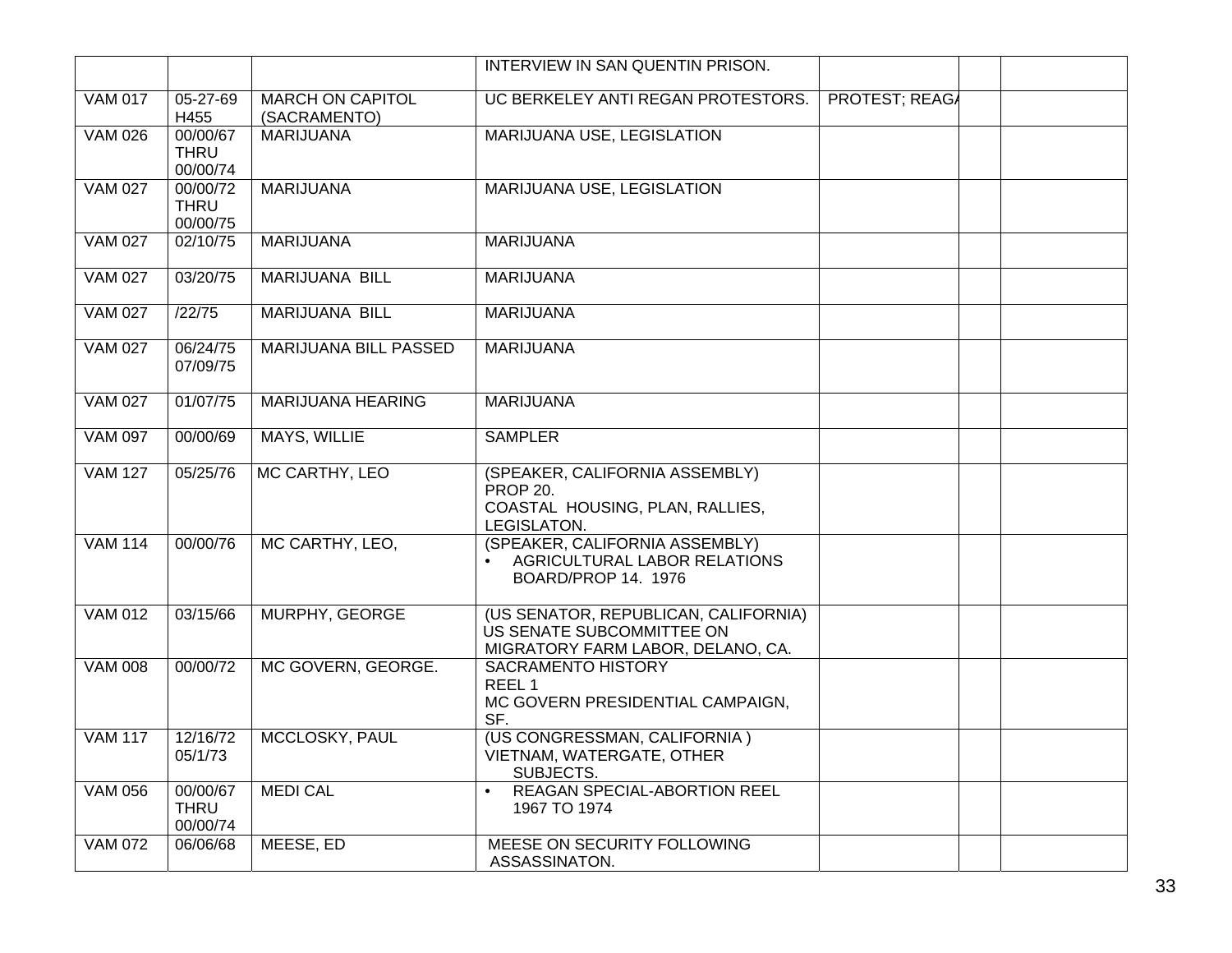|                      |                                     |                                         | INTERVIEW IN SAN QUENTIN PRISON.                                                                       |                       |  |
|----------------------|-------------------------------------|-----------------------------------------|--------------------------------------------------------------------------------------------------------|-----------------------|--|
| <b>VAM 017</b>       | $05 - 27 - 69$<br>H455              | <b>MARCH ON CAPITOL</b><br>(SACRAMENTO) | UC BERKELEY ANTI REGAN PROTESTORS.                                                                     | <b>PROTEST; REAGA</b> |  |
| <b>VAM 026</b>       | 00/00/67<br><b>THRU</b><br>00/00/74 | <b>MARIJUANA</b>                        | <b>MARIJUANA USE, LEGISLATION</b>                                                                      |                       |  |
| <b>VAM 027</b>       | 00/00/72<br><b>THRU</b><br>00/00/75 | <b>MARIJUANA</b>                        | <b>MARIJUANA USE, LEGISLATION</b>                                                                      |                       |  |
| <b>VAM 027</b>       | 02/10/75                            | <b>MARIJUANA</b>                        | <b>MARIJUANA</b>                                                                                       |                       |  |
| <b>VAM 027</b>       | 03/20/75                            | <b>MARIJUANA BILL</b>                   | <b>MARIJUANA</b>                                                                                       |                       |  |
| <b>VAM 027</b>       | /22/75                              | <b>MARIJUANA BILL</b>                   | <b>MARIJUANA</b>                                                                                       |                       |  |
| <b>VAM 027</b>       | 06/24/75<br>07/09/75                | MARIJUANA BILL PASSED                   | <b>MARIJUANA</b>                                                                                       |                       |  |
| <b>VAM 027</b>       | 01/07/75                            | MARIJUANA HEARING                       | <b>MARIJUANA</b>                                                                                       |                       |  |
| <b>VAM 097</b>       | 00/00/69                            | MAYS, WILLIE                            | <b>SAMPLER</b>                                                                                         |                       |  |
| <b>VAM 127</b>       | 05/25/76                            | MC CARTHY, LEO                          | (SPEAKER, CALIFORNIA ASSEMBLY)<br><b>PROP 20.</b><br>COASTAL HOUSING, PLAN, RALLIES,<br>LEGISLATON.    |                       |  |
| <b>VAM 114</b>       | 00/00/76                            | MC CARTHY, LEO,                         | (SPEAKER, CALIFORNIA ASSEMBLY)<br>AGRICULTURAL LABOR RELATIONS<br>$\bullet$<br>BOARD/PROP 14. 1976     |                       |  |
| $\overline{VAM}$ 012 | 03/15/66                            | MURPHY, GEORGE                          | (US SENATOR, REPUBLICAN, CALIFORNIA)<br>US SENATE SUBCOMMITTEE ON<br>MIGRATORY FARM LABOR, DELANO, CA. |                       |  |
| <b>VAM 008</b>       | 00/00/72                            | MC GOVERN, GEORGE.                      | <b>SACRAMENTO HISTORY</b><br>REEL <sub>1</sub><br>MC GOVERN PRESIDENTIAL CAMPAIGN,<br>SF.              |                       |  |
| <b>VAM 117</b>       | 12/16/72<br>05/1/73                 | MCCLOSKY, PAUL                          | (US CONGRESSMAN, CALIFORNIA)<br>VIETNAM, WATERGATE, OTHER<br>SUBJECTS.                                 |                       |  |
| <b>VAM 056</b>       | 00/00/67<br><b>THRU</b><br>00/00/74 | <b>MEDI CAL</b>                         | <b>REAGAN SPECIAL-ABORTION REEL</b><br>$\bullet$<br>1967 TO 1974                                       |                       |  |
| <b>VAM 072</b>       | 06/06/68                            | MEESE, ED                               | MEESE ON SECURITY FOLLOWING<br>ASSASSINATON.                                                           |                       |  |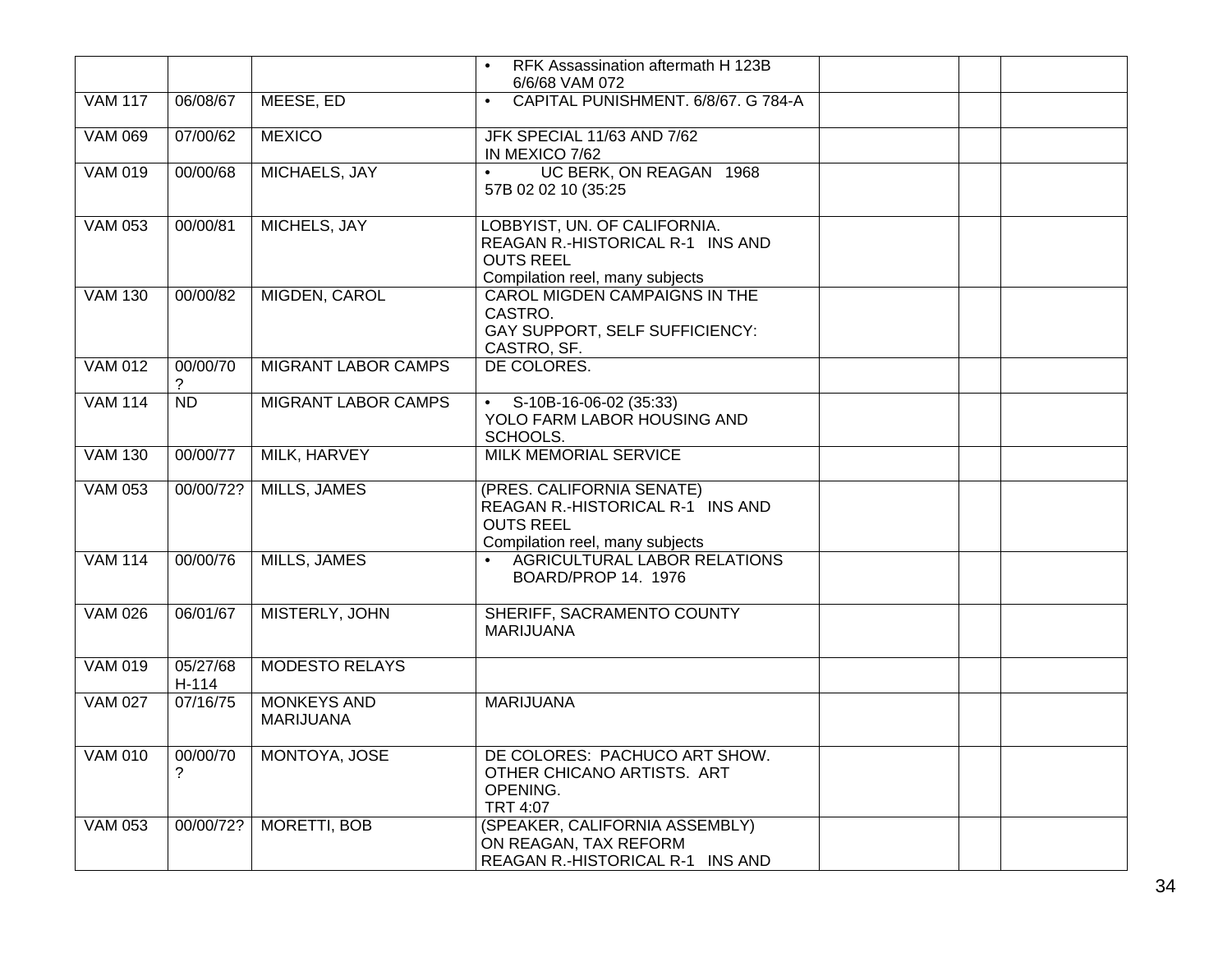|                |                   |                                        | RFK Assassination aftermath H 123B<br>6/6/68 VAM 072                                                                    |  |  |
|----------------|-------------------|----------------------------------------|-------------------------------------------------------------------------------------------------------------------------|--|--|
| <b>VAM 117</b> | 06/08/67          | MEESE, ED                              | CAPITAL PUNISHMENT. 6/8/67. G 784-A                                                                                     |  |  |
| <b>VAM 069</b> | 07/00/62          | <b>MEXICO</b>                          | JFK SPECIAL 11/63 AND 7/62<br>IN MEXICO 7/62                                                                            |  |  |
| <b>VAM 019</b> | 00/00/68          | MICHAELS, JAY                          | UC BERK, ON REAGAN 1968<br>$\bullet$<br>57B 02 02 10 (35:25                                                             |  |  |
| <b>VAM 053</b> | 00/00/81          | MICHELS, JAY                           | LOBBYIST, UN. OF CALIFORNIA.<br>REAGAN R.-HISTORICAL R-1 INS AND<br><b>OUTS REEL</b><br>Compilation reel, many subjects |  |  |
| <b>VAM 130</b> | 00/00/82          | MIGDEN, CAROL                          | <b>CAROL MIGDEN CAMPAIGNS IN THE</b><br>CASTRO.<br>GAY SUPPORT, SELF SUFFICIENCY:<br>CASTRO, SF.                        |  |  |
| <b>VAM 012</b> | 00/00/70<br>?     | <b>MIGRANT LABOR CAMPS</b>             | DE COLORES.                                                                                                             |  |  |
| <b>VAM 114</b> | <b>ND</b>         | MIGRANT LABOR CAMPS                    | • $S-10B-16-06-02$ (35:33)<br>YOLO FARM LABOR HOUSING AND<br>SCHOOLS.                                                   |  |  |
| <b>VAM 130</b> | 00/00/77          | MILK, HARVEY                           | <b>MILK MEMORIAL SERVICE</b>                                                                                            |  |  |
| <b>VAM 053</b> | 00/00/72?         | <b>MILLS, JAMES</b>                    | (PRES. CALIFORNIA SENATE)<br>REAGAN R.-HISTORICAL R-1 INS AND<br><b>OUTS REEL</b><br>Compilation reel, many subjects    |  |  |
| <b>VAM 114</b> | 00/00/76          | MILLS, JAMES                           | AGRICULTURAL LABOR RELATIONS<br>$\bullet$<br>BOARD/PROP 14. 1976                                                        |  |  |
| <b>VAM 026</b> | 06/01/67          | MISTERLY, JOHN                         | SHERIFF, SACRAMENTO COUNTY<br><b>MARIJUANA</b>                                                                          |  |  |
| <b>VAM 019</b> | 05/27/68<br>H-114 | <b>MODESTO RELAYS</b>                  |                                                                                                                         |  |  |
| <b>VAM 027</b> | 07/16/75          | <b>MONKEYS AND</b><br><b>MARIJUANA</b> | <b>MARIJUANA</b>                                                                                                        |  |  |
| <b>VAM 010</b> | 00/00/70<br>2     | MONTOYA, JOSE                          | DE COLORES: PACHUCO ART SHOW.<br>OTHER CHICANO ARTISTS. ART<br>OPENING.<br>TRT 4:07                                     |  |  |
| <b>VAM 053</b> | 00/00/72?         | MORETTI, BOB                           | (SPEAKER, CALIFORNIA ASSEMBLY)<br>ON REAGAN, TAX REFORM<br>REAGAN R.-HISTORICAL R-1 INS AND                             |  |  |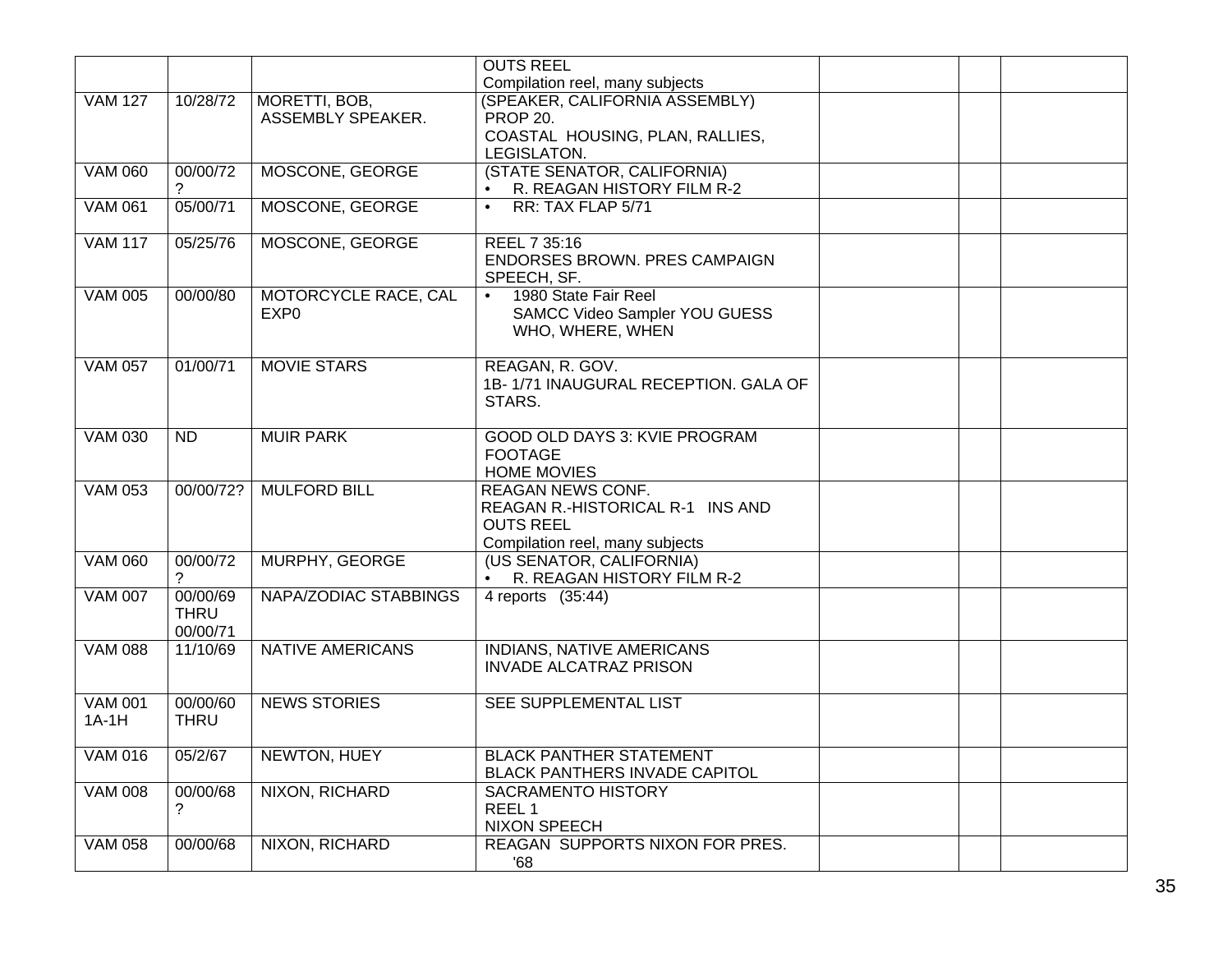|                |             |                         | <b>OUTS REEL</b>                        |  |
|----------------|-------------|-------------------------|-----------------------------------------|--|
|                |             |                         | Compilation reel, many subjects         |  |
| <b>VAM 127</b> | 10/28/72    | MORETTI, BOB,           | (SPEAKER, CALIFORNIA ASSEMBLY)          |  |
|                |             | ASSEMBLY SPEAKER.       | <b>PROP 20.</b>                         |  |
|                |             |                         | COASTAL HOUSING, PLAN, RALLIES,         |  |
|                |             |                         | LEGISLATON.                             |  |
| <b>VAM 060</b> | 00/00/72    | MOSCONE, GEORGE         | (STATE SENATOR, CALIFORNIA)             |  |
|                | ?           |                         | R. REAGAN HISTORY FILM R-2<br>$\bullet$ |  |
| <b>VAM 061</b> | 05/00/71    | MOSCONE, GEORGE         | RR: TAX FLAP 5/71<br>$\bullet$          |  |
|                |             |                         |                                         |  |
| <b>VAM 117</b> | 05/25/76    | MOSCONE, GEORGE         | REEL 7 35:16                            |  |
|                |             |                         | ENDORSES BROWN. PRES CAMPAIGN           |  |
|                |             |                         | SPEECH, SF.                             |  |
| <b>VAM 005</b> | 00/00/80    | MOTORCYCLE RACE, CAL    | 1980 State Fair Reel<br>$\bullet$       |  |
|                |             | EXP <sub>0</sub>        | SAMCC Video Sampler YOU GUESS           |  |
|                |             |                         | WHO, WHERE, WHEN                        |  |
|                |             |                         |                                         |  |
| <b>VAM 057</b> | 01/00/71    | <b>MOVIE STARS</b>      | REAGAN, R. GOV.                         |  |
|                |             |                         | 1B-1/71 INAUGURAL RECEPTION, GALA OF    |  |
|                |             |                         | STARS.                                  |  |
| <b>VAM 030</b> | <b>ND</b>   | <b>MUIR PARK</b>        | GOOD OLD DAYS 3: KVIE PROGRAM           |  |
|                |             |                         | <b>FOOTAGE</b>                          |  |
|                |             |                         | <b>HOME MOVIES</b>                      |  |
| <b>VAM 053</b> | 00/00/72?   | <b>MULFORD BILL</b>     | <b>REAGAN NEWS CONF.</b>                |  |
|                |             |                         | REAGAN R.-HISTORICAL R-1 INS AND        |  |
|                |             |                         | <b>OUTS REEL</b>                        |  |
|                |             |                         | Compilation reel, many subjects         |  |
| <b>VAM 060</b> | 00/00/72    | MURPHY, GEORGE          | (US SENATOR, CALIFORNIA)                |  |
|                | ?           |                         | R. REAGAN HISTORY FILM R-2              |  |
| <b>VAM 007</b> | 00/00/69    | NAPA/ZODIAC STABBINGS   | 4 reports (35:44)                       |  |
|                | <b>THRU</b> |                         |                                         |  |
|                | 00/00/71    |                         |                                         |  |
| <b>VAM 088</b> | 11/10/69    | <b>NATIVE AMERICANS</b> | INDIANS, NATIVE AMERICANS               |  |
|                |             |                         | <b>INVADE ALCATRAZ PRISON</b>           |  |
|                |             |                         |                                         |  |
| <b>VAM 001</b> | 00/00/60    | <b>NEWS STORIES</b>     | SEE SUPPLEMENTAL LIST                   |  |
| $1A-1H$        | <b>THRU</b> |                         |                                         |  |
|                |             |                         |                                         |  |
| VAM 016        | 05/2/67     | NEWTON, HUEY            | <b>BLACK PANTHER STATEMENT</b>          |  |
|                |             |                         | BLACK PANTHERS INVADE CAPITOL           |  |
| <b>VAM 008</b> | 00/00/68    | NIXON, RICHARD          | SACRAMENTO HISTORY                      |  |
|                | ?           |                         | REEL <sub>1</sub>                       |  |
|                |             |                         | <b>NIXON SPEECH</b>                     |  |
| <b>VAM 058</b> | 00/00/68    | NIXON, RICHARD          | REAGAN SUPPORTS NIXON FOR PRES.         |  |
|                |             |                         | 80'                                     |  |
|                |             |                         |                                         |  |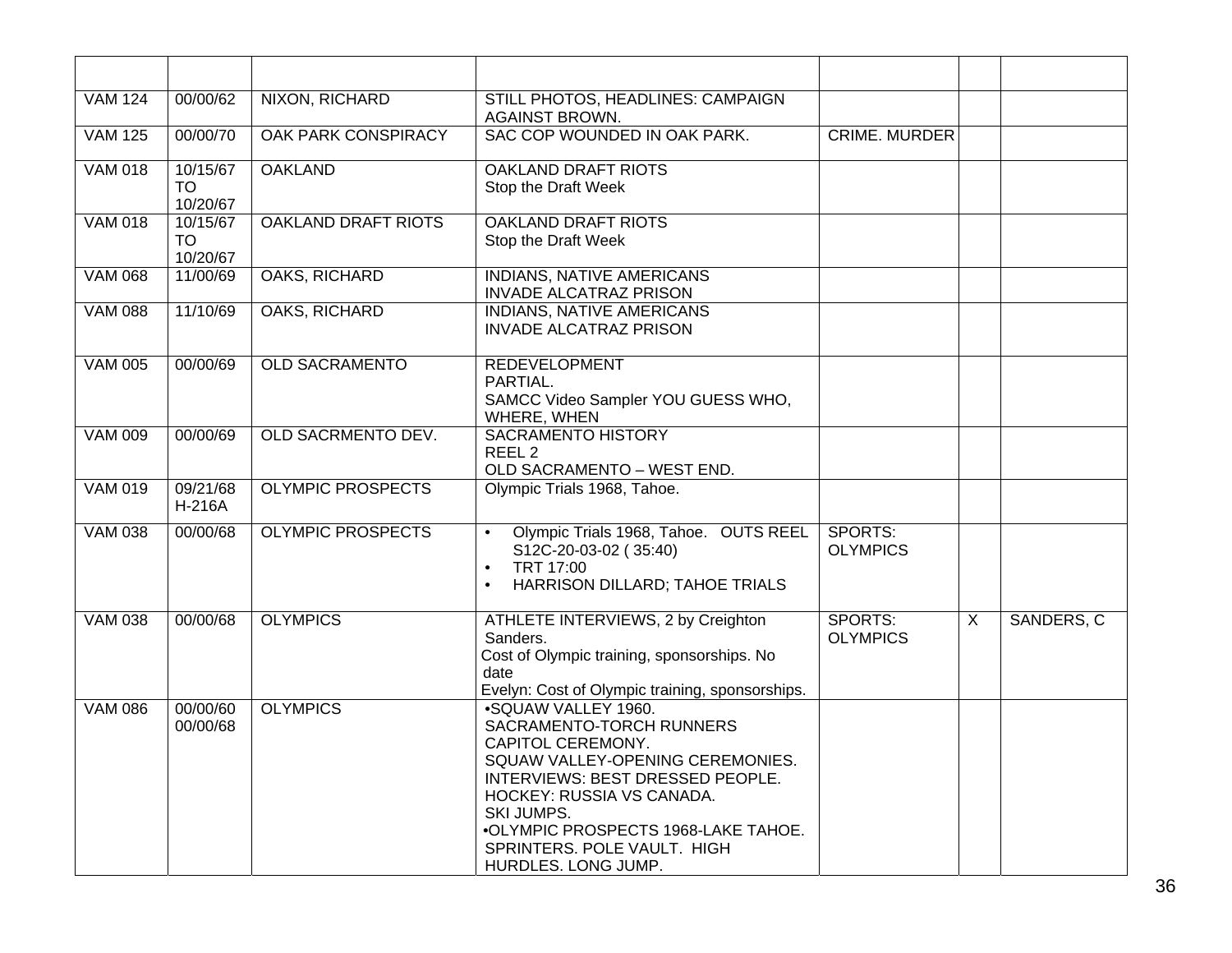| <b>VAM 124</b> | 00/00/62                   | NIXON, RICHARD             | STILL PHOTOS, HEADLINES: CAMPAIGN<br><b>AGAINST BROWN.</b>                                                                                                                                                                                                                           |                            |                |            |
|----------------|----------------------------|----------------------------|--------------------------------------------------------------------------------------------------------------------------------------------------------------------------------------------------------------------------------------------------------------------------------------|----------------------------|----------------|------------|
| <b>VAM 125</b> | 00/00/70                   | <b>OAK PARK CONSPIRACY</b> | SAC COP WOUNDED IN OAK PARK.                                                                                                                                                                                                                                                         | <b>CRIME. MURDER</b>       |                |            |
| <b>VAM 018</b> | 10/15/67<br>TO<br>10/20/67 | <b>OAKLAND</b>             | <b>OAKLAND DRAFT RIOTS</b><br>Stop the Draft Week                                                                                                                                                                                                                                    |                            |                |            |
| <b>VAM 018</b> | 10/15/67<br>TO<br>10/20/67 | <b>OAKLAND DRAFT RIOTS</b> | <b>OAKLAND DRAFT RIOTS</b><br>Stop the Draft Week                                                                                                                                                                                                                                    |                            |                |            |
| <b>VAM 068</b> | 11/00/69                   | <b>OAKS, RICHARD</b>       | <b>INDIANS, NATIVE AMERICANS</b><br><b>INVADE ALCATRAZ PRISON</b>                                                                                                                                                                                                                    |                            |                |            |
| <b>VAM 088</b> | 11/10/69                   | OAKS, RICHARD              | <b>INDIANS, NATIVE AMERICANS</b><br><b>INVADE ALCATRAZ PRISON</b>                                                                                                                                                                                                                    |                            |                |            |
| <b>VAM 005</b> | 00/00/69                   | <b>OLD SACRAMENTO</b>      | <b>REDEVELOPMENT</b><br>PARTIAL.<br>SAMCC Video Sampler YOU GUESS WHO,<br>WHERE, WHEN                                                                                                                                                                                                |                            |                |            |
| <b>VAM 009</b> | 00/00/69                   | <b>OLD SACRMENTO DEV.</b>  | <b>SACRAMENTO HISTORY</b><br>REEL <sub>2</sub><br>OLD SACRAMENTO - WEST END.                                                                                                                                                                                                         |                            |                |            |
| <b>VAM 019</b> | 09/21/68<br><b>H-216A</b>  | <b>OLYMPIC PROSPECTS</b>   | Olympic Trials 1968, Tahoe.                                                                                                                                                                                                                                                          |                            |                |            |
| <b>VAM 038</b> | 00/00/68                   | <b>OLYMPIC PROSPECTS</b>   | Olympic Trials 1968, Tahoe. OUTS REEL<br>$\bullet$<br>S12C-20-03-02 (35:40)<br>TRT 17:00<br>$\bullet$<br>HARRISON DILLARD; TAHOE TRIALS<br>$\bullet$                                                                                                                                 | SPORTS:<br><b>OLYMPICS</b> |                |            |
| <b>VAM 038</b> | 00/00/68                   | <b>OLYMPICS</b>            | ATHLETE INTERVIEWS, 2 by Creighton<br>Sanders.<br>Cost of Olympic training, sponsorships. No<br>date<br>Evelyn: Cost of Olympic training, sponsorships.                                                                                                                              | SPORTS:<br><b>OLYMPICS</b> | $\overline{X}$ | SANDERS, C |
| <b>VAM 086</b> | 00/00/60<br>00/00/68       | <b>OLYMPICS</b>            | .SQUAW VALLEY 1960.<br>SACRAMENTO-TORCH RUNNERS<br>CAPITOL CEREMONY.<br>SQUAW VALLEY-OPENING CEREMONIES.<br>INTERVIEWS: BEST DRESSED PEOPLE.<br>HOCKEY: RUSSIA VS CANADA.<br>SKI JUMPS.<br>•OLYMPIC PROSPECTS 1968-LAKE TAHOE.<br>SPRINTERS. POLE VAULT. HIGH<br>HURDLES. LONG JUMP. |                            |                |            |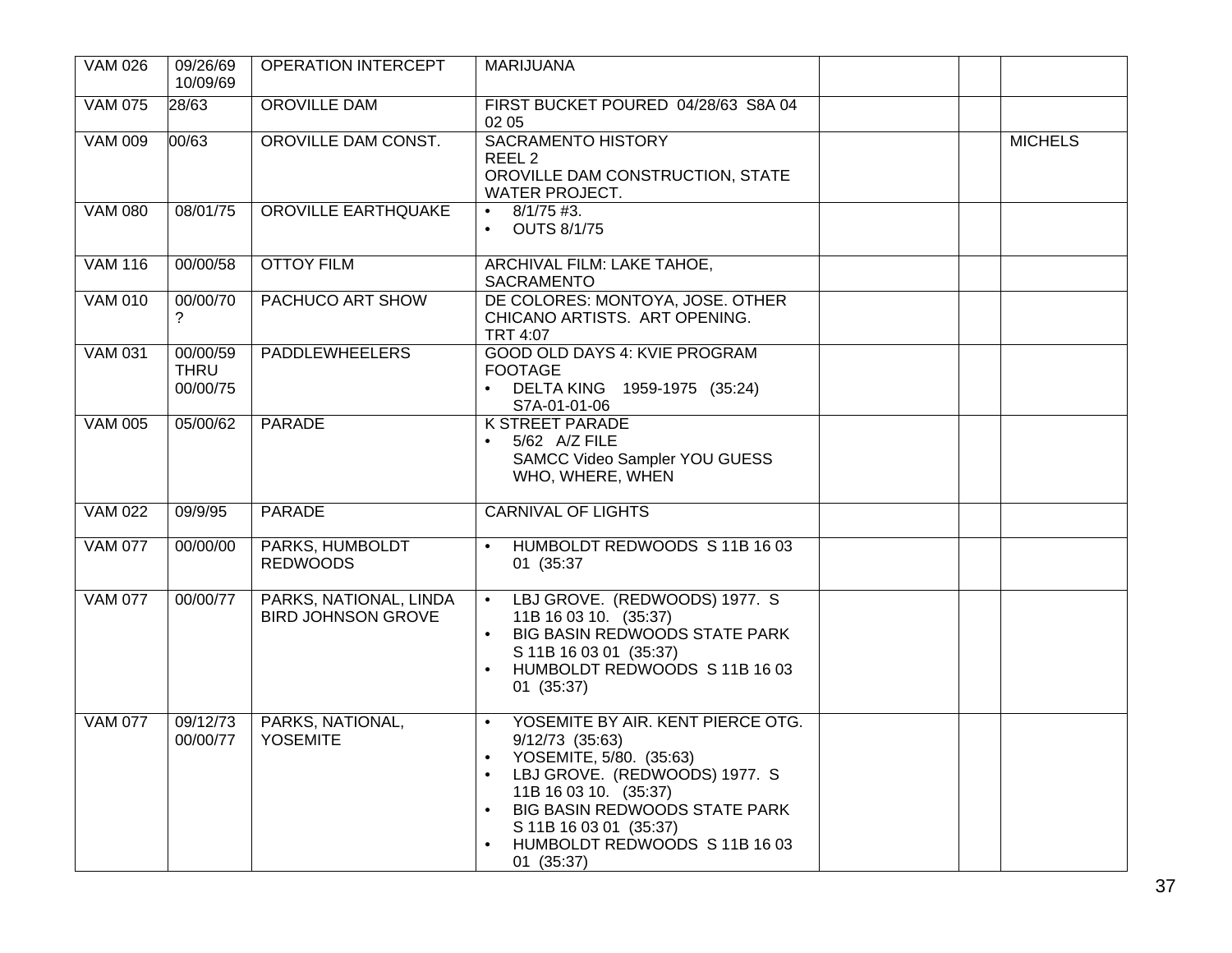| <b>VAM 026</b> | 09/26/69<br>10/09/69                | OPERATION INTERCEPT                                 | <b>MARIJUANA</b>                                                                                                                                                                                                                                                                            |                |
|----------------|-------------------------------------|-----------------------------------------------------|---------------------------------------------------------------------------------------------------------------------------------------------------------------------------------------------------------------------------------------------------------------------------------------------|----------------|
| <b>VAM 075</b> | 28/63                               | OROVILLE DAM                                        | FIRST BUCKET POURED 04/28/63 S8A 04<br>02 05                                                                                                                                                                                                                                                |                |
| <b>VAM 009</b> | 00/63                               | OROVILLE DAM CONST.                                 | <b>SACRAMENTO HISTORY</b><br>REEL <sub>2</sub><br>OROVILLE DAM CONSTRUCTION, STATE<br><b>WATER PROJECT.</b>                                                                                                                                                                                 | <b>MICHELS</b> |
| <b>VAM 080</b> | 08/01/75                            | OROVILLE EARTHQUAKE                                 | $8/1/75$ #3.<br>$\bullet$<br><b>OUTS 8/1/75</b>                                                                                                                                                                                                                                             |                |
| <b>VAM 116</b> | 00/00/58                            | <b>OTTOY FILM</b>                                   | ARCHIVAL FILM: LAKE TAHOE,<br>SACRAMENTO                                                                                                                                                                                                                                                    |                |
| <b>VAM 010</b> | 00/00/70<br>?                       | PACHUCO ART SHOW                                    | DE COLORES: MONTOYA, JOSE. OTHER<br>CHICANO ARTISTS. ART OPENING.<br><b>TRT 4:07</b>                                                                                                                                                                                                        |                |
| <b>VAM 031</b> | 00/00/59<br><b>THRU</b><br>00/00/75 | <b>PADDLEWHEELERS</b>                               | GOOD OLD DAYS 4: KVIE PROGRAM<br><b>FOOTAGE</b><br>DELTA KING 1959-1975 (35:24)<br>S7A-01-01-06                                                                                                                                                                                             |                |
| <b>VAM 005</b> | 05/00/62                            | <b>PARADE</b>                                       | <b>K STREET PARADE</b><br>5/62 A/Z FILE<br>SAMCC Video Sampler YOU GUESS<br>WHO, WHERE, WHEN                                                                                                                                                                                                |                |
| <b>VAM 022</b> | 09/9/95                             | <b>PARADE</b>                                       | <b>CARNIVAL OF LIGHTS</b>                                                                                                                                                                                                                                                                   |                |
| <b>VAM 077</b> | 00/00/00                            | PARKS, HUMBOLDT<br><b>REDWOODS</b>                  | HUMBOLDT REDWOODS S 11B 16 03<br>01 (35:37                                                                                                                                                                                                                                                  |                |
| <b>VAM 077</b> | 00/00/77                            | PARKS, NATIONAL, LINDA<br><b>BIRD JOHNSON GROVE</b> | LBJ GROVE. (REDWOODS) 1977. S<br>$\bullet$<br>11B 16 03 10. (35:37)<br>BIG BASIN REDWOODS STATE PARK<br>$\bullet$<br>S 11B 16 03 01 (35:37)<br>HUMBOLDT REDWOODS S 11B 16 03<br>01(35:37)                                                                                                   |                |
| <b>VAM 077</b> | 09/12/73<br>00/00/77                | PARKS, NATIONAL,<br><b>YOSEMITE</b>                 | YOSEMITE BY AIR. KENT PIERCE OTG.<br>$\bullet$<br>$9/12/73$ (35:63)<br>YOSEMITE, 5/80. (35:63)<br>$\bullet$<br>LBJ GROVE. (REDWOODS) 1977. S<br>$\bullet$<br>11B 16 03 10. (35:37)<br>BIG BASIN REDWOODS STATE PARK<br>S 11B 16 03 01 (35:37)<br>HUMBOLDT REDWOODS S 11B 16 03<br>01(35:37) |                |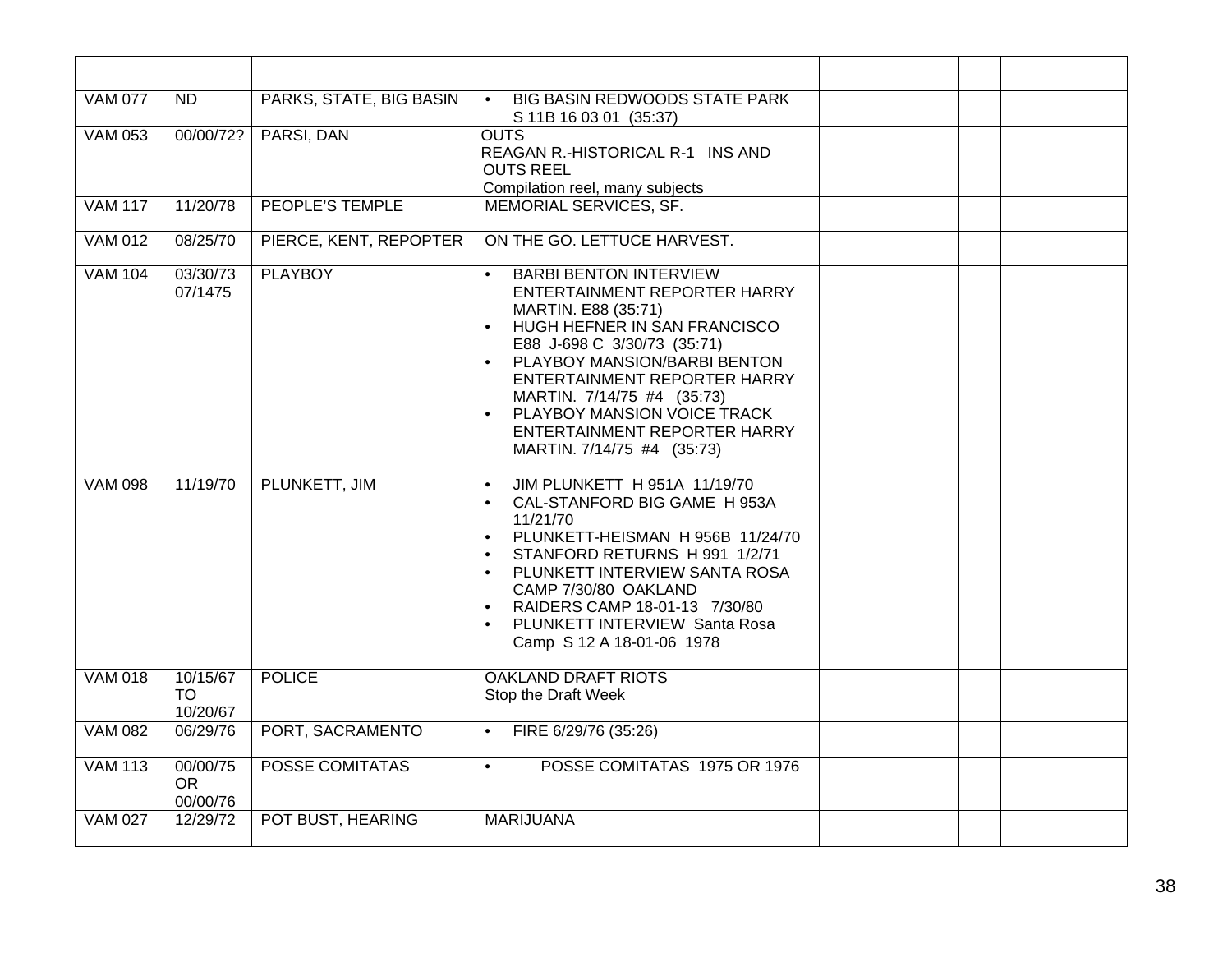| <b>VAM 077</b> | $\overline{ND}$                   | PARKS, STATE, BIG BASIN | <b>BIG BASIN REDWOODS STATE PARK</b><br>$\bullet$<br>S 11B 16 03 01 (35:37)                                                                                                                                                                                                                                                                                            |  |
|----------------|-----------------------------------|-------------------------|------------------------------------------------------------------------------------------------------------------------------------------------------------------------------------------------------------------------------------------------------------------------------------------------------------------------------------------------------------------------|--|
| <b>VAM 053</b> | 00/00/72?                         | PARSI, DAN              | <b>OUTS</b><br>REAGAN R.-HISTORICAL R-1 INS AND<br><b>OUTS REEL</b><br>Compilation reel, many subjects                                                                                                                                                                                                                                                                 |  |
| <b>VAM 117</b> | 11/20/78                          | <b>PEOPLE'S TEMPLE</b>  | MEMORIAL SERVICES, SF.                                                                                                                                                                                                                                                                                                                                                 |  |
| <b>VAM 012</b> | 08/25/70                          | PIERCE, KENT, REPOPTER  | ON THE GO. LETTUCE HARVEST.                                                                                                                                                                                                                                                                                                                                            |  |
| <b>VAM 104</b> | 03/30/73<br>07/1475               | <b>PLAYBOY</b>          | <b>BARBI BENTON INTERVIEW</b><br>ENTERTAINMENT REPORTER HARRY<br>MARTIN. E88 (35:71)<br>HUGH HEFNER IN SAN FRANCISCO<br>E88 J-698 C 3/30/73 (35:71)<br>PLAYBOY MANSION/BARBI BENTON<br>ENTERTAINMENT REPORTER HARRY<br>MARTIN. 7/14/75 #4 (35:73)<br>PLAYBOY MANSION VOICE TRACK<br>ENTERTAINMENT REPORTER HARRY<br>MARTIN. 7/14/75 #4 (35:73)                         |  |
| <b>VAM 098</b> | 11/19/70                          | PLUNKETT, JIM           | JIM PLUNKETT H 951A 11/19/70<br>$\bullet$<br>CAL-STANFORD BIG GAME H 953A<br>$\bullet$<br>11/21/70<br>PLUNKETT-HEISMAN H 956B 11/24/70<br>$\bullet$<br>STANFORD RETURNS H 991 1/2/71<br>$\bullet$<br>PLUNKETT INTERVIEW SANTA ROSA<br>CAMP 7/30/80 OAKLAND<br>RAIDERS CAMP 18-01-13 7/30/80<br>$\bullet$<br>PLUNKETT INTERVIEW Santa Rosa<br>Camp S 12 A 18-01-06 1978 |  |
| <b>VAM 018</b> | 10/15/67<br><b>TO</b><br>10/20/67 | <b>POLICE</b>           | <b>OAKLAND DRAFT RIOTS</b><br>Stop the Draft Week                                                                                                                                                                                                                                                                                                                      |  |
| <b>VAM 082</b> | 06/29/76                          | PORT, SACRAMENTO        | FIRE 6/29/76 (35:26)<br>$\bullet$                                                                                                                                                                                                                                                                                                                                      |  |
| <b>VAM 113</b> | 00/00/75<br><b>OR</b><br>00/00/76 | <b>POSSE COMITATAS</b>  | POSSE COMITATAS 1975 OR 1976<br>$\bullet$                                                                                                                                                                                                                                                                                                                              |  |
| <b>VAM 027</b> | 12/29/72                          | POT BUST, HEARING       | <b>MARIJUANA</b>                                                                                                                                                                                                                                                                                                                                                       |  |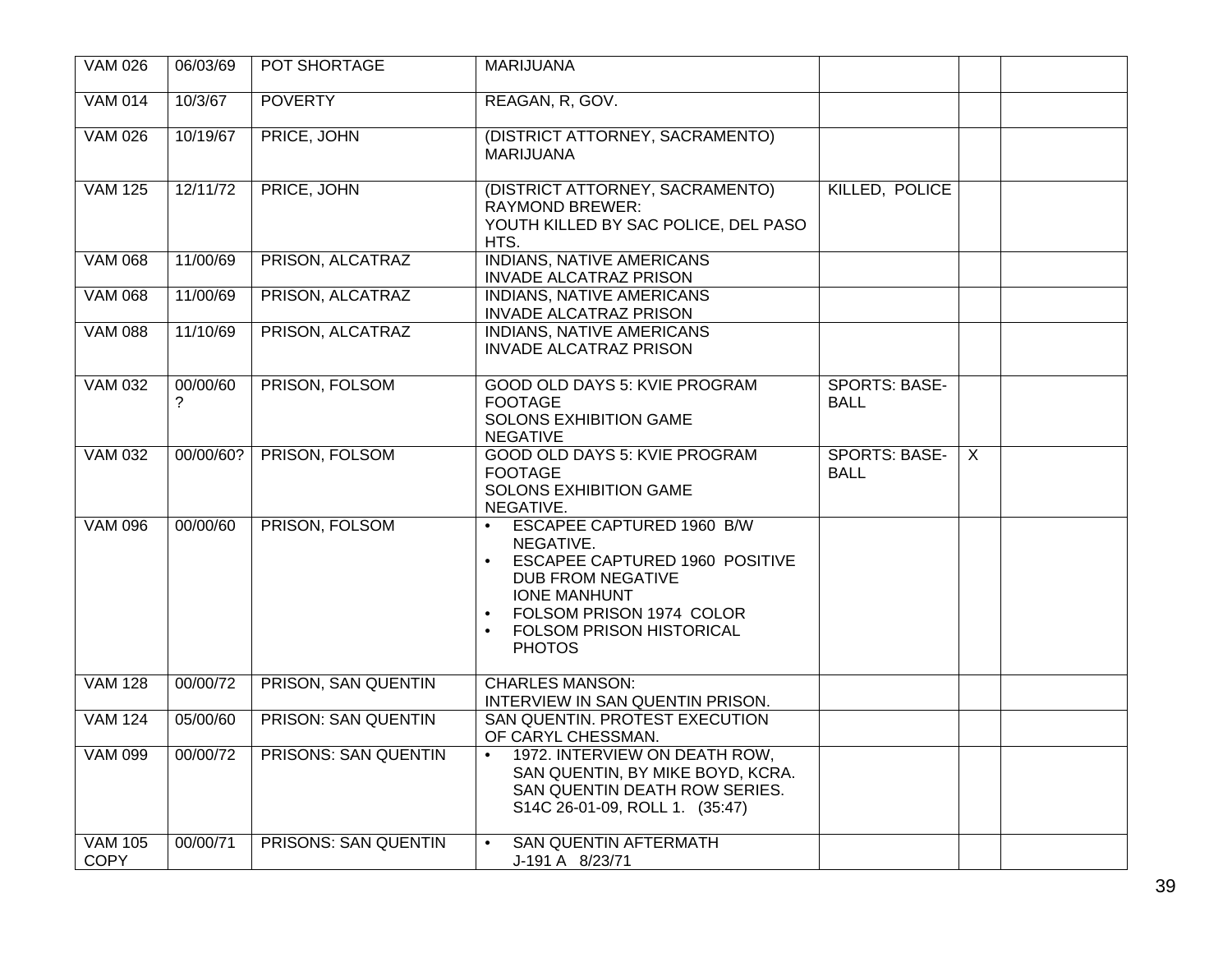| <b>VAM 026</b>                | 06/03/69      | POT SHORTAGE               | <b>MARIJUANA</b>                                                                                                                                                                                                                                                              |                                     |              |  |
|-------------------------------|---------------|----------------------------|-------------------------------------------------------------------------------------------------------------------------------------------------------------------------------------------------------------------------------------------------------------------------------|-------------------------------------|--------------|--|
| <b>VAM 014</b>                | 10/3/67       | <b>POVERTY</b>             | REAGAN, R, GOV.                                                                                                                                                                                                                                                               |                                     |              |  |
| <b>VAM 026</b>                | 10/19/67      | PRICE, JOHN                | (DISTRICT ATTORNEY, SACRAMENTO)<br><b>MARIJUANA</b>                                                                                                                                                                                                                           |                                     |              |  |
| <b>VAM 125</b>                | 12/11/72      | PRICE, JOHN                | (DISTRICT ATTORNEY, SACRAMENTO)<br><b>RAYMOND BREWER:</b><br>YOUTH KILLED BY SAC POLICE, DEL PASO<br>HTS.                                                                                                                                                                     | KILLED, POLICE                      |              |  |
| <b>VAM 068</b>                | 11/00/69      | PRISON, ALCATRAZ           | <b>INDIANS, NATIVE AMERICANS</b><br><b>INVADE ALCATRAZ PRISON</b>                                                                                                                                                                                                             |                                     |              |  |
| <b>VAM 068</b>                | 11/00/69      | PRISON, ALCATRAZ           | INDIANS, NATIVE AMERICANS<br><b>INVADE ALCATRAZ PRISON</b>                                                                                                                                                                                                                    |                                     |              |  |
| <b>VAM 088</b>                | 11/10/69      | PRISON, ALCATRAZ           | <b>INDIANS, NATIVE AMERICANS</b><br><b>INVADE ALCATRAZ PRISON</b>                                                                                                                                                                                                             |                                     |              |  |
| <b>VAM 032</b>                | 00/00/60<br>? | PRISON, FOLSOM             | GOOD OLD DAYS 5: KVIE PROGRAM<br><b>FOOTAGE</b><br><b>SOLONS EXHIBITION GAME</b><br><b>NEGATIVE</b>                                                                                                                                                                           | <b>SPORTS: BASE-</b><br><b>BALL</b> |              |  |
| <b>VAM 032</b>                | 00/00/60?     | PRISON, FOLSOM             | GOOD OLD DAYS 5: KVIE PROGRAM<br><b>FOOTAGE</b><br><b>SOLONS EXHIBITION GAME</b><br>NEGATIVE.                                                                                                                                                                                 | <b>SPORTS: BASE-</b><br><b>BALL</b> | $\mathsf{X}$ |  |
| <b>VAM 096</b>                | 00/00/60      | PRISON, FOLSOM             | <b>ESCAPEE CAPTURED 1960 B/W</b><br>$\bullet$<br>NEGATIVE.<br><b>ESCAPEE CAPTURED 1960 POSITIVE</b><br>$\bullet$<br><b>DUB FROM NEGATIVE</b><br><b>IONE MANHUNT</b><br>FOLSOM PRISON 1974 COLOR<br>$\bullet$<br><b>FOLSOM PRISON HISTORICAL</b><br>$\bullet$<br><b>PHOTOS</b> |                                     |              |  |
| <b>VAM 128</b>                | 00/00/72      | PRISON, SAN QUENTIN        | <b>CHARLES MANSON:</b><br>INTERVIEW IN SAN QUENTIN PRISON.                                                                                                                                                                                                                    |                                     |              |  |
| <b>VAM 124</b>                | 05/00/60      | <b>PRISON: SAN QUENTIN</b> | SAN QUENTIN. PROTEST EXECUTION<br>OF CARYL CHESSMAN.                                                                                                                                                                                                                          |                                     |              |  |
| VAM 099                       | 00/00/72      | PRISONS: SAN QUENTIN       | $\bullet$<br>1972. INTERVIEW ON DEATH ROW,<br>SAN QUENTIN, BY MIKE BOYD, KCRA.<br>SAN QUENTIN DEATH ROW SERIES.<br>S14C 26-01-09, ROLL 1. (35:47)                                                                                                                             |                                     |              |  |
| <b>VAM 105</b><br><b>COPY</b> | 00/00/71      | PRISONS: SAN QUENTIN       | <b>SAN QUENTIN AFTERMATH</b><br>$\bullet$<br>J-191 A 8/23/71                                                                                                                                                                                                                  |                                     |              |  |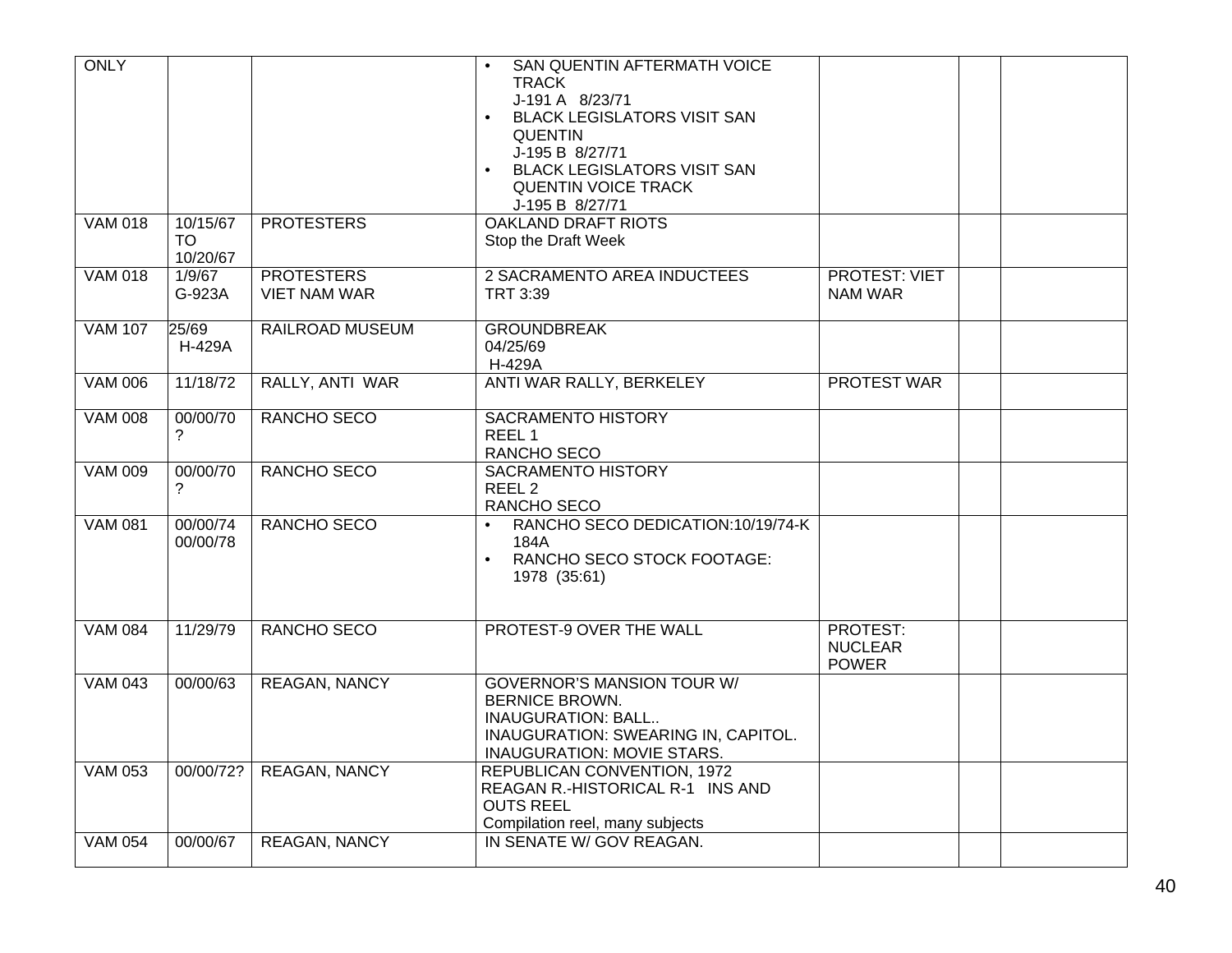| <b>ONLY</b>    |                            |                                          | SAN QUENTIN AFTERMATH VOICE<br><b>TRACK</b><br>J-191 A 8/23/71<br><b>BLACK LEGISLATORS VISIT SAN</b><br><b>QUENTIN</b><br>J-195 B 8/27/71<br><b>BLACK LEGISLATORS VISIT SAN</b><br><b>QUENTIN VOICE TRACK</b><br>J-195 B 8/27/71 |                                            |  |  |
|----------------|----------------------------|------------------------------------------|----------------------------------------------------------------------------------------------------------------------------------------------------------------------------------------------------------------------------------|--------------------------------------------|--|--|
| <b>VAM 018</b> | 10/15/67<br>TO<br>10/20/67 | <b>PROTESTERS</b>                        | <b>OAKLAND DRAFT RIOTS</b><br>Stop the Draft Week                                                                                                                                                                                |                                            |  |  |
| <b>VAM 018</b> | 1/9/67<br>G-923A           | <b>PROTESTERS</b><br><b>VIET NAM WAR</b> | 2 SACRAMENTO AREA INDUCTEES<br>TRT 3:39                                                                                                                                                                                          | <b>PROTEST: VIET</b><br><b>NAM WAR</b>     |  |  |
| <b>VAM 107</b> | 25/69<br>H-429A            | RAILROAD MUSEUM                          | <b>GROUNDBREAK</b><br>04/25/69<br>H-429A                                                                                                                                                                                         |                                            |  |  |
| <b>VAM 006</b> | 11/18/72                   | RALLY, ANTI WAR                          | ANTI WAR RALLY, BERKELEY                                                                                                                                                                                                         | <b>PROTEST WAR</b>                         |  |  |
| <b>VAM 008</b> | 00/00/70<br>?              | RANCHO SECO                              | <b>SACRAMENTO HISTORY</b><br>REEL <sub>1</sub><br>RANCHO SECO                                                                                                                                                                    |                                            |  |  |
| <b>VAM 009</b> | 00/00/70<br>?              | RANCHO SECO                              | <b>SACRAMENTO HISTORY</b><br>REEL <sub>2</sub><br>RANCHO SECO                                                                                                                                                                    |                                            |  |  |
| <b>VAM 081</b> | 00/00/74<br>00/00/78       | RANCHO SECO                              | RANCHO SECO DEDICATION:10/19/74-K<br>$\bullet$<br>184A<br>RANCHO SECO STOCK FOOTAGE:<br>$\bullet$<br>1978 (35:61)                                                                                                                |                                            |  |  |
| <b>VAM 084</b> | 11/29/79                   | RANCHO SECO                              | PROTEST-9 OVER THE WALL                                                                                                                                                                                                          | PROTEST:<br><b>NUCLEAR</b><br><b>POWER</b> |  |  |
| <b>VAM 043</b> | 00/00/63                   | <b>REAGAN, NANCY</b>                     | <b>GOVERNOR'S MANSION TOUR W/</b><br><b>BERNICE BROWN.</b><br><b>INAUGURATION: BALL</b><br>INAUGURATION: SWEARING IN, CAPITOL.<br>INAUGURATION: MOVIE STARS.                                                                     |                                            |  |  |
| <b>VAM 053</b> | 00/00/72?                  | <b>REAGAN, NANCY</b>                     | <b>REPUBLICAN CONVENTION, 1972</b><br>REAGAN R.-HISTORICAL R-1 INS AND<br><b>OUTS REEL</b><br>Compilation reel, many subjects                                                                                                    |                                            |  |  |
| <b>VAM 054</b> | 00/00/67                   | <b>REAGAN, NANCY</b>                     | IN SENATE W/ GOV REAGAN.                                                                                                                                                                                                         |                                            |  |  |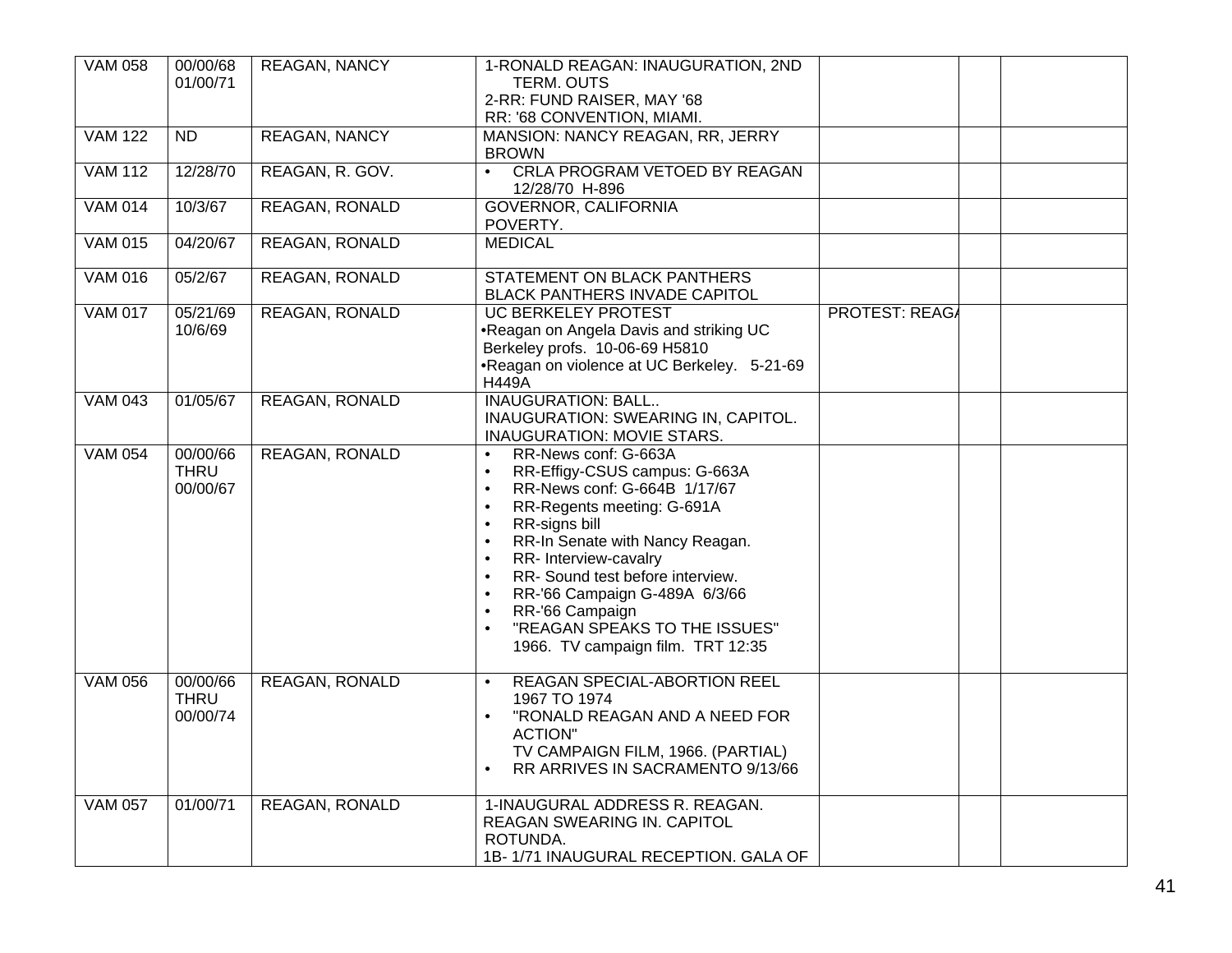| <b>VAM 058</b> | 00/00/68<br>01/00/71                | <b>REAGAN, NANCY</b>  | 1-RONALD REAGAN: INAUGURATION, 2ND<br><b>TERM. OUTS</b><br>2-RR: FUND RAISER, MAY '68<br>RR: '68 CONVENTION, MIAMI.                                                                                                                                                                                                                                                                                                                                                                             |                       |  |
|----------------|-------------------------------------|-----------------------|-------------------------------------------------------------------------------------------------------------------------------------------------------------------------------------------------------------------------------------------------------------------------------------------------------------------------------------------------------------------------------------------------------------------------------------------------------------------------------------------------|-----------------------|--|
| <b>VAM 122</b> | $\overline{ND}$                     | <b>REAGAN, NANCY</b>  | <b>MANSION: NANCY REAGAN, RR, JERRY</b><br><b>BROWN</b>                                                                                                                                                                                                                                                                                                                                                                                                                                         |                       |  |
| <b>VAM 112</b> | 12/28/70                            | REAGAN, R. GOV.       | CRLA PROGRAM VETOED BY REAGAN<br>$\bullet$<br>12/28/70 H-896                                                                                                                                                                                                                                                                                                                                                                                                                                    |                       |  |
| <b>VAM 014</b> | 10/3/67                             | <b>REAGAN, RONALD</b> | <b>GOVERNOR, CALIFORNIA</b><br>POVERTY.                                                                                                                                                                                                                                                                                                                                                                                                                                                         |                       |  |
| <b>VAM 015</b> | 04/20/67                            | <b>REAGAN, RONALD</b> | <b>MEDICAL</b>                                                                                                                                                                                                                                                                                                                                                                                                                                                                                  |                       |  |
| <b>VAM 016</b> | 05/2/67                             | <b>REAGAN, RONALD</b> | <b>STATEMENT ON BLACK PANTHERS</b><br>BLACK PANTHERS INVADE CAPITOL                                                                                                                                                                                                                                                                                                                                                                                                                             |                       |  |
| <b>VAM 017</b> | 05/21/69<br>10/6/69                 | <b>REAGAN, RONALD</b> | <b>UC BERKELEY PROTEST</b><br>.Reagan on Angela Davis and striking UC<br>Berkeley profs. 10-06-69 H5810<br>•Reagan on violence at UC Berkeley. 5-21-69<br><b>H449A</b>                                                                                                                                                                                                                                                                                                                          | <b>PROTEST: REAGA</b> |  |
| <b>VAM 043</b> | 01/05/67                            | <b>REAGAN, RONALD</b> | <b>INAUGURATION: BALL</b><br>INAUGURATION: SWEARING IN, CAPITOL.<br><b>INAUGURATION: MOVIE STARS.</b>                                                                                                                                                                                                                                                                                                                                                                                           |                       |  |
| <b>VAM 054</b> | 00/00/66<br><b>THRU</b><br>00/00/67 | REAGAN, RONALD        | RR-News conf: G-663A<br>$\bullet$<br>RR-Effigy-CSUS campus: G-663A<br>$\bullet$<br>RR-News conf: G-664B 1/17/67<br>$\bullet$<br>RR-Regents meeting: G-691A<br>$\bullet$<br>RR-signs bill<br>$\bullet$<br>RR-In Senate with Nancy Reagan.<br>RR- Interview-cavalry<br>$\bullet$<br>RR-Sound test before interview.<br>$\bullet$<br>RR-'66 Campaign G-489A 6/3/66<br>$\bullet$<br>RR-'66 Campaign<br>$\bullet$<br>"REAGAN SPEAKS TO THE ISSUES"<br>$\bullet$<br>1966. TV campaign film. TRT 12:35 |                       |  |
| <b>VAM 056</b> | 00/00/66<br><b>THRU</b><br>00/00/74 | <b>REAGAN, RONALD</b> | <b>REAGAN SPECIAL-ABORTION REEL</b><br>$\bullet$<br>1967 TO 1974<br>"RONALD REAGAN AND A NEED FOR<br>$\bullet$<br><b>ACTION"</b><br>TV CAMPAIGN FILM, 1966. (PARTIAL)<br>RR ARRIVES IN SACRAMENTO 9/13/66<br>$\bullet$                                                                                                                                                                                                                                                                          |                       |  |
| <b>VAM 057</b> | 01/00/71                            | <b>REAGAN, RONALD</b> | 1-INAUGURAL ADDRESS R. REAGAN.<br>REAGAN SWEARING IN. CAPITOL<br>ROTUNDA.<br>1B-1/71 INAUGURAL RECEPTION. GALA OF                                                                                                                                                                                                                                                                                                                                                                               |                       |  |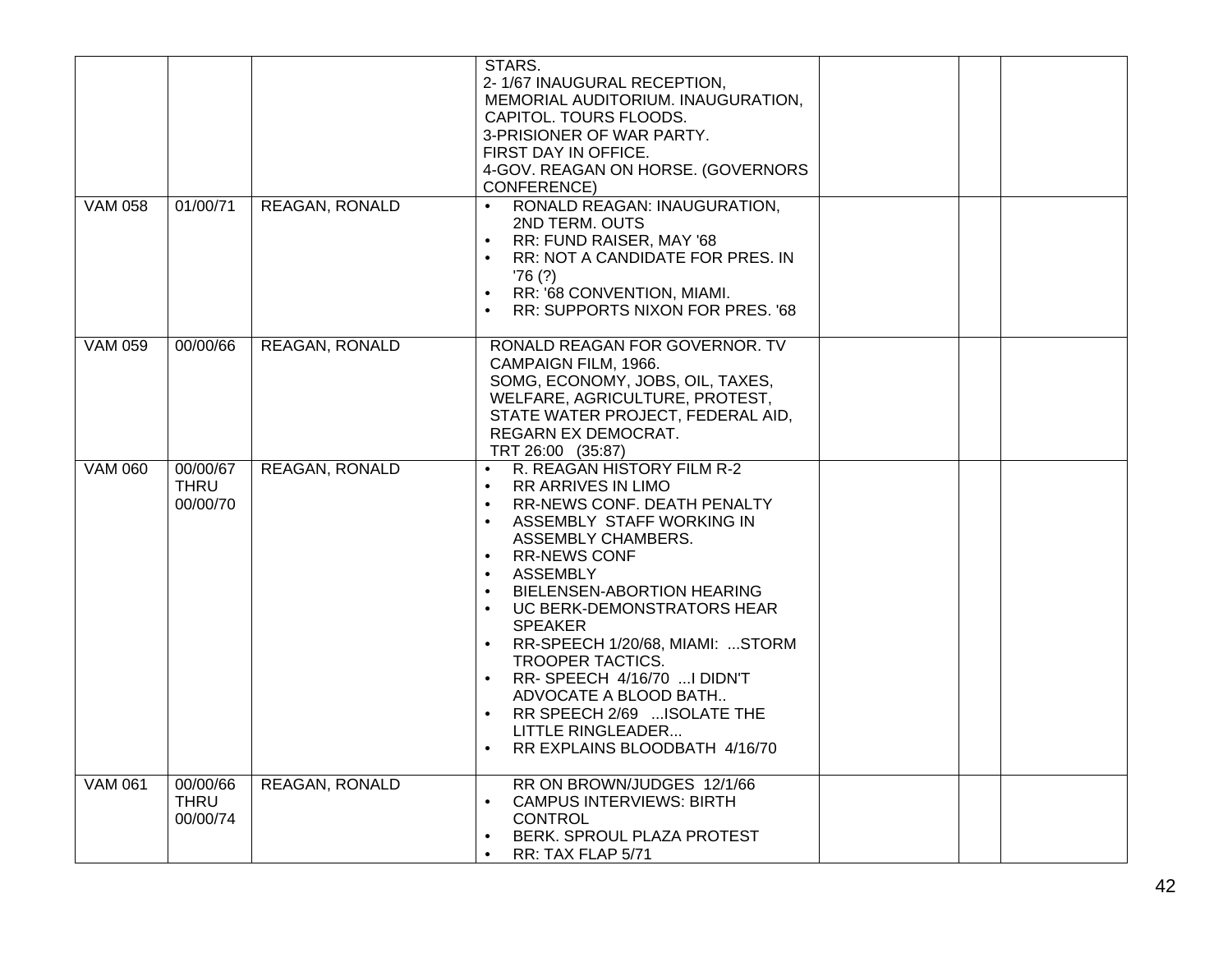| <b>VAM 058</b> | 01/00/71                            | <b>REAGAN, RONALD</b> | STARS.<br>2-1/67 INAUGURAL RECEPTION,<br>MEMORIAL AUDITORIUM. INAUGURATION,<br>CAPITOL. TOURS FLOODS.<br>3-PRISIONER OF WAR PARTY.<br>FIRST DAY IN OFFICE.<br>4-GOV. REAGAN ON HORSE. (GOVERNORS<br>CONFERENCE)<br>RONALD REAGAN: INAUGURATION,<br>$\bullet$<br>2ND TERM, OUTS                                                                                                                                                                                                                                                         |  |  |
|----------------|-------------------------------------|-----------------------|----------------------------------------------------------------------------------------------------------------------------------------------------------------------------------------------------------------------------------------------------------------------------------------------------------------------------------------------------------------------------------------------------------------------------------------------------------------------------------------------------------------------------------------|--|--|
|                |                                     |                       | RR: FUND RAISER, MAY '68<br>$\bullet$<br>RR: NOT A CANDIDATE FOR PRES. IN<br>'76(?)<br>RR: '68 CONVENTION, MIAMI.<br>$\bullet$<br>RR: SUPPORTS NIXON FOR PRES. '68                                                                                                                                                                                                                                                                                                                                                                     |  |  |
| <b>VAM 059</b> | 00/00/66                            | <b>REAGAN, RONALD</b> | RONALD REAGAN FOR GOVERNOR. TV<br>CAMPAIGN FILM, 1966.<br>SOMG, ECONOMY, JOBS, OIL, TAXES,<br>WELFARE, AGRICULTURE, PROTEST,<br>STATE WATER PROJECT, FEDERAL AID,<br>REGARN EX DEMOCRAT.<br>TRT 26:00 (35:87)                                                                                                                                                                                                                                                                                                                          |  |  |
| <b>VAM 060</b> | 00/00/67<br><b>THRU</b><br>00/00/70 | <b>REAGAN, RONALD</b> | R. REAGAN HISTORY FILM R-2<br>$\bullet$<br><b>RR ARRIVES IN LIMO</b><br>RR-NEWS CONF. DEATH PENALTY<br>$\bullet$<br>ASSEMBLY STAFF WORKING IN<br>ASSEMBLY CHAMBERS.<br><b>RR-NEWS CONF</b><br>$\bullet$<br>ASSEMBLY<br>$\bullet$<br>BIELENSEN-ABORTION HEARING<br>UC BERK-DEMONSTRATORS HEAR<br>$\bullet$<br><b>SPEAKER</b><br>RR-SPEECH 1/20/68, MIAMI: STORM<br>TROOPER TACTICS.<br>RR-SPEECH 4/16/70  I DIDN'T<br>ADVOCATE A BLOOD BATH<br>RR SPEECH 2/69  ISOLATE THE<br><b>LITTLE RINGLEADER</b><br>RR EXPLAINS BLOODBATH 4/16/70 |  |  |
| <b>VAM 061</b> | 00/00/66<br><b>THRU</b><br>00/00/74 | <b>REAGAN, RONALD</b> | RR ON BROWN/JUDGES 12/1/66<br><b>CAMPUS INTERVIEWS: BIRTH</b><br><b>CONTROL</b><br>BERK. SPROUL PLAZA PROTEST<br>$\bullet$<br>RR: TAX FLAP 5/71<br>$\bullet$                                                                                                                                                                                                                                                                                                                                                                           |  |  |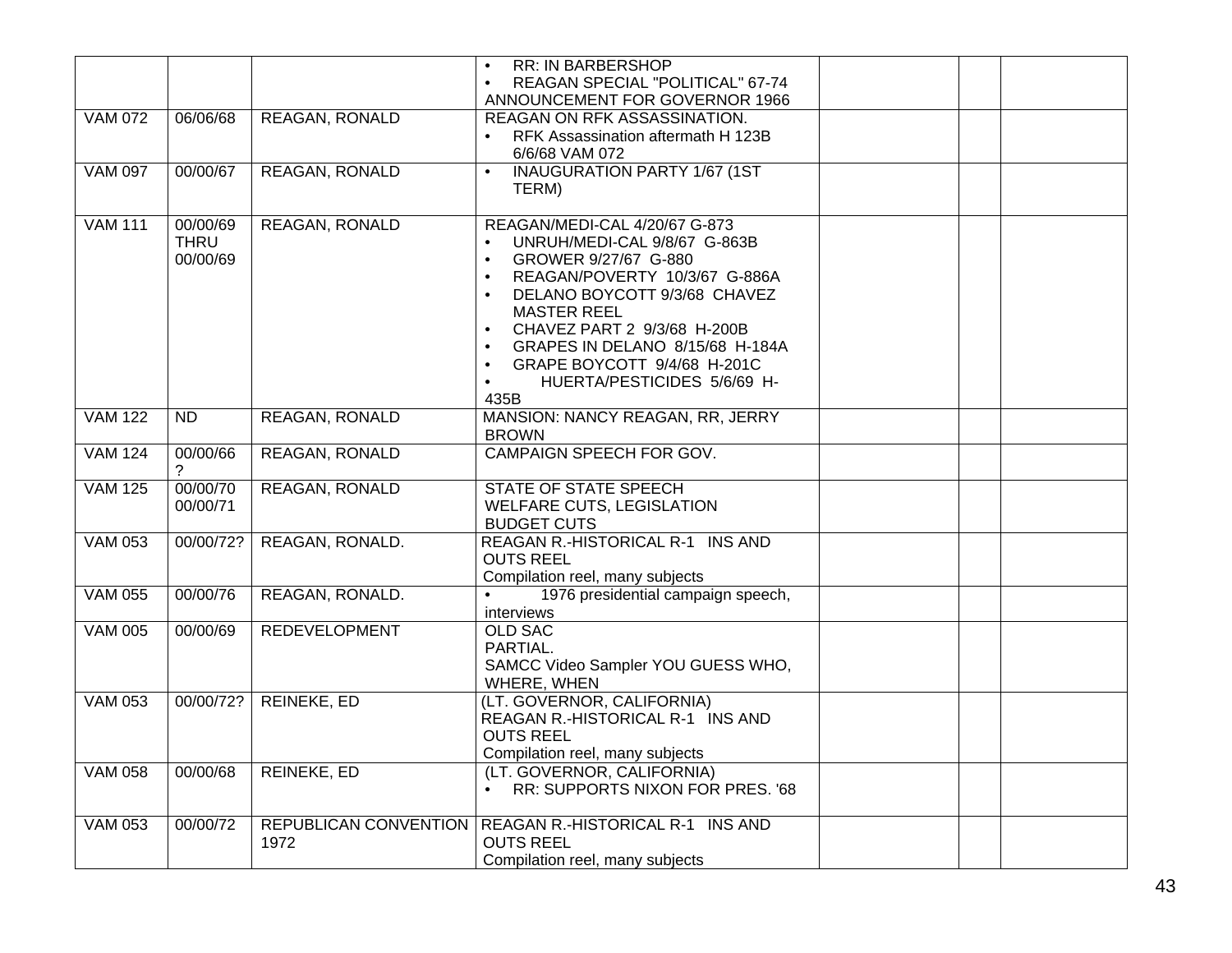|                |             |                       | <b>RR: IN BARBERSHOP</b><br>$\bullet$                                           |  |
|----------------|-------------|-----------------------|---------------------------------------------------------------------------------|--|
|                |             |                       | REAGAN SPECIAL "POLITICAL" 67-74<br>$\bullet$<br>ANNOUNCEMENT FOR GOVERNOR 1966 |  |
|                |             |                       | REAGAN ON RFK ASSASSINATION.                                                    |  |
| <b>VAM 072</b> | 06/06/68    | <b>REAGAN, RONALD</b> |                                                                                 |  |
|                |             |                       | RFK Assassination aftermath H 123B<br>$\bullet$<br>6/6/68 VAM 072               |  |
| <b>VAM 097</b> | 00/00/67    |                       | <b>INAUGURATION PARTY 1/67 (1ST</b><br>$\bullet$                                |  |
|                |             | <b>REAGAN, RONALD</b> | TERM)                                                                           |  |
|                |             |                       |                                                                                 |  |
| <b>VAM 111</b> | 00/00/69    | <b>REAGAN, RONALD</b> | REAGAN/MEDI-CAL 4/20/67 G-873                                                   |  |
|                | <b>THRU</b> |                       | UNRUH/MEDI-CAL 9/8/67 G-863B<br>$\bullet$                                       |  |
|                | 00/00/69    |                       | GROWER 9/27/67 G-880<br>$\bullet$                                               |  |
|                |             |                       | REAGAN/POVERTY 10/3/67 G-886A<br>$\bullet$                                      |  |
|                |             |                       | DELANO BOYCOTT 9/3/68 CHAVEZ<br>$\bullet$                                       |  |
|                |             |                       | <b>MASTER REEL</b>                                                              |  |
|                |             |                       | CHAVEZ PART 2 9/3/68 H-200B<br>$\bullet$                                        |  |
|                |             |                       | GRAPES IN DELANO 8/15/68 H-184A<br>$\bullet$                                    |  |
|                |             |                       | GRAPE BOYCOTT 9/4/68 H-201C<br>$\bullet$                                        |  |
|                |             |                       | HUERTA/PESTICIDES 5/6/69 H-<br>$\bullet$                                        |  |
|                |             |                       | 435B                                                                            |  |
| <b>VAM 122</b> | <b>ND</b>   | <b>REAGAN, RONALD</b> | MANSION: NANCY REAGAN, RR, JERRY                                                |  |
|                |             |                       | <b>BROWN</b>                                                                    |  |
| <b>VAM 124</b> | 00/00/66    | REAGAN, RONALD        | CAMPAIGN SPEECH FOR GOV.                                                        |  |
|                | 2           |                       |                                                                                 |  |
| <b>VAM 125</b> | 00/00/70    | REAGAN, RONALD        | <b>STATE OF STATE SPEECH</b>                                                    |  |
|                | 00/00/71    |                       | <b>WELFARE CUTS, LEGISLATION</b>                                                |  |
|                |             |                       | <b>BUDGET CUTS</b>                                                              |  |
| <b>VAM 053</b> | 00/00/72?   | REAGAN, RONALD.       | REAGAN R.-HISTORICAL R-1 INS AND<br><b>OUTS REEL</b>                            |  |
|                |             |                       | Compilation reel, many subjects                                                 |  |
| <b>VAM 055</b> | 00/00/76    | REAGAN, RONALD.       | 1976 presidential campaign speech,                                              |  |
|                |             |                       | interviews                                                                      |  |
| <b>VAM 005</b> | 00/00/69    | <b>REDEVELOPMENT</b>  | <b>OLD SAC</b>                                                                  |  |
|                |             |                       | PARTIAL.                                                                        |  |
|                |             |                       | SAMCC Video Sampler YOU GUESS WHO,                                              |  |
|                |             |                       | WHERE, WHEN                                                                     |  |
| <b>VAM 053</b> | 00/00/72?   | REINEKE, ED           | (LT. GOVERNOR, CALIFORNIA)                                                      |  |
|                |             |                       | REAGAN R.-HISTORICAL R-1 INS AND                                                |  |
|                |             |                       | <b>OUTS REEL</b>                                                                |  |
|                |             |                       | Compilation reel, many subjects                                                 |  |
| <b>VAM 058</b> | 00/00/68    | <b>REINEKE, ED</b>    | (LT. GOVERNOR, CALIFORNIA)                                                      |  |
|                |             |                       | <b>RR: SUPPORTS NIXON FOR PRES. '68</b><br>$\bullet$                            |  |
|                |             |                       |                                                                                 |  |
| <b>VAM 053</b> | 00/00/72    | REPUBLICAN CONVENTION | REAGAN R.-HISTORICAL R-1 INS AND                                                |  |
|                |             | 1972                  | <b>OUTS REEL</b>                                                                |  |
|                |             |                       | Compilation reel, many subjects                                                 |  |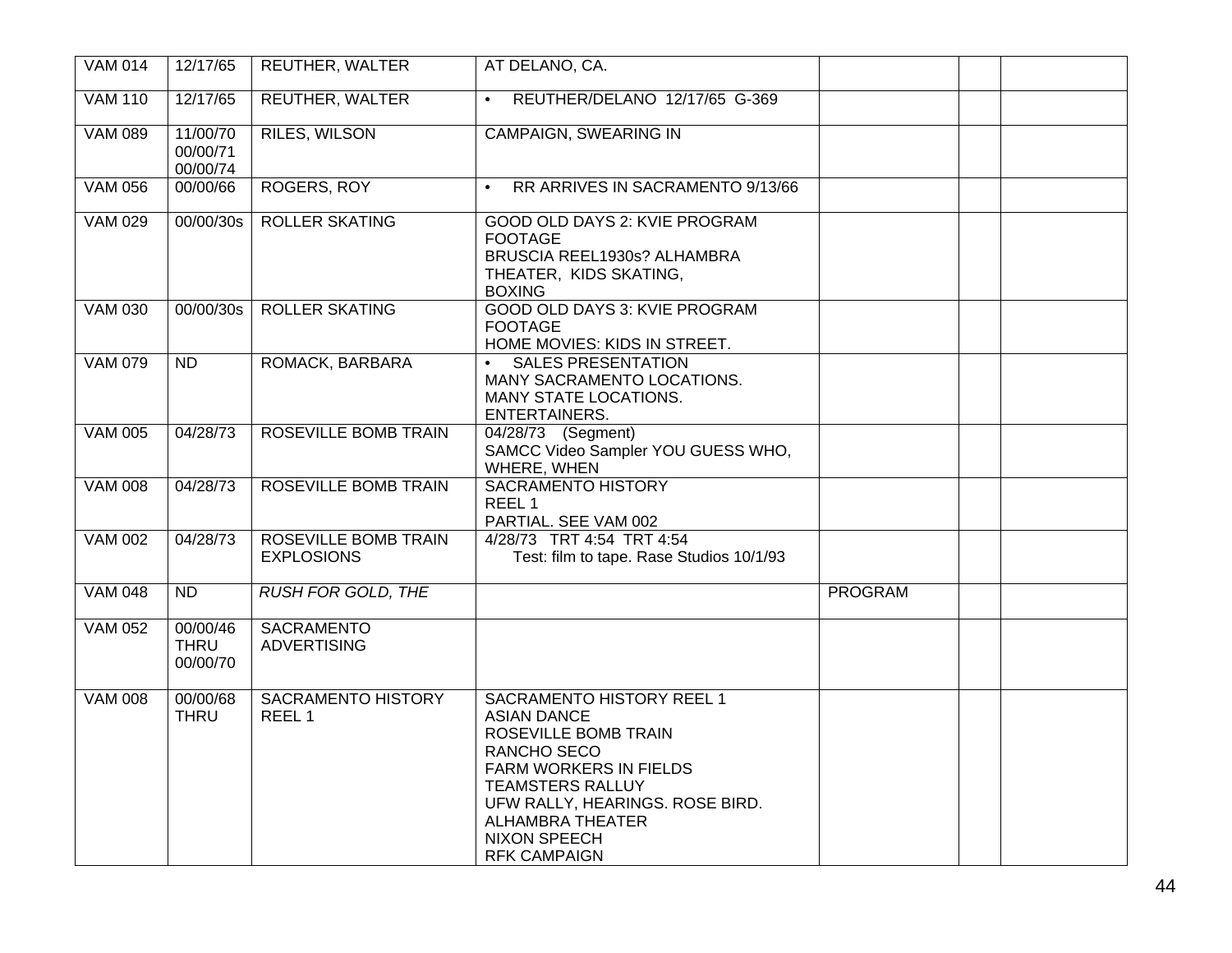| <b>VAM 014</b> | 12/17/65                            | <b>REUTHER, WALTER</b>                         | AT DELANO, CA.                                                                                                                                                                                                                                                 |                |  |
|----------------|-------------------------------------|------------------------------------------------|----------------------------------------------------------------------------------------------------------------------------------------------------------------------------------------------------------------------------------------------------------------|----------------|--|
| <b>VAM 110</b> | 12/17/65                            | <b>REUTHER, WALTER</b>                         | REUTHER/DELANO 12/17/65 G-369                                                                                                                                                                                                                                  |                |  |
| <b>VAM 089</b> | 11/00/70<br>00/00/71<br>00/00/74    | <b>RILES, WILSON</b>                           | <b>CAMPAIGN, SWEARING IN</b>                                                                                                                                                                                                                                   |                |  |
| <b>VAM 056</b> | 00/00/66                            | <b>ROGERS, ROY</b>                             | RR ARRIVES IN SACRAMENTO 9/13/66                                                                                                                                                                                                                               |                |  |
| <b>VAM 029</b> | 00/00/30s                           | <b>ROLLER SKATING</b>                          | GOOD OLD DAYS 2: KVIE PROGRAM<br><b>FOOTAGE</b><br>BRUSCIA REEL1930s? ALHAMBRA<br>THEATER, KIDS SKATING,<br><b>BOXING</b>                                                                                                                                      |                |  |
| <b>VAM 030</b> | 00/00/30s                           | <b>ROLLER SKATING</b>                          | <b>GOOD OLD DAYS 3: KVIE PROGRAM</b><br><b>FOOTAGE</b><br>HOME MOVIES: KIDS IN STREET.                                                                                                                                                                         |                |  |
| <b>VAM 079</b> | $\overline{ND}$                     | ROMACK, BARBARA                                | <b>SALES PRESENTATION</b><br>$\bullet$<br>MANY SACRAMENTO LOCATIONS.<br>MANY STATE LOCATIONS.<br>ENTERTAINERS.                                                                                                                                                 |                |  |
| <b>VAM 005</b> | 04/28/73                            | ROSEVILLE BOMB TRAIN                           | 04/28/73 (Segment)<br>SAMCC Video Sampler YOU GUESS WHO,<br>WHERE, WHEN                                                                                                                                                                                        |                |  |
| <b>VAM 008</b> | 04/28/73                            | <b>ROSEVILLE BOMB TRAIN</b>                    | <b>SACRAMENTO HISTORY</b><br>REEL 1<br>PARTIAL. SEE VAM 002                                                                                                                                                                                                    |                |  |
| <b>VAM 002</b> | 04/28/73                            | ROSEVILLE BOMB TRAIN<br><b>EXPLOSIONS</b>      | 4/28/73 TRT 4:54 TRT 4:54<br>Test: film to tape. Rase Studios 10/1/93                                                                                                                                                                                          |                |  |
| <b>VAM 048</b> | $\overline{ND}$                     | <b>RUSH FOR GOLD, THE</b>                      |                                                                                                                                                                                                                                                                | <b>PROGRAM</b> |  |
| <b>VAM 052</b> | 00/00/46<br><b>THRU</b><br>00/00/70 | <b>SACRAMENTO</b><br><b>ADVERTISING</b>        |                                                                                                                                                                                                                                                                |                |  |
| <b>VAM 008</b> | 00/00/68<br><b>THRU</b>             | <b>SACRAMENTO HISTORY</b><br>REEL <sub>1</sub> | SACRAMENTO HISTORY REEL 1<br><b>ASIAN DANCE</b><br>ROSEVILLE BOMB TRAIN<br>RANCHO SECO<br><b>FARM WORKERS IN FIELDS</b><br><b>TEAMSTERS RALLUY</b><br>UFW RALLY, HEARINGS. ROSE BIRD.<br><b>ALHAMBRA THEATER</b><br><b>NIXON SPEECH</b><br><b>RFK CAMPAIGN</b> |                |  |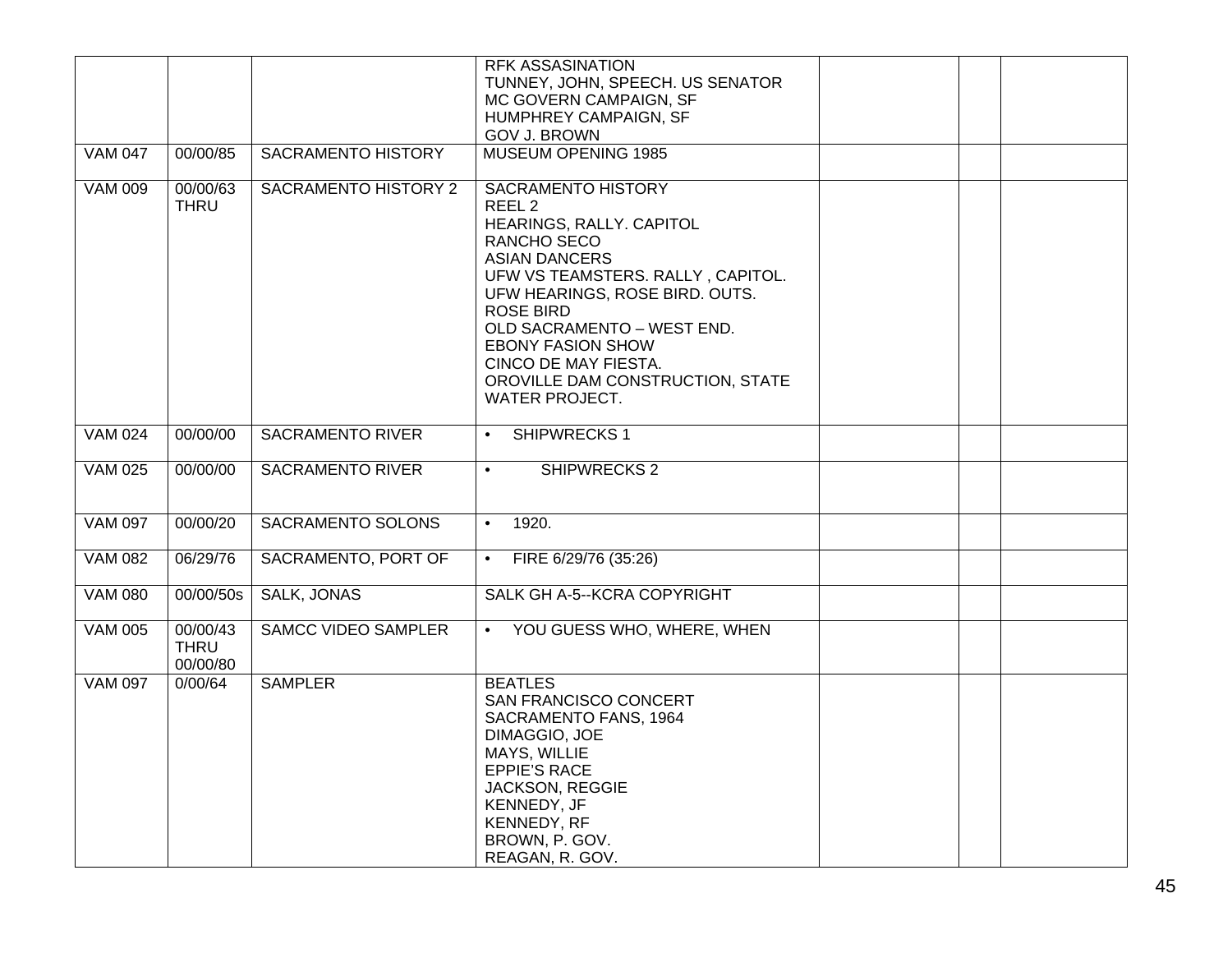|                |                                     |                             | <b>RFK ASSASINATION</b>                                                                                                                                                                                                                                                                                                                              |  |
|----------------|-------------------------------------|-----------------------------|------------------------------------------------------------------------------------------------------------------------------------------------------------------------------------------------------------------------------------------------------------------------------------------------------------------------------------------------------|--|
|                |                                     |                             | TUNNEY, JOHN, SPEECH. US SENATOR                                                                                                                                                                                                                                                                                                                     |  |
|                |                                     |                             | MC GOVERN CAMPAIGN, SF<br>HUMPHREY CAMPAIGN, SF                                                                                                                                                                                                                                                                                                      |  |
|                |                                     |                             | <b>GOV J. BROWN</b>                                                                                                                                                                                                                                                                                                                                  |  |
| <b>VAM 047</b> | 00/00/85                            | <b>SACRAMENTO HISTORY</b>   | <b>MUSEUM OPENING 1985</b>                                                                                                                                                                                                                                                                                                                           |  |
|                |                                     |                             |                                                                                                                                                                                                                                                                                                                                                      |  |
| <b>VAM 009</b> | 00/00/63<br><b>THRU</b>             | <b>SACRAMENTO HISTORY 2</b> | <b>SACRAMENTO HISTORY</b><br>REEL <sub>2</sub><br>HEARINGS, RALLY. CAPITOL<br>RANCHO SECO<br><b>ASIAN DANCERS</b><br>UFW VS TEAMSTERS. RALLY, CAPITOL.<br>UFW HEARINGS, ROSE BIRD. OUTS.<br><b>ROSE BIRD</b><br>OLD SACRAMENTO - WEST END.<br><b>EBONY FASION SHOW</b><br>CINCO DE MAY FIESTA.<br>OROVILLE DAM CONSTRUCTION, STATE<br>WATER PROJECT. |  |
| <b>VAM 024</b> | 00/00/00                            | <b>SACRAMENTO RIVER</b>     | SHIPWRECKS 1<br>$\bullet$                                                                                                                                                                                                                                                                                                                            |  |
| <b>VAM 025</b> | 00/00/00                            | <b>SACRAMENTO RIVER</b>     | SHIPWRECKS <sub>2</sub><br>$\bullet$                                                                                                                                                                                                                                                                                                                 |  |
| <b>VAM 097</b> | 00/00/20                            | <b>SACRAMENTO SOLONS</b>    | 1920.<br>$\bullet$                                                                                                                                                                                                                                                                                                                                   |  |
| <b>VAM 082</b> | 06/29/76                            | SACRAMENTO, PORT OF         | FIRE 6/29/76 (35:26)<br>$\bullet$                                                                                                                                                                                                                                                                                                                    |  |
| <b>VAM 080</b> | 00/00/50s                           | <b>SALK, JONAS</b>          | SALK GH A-5--KCRA COPYRIGHT                                                                                                                                                                                                                                                                                                                          |  |
| <b>VAM 005</b> | 00/00/43<br><b>THRU</b><br>00/00/80 | <b>SAMCC VIDEO SAMPLER</b>  | YOU GUESS WHO, WHERE, WHEN<br>$\bullet$                                                                                                                                                                                                                                                                                                              |  |
| <b>VAM 097</b> | 0/00/64                             | <b>SAMPLER</b>              | <b>BEATLES</b><br>SAN FRANCISCO CONCERT<br>SACRAMENTO FANS, 1964<br>DIMAGGIO, JOE<br>MAYS, WILLIE<br><b>EPPIE'S RACE</b><br>JACKSON, REGGIE<br>KENNEDY, JF<br>KENNEDY, RF<br>BROWN, P. GOV.<br>REAGAN, R. GOV.                                                                                                                                       |  |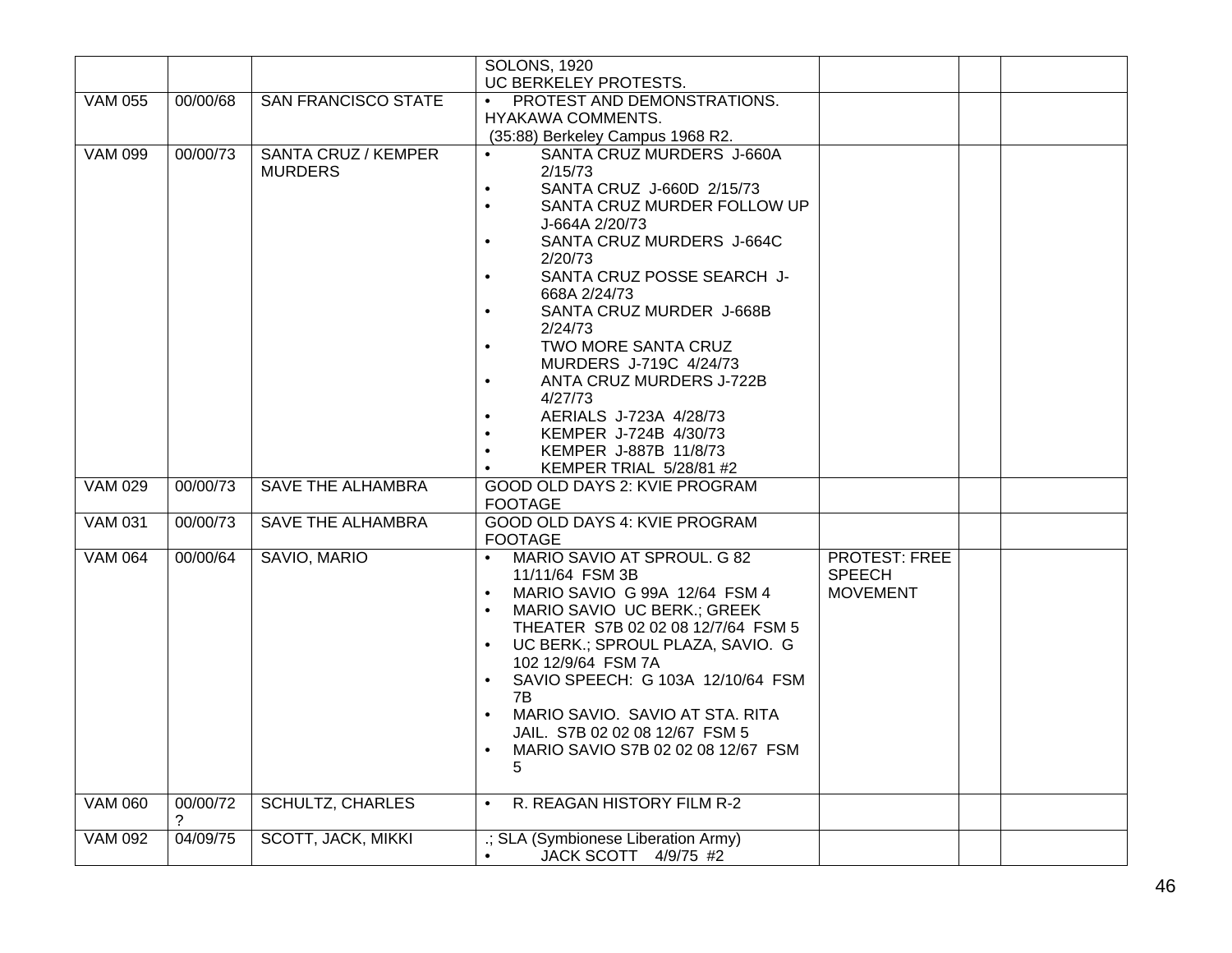| UC BERKELEY PROTESTS.<br><b>VAM 055</b><br>00/00/68<br><b>SAN FRANCISCO STATE</b><br>PROTEST AND DEMONSTRATIONS.<br>$\bullet$<br>HYAKAWA COMMENTS.<br>(35:88) Berkeley Campus 1968 R2.<br><b>VAM 099</b><br>00/00/73<br><b>SANTA CRUZ / KEMPER</b><br>SANTA CRUZ MURDERS J-660A<br>2/15/73<br><b>MURDERS</b><br>SANTA CRUZ J-660D 2/15/73<br>$\bullet$ |  |
|--------------------------------------------------------------------------------------------------------------------------------------------------------------------------------------------------------------------------------------------------------------------------------------------------------------------------------------------------------|--|
|                                                                                                                                                                                                                                                                                                                                                        |  |
|                                                                                                                                                                                                                                                                                                                                                        |  |
|                                                                                                                                                                                                                                                                                                                                                        |  |
|                                                                                                                                                                                                                                                                                                                                                        |  |
|                                                                                                                                                                                                                                                                                                                                                        |  |
|                                                                                                                                                                                                                                                                                                                                                        |  |
| SANTA CRUZ MURDER FOLLOW UP<br>$\bullet$                                                                                                                                                                                                                                                                                                               |  |
| J-664A 2/20/73                                                                                                                                                                                                                                                                                                                                         |  |
| SANTA CRUZ MURDERS J-664C<br>$\bullet$                                                                                                                                                                                                                                                                                                                 |  |
| 2/20/73                                                                                                                                                                                                                                                                                                                                                |  |
| SANTA CRUZ POSSE SEARCH J-<br>$\bullet$                                                                                                                                                                                                                                                                                                                |  |
| 668A 2/24/73                                                                                                                                                                                                                                                                                                                                           |  |
| SANTA CRUZ MURDER J-668B<br>$\bullet$                                                                                                                                                                                                                                                                                                                  |  |
| 2/24/73                                                                                                                                                                                                                                                                                                                                                |  |
| TWO MORE SANTA CRUZ                                                                                                                                                                                                                                                                                                                                    |  |
| MURDERS J-719C 4/24/73<br>ANTA CRUZ MURDERS J-722B<br>$\bullet$                                                                                                                                                                                                                                                                                        |  |
| 4/27/73                                                                                                                                                                                                                                                                                                                                                |  |
| AERIALS J-723A 4/28/73<br>$\bullet$                                                                                                                                                                                                                                                                                                                    |  |
| KEMPER J-724B 4/30/73                                                                                                                                                                                                                                                                                                                                  |  |
| KEMPER J-887B 11/8/73<br>$\bullet$                                                                                                                                                                                                                                                                                                                     |  |
| KEMPER TRIAL 5/28/81 #2                                                                                                                                                                                                                                                                                                                                |  |
| <b>VAM 029</b><br><b>SAVE THE ALHAMBRA</b><br>00/00/73<br><b>GOOD OLD DAYS 2: KVIE PROGRAM</b>                                                                                                                                                                                                                                                         |  |
| <b>FOOTAGE</b>                                                                                                                                                                                                                                                                                                                                         |  |
| <b>VAM 031</b><br>00/00/73<br><b>SAVE THE ALHAMBRA</b><br>GOOD OLD DAYS 4: KVIE PROGRAM<br><b>FOOTAGE</b>                                                                                                                                                                                                                                              |  |
| SAVIO, MARIO<br><b>VAM 064</b><br>00/00/64<br>MARIO SAVIO AT SPROUL. G 82<br><b>PROTEST: FREE</b>                                                                                                                                                                                                                                                      |  |
| 11/11/64 FSM 3B<br><b>SPEECH</b>                                                                                                                                                                                                                                                                                                                       |  |
| MARIO SAVIO G 99A 12/64 FSM 4<br><b>MOVEMENT</b><br>$\bullet$                                                                                                                                                                                                                                                                                          |  |
| MARIO SAVIO UC BERK.; GREEK<br>$\bullet$                                                                                                                                                                                                                                                                                                               |  |
| THEATER S7B 02 02 08 12/7/64 FSM 5                                                                                                                                                                                                                                                                                                                     |  |
| UC BERK.; SPROUL PLAZA, SAVIO. G                                                                                                                                                                                                                                                                                                                       |  |
| 102 12/9/64 FSM 7A                                                                                                                                                                                                                                                                                                                                     |  |
| SAVIO SPEECH: G 103A 12/10/64 FSM<br>$\bullet$                                                                                                                                                                                                                                                                                                         |  |
| 7В<br>MARIO SAVIO. SAVIO AT STA. RITA<br>$\bullet$                                                                                                                                                                                                                                                                                                     |  |
| JAIL. S7B 02 02 08 12/67 FSM 5                                                                                                                                                                                                                                                                                                                         |  |
| MARIO SAVIO S7B 02 02 08 12/67 FSM                                                                                                                                                                                                                                                                                                                     |  |
| 5                                                                                                                                                                                                                                                                                                                                                      |  |
|                                                                                                                                                                                                                                                                                                                                                        |  |
| <b>VAM 060</b><br>00/00/72<br><b>SCHULTZ, CHARLES</b><br>R. REAGAN HISTORY FILM R-2<br>$\bullet$                                                                                                                                                                                                                                                       |  |
| ?<br>SCOTT, JACK, MIKKI<br><b>VAM 092</b><br>04/09/75<br>.; SLA (Symbionese Liberation Army)                                                                                                                                                                                                                                                           |  |
| JACK SCOTT 4/9/75 #2<br>$\bullet$                                                                                                                                                                                                                                                                                                                      |  |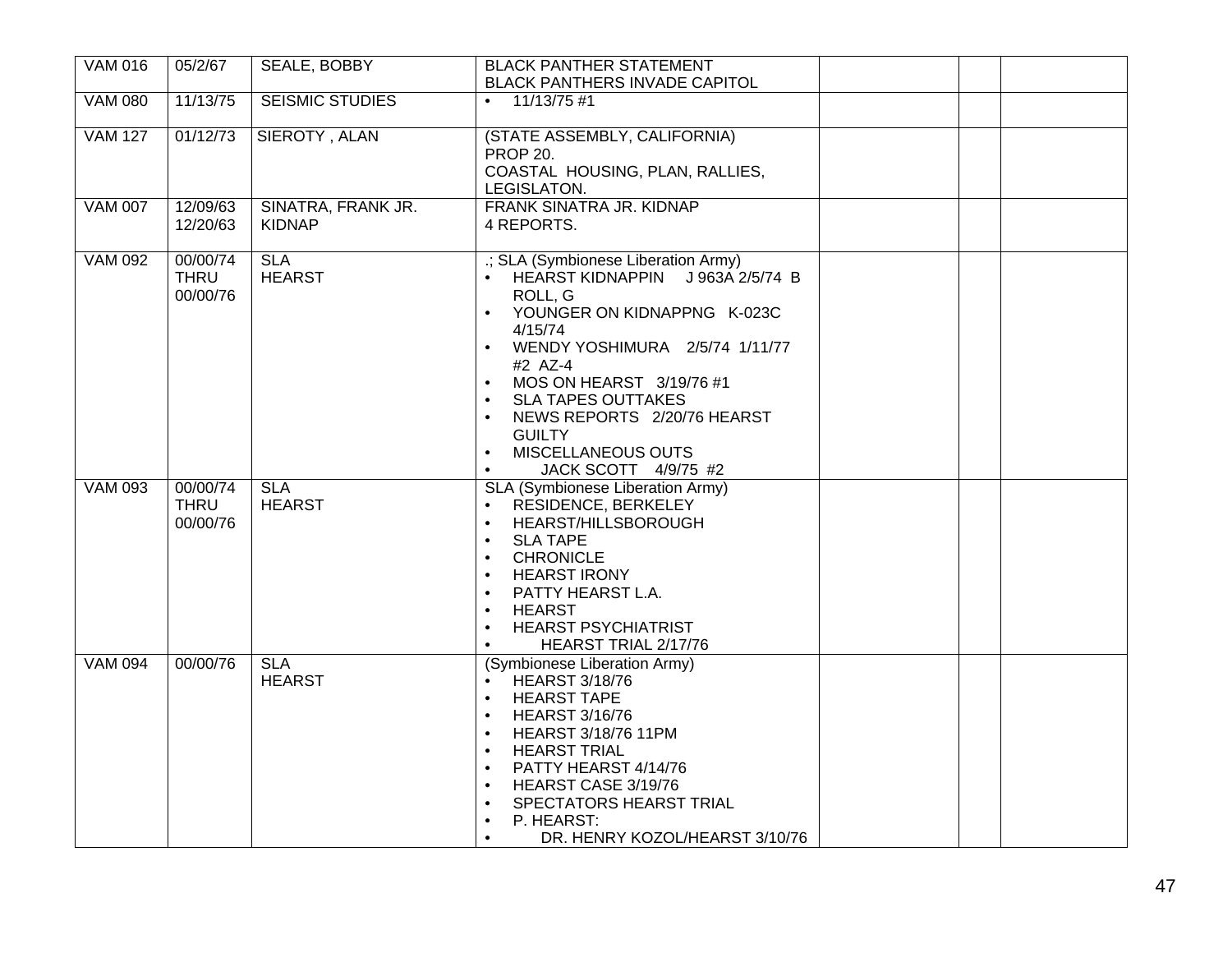| <b>VAM 016</b> | 05/2/67                             | <b>SEALE, BOBBY</b>                 | <b>BLACK PANTHER STATEMENT</b>                                                                                                                                                                                                                                                                                                                                                 |  |
|----------------|-------------------------------------|-------------------------------------|--------------------------------------------------------------------------------------------------------------------------------------------------------------------------------------------------------------------------------------------------------------------------------------------------------------------------------------------------------------------------------|--|
|                |                                     |                                     | <b>BLACK PANTHERS INVADE CAPITOL</b>                                                                                                                                                                                                                                                                                                                                           |  |
| <b>VAM 080</b> | 11/13/75                            | <b>SEISMIC STUDIES</b>              | $11/13/75$ #1<br>$\bullet$                                                                                                                                                                                                                                                                                                                                                     |  |
| <b>VAM 127</b> | 01/12/73                            | SIEROTY, ALAN                       | (STATE ASSEMBLY, CALIFORNIA)<br>PROP 20.<br>COASTAL HOUSING, PLAN, RALLIES,<br>LEGISLATON.                                                                                                                                                                                                                                                                                     |  |
| <b>VAM 007</b> | 12/09/63<br>12/20/63                | SINATRA, FRANK JR.<br><b>KIDNAP</b> | FRANK SINATRA JR. KIDNAP<br>4 REPORTS.                                                                                                                                                                                                                                                                                                                                         |  |
| <b>VAM 092</b> | 00/00/74<br><b>THRU</b><br>00/00/76 | <b>SLA</b><br><b>HEARST</b>         | .; SLA (Symbionese Liberation Army)<br>HEARST KIDNAPPIN J963A 2/5/74 B<br>ROLL, G<br>YOUNGER ON KIDNAPPNG K-023C<br>4/15/74<br>WENDY YOSHIMURA  2/5/74 1/11/77<br>#2 AZ-4<br>MOS ON HEARST 3/19/76 #1<br><b>SLA TAPES OUTTAKES</b><br>NEWS REPORTS 2/20/76 HEARST<br>$\bullet$<br><b>GUILTY</b><br>MISCELLANEOUS OUTS<br>$\bullet$<br>JACK SCOTT 4/9/75 #2<br>$\bullet$        |  |
| <b>VAM 093</b> | 00/00/74<br><b>THRU</b><br>00/00/76 | <b>SLA</b><br><b>HEARST</b>         | SLA (Symbionese Liberation Army)<br>RESIDENCE, BERKELEY<br>$\bullet$<br>HEARST/HILLSBOROUGH<br>$\bullet$<br><b>SLA TAPE</b><br><b>CHRONICLE</b><br>$\bullet$<br><b>HEARST IRONY</b><br>PATTY HEARST L.A.<br><b>HEARST</b><br>$\bullet$<br><b>HEARST PSYCHIATRIST</b><br>$\bullet$<br>HEARST TRIAL 2/17/76                                                                      |  |
| <b>VAM 094</b> | 00/00/76                            | <b>SLA</b><br><b>HEARST</b>         | (Symbionese Liberation Army)<br><b>HEARST 3/18/76</b><br><b>HEARST TAPE</b><br>$\bullet$<br><b>HEARST 3/16/76</b><br>$\bullet$<br><b>HEARST 3/18/76 11PM</b><br><b>HEARST TRIAL</b><br>$\bullet$<br>PATTY HEARST 4/14/76<br>$\bullet$<br>HEARST CASE 3/19/76<br>SPECTATORS HEARST TRIAL<br>$\bullet$<br>P. HEARST:<br>$\bullet$<br>DR. HENRY KOZOL/HEARST 3/10/76<br>$\bullet$ |  |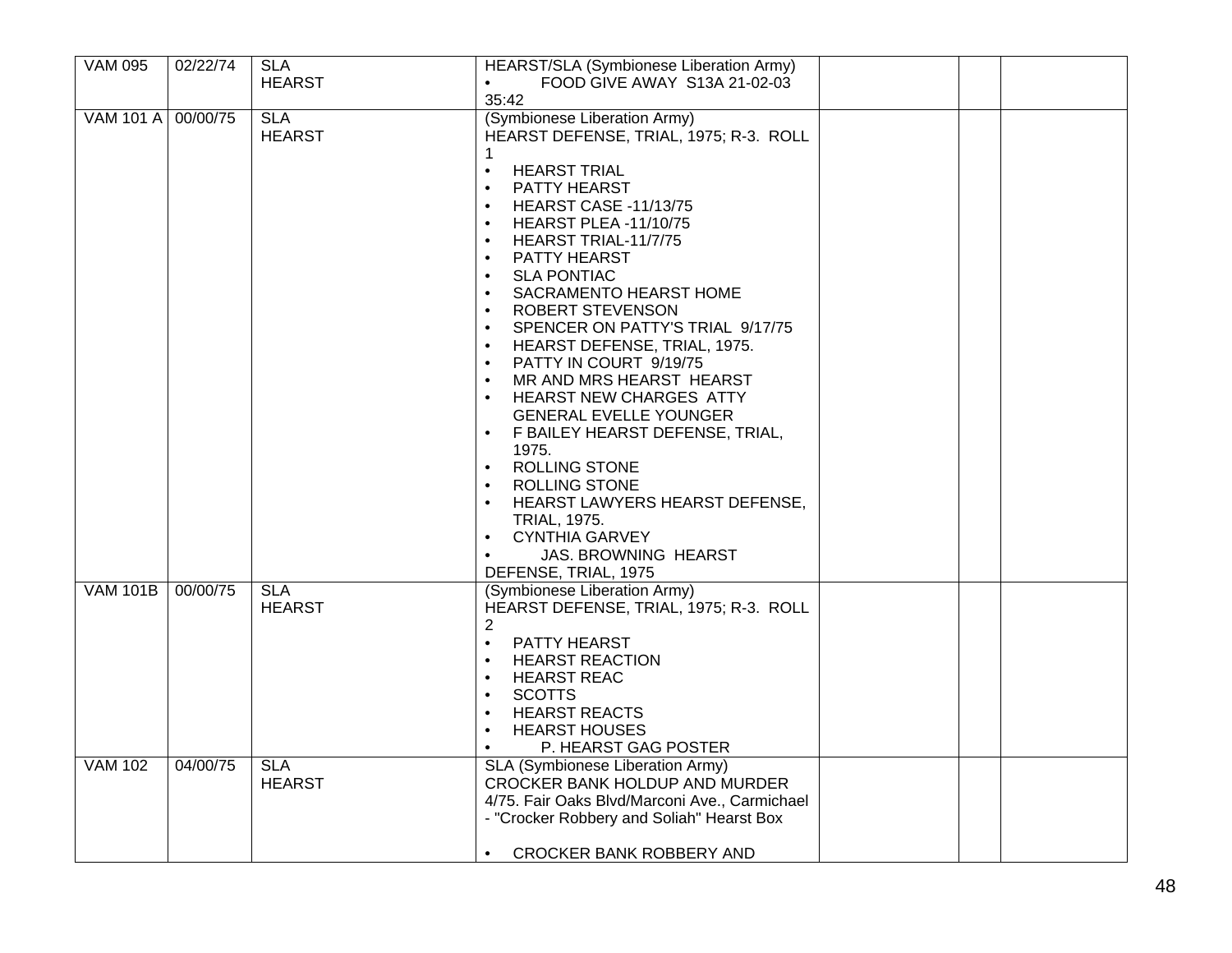| <b>VAM 095</b>     | 02/22/74 | <b>SLA</b>                  | HEARST/SLA (Symbionese Liberation Army)                                                                                                                                                                                                                                                                                                                                                                                                                                                                                                                                                       |  |
|--------------------|----------|-----------------------------|-----------------------------------------------------------------------------------------------------------------------------------------------------------------------------------------------------------------------------------------------------------------------------------------------------------------------------------------------------------------------------------------------------------------------------------------------------------------------------------------------------------------------------------------------------------------------------------------------|--|
|                    |          | <b>HEARST</b>               | FOOD GIVE AWAY S13A 21-02-03                                                                                                                                                                                                                                                                                                                                                                                                                                                                                                                                                                  |  |
|                    |          |                             | 35:42                                                                                                                                                                                                                                                                                                                                                                                                                                                                                                                                                                                         |  |
| VAM 101 A 00/00/75 |          | <b>SLA</b><br><b>HEARST</b> | (Symbionese Liberation Army)<br>HEARST DEFENSE, TRIAL, 1975; R-3. ROLL<br><b>HEARST TRIAL</b><br>$\bullet$<br><b>PATTY HEARST</b><br>$\bullet$<br><b>HEARST CASE -11/13/75</b><br>HEARST PLEA-11/10/75<br>HEARST TRIAL-11/7/75<br>$\bullet$<br>PATTY HEARST<br><b>SLA PONTIAC</b><br>$\bullet$<br>SACRAMENTO HEARST HOME<br>$\bullet$<br>ROBERT STEVENSON<br>SPENCER ON PATTY'S TRIAL 9/17/75<br>$\bullet$<br>HEARST DEFENSE, TRIAL, 1975.<br>PATTY IN COURT 9/19/75<br>$\bullet$<br>MR AND MRS HEARST HEARST<br>$\bullet$<br><b>HEARST NEW CHARGES ATTY</b><br><b>GENERAL EVELLE YOUNGER</b> |  |
|                    |          |                             | F BAILEY HEARST DEFENSE, TRIAL,<br>$\bullet$<br>1975.<br><b>ROLLING STONE</b><br>$\bullet$<br><b>ROLLING STONE</b><br>HEARST LAWYERS HEARST DEFENSE,<br>$\bullet$<br>TRIAL, 1975.<br><b>CYNTHIA GARVEY</b><br>$\bullet$<br><b>JAS. BROWNING HEARST</b><br>$\bullet$<br>DEFENSE, TRIAL, 1975                                                                                                                                                                                                                                                                                                   |  |
| <b>VAM 101B</b>    | 00/00/75 | <b>SLA</b><br><b>HEARST</b> | (Symbionese Liberation Army)<br>HEARST DEFENSE, TRIAL, 1975; R-3. ROLL<br>2<br>PATTY HEARST<br>$\bullet$<br><b>HEARST REACTION</b><br>$\bullet$<br><b>HEARST REAC</b><br><b>SCOTTS</b><br>$\bullet$<br><b>HEARST REACTS</b><br><b>HEARST HOUSES</b><br>$\bullet$<br>P. HEARST GAG POSTER<br>$\bullet$                                                                                                                                                                                                                                                                                         |  |
| <b>VAM 102</b>     | 04/00/75 | <b>SLA</b><br><b>HEARST</b> | SLA (Symbionese Liberation Army)<br>CROCKER BANK HOLDUP AND MURDER<br>4/75. Fair Oaks Blvd/Marconi Ave., Carmichael<br>- "Crocker Robbery and Soliah" Hearst Box<br>• CROCKER BANK ROBBERY AND                                                                                                                                                                                                                                                                                                                                                                                                |  |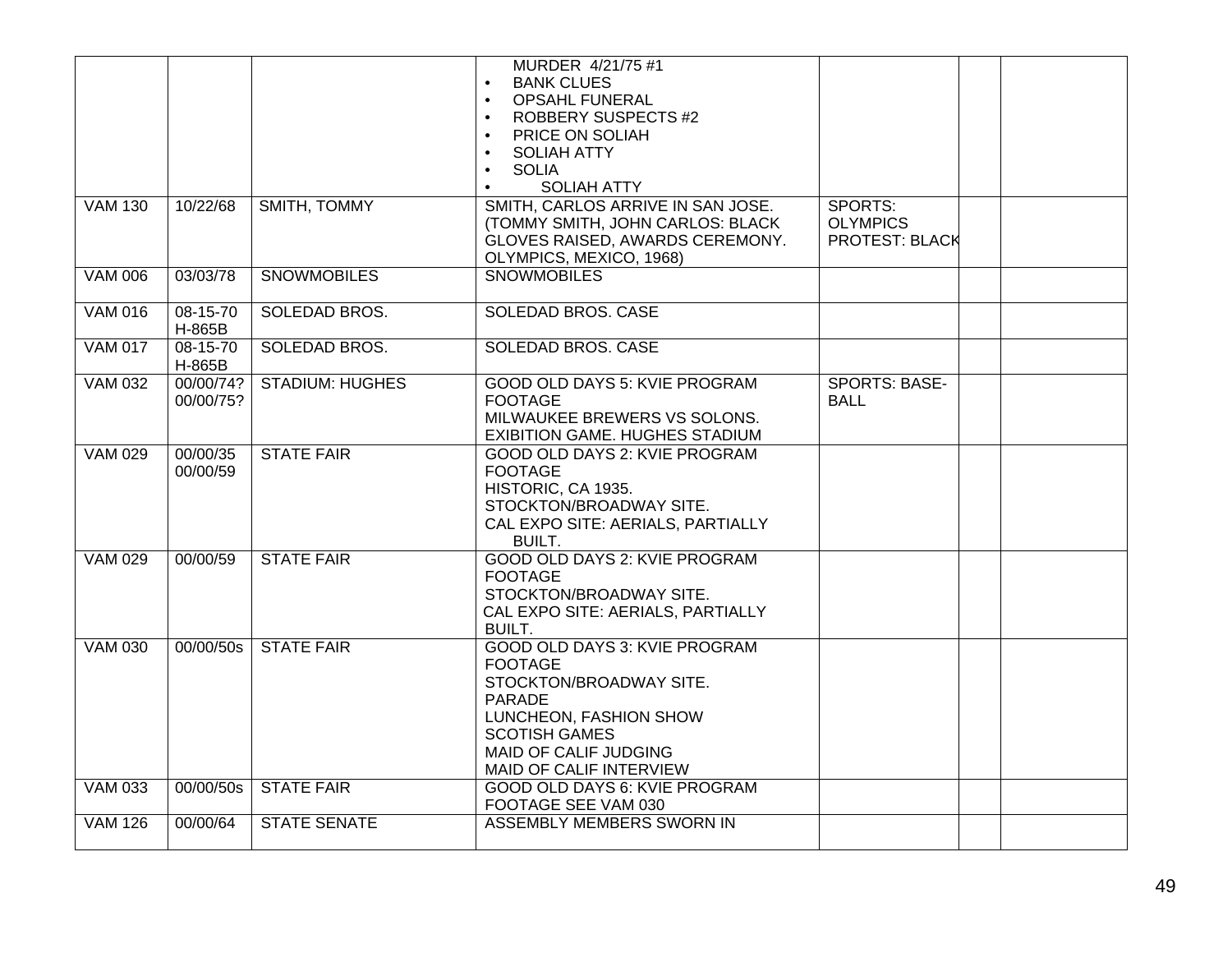|                |                        |                        | MURDER 4/21/75 #1<br><b>BANK CLUES</b><br>$\bullet$<br><b>OPSAHL FUNERAL</b><br>$\bullet$<br><b>ROBBERY SUSPECTS #2</b><br>PRICE ON SOLIAH<br>$\bullet$<br><b>SOLIAH ATTY</b><br>$\bullet$<br><b>SOLIA</b><br>$\bullet$<br><b>SOLIAH ATTY</b><br>$\bullet$ |                                                     |  |
|----------------|------------------------|------------------------|------------------------------------------------------------------------------------------------------------------------------------------------------------------------------------------------------------------------------------------------------------|-----------------------------------------------------|--|
| <b>VAM 130</b> | 10/22/68               | SMITH, TOMMY           | SMITH, CARLOS ARRIVE IN SAN JOSE.<br>(TOMMY SMITH, JOHN CARLOS: BLACK<br>GLOVES RAISED, AWARDS CEREMONY.<br>OLYMPICS, MEXICO, 1968)                                                                                                                        | SPORTS:<br><b>OLYMPICS</b><br><b>PROTEST: BLACK</b> |  |
| <b>VAM 006</b> | 03/03/78               | <b>SNOWMOBILES</b>     | <b>SNOWMOBILES</b>                                                                                                                                                                                                                                         |                                                     |  |
| <b>VAM 016</b> | 08-15-70<br>H-865B     | SOLEDAD BROS.          | <b>SOLEDAD BROS, CASE</b>                                                                                                                                                                                                                                  |                                                     |  |
| <b>VAM 017</b> | 08-15-70<br>H-865B     | SOLEDAD BROS.          | <b>SOLEDAD BROS. CASE</b>                                                                                                                                                                                                                                  |                                                     |  |
| <b>VAM 032</b> | 00/00/74?<br>00/00/75? | <b>STADIUM: HUGHES</b> | <b>GOOD OLD DAYS 5: KVIE PROGRAM</b><br><b>FOOTAGE</b><br>MILWAUKEE BREWERS VS SOLONS.<br>EXIBITION GAME. HUGHES STADIUM                                                                                                                                   | <b>SPORTS: BASE-</b><br><b>BALL</b>                 |  |
| <b>VAM 029</b> | 00/00/35<br>00/00/59   | <b>STATE FAIR</b>      | GOOD OLD DAYS 2: KVIE PROGRAM<br><b>FOOTAGE</b><br>HISTORIC, CA 1935.<br>STOCKTON/BROADWAY SITE.<br>CAL EXPO SITE: AERIALS, PARTIALLY<br><b>BUILT.</b>                                                                                                     |                                                     |  |
| <b>VAM 029</b> | 00/00/59               | <b>STATE FAIR</b>      | GOOD OLD DAYS 2: KVIE PROGRAM<br><b>FOOTAGE</b><br>STOCKTON/BROADWAY SITE.<br>CAL EXPO SITE: AERIALS, PARTIALLY<br><b>BUILT.</b>                                                                                                                           |                                                     |  |
| <b>VAM 030</b> | 00/00/50s              | <b>STATE FAIR</b>      | GOOD OLD DAYS 3: KVIE PROGRAM<br><b>FOOTAGE</b><br>STOCKTON/BROADWAY SITE.<br><b>PARADE</b><br>LUNCHEON, FASHION SHOW<br><b>SCOTISH GAMES</b><br>MAID OF CALIF JUDGING<br>MAID OF CALIF INTERVIEW                                                          |                                                     |  |
| <b>VAM 033</b> | 00/00/50s              | <b>STATE FAIR</b>      | GOOD OLD DAYS 6: KVIE PROGRAM<br>FOOTAGE SEE VAM 030                                                                                                                                                                                                       |                                                     |  |
| <b>VAM 126</b> | 00/00/64               | <b>STATE SENATE</b>    | ASSEMBLY MEMBERS SWORN IN                                                                                                                                                                                                                                  |                                                     |  |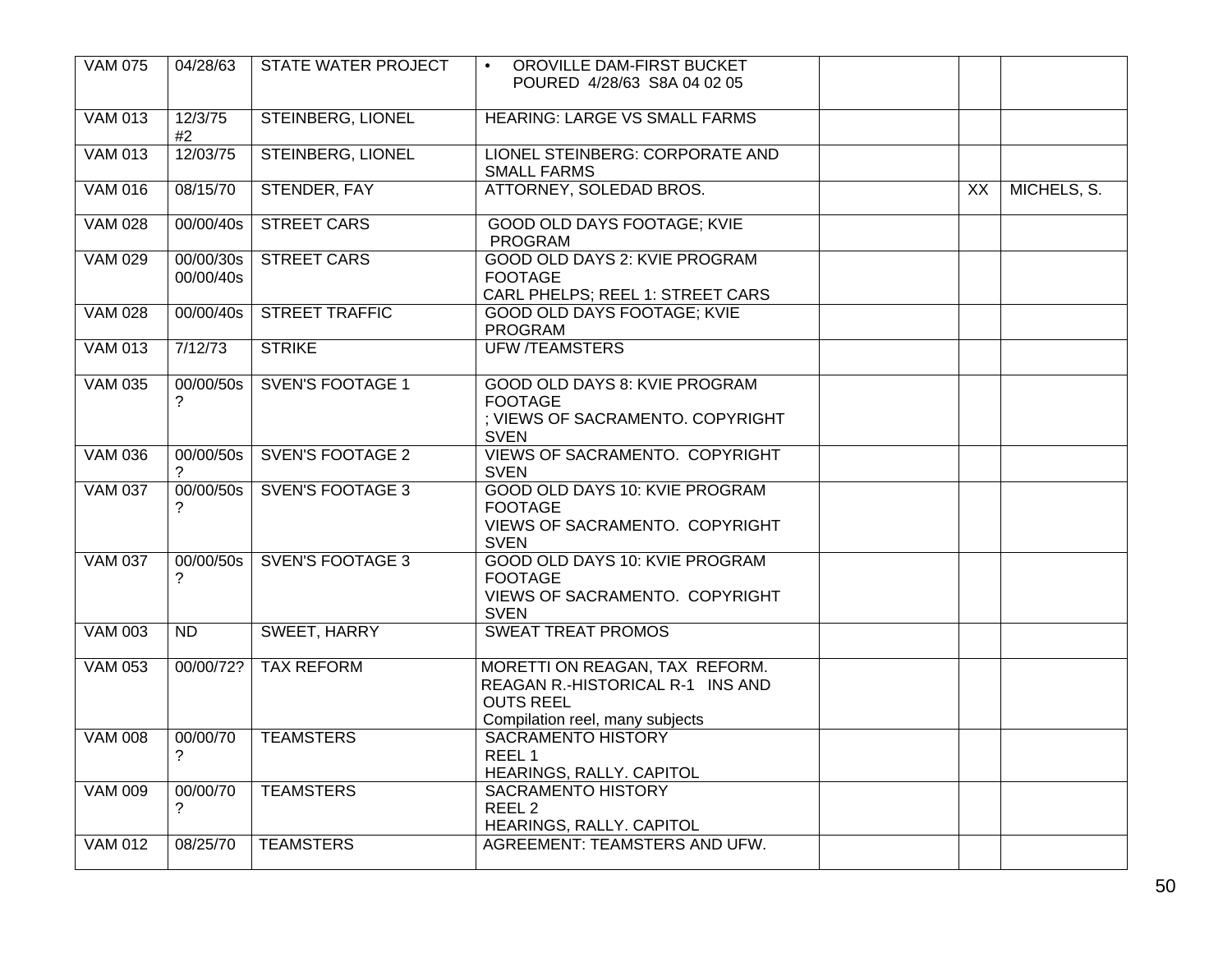| <b>VAM 075</b> | 04/28/63               | STATE WATER PROJECT      | OROVILLE DAM-FIRST BUCKET<br>$\bullet$<br>POURED 4/28/63 S8A 04 02 05                                                     |    |             |
|----------------|------------------------|--------------------------|---------------------------------------------------------------------------------------------------------------------------|----|-------------|
| <b>VAM 013</b> | 12/3/75<br>#2          | <b>STEINBERG, LIONEL</b> | <b>HEARING: LARGE VS SMALL FARMS</b>                                                                                      |    |             |
| <b>VAM 013</b> | 12/03/75               | <b>STEINBERG, LIONEL</b> | LIONEL STEINBERG: CORPORATE AND<br><b>SMALL FARMS</b>                                                                     |    |             |
| <b>VAM 016</b> | 08/15/70               | STENDER, FAY             | ATTORNEY, SOLEDAD BROS.                                                                                                   | XX | MICHELS, S. |
| <b>VAM 028</b> | 00/00/40s              | <b>STREET CARS</b>       | <b>GOOD OLD DAYS FOOTAGE; KVIE</b><br><b>PROGRAM</b>                                                                      |    |             |
| <b>VAM 029</b> | 00/00/30s<br>00/00/40s | <b>STREET CARS</b>       | GOOD OLD DAYS 2: KVIE PROGRAM<br><b>FOOTAGE</b><br>CARL PHELPS; REEL 1: STREET CARS                                       |    |             |
| <b>VAM 028</b> | 00/00/40s              | <b>STREET TRAFFIC</b>    | GOOD OLD DAYS FOOTAGE; KVIE<br><b>PROGRAM</b>                                                                             |    |             |
| <b>VAM 013</b> | 7/12/73                | <b>STRIKE</b>            | <b>UFW /TEAMSTERS</b>                                                                                                     |    |             |
| <b>VAM 035</b> | 00/00/50s<br>?         | <b>SVEN'S FOOTAGE 1</b>  | GOOD OLD DAYS 8: KVIE PROGRAM<br><b>FOOTAGE</b><br>; VIEWS OF SACRAMENTO. COPYRIGHT<br><b>SVEN</b>                        |    |             |
| <b>VAM 036</b> | 00/00/50s              | <b>SVEN'S FOOTAGE 2</b>  | VIEWS OF SACRAMENTO. COPYRIGHT<br><b>SVEN</b>                                                                             |    |             |
| <b>VAM 037</b> | 00/00/50s<br>?         | <b>SVEN'S FOOTAGE 3</b>  | GOOD OLD DAYS 10: KVIE PROGRAM<br><b>FOOTAGE</b><br>VIEWS OF SACRAMENTO. COPYRIGHT<br><b>SVEN</b>                         |    |             |
| <b>VAM 037</b> | 00/00/50s<br>?         | <b>SVEN'S FOOTAGE 3</b>  | GOOD OLD DAYS 10: KVIE PROGRAM<br><b>FOOTAGE</b><br>VIEWS OF SACRAMENTO. COPYRIGHT<br><b>SVEN</b>                         |    |             |
| <b>VAM 003</b> | <b>ND</b>              | SWEET, HARRY             | <b>SWEAT TREAT PROMOS</b>                                                                                                 |    |             |
| <b>VAM 053</b> | 00/00/72?              | <b>TAX REFORM</b>        | MORETTI ON REAGAN, TAX REFORM.<br>REAGAN R.-HISTORICAL R-1 INS AND<br><b>OUTS REEL</b><br>Compilation reel, many subjects |    |             |
| <b>VAM 008</b> | 00/00/70<br>?          | <b>TEAMSTERS</b>         | <b>SACRAMENTO HISTORY</b><br>REEL 1<br>HEARINGS, RALLY. CAPITOL                                                           |    |             |
| <b>VAM 009</b> | 00/00/70<br>?          | <b>TEAMSTERS</b>         | <b>SACRAMENTO HISTORY</b><br>REEL <sub>2</sub><br>HEARINGS, RALLY. CAPITOL                                                |    |             |
| <b>VAM 012</b> | 08/25/70               | <b>TEAMSTERS</b>         | AGREEMENT: TEAMSTERS AND UFW.                                                                                             |    |             |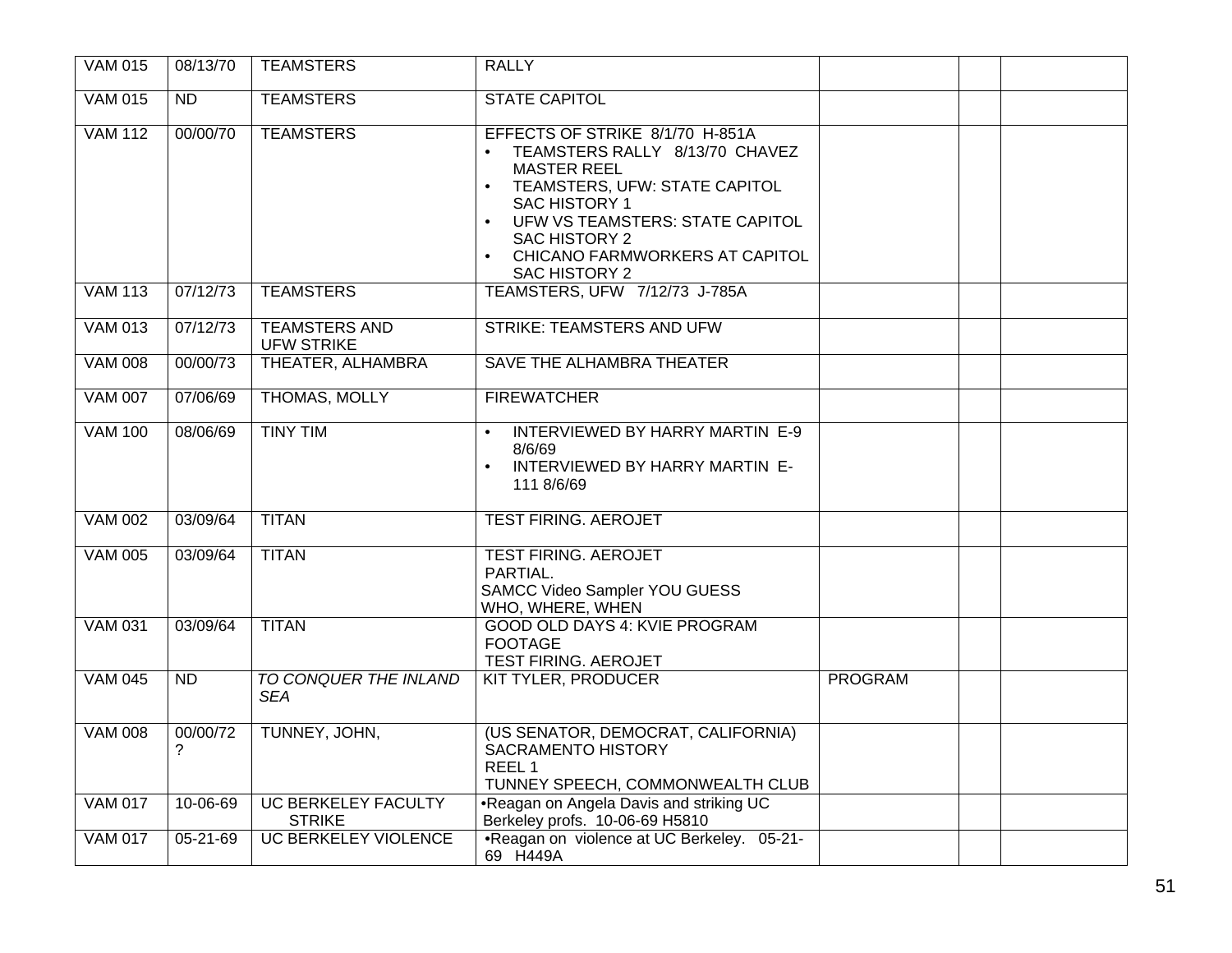| <b>VAM 015</b> | 08/13/70        | <b>TEAMSTERS</b>                            | <b>RALLY</b>                                                                                                                                                                                                                                                                      |                |  |
|----------------|-----------------|---------------------------------------------|-----------------------------------------------------------------------------------------------------------------------------------------------------------------------------------------------------------------------------------------------------------------------------------|----------------|--|
| <b>VAM 015</b> | ND              | <b>TEAMSTERS</b>                            | <b>STATE CAPITOL</b>                                                                                                                                                                                                                                                              |                |  |
| <b>VAM 112</b> | 00/00/70        | <b>TEAMSTERS</b>                            | EFFECTS OF STRIKE 8/1/70 H-851A<br>TEAMSTERS RALLY 8/13/70 CHAVEZ<br><b>MASTER REEL</b><br>TEAMSTERS, UFW: STATE CAPITOL<br>$\bullet$<br><b>SAC HISTORY 1</b><br>UFW VS TEAMSTERS: STATE CAPITOL<br>$\bullet$<br>SAC HISTORY 2<br>CHICANO FARMWORKERS AT CAPITOL<br>SAC HISTORY 2 |                |  |
| <b>VAM 113</b> | 07/12/73        | <b>TEAMSTERS</b>                            | TEAMSTERS, UFW 7/12/73 J-785A                                                                                                                                                                                                                                                     |                |  |
| <b>VAM 013</b> | 07/12/73        | <b>TEAMSTERS AND</b><br><b>UFW STRIKE</b>   | <b>STRIKE: TEAMSTERS AND UFW</b>                                                                                                                                                                                                                                                  |                |  |
| <b>VAM 008</b> | 00/00/73        | THEATER, ALHAMBRA                           | SAVE THE ALHAMBRA THEATER                                                                                                                                                                                                                                                         |                |  |
| <b>VAM 007</b> | 07/06/69        | THOMAS, MOLLY                               | <b>FIREWATCHER</b>                                                                                                                                                                                                                                                                |                |  |
| <b>VAM 100</b> | 08/06/69        | <b>TINY TIM</b>                             | INTERVIEWED BY HARRY MARTIN E-9<br>8/6/69<br>INTERVIEWED BY HARRY MARTIN E-<br>111 8/6/69                                                                                                                                                                                         |                |  |
| <b>VAM 002</b> | 03/09/64        | <b>TITAN</b>                                | <b>TEST FIRING. AEROJET</b>                                                                                                                                                                                                                                                       |                |  |
| <b>VAM 005</b> | 03/09/64        | <b>TITAN</b>                                | <b>TEST FIRING. AEROJET</b><br>PARTIAL.<br>SAMCC Video Sampler YOU GUESS<br>WHO, WHERE, WHEN                                                                                                                                                                                      |                |  |
| <b>VAM 031</b> | 03/09/64        | <b>TITAN</b>                                | <b>GOOD OLD DAYS 4: KVIE PROGRAM</b><br><b>FOOTAGE</b><br>TEST FIRING. AEROJET                                                                                                                                                                                                    |                |  |
| <b>VAM 045</b> | $\overline{ND}$ | TO CONQUER THE INLAND<br><b>SEA</b>         | <b>KIT TYLER, PRODUCER</b>                                                                                                                                                                                                                                                        | <b>PROGRAM</b> |  |
| <b>VAM 008</b> | 00/00/72<br>?   | TUNNEY, JOHN,                               | (US SENATOR, DEMOCRAT, CALIFORNIA)<br><b>SACRAMENTO HISTORY</b><br>REEL <sub>1</sub><br>TUNNEY SPEECH, COMMONWEALTH CLUB                                                                                                                                                          |                |  |
| <b>VAM 017</b> | 10-06-69        | <b>UC BERKELEY FACULTY</b><br><b>STRIKE</b> | .Reagan on Angela Davis and striking UC<br>Berkeley profs. 10-06-69 H5810                                                                                                                                                                                                         |                |  |
| <b>VAM 017</b> | $05 - 21 - 69$  | <b>UC BERKELEY VIOLENCE</b>                 | •Reagan on violence at UC Berkeley. 05-21-<br>69 H449A                                                                                                                                                                                                                            |                |  |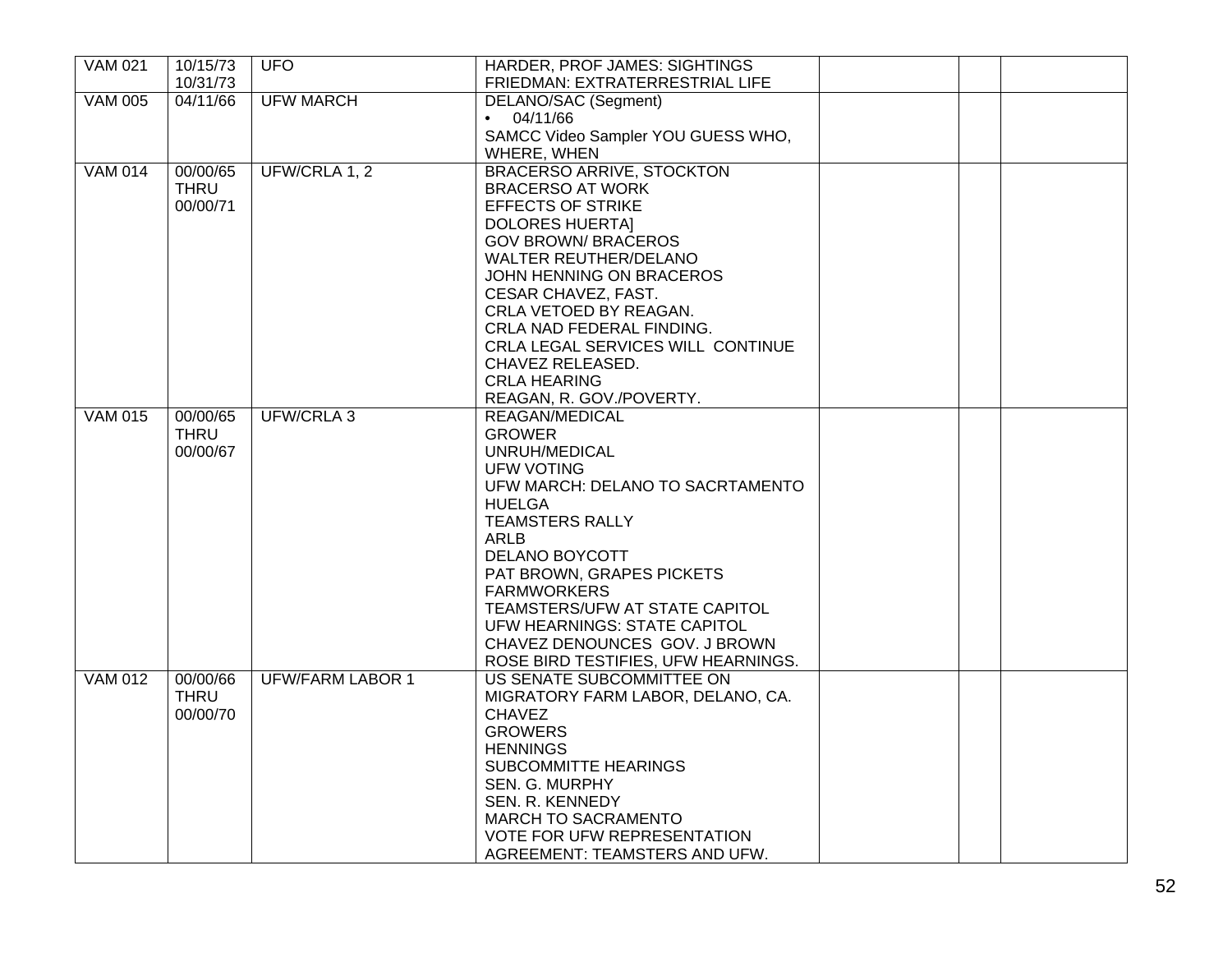| <b>VAM 021</b> | 10/15/73    | <b>UFO</b>              | HARDER, PROF JAMES: SIGHTINGS       |  |
|----------------|-------------|-------------------------|-------------------------------------|--|
|                | 10/31/73    |                         | FRIEDMAN: EXTRATERRESTRIAL LIFE     |  |
| <b>VAM 005</b> | 04/11/66    | <b>UFW MARCH</b>        | DELANO/SAC (Segment)                |  |
|                |             |                         | 04/11/66<br>$\bullet$               |  |
|                |             |                         | SAMCC Video Sampler YOU GUESS WHO,  |  |
|                |             |                         | WHERE, WHEN                         |  |
| <b>VAM 014</b> | 00/00/65    | UFW/CRLA 1, 2           | <b>BRACERSO ARRIVE, STOCKTON</b>    |  |
|                | <b>THRU</b> |                         | <b>BRACERSO AT WORK</b>             |  |
|                | 00/00/71    |                         | <b>EFFECTS OF STRIKE</b>            |  |
|                |             |                         | <b>DOLORES HUERTAI</b>              |  |
|                |             |                         | <b>GOV BROWN/ BRACEROS</b>          |  |
|                |             |                         |                                     |  |
|                |             |                         | <b>WALTER REUTHER/DELANO</b>        |  |
|                |             |                         | JOHN HENNING ON BRACEROS            |  |
|                |             |                         | CESAR CHAVEZ, FAST.                 |  |
|                |             |                         | CRLA VETOED BY REAGAN.              |  |
|                |             |                         | CRLA NAD FEDERAL FINDING.           |  |
|                |             |                         | CRLA LEGAL SERVICES WILL CONTINUE   |  |
|                |             |                         | CHAVEZ RELEASED.                    |  |
|                |             |                         | <b>CRLA HEARING</b>                 |  |
|                |             |                         | REAGAN, R. GOV./POVERTY.            |  |
| <b>VAM 015</b> | 00/00/65    | UFW/CRLA 3              | REAGAN/MEDICAL                      |  |
|                | <b>THRU</b> |                         | <b>GROWER</b>                       |  |
|                | 00/00/67    |                         | UNRUH/MEDICAL                       |  |
|                |             |                         | UFW VOTING                          |  |
|                |             |                         | UFW MARCH: DELANO TO SACRTAMENTO    |  |
|                |             |                         | <b>HUELGA</b>                       |  |
|                |             |                         | <b>TEAMSTERS RALLY</b>              |  |
|                |             |                         | ARLB                                |  |
|                |             |                         | <b>DELANO BOYCOTT</b>               |  |
|                |             |                         | PAT BROWN, GRAPES PICKETS           |  |
|                |             |                         | <b>FARMWORKERS</b>                  |  |
|                |             |                         | TEAMSTERS/UFW AT STATE CAPITOL      |  |
|                |             |                         | UFW HEARNINGS: STATE CAPITOL        |  |
|                |             |                         | CHAVEZ DENOUNCES GOV. J BROWN       |  |
|                |             |                         | ROSE BIRD TESTIFIES, UFW HEARNINGS. |  |
| <b>VAM 012</b> | 00/00/66    | <b>UFW/FARM LABOR 1</b> | US SENATE SUBCOMMITTEE ON           |  |
|                | <b>THRU</b> |                         |                                     |  |
|                |             |                         | MIGRATORY FARM LABOR, DELANO, CA.   |  |
|                | 00/00/70    |                         | <b>CHAVEZ</b>                       |  |
|                |             |                         | <b>GROWERS</b>                      |  |
|                |             |                         | <b>HENNINGS</b>                     |  |
|                |             |                         | <b>SUBCOMMITTE HEARINGS</b>         |  |
|                |             |                         | <b>SEN. G. MURPHY</b>               |  |
|                |             |                         | SEN. R. KENNEDY                     |  |
|                |             |                         | <b>MARCH TO SACRAMENTO</b>          |  |
|                |             |                         | VOTE FOR UFW REPRESENTATION         |  |
|                |             |                         | AGREEMENT: TEAMSTERS AND UFW.       |  |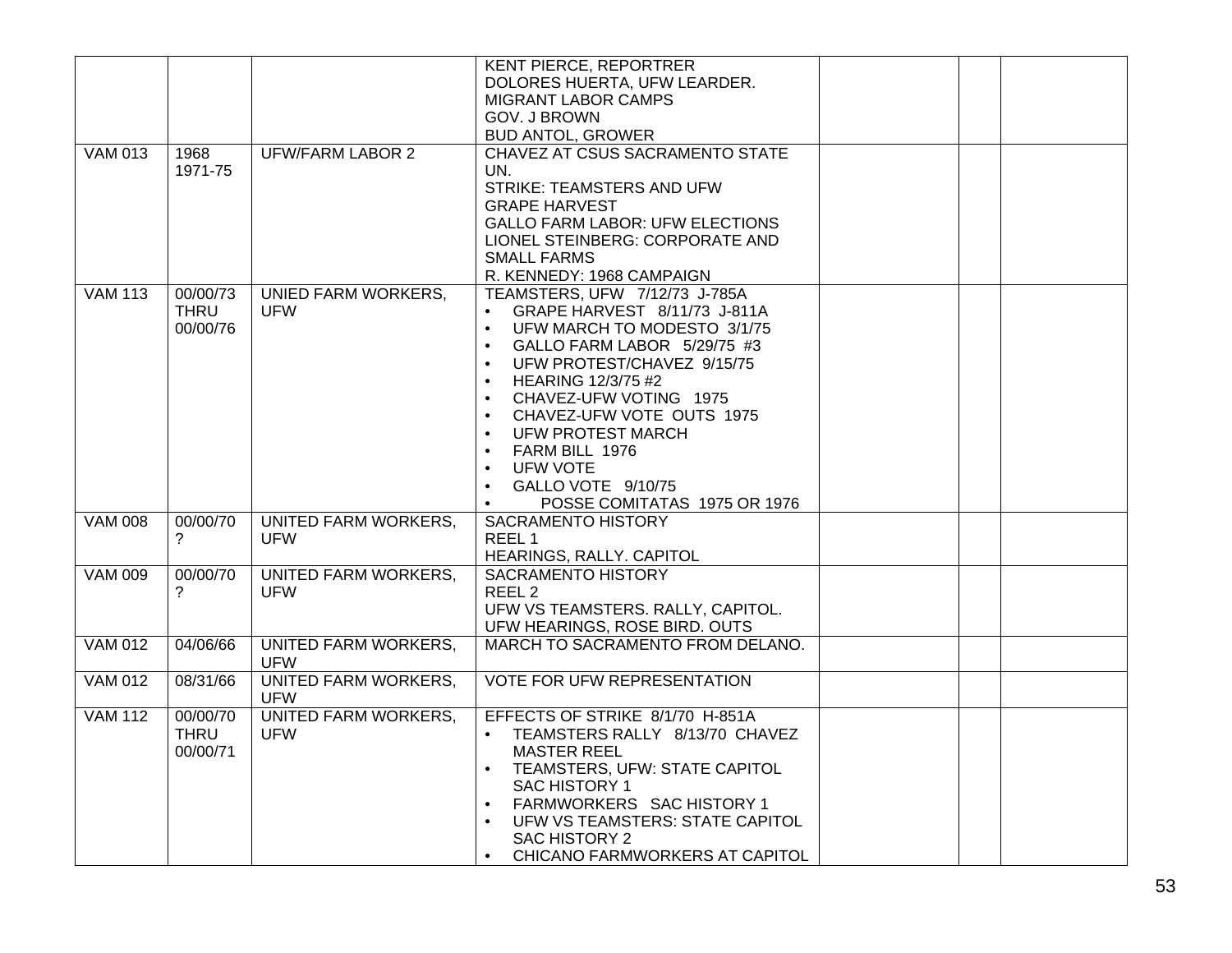|                |          |                                           | <b>KENT PIERCE, REPORTRER</b>                                  |  |
|----------------|----------|-------------------------------------------|----------------------------------------------------------------|--|
|                |          |                                           | DOLORES HUERTA, UFW LEARDER.                                   |  |
|                |          |                                           | MIGRANT LABOR CAMPS                                            |  |
|                |          |                                           | <b>GOV. J BROWN</b>                                            |  |
|                |          |                                           | <b>BUD ANTOL, GROWER</b>                                       |  |
| <b>VAM 013</b> | 1968     | <b>UFW/FARM LABOR 2</b>                   | CHAVEZ AT CSUS SACRAMENTO STATE                                |  |
|                | 1971-75  |                                           | UN.                                                            |  |
|                |          |                                           | STRIKE: TEAMSTERS AND UFW                                      |  |
|                |          |                                           | <b>GRAPE HARVEST</b><br><b>GALLO FARM LABOR: UFW ELECTIONS</b> |  |
|                |          |                                           | LIONEL STEINBERG: CORPORATE AND                                |  |
|                |          |                                           | <b>SMALL FARMS</b>                                             |  |
|                |          |                                           | R. KENNEDY: 1968 CAMPAIGN                                      |  |
| <b>VAM 113</b> | 00/00/73 | UNIED FARM WORKERS,                       | TEAMSTERS, UFW 7/12/73 J-785A                                  |  |
|                | THRU     | UFW                                       | GRAPE HARVEST 8/11/73 J-811A                                   |  |
|                | 00/00/76 |                                           | UFW MARCH TO MODESTO 3/1/75<br>$\bullet$                       |  |
|                |          |                                           | GALLO FARM LABOR 5/29/75 #3                                    |  |
|                |          |                                           | UFW PROTEST/CHAVEZ 9/15/75<br>$\bullet$                        |  |
|                |          |                                           | <b>HEARING 12/3/75 #2</b><br>$\bullet$                         |  |
|                |          |                                           | CHAVEZ-UFW VOTING 1975                                         |  |
|                |          |                                           | CHAVEZ-UFW VOTE OUTS 1975<br>$\bullet$                         |  |
|                |          |                                           | <b>UFW PROTEST MARCH</b>                                       |  |
|                |          |                                           | FARM BILL 1976                                                 |  |
|                |          |                                           | <b>UFW VOTE</b><br>$\bullet$                                   |  |
|                |          |                                           | GALLO VOTE 9/10/75                                             |  |
|                |          |                                           | POSSE COMITATAS 1975 OR 1976<br>$\bullet$                      |  |
| <b>VAM 008</b> | 00/00/70 | UNITED FARM WORKERS,                      | <b>SACRAMENTO HISTORY</b>                                      |  |
|                | 2        | UFW                                       | REEL <sub>1</sub>                                              |  |
|                |          |                                           | HEARINGS, RALLY. CAPITOL                                       |  |
| <b>VAM 009</b> | 00/00/70 | UNITED FARM WORKERS,                      | SACRAMENTO HISTORY                                             |  |
|                | ?        | <b>UFW</b>                                | REEL <sub>2</sub>                                              |  |
|                |          |                                           | UFW VS TEAMSTERS. RALLY, CAPITOL.                              |  |
|                |          |                                           | UFW HEARINGS, ROSE BIRD. OUTS                                  |  |
| <b>VAM 012</b> | 04/06/66 | <b>UNITED FARM WORKERS,</b><br><b>UFW</b> | MARCH TO SACRAMENTO FROM DELANO.                               |  |
| <b>VAM 012</b> | 08/31/66 | <b>UNITED FARM WORKERS,</b>               | <b>VOTE FOR UFW REPRESENTATION</b>                             |  |
|                |          | <b>UFW</b>                                |                                                                |  |
| <b>VAM 112</b> | 00/00/70 | <b>UNITED FARM WORKERS,</b>               | EFFECTS OF STRIKE 8/1/70 H-851A                                |  |
|                | THRU     | UFW                                       | TEAMSTERS RALLY 8/13/70 CHAVEZ                                 |  |
|                | 00/00/71 |                                           | <b>MASTER REEL</b>                                             |  |
|                |          |                                           | TEAMSTERS, UFW: STATE CAPITOL                                  |  |
|                |          |                                           | <b>SAC HISTORY 1</b>                                           |  |
|                |          |                                           | FARMWORKERS SAC HISTORY 1<br>$\bullet$                         |  |
|                |          |                                           | UFW VS TEAMSTERS: STATE CAPITOL                                |  |
|                |          |                                           | SAC HISTORY 2                                                  |  |
|                |          |                                           | CHICANO FARMWORKERS AT CAPITOL<br>$\bullet$                    |  |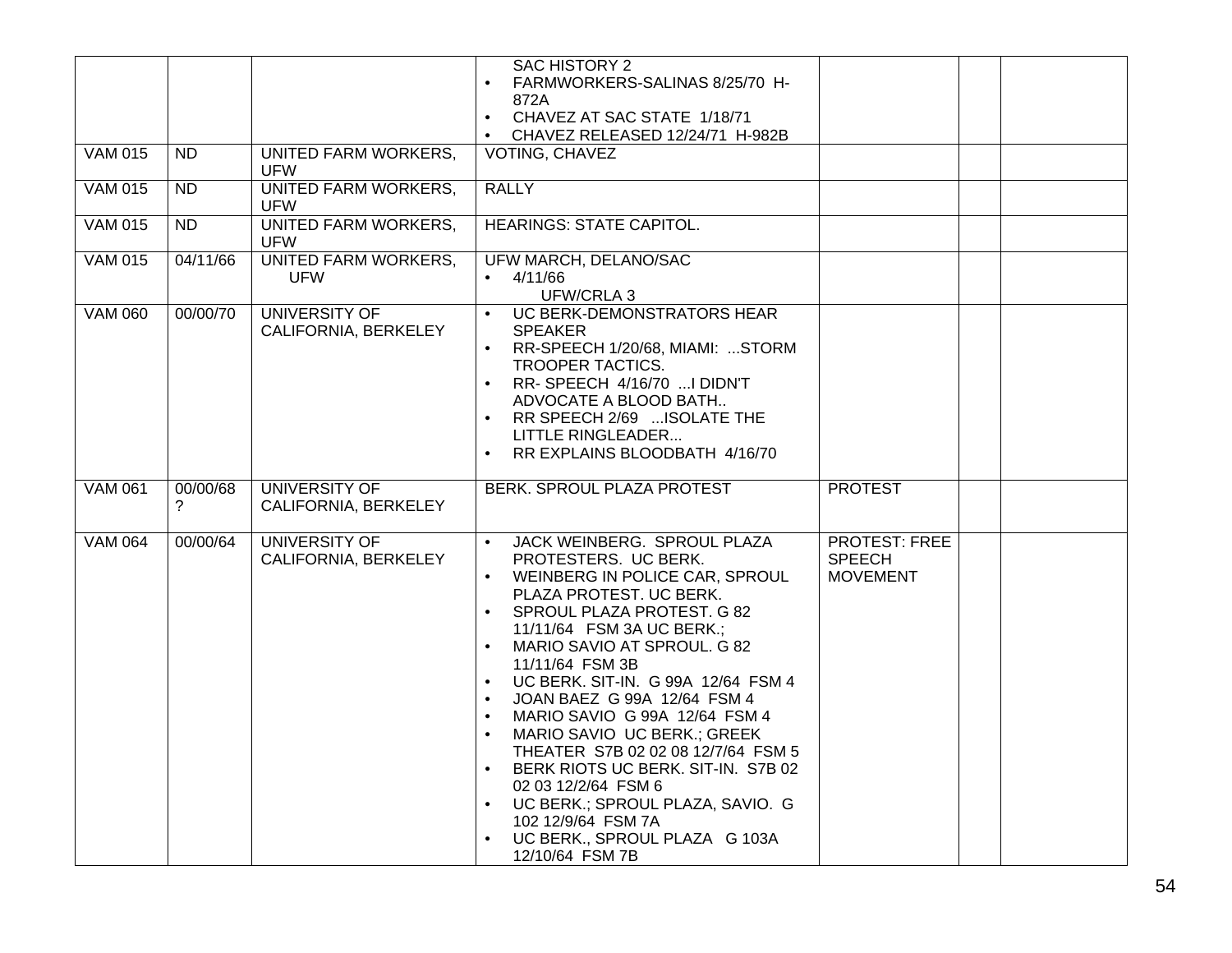|                |                 |                                              | <b>SAC HISTORY 2</b><br>FARMWORKERS-SALINAS 8/25/70 H-<br>$\bullet$<br>872A<br>CHAVEZ AT SAC STATE 1/18/71<br>$\bullet$<br>CHAVEZ RELEASED 12/24/71 H-982B<br>$\bullet$                                                                                                                                                                                                                                                                                                                                                                                                                                                                                                                     |                                                          |  |
|----------------|-----------------|----------------------------------------------|---------------------------------------------------------------------------------------------------------------------------------------------------------------------------------------------------------------------------------------------------------------------------------------------------------------------------------------------------------------------------------------------------------------------------------------------------------------------------------------------------------------------------------------------------------------------------------------------------------------------------------------------------------------------------------------------|----------------------------------------------------------|--|
| <b>VAM 015</b> | $\overline{ND}$ | <b>UNITED FARM WORKERS,</b><br><b>UFW</b>    | VOTING, CHAVEZ                                                                                                                                                                                                                                                                                                                                                                                                                                                                                                                                                                                                                                                                              |                                                          |  |
| <b>VAM 015</b> | $\overline{ND}$ | <b>UNITED FARM WORKERS,</b><br><b>UFW</b>    | <b>RALLY</b>                                                                                                                                                                                                                                                                                                                                                                                                                                                                                                                                                                                                                                                                                |                                                          |  |
| <b>VAM 015</b> | <b>ND</b>       | <b>UNITED FARM WORKERS,</b><br><b>UFW</b>    | <b>HEARINGS: STATE CAPITOL.</b>                                                                                                                                                                                                                                                                                                                                                                                                                                                                                                                                                                                                                                                             |                                                          |  |
| <b>VAM 015</b> | 04/11/66        | <b>UNITED FARM WORKERS,</b><br><b>UFW</b>    | UFW MARCH, DELANO/SAC<br>4/11/66<br>$\bullet$<br>UFW/CRLA 3                                                                                                                                                                                                                                                                                                                                                                                                                                                                                                                                                                                                                                 |                                                          |  |
| <b>VAM 060</b> | 00/00/70        | UNIVERSITY OF<br>CALIFORNIA, BERKELEY        | UC BERK-DEMONSTRATORS HEAR<br><b>SPEAKER</b><br>RR-SPEECH 1/20/68, MIAMI: STORM<br>$\bullet$<br>TROOPER TACTICS.<br>RR-SPEECH 4/16/70  I DIDN'T<br>$\bullet$<br>ADVOCATE A BLOOD BATH<br>RR SPEECH 2/69  ISOLATE THE<br>$\bullet$<br><b>LITTLE RINGLEADER</b><br>RR EXPLAINS BLOODBATH 4/16/70                                                                                                                                                                                                                                                                                                                                                                                              |                                                          |  |
| <b>VAM 061</b> | 00/00/68<br>2   | <b>UNIVERSITY OF</b><br>CALIFORNIA, BERKELEY | BERK. SPROUL PLAZA PROTEST                                                                                                                                                                                                                                                                                                                                                                                                                                                                                                                                                                                                                                                                  | <b>PROTEST</b>                                           |  |
| <b>VAM 064</b> | 00/00/64        | UNIVERSITY OF<br>CALIFORNIA, BERKELEY        | JACK WEINBERG. SPROUL PLAZA<br>PROTESTERS. UC BERK.<br>WEINBERG IN POLICE CAR, SPROUL<br>PLAZA PROTEST. UC BERK.<br>SPROUL PLAZA PROTEST. G 82<br>$\bullet$<br>11/11/64 FSM 3A UC BERK.;<br>MARIO SAVIO AT SPROUL. G 82<br>$\bullet$<br>11/11/64 FSM 3B<br>UC BERK. SIT-IN. G 99A 12/64 FSM 4<br>JOAN BAEZ G 99A 12/64 FSM 4<br>$\bullet$<br>MARIO SAVIO G 99A 12/64 FSM 4<br>$\bullet$<br>MARIO SAVIO UC BERK.; GREEK<br>$\bullet$<br>THEATER S7B 02 02 08 12/7/64 FSM 5<br>BERK RIOTS UC BERK. SIT-IN. S7B 02<br>$\bullet$<br>02 03 12/2/64 FSM 6<br>UC BERK.; SPROUL PLAZA, SAVIO. G<br>$\bullet$<br>102 12/9/64 FSM 7A<br>UC BERK., SPROUL PLAZA G 103A<br>$\bullet$<br>12/10/64 FSM 7B | <b>PROTEST: FREE</b><br><b>SPEECH</b><br><b>MOVEMENT</b> |  |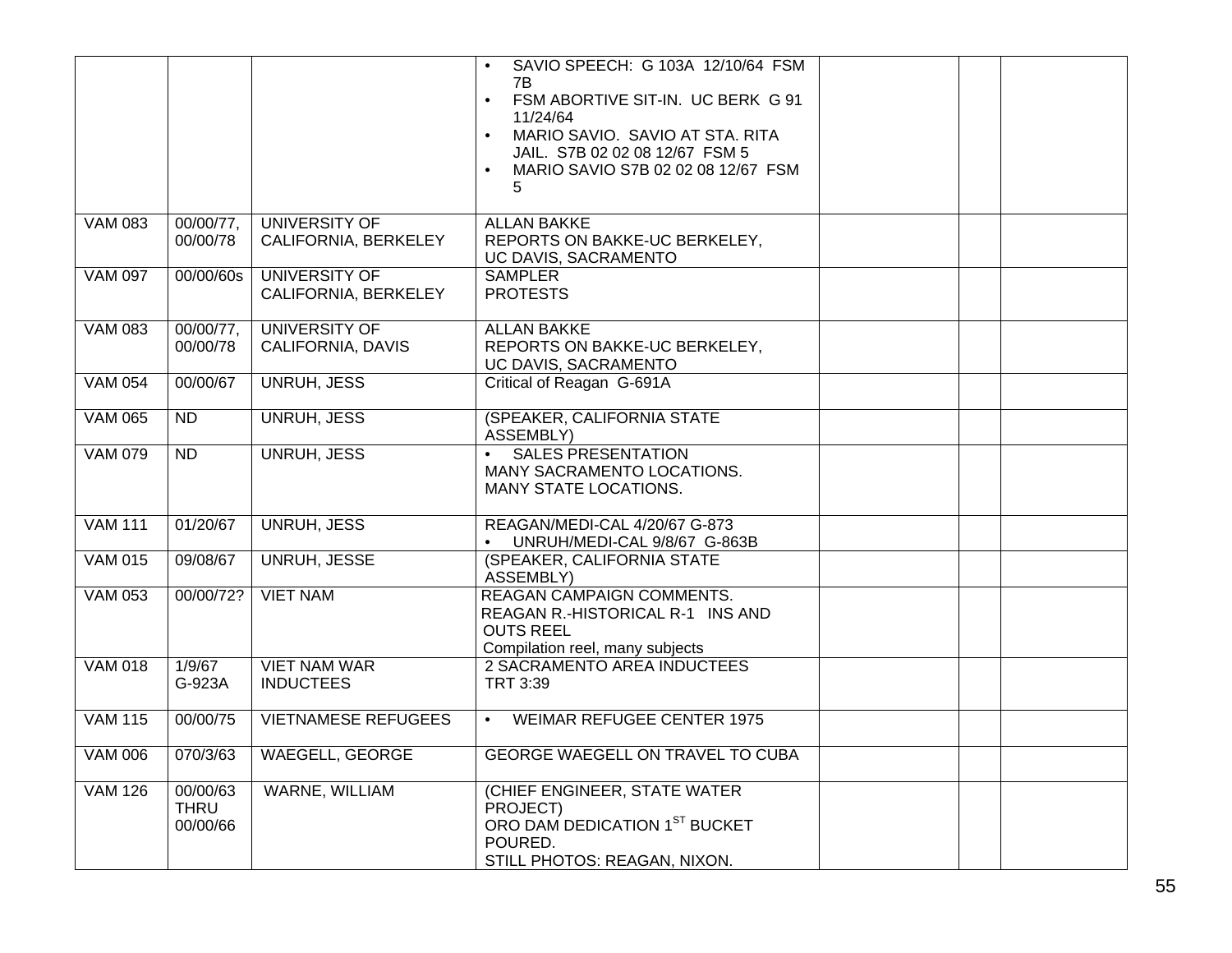|                |                              |                                              | SAVIO SPEECH: G 103A 12/10/64 FSM<br>$\bullet$<br>7B<br>FSM ABORTIVE SIT-IN. UC BERK G 91<br>$\bullet$<br>11/24/64<br>MARIO SAVIO. SAVIO AT STA. RITA<br>$\bullet$<br>JAIL. S7B 02 02 08 12/67 FSM 5<br>MARIO SAVIO S7B 02 02 08 12/67 FSM<br>$\bullet$<br>5 |  |
|----------------|------------------------------|----------------------------------------------|--------------------------------------------------------------------------------------------------------------------------------------------------------------------------------------------------------------------------------------------------------------|--|
| <b>VAM 083</b> | 00/00/77,<br>00/00/78        | UNIVERSITY OF<br>CALIFORNIA, BERKELEY        | <b>ALLAN BAKKE</b><br>REPORTS ON BAKKE-UC BERKELEY,<br>UC DAVIS, SACRAMENTO                                                                                                                                                                                  |  |
| <b>VAM 097</b> | 00/00/60s                    | <b>UNIVERSITY OF</b><br>CALIFORNIA, BERKELEY | <b>SAMPLER</b><br><b>PROTESTS</b>                                                                                                                                                                                                                            |  |
| <b>VAM 083</b> | 00/00/77,<br>00/00/78        | UNIVERSITY OF<br>CALIFORNIA, DAVIS           | <b>ALLAN BAKKE</b><br>REPORTS ON BAKKE-UC BERKELEY,<br>UC DAVIS, SACRAMENTO                                                                                                                                                                                  |  |
| <b>VAM 054</b> | 00/00/67                     | <b>UNRUH, JESS</b>                           | Critical of Reagan G-691A                                                                                                                                                                                                                                    |  |
| <b>VAM 065</b> | <b>ND</b>                    | <b>UNRUH, JESS</b>                           | (SPEAKER, CALIFORNIA STATE<br><b>ASSEMBLY)</b>                                                                                                                                                                                                               |  |
| <b>VAM 079</b> | $\overline{ND}$              | <b>UNRUH, JESS</b>                           | <b>SALES PRESENTATION</b><br>$\bullet$<br>MANY SACRAMENTO LOCATIONS.<br>MANY STATE LOCATIONS.                                                                                                                                                                |  |
| <b>VAM 111</b> | 01/20/67                     | <b>UNRUH, JESS</b>                           | REAGAN/MEDI-CAL 4/20/67 G-873<br>UNRUH/MEDI-CAL 9/8/67 G-863B<br>$\bullet$                                                                                                                                                                                   |  |
| <b>VAM 015</b> | 09/08/67                     | <b>UNRUH, JESSE</b>                          | (SPEAKER, CALIFORNIA STATE<br>ASSEMBLY)                                                                                                                                                                                                                      |  |
| <b>VAM 053</b> | 00/00/72?                    | <b>VIET NAM</b>                              | REAGAN CAMPAIGN COMMENTS.<br>REAGAN R.-HISTORICAL R-1 INS AND<br><b>OUTS REEL</b><br>Compilation reel, many subjects                                                                                                                                         |  |
| <b>VAM 018</b> | 1/9/67<br>G-923A             | <b>VIET NAM WAR</b><br><b>INDUCTEES</b>      | <b>2 SACRAMENTO AREA INDUCTEES</b><br>TRT 3:39                                                                                                                                                                                                               |  |
| <b>VAM 115</b> | 00/00/75                     | <b>VIETNAMESE REFUGEES</b>                   | <b>WEIMAR REFUGEE CENTER 1975</b><br>$\bullet$                                                                                                                                                                                                               |  |
| <b>VAM 006</b> | 070/3/63                     | <b>WAEGELL, GEORGE</b>                       | GEORGE WAEGELL ON TRAVEL TO CUBA                                                                                                                                                                                                                             |  |
| <b>VAM 126</b> | 00/00/63<br>THRU<br>00/00/66 | WARNE, WILLIAM                               | (CHIEF ENGINEER, STATE WATER<br>PROJECT)<br>ORO DAM DEDICATION 1ST BUCKET<br>POURED.<br>STILL PHOTOS: REAGAN, NIXON.                                                                                                                                         |  |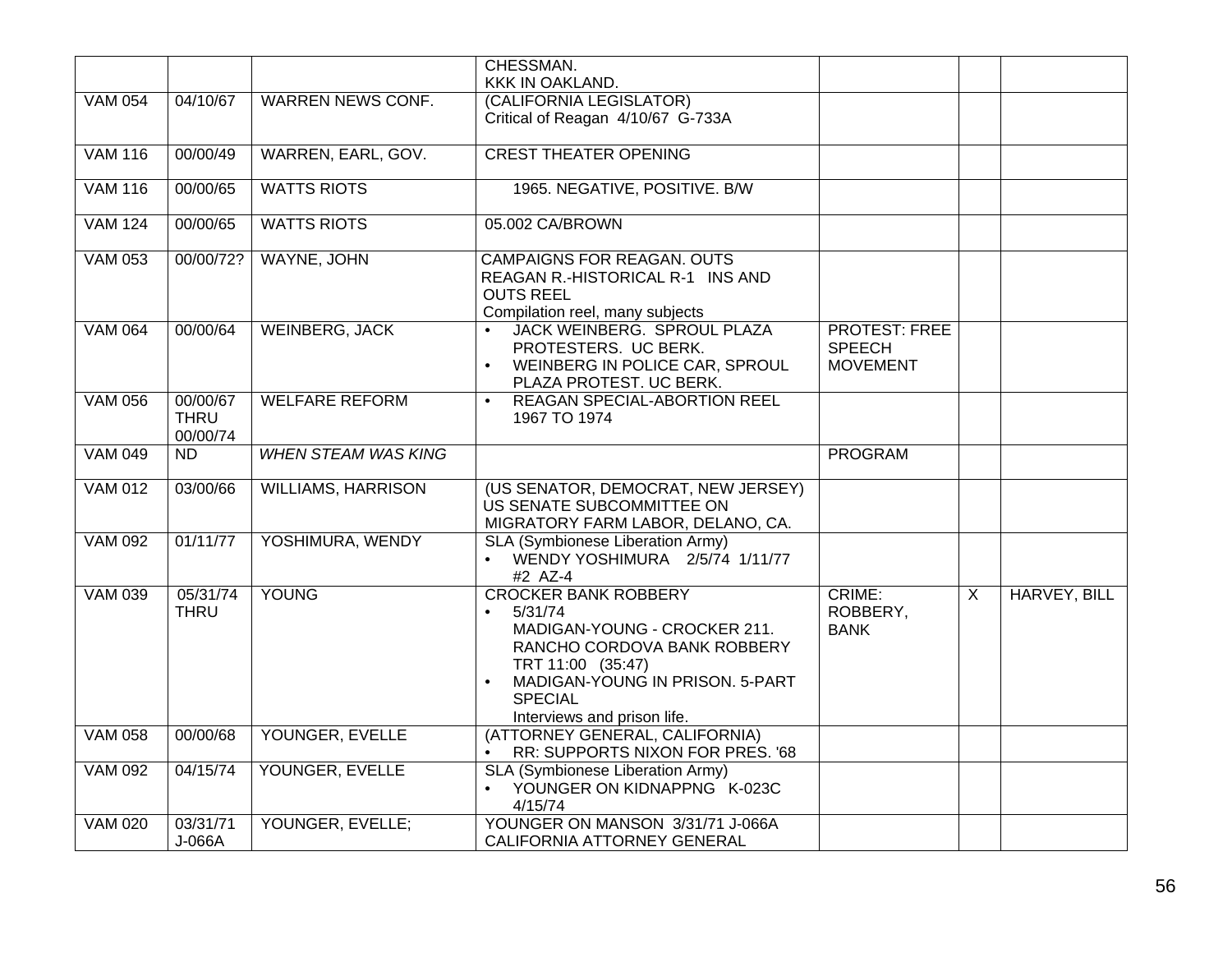|                |                                     |                            | CHESSMAN.                                                                                                                                                                                                                   |                                                          |                |              |
|----------------|-------------------------------------|----------------------------|-----------------------------------------------------------------------------------------------------------------------------------------------------------------------------------------------------------------------------|----------------------------------------------------------|----------------|--------------|
|                |                                     |                            | KKK IN OAKLAND.                                                                                                                                                                                                             |                                                          |                |              |
| <b>VAM 054</b> | 04/10/67                            | <b>WARREN NEWS CONF.</b>   | (CALIFORNIA LEGISLATOR)<br>Critical of Reagan 4/10/67 G-733A                                                                                                                                                                |                                                          |                |              |
| <b>VAM 116</b> | 00/00/49                            | WARREN, EARL, GOV.         | <b>CREST THEATER OPENING</b>                                                                                                                                                                                                |                                                          |                |              |
| <b>VAM 116</b> | 00/00/65                            | <b>WATTS RIOTS</b>         | 1965. NEGATIVE, POSITIVE. B/W                                                                                                                                                                                               |                                                          |                |              |
| <b>VAM 124</b> | 00/00/65                            | <b>WATTS RIOTS</b>         | 05.002 CA/BROWN                                                                                                                                                                                                             |                                                          |                |              |
| <b>VAM 053</b> | 00/00/72?                           | <b>WAYNE, JOHN</b>         | <b>CAMPAIGNS FOR REAGAN. OUTS</b><br>REAGAN R.-HISTORICAL R-1 INS AND<br><b>OUTS REEL</b><br>Compilation reel, many subjects                                                                                                |                                                          |                |              |
| <b>VAM 064</b> | 00/00/64                            | <b>WEINBERG, JACK</b>      | JACK WEINBERG. SPROUL PLAZA<br>PROTESTERS. UC BERK.<br>WEINBERG IN POLICE CAR, SPROUL<br>PLAZA PROTEST. UC BERK.                                                                                                            | <b>PROTEST: FREE</b><br><b>SPEECH</b><br><b>MOVEMENT</b> |                |              |
| <b>VAM 056</b> | 00/00/67<br><b>THRU</b><br>00/00/74 | <b>WELFARE REFORM</b>      | <b>REAGAN SPECIAL-ABORTION REEL</b><br>$\bullet$<br>1967 TO 1974                                                                                                                                                            |                                                          |                |              |
| <b>VAM 049</b> | $\overline{ND}$                     | <b>WHEN STEAM WAS KING</b> |                                                                                                                                                                                                                             | <b>PROGRAM</b>                                           |                |              |
| <b>VAM 012</b> | 03/00/66                            | <b>WILLIAMS, HARRISON</b>  | (US SENATOR, DEMOCRAT, NEW JERSEY)<br>US SENATE SUBCOMMITTEE ON<br>MIGRATORY FARM LABOR, DELANO, CA.                                                                                                                        |                                                          |                |              |
| <b>VAM 092</b> | 01/11/77                            | YOSHIMURA, WENDY           | SLA (Symbionese Liberation Army)<br>WENDY YOSHIMURA 2/5/74 1/11/77<br>#2 AZ-4                                                                                                                                               |                                                          |                |              |
| <b>VAM 039</b> | 05/31/74<br><b>THRU</b>             | <b>YOUNG</b>               | <b>CROCKER BANK ROBBERY</b><br>5/31/74<br>$\bullet$<br>MADIGAN-YOUNG - CROCKER 211.<br>RANCHO CORDOVA BANK ROBBERY<br>TRT 11:00 (35:47)<br>MADIGAN-YOUNG IN PRISON. 5-PART<br><b>SPECIAL</b><br>Interviews and prison life. | CRIME:<br>ROBBERY,<br><b>BANK</b>                        | $\overline{X}$ | HARVEY, BILL |
| <b>VAM 058</b> | 00/00/68                            | YOUNGER, EVELLE            | (ATTORNEY GENERAL, CALIFORNIA)<br>RR: SUPPORTS NIXON FOR PRES. '68<br>$\bullet$                                                                                                                                             |                                                          |                |              |
| <b>VAM 092</b> | 04/15/74                            | YOUNGER, EVELLE            | SLA (Symbionese Liberation Army)<br>YOUNGER ON KIDNAPPNG K-023C<br>4/15/74                                                                                                                                                  |                                                          |                |              |
| <b>VAM 020</b> | 03/31/71<br>J-066A                  | YOUNGER, EVELLE;           | YOUNGER ON MANSON 3/31/71 J-066A<br>CALIFORNIA ATTORNEY GENERAL                                                                                                                                                             |                                                          |                |              |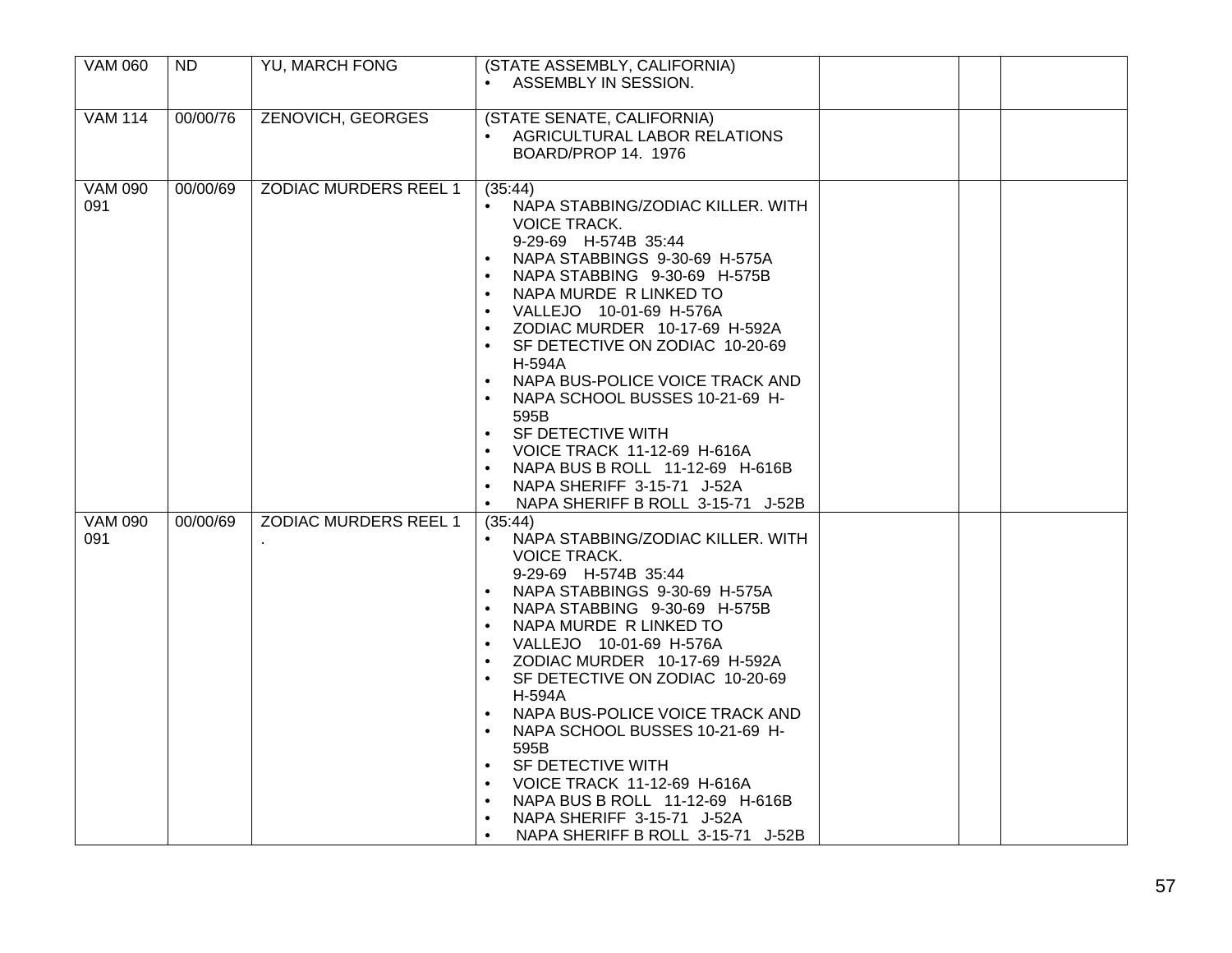| <b>VAM 060</b>        | <b>ND</b> | <b>YU, MARCH FONG</b>        | (STATE ASSEMBLY, CALIFORNIA)<br>ASSEMBLY IN SESSION.                                                                                                                                                                                                                                                                                                                                                                                                                                                                                                                                                                 |  |
|-----------------------|-----------|------------------------------|----------------------------------------------------------------------------------------------------------------------------------------------------------------------------------------------------------------------------------------------------------------------------------------------------------------------------------------------------------------------------------------------------------------------------------------------------------------------------------------------------------------------------------------------------------------------------------------------------------------------|--|
| <b>VAM 114</b>        | 00/00/76  | <b>ZENOVICH, GEORGES</b>     | (STATE SENATE, CALIFORNIA)<br>AGRICULTURAL LABOR RELATIONS<br>BOARD/PROP 14. 1976                                                                                                                                                                                                                                                                                                                                                                                                                                                                                                                                    |  |
| <b>VAM 090</b><br>091 | 00/00/69  | <b>ZODIAC MURDERS REEL 1</b> | (35:44)<br>• NAPA STABBING/ZODIAC KILLER. WITH<br>VOICE TRACK.<br>9-29-69 H-574B 35:44<br>NAPA STABBINGS 9-30-69 H-575A<br>$\bullet$<br>NAPA STABBING 9-30-69 H-575B<br>NAPA MURDE R LINKED TO<br>VALLEJO 10-01-69 H-576A<br>$\bullet$<br>ZODIAC MURDER 10-17-69 H-592A<br>SF DETECTIVE ON ZODIAC 10-20-69<br>H-594A<br>NAPA BUS-POLICE VOICE TRACK AND<br>NAPA SCHOOL BUSSES 10-21-69 H-<br>$\bullet$<br>595B<br>SF DETECTIVE WITH<br><b>VOICE TRACK 11-12-69 H-616A</b><br>$\bullet$<br>NAPA BUS B ROLL 11-12-69 H-616B<br>NAPA SHERIFF 3-15-71 J-52A<br>NAPA SHERIFF B ROLL 3-15-71 J-52B<br>$\bullet$            |  |
| <b>VAM 090</b><br>091 | 00/00/69  | <b>ZODIAC MURDERS REEL 1</b> | (35:44)<br>NAPA STABBING/ZODIAC KILLER. WITH<br><b>VOICE TRACK.</b><br>9-29-69 H-574B 35:44<br>NAPA STABBINGS 9-30-69 H-575A<br>NAPA STABBING 9-30-69 H-575B<br>$\bullet$<br>NAPA MURDE R LINKED TO<br>VALLEJO 10-01-69 H-576A<br>ZODIAC MURDER 10-17-69 H-592A<br>$\bullet$<br>SF DETECTIVE ON ZODIAC 10-20-69<br>H-594A<br>NAPA BUS-POLICE VOICE TRACK AND<br>$\bullet$<br>NAPA SCHOOL BUSSES 10-21-69 H-<br>595B<br>SF DETECTIVE WITH<br>$\bullet$<br>VOICE TRACK 11-12-69 H-616A<br>NAPA BUS B ROLL 11-12-69 H-616B<br>$\bullet$<br>NAPA SHERIFF 3-15-71 J-52A<br>NAPA SHERIFF B ROLL 3-15-71 J-52B<br>$\bullet$ |  |